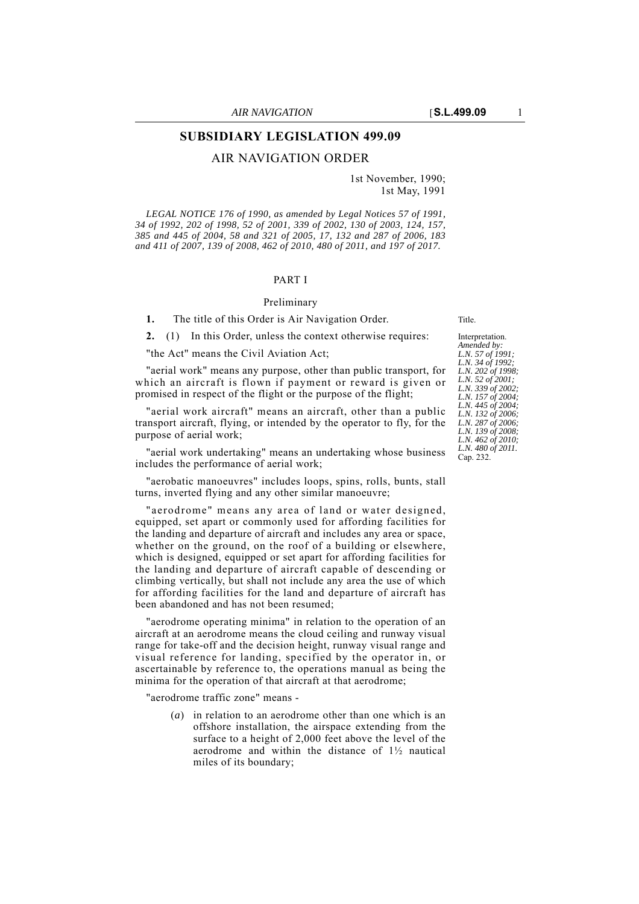# **SUBSIDIARY LEGISLATION 499.09**

## AIR NAVIGATION ORDER

1st November, 1990; 1st May, 1991

*LEGAL NOTICE 176 of 1990, as amended by Legal Notices 57 of 1991, 34 of 1992, 202 of 1998, 52 of 2001, 339 of 2002, 130 of 2003, 124, 157, 385 and 445 of 2004, 58 and 321 of 2005, 17, 132 and 287 of 2006, 183 and 411 of 2007, 139 of 2008, 462 of 2010, 480 of 2011, and 197 of 2017.*

### PART I

### Preliminary

**1.** The title of this Order is Air Navigation Order. Title.

**2.** (1) In this Order, unless the context otherwise requires:

"the Act" means the Civil Aviation Act;

"aerial work" means any purpose, other than public transport, for which an aircraft is flown if payment or reward is given or promised in respect of the flight or the purpose of the flight;

"aerial work aircraft" means an aircraft, other than a public transport aircraft, flying, or intended by the operator to fly, for the purpose of aerial work;

"aerial work undertaking" means an undertaking whose business includes the performance of aerial work;

"aerobatic manoeuvres" includes loops, spins, rolls, bunts, stall turns, inverted flying and any other similar manoeuvre;

"aerodrome" means any area of land or water designed, equipped, set apart or commonly used for affording facilities for the landing and departure of aircraft and includes any area or space, whether on the ground, on the roof of a building or elsewhere, which is designed, equipped or set apart for affording facilities for the landing and departure of aircraft capable of descending or climbing vertically, but shall not include any area the use of which for affording facilities for the land and departure of aircraft has been abandoned and has not been resumed;

"aerodrome operating minima" in relation to the operation of an aircraft at an aerodrome means the cloud ceiling and runway visual range for take-off and the decision height, runway visual range and visual reference for landing, specified by the operator in, or ascertainable by reference to, the operations manual as being the minima for the operation of that aircraft at that aerodrome;

"aerodrome traffic zone" means -

(*a*) in relation to an aerodrome other than one which is an offshore installation, the airspace extending from the surface to a height of 2,000 feet above the level of the aerodrome and within the distance of 1½ nautical miles of its boundary;

Interpretation. *Amended by: L.N. 57 of 1991; L.N. 34 of 1992; L.N. 202 of 1998; L.N. 52 of 2001; L.N. 339 of 2002; L.N. 157 of 2004; L.N. 445 of 2004; L.N. 132 of 2006; L.N. 287 of 2006; L.N. 139 of 2008; L.N. 462 of 2010; L.N. 480 of 2011.* Cap. 232.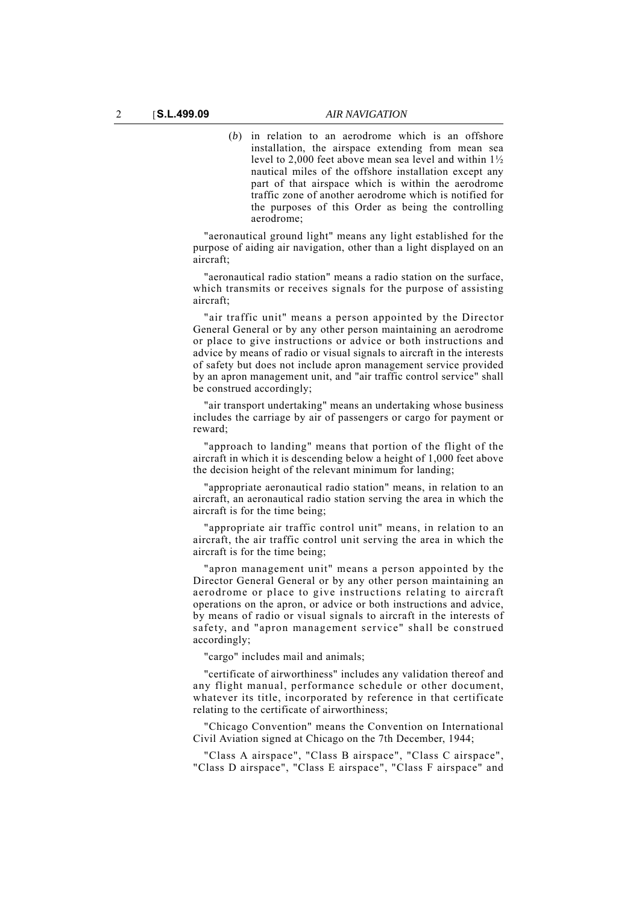(*b*) in relation to an aerodrome which is an offshore installation, the airspace extending from mean sea level to 2,000 feet above mean sea level and within 1½ nautical miles of the offshore installation except any part of that airspace which is within the aerodrome traffic zone of another aerodrome which is notified for the purposes of this Order as being the controlling aerodrome;

"aeronautical ground light" means any light established for the purpose of aiding air navigation, other than a light displayed on an aircraft;

"aeronautical radio station" means a radio station on the surface, which transmits or receives signals for the purpose of assisting aircraft;

"air traffic unit" means a person appointed by the Director General General or by any other person maintaining an aerodrome or place to give instructions or advice or both instructions and advice by means of radio or visual signals to aircraft in the interests of safety but does not include apron management service provided by an apron management unit, and "air traffic control service" shall be construed accordingly;

"air transport undertaking" means an undertaking whose business includes the carriage by air of passengers or cargo for payment or reward;

"approach to landing" means that portion of the flight of the aircraft in which it is descending below a height of 1,000 feet above the decision height of the relevant minimum for landing;

"appropriate aeronautical radio station" means, in relation to an aircraft, an aeronautical radio station serving the area in which the aircraft is for the time being;

"appropriate air traffic control unit" means, in relation to an aircraft, the air traffic control unit serving the area in which the aircraft is for the time being;

"apron management unit" means a person appointed by the Director General General or by any other person maintaining an aerodrome or place to give instructions relating to aircraft operations on the apron, or advice or both instructions and advice, by means of radio or visual signals to aircraft in the interests of safety, and "apron management service" shall be construed accordingly;

"cargo" includes mail and animals;

"certificate of airworthiness" includes any validation thereof and any flight manual, performance schedule or other document, whatever its title, incorporated by reference in that certificate relating to the certificate of airworthiness;

"Chicago Convention" means the Convention on International Civil Aviation signed at Chicago on the 7th December, 1944;

"Class A airspace", "Class B airspace", "Class C airspace", "Class D airspace", "Class E airspace", "Class F airspace" and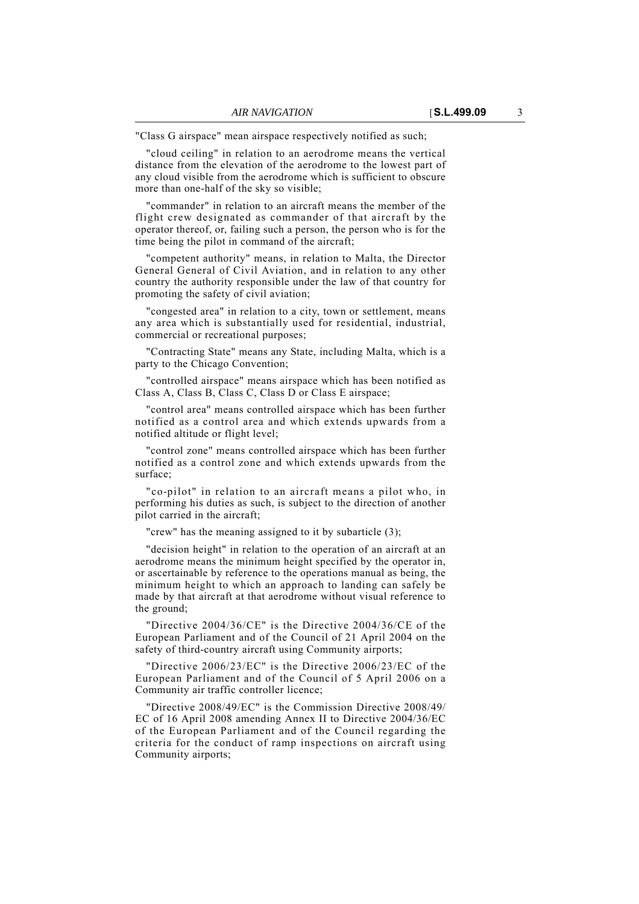"Class G airspace" mean airspace respectively notified as such;

"cloud ceiling" in relation to an aerodrome means the vertical distance from the elevation of the aerodrome to the lowest part of any cloud visible from the aerodrome which is sufficient to obscure more than one-half of the sky so visible;

"commander" in relation to an aircraft means the member of the flight crew designated as commander of that aircraft by the operator thereof, or, failing such a person, the person who is for the time being the pilot in command of the aircraft;

"competent authority" means, in relation to Malta, the Director General General of Civil Aviation, and in relation to any other country the authority responsible under the law of that country for promoting the safety of civil aviation;

"congested area" in relation to a city, town or settlement, means any area which is substantially used for residential, industrial, commercial or recreational purposes;

"Contracting State" means any State, including Malta, which is a party to the Chicago Convention;

"controlled airspace" means airspace which has been notified as Class A, Class B, Class C, Class D or Class E airspace;

"control area" means controlled airspace which has been further notified as a control area and which extends upwards from a notified altitude or flight level;

"control zone" means controlled airspace which has been further notified as a control zone and which extends upwards from the surface;

"co-pilot" in relation to an aircraft means a pilot who, in performing his duties as such, is subject to the direction of another pilot carried in the aircraft;

"crew" has the meaning assigned to it by subarticle (3);

"decision height" in relation to the operation of an aircraft at an aerodrome means the minimum height specified by the operator in, or ascertainable by reference to the operations manual as being, the minimum height to which an approach to landing can safely be made by that aircraft at that aerodrome without visual reference to the ground;

"Directive 2004/36/CE" is the Directive 2004/36/CE of the European Parliament and of the Council of 21 April 2004 on the safety of third-country aircraft using Community airports;

"Directive 2006/23/EC" is the Directive 2006/23/EC of the European Parliament and of the Council of 5 April 2006 on a Community air traffic controller licence;

"Directive 2008/49/EC" is the Commission Directive 2008/49/ EC of 16 April 2008 amending Annex II to Directive 2004/36/EC of the European Parliament and of the Council regarding the criteria for the conduct of ramp inspections on aircraft using Community airports;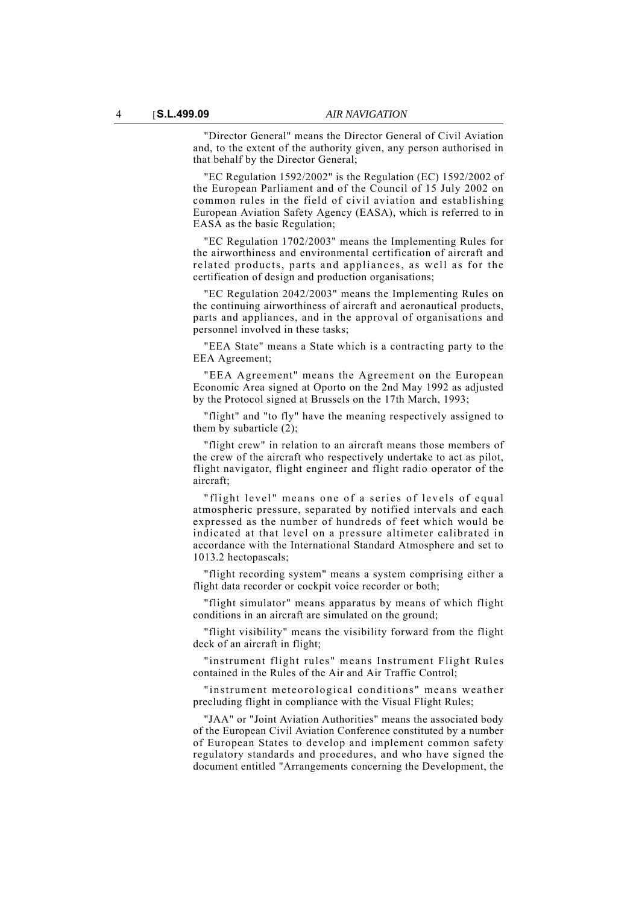"Director General" means the Director General of Civil Aviation and, to the extent of the authority given, any person authorised in that behalf by the Director General;

"EC Regulation 1592/2002" is the Regulation (EC) 1592/2002 of the European Parliament and of the Council of 15 July 2002 on common rules in the field of civil aviation and establishing European Aviation Safety Agency (EASA), which is referred to in EASA as the basic Regulation;

"EC Regulation 1702/2003" means the Implementing Rules for the airworthiness and environmental certification of aircraft and related products, parts and appliances, as well as for the certification of design and production organisations;

"EC Regulation 2042/2003" means the Implementing Rules on the continuing airworthiness of aircraft and aeronautical products, parts and appliances, and in the approval of organisations and personnel involved in these tasks;

"EEA State" means a State which is a contracting party to the EEA Agreement;

"EEA Agreement" means the Agreement on the European Economic Area signed at Oporto on the 2nd May 1992 as adjusted by the Protocol signed at Brussels on the 17th March, 1993;

"flight" and "to fly" have the meaning respectively assigned to them by subarticle (2);

"flight crew" in relation to an aircraft means those members of the crew of the aircraft who respectively undertake to act as pilot, flight navigator, flight engineer and flight radio operator of the aircraft;

"flight level" means one of a series of levels of equal atmospheric pressure, separated by notified intervals and each expressed as the number of hundreds of feet which would be indicated at that level on a pressure altimeter calibrated in accordance with the International Standard Atmosphere and set to 1013.2 hectopascals;

"flight recording system" means a system comprising either a flight data recorder or cockpit voice recorder or both;

"flight simulator" means apparatus by means of which flight conditions in an aircraft are simulated on the ground;

"flight visibility" means the visibility forward from the flight deck of an aircraft in flight;

"instrument flight rules" means Instrument Flight Rules contained in the Rules of the Air and Air Traffic Control;

"instrument meteorological conditions" means weather precluding flight in compliance with the Visual Flight Rules;

"JAA" or "Joint Aviation Authorities" means the associated body of the European Civil Aviation Conference constituted by a number of European States to develop and implement common safety regulatory standards and procedures, and who have signed the document entitled "Arrangements concerning the Development, the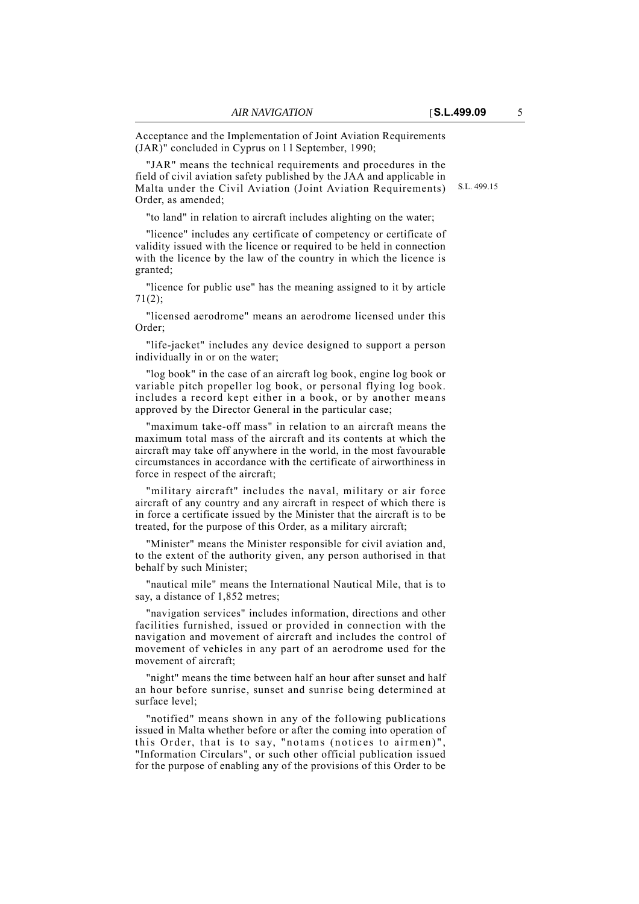Acceptance and the Implementation of Joint Aviation Requirements (JAR)" concluded in Cyprus on l l September, 1990;

Malta under the Civil Aviation (Joint Aviation Requirements) S.L. 499.15 "JAR" means the technical requirements and procedures in the field of civil aviation safety published by the JAA and applicable in Order, as amended;

"to land" in relation to aircraft includes alighting on the water;

"licence" includes any certificate of competency or certificate of validity issued with the licence or required to be held in connection with the licence by the law of the country in which the licence is granted;

"licence for public use" has the meaning assigned to it by article 71(2);

"licensed aerodrome" means an aerodrome licensed under this Order;

"life-jacket" includes any device designed to support a person individually in or on the water;

"log book" in the case of an aircraft log book, engine log book or variable pitch propeller log book, or personal flying log book. includes a record kept either in a book, or by another means approved by the Director General in the particular case;

"maximum take-off mass" in relation to an aircraft means the maximum total mass of the aircraft and its contents at which the aircraft may take off anywhere in the world, in the most favourable circumstances in accordance with the certificate of airworthiness in force in respect of the aircraft;

"military aircraft" includes the naval, military or air force aircraft of any country and any aircraft in respect of which there is in force a certificate issued by the Minister that the aircraft is to be treated, for the purpose of this Order, as a military aircraft;

"Minister" means the Minister responsible for civil aviation and, to the extent of the authority given, any person authorised in that behalf by such Minister;

"nautical mile" means the International Nautical Mile, that is to say, a distance of 1,852 metres;

"navigation services" includes information, directions and other facilities furnished, issued or provided in connection with the navigation and movement of aircraft and includes the control of movement of vehicles in any part of an aerodrome used for the movement of aircraft;

"night" means the time between half an hour after sunset and half an hour before sunrise, sunset and sunrise being determined at surface level;

"notified" means shown in any of the following publications issued in Malta whether before or after the coming into operation of this Order, that is to say, "notams (notices to airmen)", "Information Circulars", or such other official publication issued for the purpose of enabling any of the provisions of this Order to be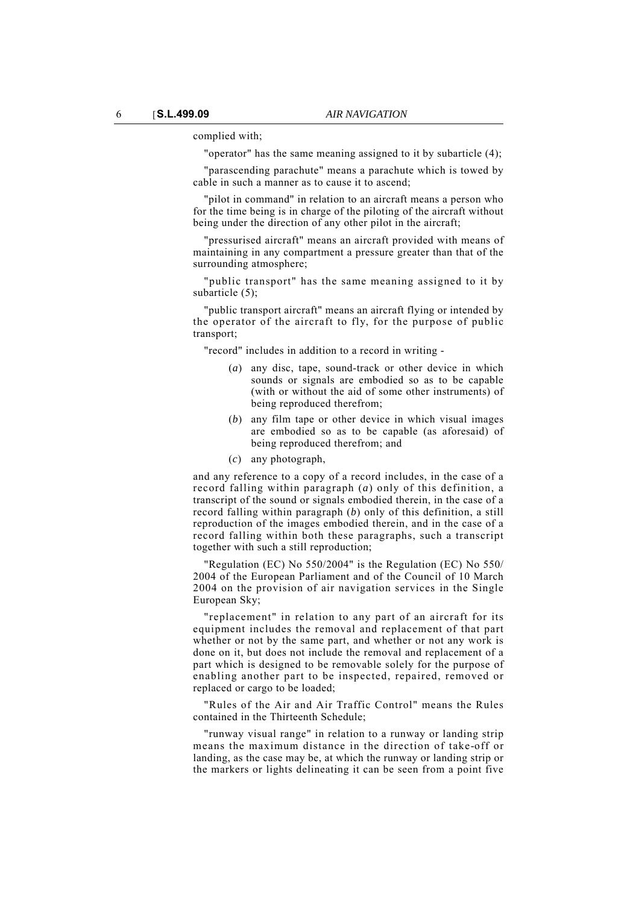complied with;

"operator" has the same meaning assigned to it by subarticle (4);

"parascending parachute" means a parachute which is towed by cable in such a manner as to cause it to ascend;

"pilot in command" in relation to an aircraft means a person who for the time being is in charge of the piloting of the aircraft without being under the direction of any other pilot in the aircraft;

"pressurised aircraft" means an aircraft provided with means of maintaining in any compartment a pressure greater than that of the surrounding atmosphere;

"public transport" has the same meaning assigned to it by subarticle (5):

"public transport aircraft" means an aircraft flying or intended by the operator of the aircraft to fly, for the purpose of public transport;

"record" includes in addition to a record in writing -

- (*a*) any disc, tape, sound-track or other device in which sounds or signals are embodied so as to be capable (with or without the aid of some other instruments) of being reproduced therefrom;
- (*b*) any film tape or other device in which visual images are embodied so as to be capable (as aforesaid) of being reproduced therefrom; and
- (*c*) any photograph,

and any reference to a copy of a record includes, in the case of a record falling within paragraph (*a*) only of this definition, a transcript of the sound or signals embodied therein, in the case of a record falling within paragraph (*b*) only of this definition, a still reproduction of the images embodied therein, and in the case of a record falling within both these paragraphs, such a transcript together with such a still reproduction;

"Regulation (EC) No 550/2004" is the Regulation (EC) No 550/ 2004 of the European Parliament and of the Council of 10 March 2004 on the provision of air navigation services in the Single European Sky;

"replacement" in relation to any part of an aircraft for its equipment includes the removal and replacement of that part whether or not by the same part, and whether or not any work is done on it, but does not include the removal and replacement of a part which is designed to be removable solely for the purpose of enabling another part to be inspected, repaired, removed or replaced or cargo to be loaded;

"Rules of the Air and Air Traffic Control" means the Rules contained in the Thirteenth Schedule;

"runway visual range" in relation to a runway or landing strip means the maximum distance in the direction of take-off or landing, as the case may be, at which the runway or landing strip or the markers or lights delineating it can be seen from a point five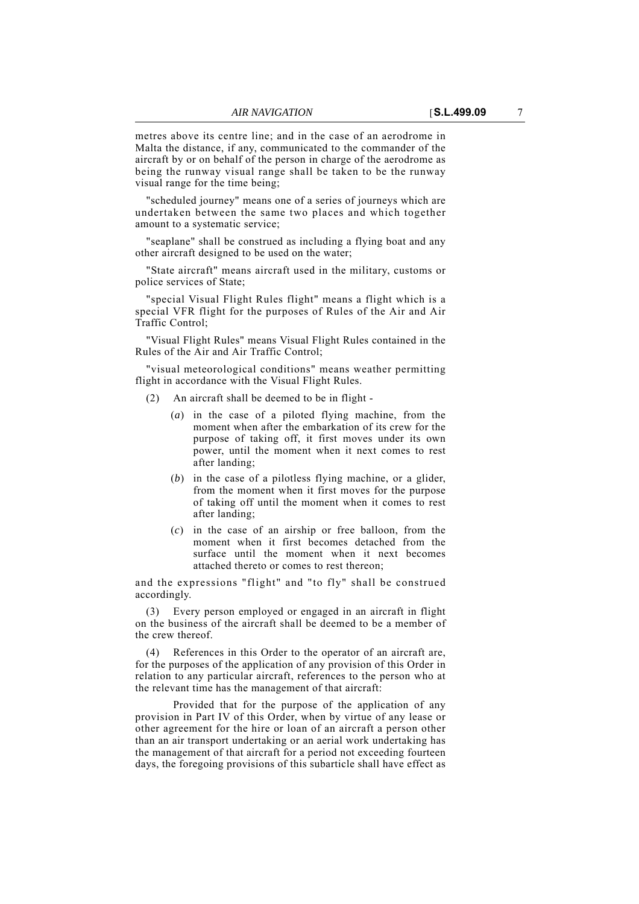metres above its centre line; and in the case of an aerodrome in Malta the distance, if any, communicated to the commander of the aircraft by or on behalf of the person in charge of the aerodrome as being the runway visual range shall be taken to be the runway visual range for the time being;

"scheduled journey" means one of a series of journeys which are undertaken between the same two places and which together amount to a systematic service;

"seaplane" shall be construed as including a flying boat and any other aircraft designed to be used on the water;

"State aircraft" means aircraft used in the military, customs or police services of State;

"special Visual Flight Rules flight" means a flight which is a special VFR flight for the purposes of Rules of the Air and Air Traffic Control;

"Visual Flight Rules" means Visual Flight Rules contained in the Rules of the Air and Air Traffic Control;

"visual meteorological conditions" means weather permitting flight in accordance with the Visual Flight Rules.

- (2) An aircraft shall be deemed to be in flight
	- (*a*) in the case of a piloted flying machine, from the moment when after the embarkation of its crew for the purpose of taking off, it first moves under its own power, until the moment when it next comes to rest after landing;
	- (*b*) in the case of a pilotless flying machine, or a glider, from the moment when it first moves for the purpose of taking off until the moment when it comes to rest after landing;
	- (*c*) in the case of an airship or free balloon, from the moment when it first becomes detached from the surface until the moment when it next becomes attached thereto or comes to rest thereon;

and the expressions "flight" and "to fly" shall be construed accordingly.

Every person employed or engaged in an aircraft in flight on the business of the aircraft shall be deemed to be a member of the crew thereof.

(4) References in this Order to the operator of an aircraft are, for the purposes of the application of any provision of this Order in relation to any particular aircraft, references to the person who at the relevant time has the management of that aircraft:

Provided that for the purpose of the application of any provision in Part IV of this Order, when by virtue of any lease or other agreement for the hire or loan of an aircraft a person other than an air transport undertaking or an aerial work undertaking has the management of that aircraft for a period not exceeding fourteen days, the foregoing provisions of this subarticle shall have effect as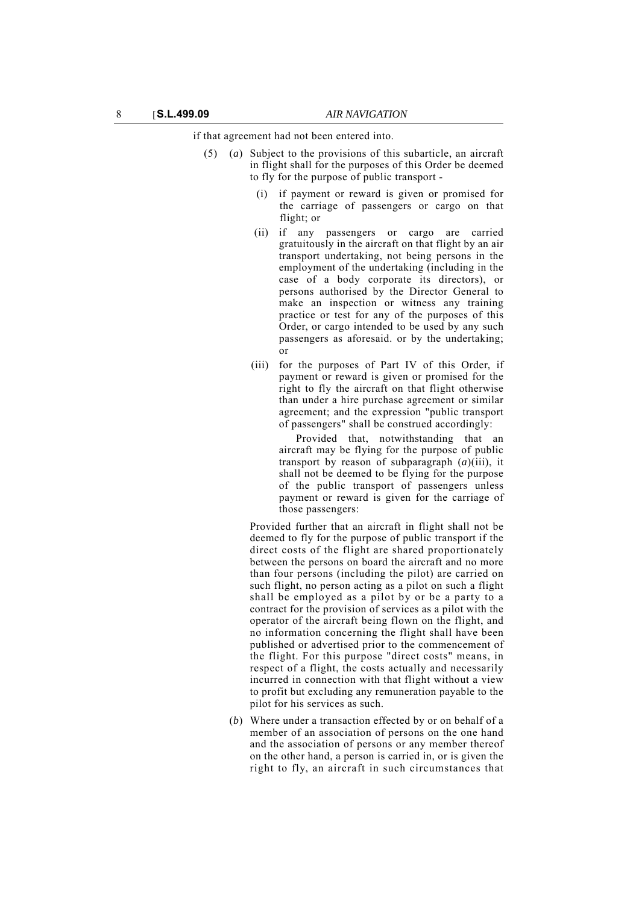if that agreement had not been entered into.

- (5) (*a*) Subject to the provisions of this subarticle, an aircraft in flight shall for the purposes of this Order be deemed to fly for the purpose of public transport -
	- (i) if payment or reward is given or promised for the carriage of passengers or cargo on that flight; or
	- (ii) if any passengers or cargo are carried gratuitously in the aircraft on that flight by an air transport undertaking, not being persons in the employment of the undertaking (including in the case of a body corporate its directors), or persons authorised by the Director General to make an inspection or witness any training practice or test for any of the purposes of this Order, or cargo intended to be used by any such passengers as aforesaid. or by the undertaking; or
	- (iii) for the purposes of Part IV of this Order, if payment or reward is given or promised for the right to fly the aircraft on that flight otherwise than under a hire purchase agreement or similar agreement; and the expression "public transport of passengers" shall be construed accordingly:

Provided that, notwithstanding that an aircraft may be flying for the purpose of public transport by reason of subparagraph (*a*)(iii), it shall not be deemed to be flying for the purpose of the public transport of passengers unless payment or reward is given for the carriage of those passengers:

Provided further that an aircraft in flight shall not be deemed to fly for the purpose of public transport if the direct costs of the flight are shared proportionately between the persons on board the aircraft and no more than four persons (including the pilot) are carried on such flight, no person acting as a pilot on such a flight shall be employed as a pilot by or be a party to a contract for the provision of services as a pilot with the operator of the aircraft being flown on the flight, and no information concerning the flight shall have been published or advertised prior to the commencement of the flight. For this purpose "direct costs" means, in respect of a flight, the costs actually and necessarily incurred in connection with that flight without a view to profit but excluding any remuneration payable to the pilot for his services as such.

(*b*) Where under a transaction effected by or on behalf of a member of an association of persons on the one hand and the association of persons or any member thereof on the other hand, a person is carried in, or is given the right to fly, an aircraft in such circumstances that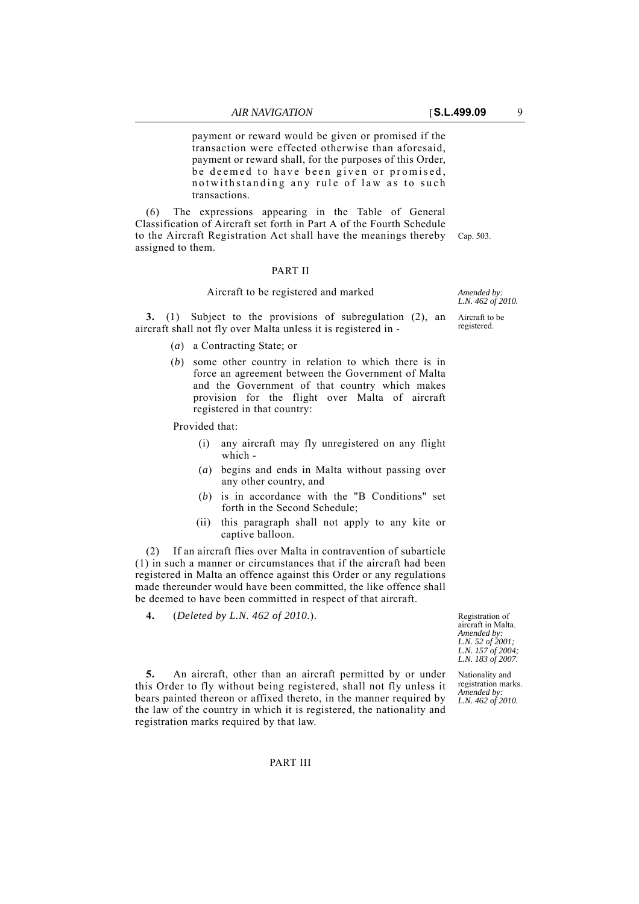payment or reward would be given or promised if the transaction were effected otherwise than aforesaid, payment or reward shall, for the purposes of this Order, be deemed to have been given or promised, notwithstanding any rule of law as to such transactions.

to the Aircraft Registration Act shall have the meanings thereby Cap. 503. (6) The expressions appearing in the Table of General Classification of Aircraft set forth in Part A of the Fourth Schedule assigned to them.

### PART II

### Aircraft to be registered and marked

**3.** (1) Subject to the provisions of subregulation (2), an aircraft shall not fly over Malta unless it is registered in -

- (*a*) a Contracting State; or
- (*b*) some other country in relation to which there is in force an agreement between the Government of Malta and the Government of that country which makes provision for the flight over Malta of aircraft registered in that country:

Provided that:

- (i) any aircraft may fly unregistered on any flight which -
- (*a*) begins and ends in Malta without passing over any other country, and
- (*b*) is in accordance with the "B Conditions" set forth in the Second Schedule;
- (ii) this paragraph shall not apply to any kite or captive balloon.

(2) If an aircraft flies over Malta in contravention of subarticle (1) in such a manner or circumstances that if the aircraft had been registered in Malta an offence against this Order or any regulations made thereunder would have been committed, the like offence shall be deemed to have been committed in respect of that aircraft.

**5.** An aircraft, other than an aircraft permitted by or under this Order to fly without being registered, shall not fly unless it bears painted thereon or affixed thereto, in the manner required by the law of the country in which it is registered, the nationality and

**4.** (*Deleted by L.N. 462 of 2010.*).

registration marks required by that law.

Registration of aircraft in Malta. *Amended by: L.N. 52 of 2001; L.N. 157 of 2004; L.N. 183 of 2007.*

Nationality and registration marks. *Amended by: L.N. 462 of 2010.*

*Amended by: L.N. 462 of 2010.*

Aircraft to be registered.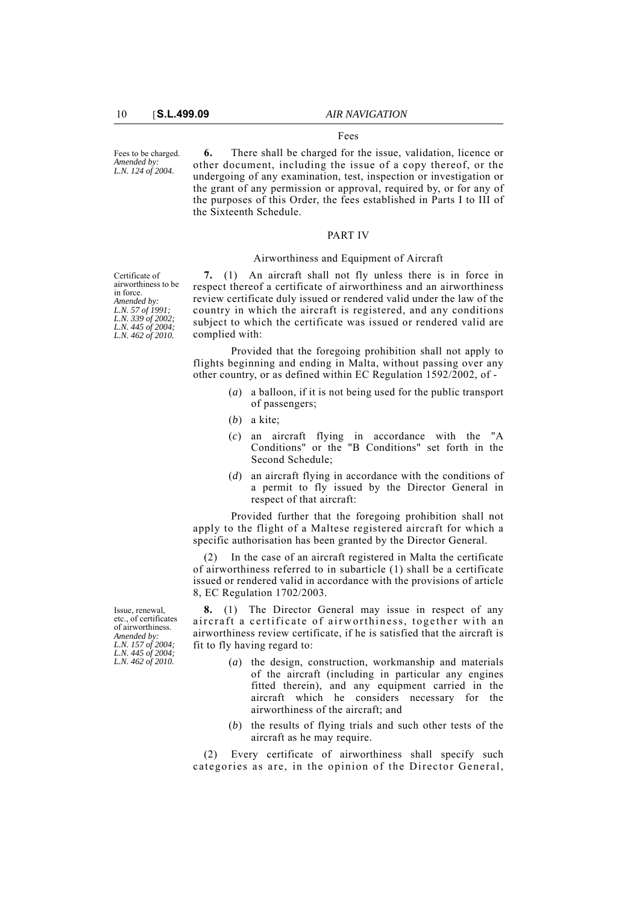#### Fees to be charged. *Amended by: L.N. 124 of 2004.*

**6.** There shall be charged for the issue, validation, licence or other document, including the issue of a copy thereof, or the undergoing of any examination, test, inspection or investigation or the grant of any permission or approval, required by, or for any of the purposes of this Order, the fees established in Parts I to III of the Sixteenth Schedule.

Fees

## PART IV

### Airworthiness and Equipment of Aircraft

Certificate of airworthiness to be in force. *Amended by: L.N. 57 of 1991; L.N. 339 of 2002; L.N. 445 of 2004; L.N. 462 of 2010.*

**7.** (1) An aircraft shall not fly unless there is in force in respect thereof a certificate of airworthiness and an airworthiness review certificate duly issued or rendered valid under the law of the country in which the aircraft is registered, and any conditions subject to which the certificate was issued or rendered valid are complied with:

Provided that the foregoing prohibition shall not apply to flights beginning and ending in Malta, without passing over any other country, or as defined within EC Regulation 1592/2002, of -

- (*a*) a balloon, if it is not being used for the public transport of passengers;
- (*b*) a kite;
- (*c*) an aircraft flying in accordance with the "A Conditions" or the "B Conditions" set forth in the Second Schedule;
- (*d*) an aircraft flying in accordance with the conditions of a permit to fly issued by the Director General in respect of that aircraft:

Provided further that the foregoing prohibition shall not apply to the flight of a Maltese registered aircraft for which a specific authorisation has been granted by the Director General.

(2) In the case of an aircraft registered in Malta the certificate of airworthiness referred to in subarticle (1) shall be a certificate issued or rendered valid in accordance with the provisions of article 8, EC Regulation 1702/2003.

**8.** (1) The Director General may issue in respect of any aircraft a certificate of airworthiness, together with an airworthiness review certificate, if he is satisfied that the aircraft is fit to fly having regard to:

- (*a*) the design, construction, workmanship and materials of the aircraft (including in particular any engines fitted therein), and any equipment carried in the aircraft which he considers necessary for the airworthiness of the aircraft; and
- (*b*) the results of flying trials and such other tests of the aircraft as he may require.

(2) Every certificate of airworthiness shall specify such categories as are, in the opinion of the Director General,

Issue, renewal, etc., of certificates of airworthiness. *Amended by: L.N. 157 of 2004; L.N. 445 of 2004; L.N. 462 of 2010.*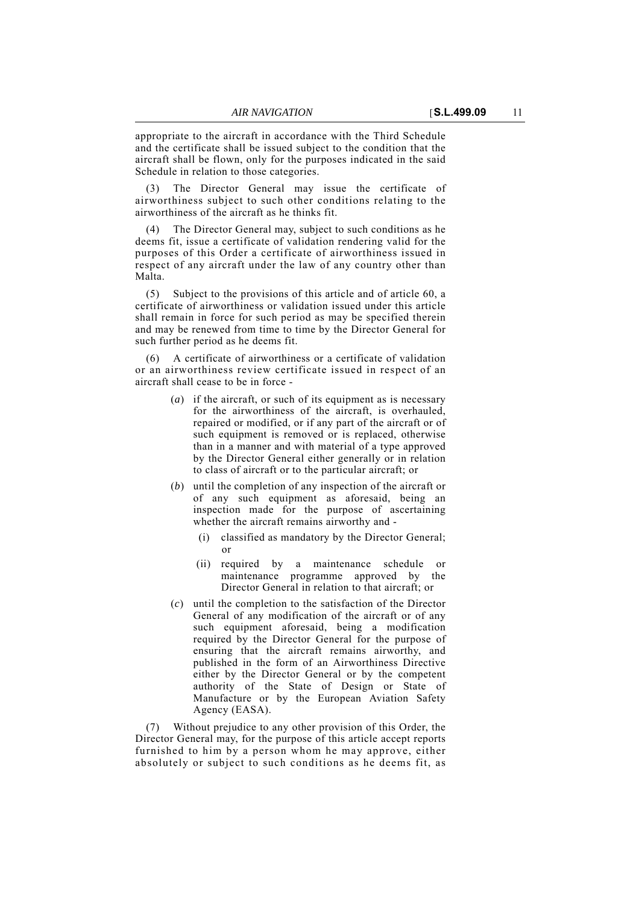appropriate to the aircraft in accordance with the Third Schedule and the certificate shall be issued subject to the condition that the aircraft shall be flown, only for the purposes indicated in the said Schedule in relation to those categories.

The Director General may issue the certificate of airworthiness subject to such other conditions relating to the airworthiness of the aircraft as he thinks fit.

The Director General may, subject to such conditions as he deems fit, issue a certificate of validation rendering valid for the purposes of this Order a certificate of airworthiness issued in respect of any aircraft under the law of any country other than Malta.

(5) Subject to the provisions of this article and of article 60, a certificate of airworthiness or validation issued under this article shall remain in force for such period as may be specified therein and may be renewed from time to time by the Director General for such further period as he deems fit.

(6) A certificate of airworthiness or a certificate of validation or an airworthiness review certificate issued in respect of an aircraft shall cease to be in force -

- (*a*) if the aircraft, or such of its equipment as is necessary for the airworthiness of the aircraft, is overhauled, repaired or modified, or if any part of the aircraft or of such equipment is removed or is replaced, otherwise than in a manner and with material of a type approved by the Director General either generally or in relation to class of aircraft or to the particular aircraft; or
- (*b*) until the completion of any inspection of the aircraft or of any such equipment as aforesaid, being an inspection made for the purpose of ascertaining whether the aircraft remains airworthy and -
	- (i) classified as mandatory by the Director General; or
	- (ii) required by a maintenance schedule or maintenance programme approved by the Director General in relation to that aircraft; or
- (*c*) until the completion to the satisfaction of the Director General of any modification of the aircraft or of any such equipment aforesaid, being a modification required by the Director General for the purpose of ensuring that the aircraft remains airworthy, and published in the form of an Airworthiness Directive either by the Director General or by the competent authority of the State of Design or State of Manufacture or by the European Aviation Safety Agency (EASA).

(7) Without prejudice to any other provision of this Order, the Director General may, for the purpose of this article accept reports furnished to him by a person whom he may approve, either absolutely or subject to such conditions as he deems fit, as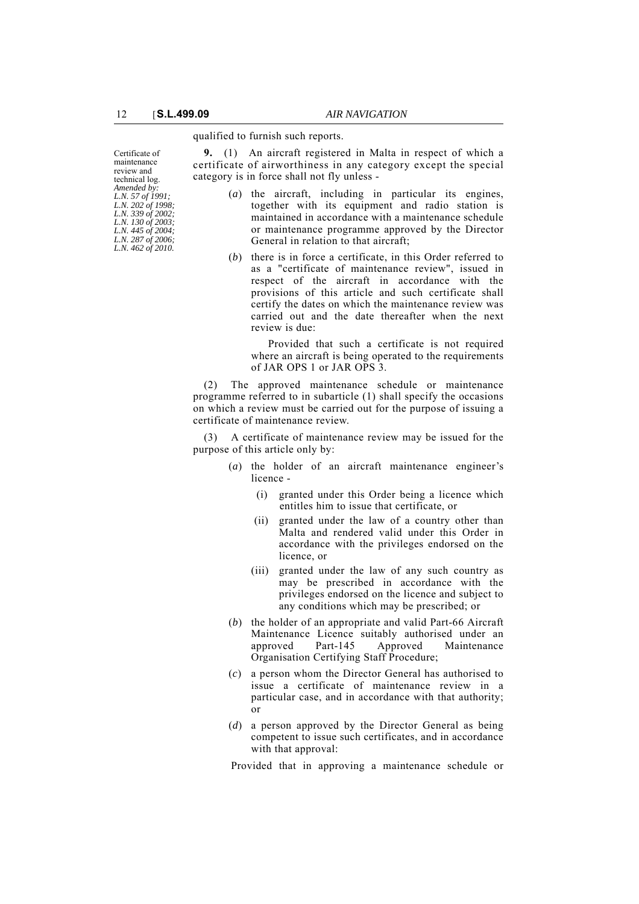qualified to furnish such reports.

**9.** (1) An aircraft registered in Malta in respect of which a certificate of airworthiness in any category except the special category is in force shall not fly unless -

- (*a*) the aircraft, including in particular its engines, together with its equipment and radio station is maintained in accordance with a maintenance schedule or maintenance programme approved by the Director General in relation to that aircraft;
- (*b*) there is in force a certificate, in this Order referred to as a "certificate of maintenance review", issued in respect of the aircraft in accordance with the provisions of this article and such certificate shall certify the dates on which the maintenance review was carried out and the date thereafter when the next review is due:

Provided that such a certificate is not required where an aircraft is being operated to the requirements of JAR OPS 1 or JAR OPS 3.

(2) The approved maintenance schedule or maintenance programme referred to in subarticle (1) shall specify the occasions on which a review must be carried out for the purpose of issuing a certificate of maintenance review.

(3) A certificate of maintenance review may be issued for the purpose of this article only by:

- (*a*) the holder of an aircraft maintenance engineer's licence -
	- (i) granted under this Order being a licence which entitles him to issue that certificate, or
	- (ii) granted under the law of a country other than Malta and rendered valid under this Order in accordance with the privileges endorsed on the licence, or
	- (iii) granted under the law of any such country as may be prescribed in accordance with the privileges endorsed on the licence and subject to any conditions which may be prescribed; or
- (*b*) the holder of an appropriate and valid Part-66 Aircraft Maintenance Licence suitably authorised under an approved Part-145 Approved Maintenance Organisation Certifying Staff Procedure;
- (*c*) a person whom the Director General has authorised to issue a certificate of maintenance review in a particular case, and in accordance with that authority; or
- (*d*) a person approved by the Director General as being competent to issue such certificates, and in accordance with that approval:

Provided that in approving a maintenance schedule or

Certificate of maintenance review and technical log. *Amended by: L.N. 57 of 1991; L.N. 202 of 1998; L.N. 339 of 2002; L.N. 130 of 2003; L.N. 445 of 2004; L.N. 287 of 2006; L.N. 462 of 2010.*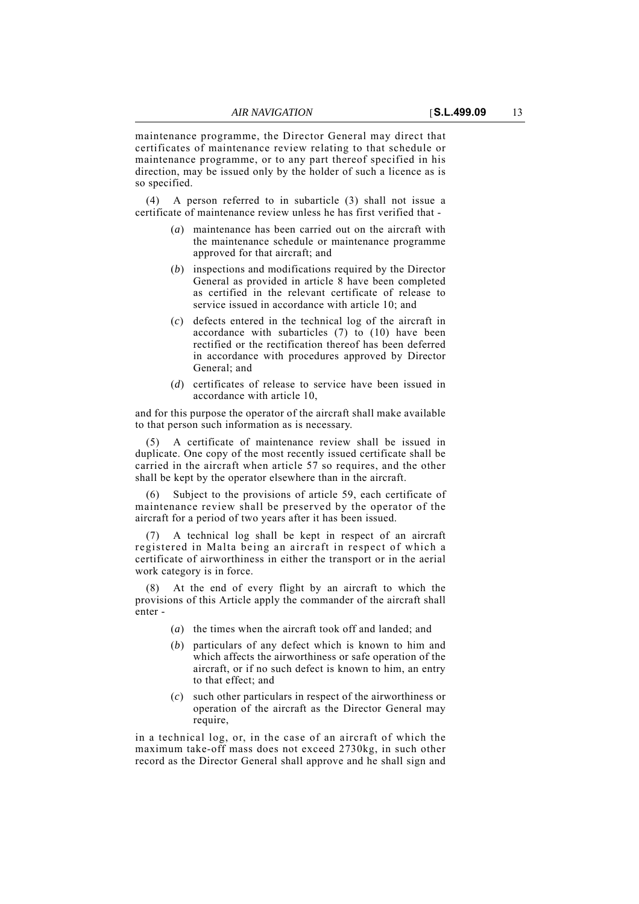maintenance programme, the Director General may direct that certificates of maintenance review relating to that schedule or maintenance programme, or to any part thereof specified in his direction, may be issued only by the holder of such a licence as is so specified.

(4) A person referred to in subarticle (3) shall not issue a certificate of maintenance review unless he has first verified that -

- (*a*) maintenance has been carried out on the aircraft with the maintenance schedule or maintenance programme approved for that aircraft; and
- (*b*) inspections and modifications required by the Director General as provided in article 8 have been completed as certified in the relevant certificate of release to service issued in accordance with article 10; and
- (*c*) defects entered in the technical log of the aircraft in accordance with subarticles (7) to (10) have been rectified or the rectification thereof has been deferred in accordance with procedures approved by Director General; and
- (*d*) certificates of release to service have been issued in accordance with article 10,

and for this purpose the operator of the aircraft shall make available to that person such information as is necessary.

(5) A certificate of maintenance review shall be issued in duplicate. One copy of the most recently issued certificate shall be carried in the aircraft when article 57 so requires, and the other shall be kept by the operator elsewhere than in the aircraft.

Subject to the provisions of article 59, each certificate of maintenance review shall be preserved by the operator of the aircraft for a period of two years after it has been issued.

(7) A technical log shall be kept in respect of an aircraft registered in Malta being an aircraft in respect of which a certificate of airworthiness in either the transport or in the aerial work category is in force.

At the end of every flight by an aircraft to which the provisions of this Article apply the commander of the aircraft shall enter -

- (*a*) the times when the aircraft took off and landed; and
- (*b*) particulars of any defect which is known to him and which affects the airworthiness or safe operation of the aircraft, or if no such defect is known to him, an entry to that effect; and
- (*c*) such other particulars in respect of the airworthiness or operation of the aircraft as the Director General may require,

in a technical log, or, in the case of an aircraft of which the maximum take-off mass does not exceed 2730kg, in such other record as the Director General shall approve and he shall sign and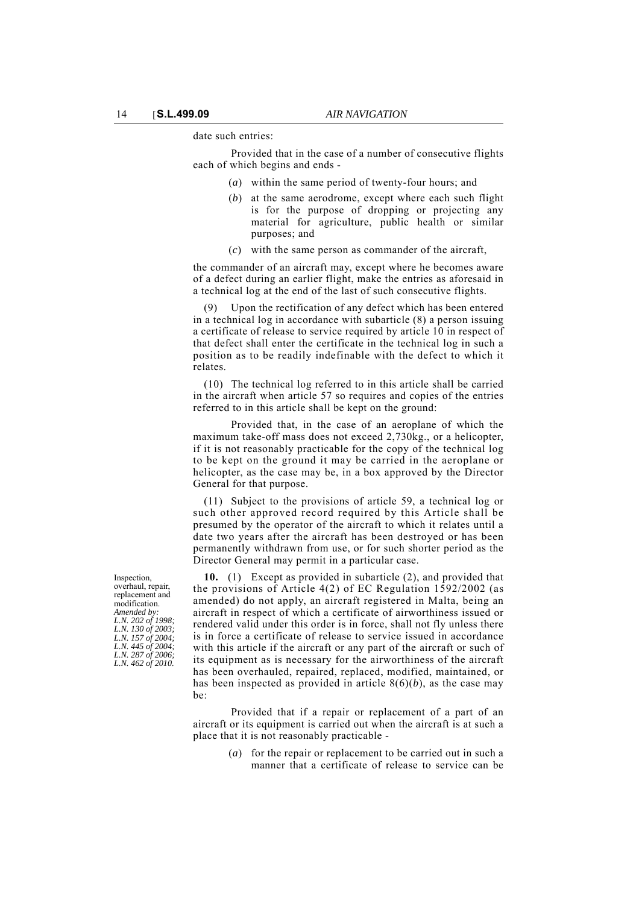date such entries:

Provided that in the case of a number of consecutive flights each of which begins and ends -

- (*a*) within the same period of twenty-four hours; and
- (*b*) at the same aerodrome, except where each such flight is for the purpose of dropping or projecting any material for agriculture, public health or similar purposes; and
- (*c*) with the same person as commander of the aircraft,

the commander of an aircraft may, except where he becomes aware of a defect during an earlier flight, make the entries as aforesaid in a technical log at the end of the last of such consecutive flights.

(9) Upon the rectification of any defect which has been entered in a technical log in accordance with subarticle (8) a person issuing a certificate of release to service required by article 10 in respect of that defect shall enter the certificate in the technical log in such a position as to be readily indefinable with the defect to which it relates.

(10) The technical log referred to in this article shall be carried in the aircraft when article 57 so requires and copies of the entries referred to in this article shall be kept on the ground:

Provided that, in the case of an aeroplane of which the maximum take-off mass does not exceed 2,730kg., or a helicopter, if it is not reasonably practicable for the copy of the technical log to be kept on the ground it may be carried in the aeroplane or helicopter, as the case may be, in a box approved by the Director General for that purpose.

(11) Subject to the provisions of article 59, a technical log or such other approved record required by this Article shall be presumed by the operator of the aircraft to which it relates until a date two years after the aircraft has been destroyed or has been permanently withdrawn from use, or for such shorter period as the Director General may permit in a particular case.

**10.** (1) Except as provided in subarticle (2), and provided that the provisions of Article 4(2) of EC Regulation 1592/2002 (as amended) do not apply, an aircraft registered in Malta, being an aircraft in respect of which a certificate of airworthiness issued or rendered valid under this order is in force, shall not fly unless there is in force a certificate of release to service issued in accordance with this article if the aircraft or any part of the aircraft or such of its equipment as is necessary for the airworthiness of the aircraft has been overhauled, repaired, replaced, modified, maintained, or has been inspected as provided in article 8(6)(*b*), as the case may be:

Provided that if a repair or replacement of a part of an aircraft or its equipment is carried out when the aircraft is at such a place that it is not reasonably practicable -

> (*a*) for the repair or replacement to be carried out in such a manner that a certificate of release to service can be

Inspection, overhaul, repair, replacement and modification. *Amended by: L.N. 202 of 1998; L.N. 130 of 2003; L.N. 157 of 2004; L.N. 445 of 2004; L.N. 287 of 2006; L.N. 462 of 2010.*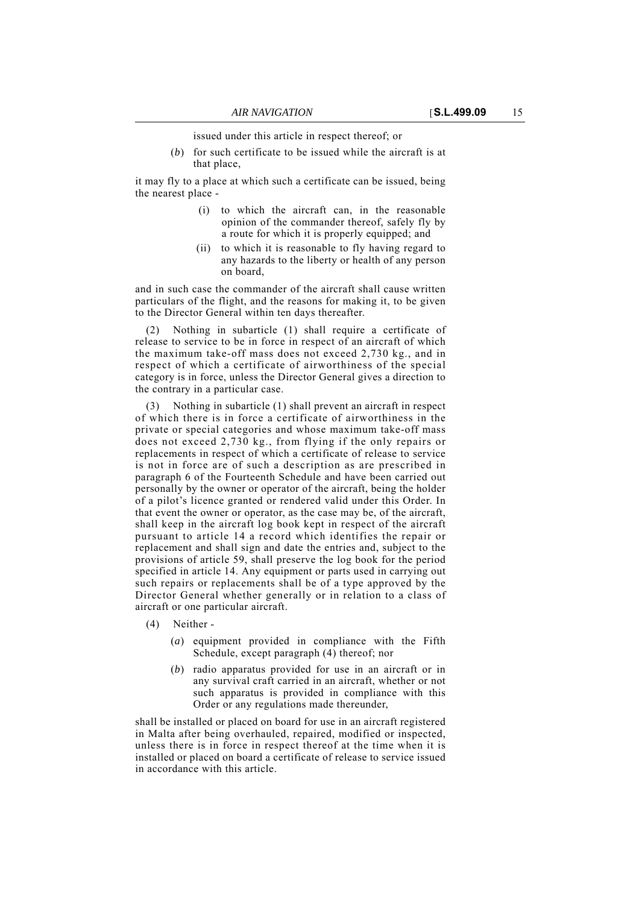issued under this article in respect thereof; or

(*b*) for such certificate to be issued while the aircraft is at that place,

it may fly to a place at which such a certificate can be issued, being the nearest place -

- (i) to which the aircraft can, in the reasonable opinion of the commander thereof, safely fly by a route for which it is properly equipped; and
- (ii) to which it is reasonable to fly having regard to any hazards to the liberty or health of any person on board,

and in such case the commander of the aircraft shall cause written particulars of the flight, and the reasons for making it, to be given to the Director General within ten days thereafter.

(2) Nothing in subarticle (1) shall require a certificate of release to service to be in force in respect of an aircraft of which the maximum take-off mass does not exceed 2,730 kg., and in respect of which a certificate of airworthiness of the special category is in force, unless the Director General gives a direction to the contrary in a particular case.

(3) Nothing in subarticle (1) shall prevent an aircraft in respect of which there is in force a certificate of airworthiness in the private or special categories and whose maximum take-off mass does not exceed 2,730 kg., from flying if the only repairs or replacements in respect of which a certificate of release to service is not in force are of such a description as are prescribed in paragraph 6 of the Fourteenth Schedule and have been carried out personally by the owner or operator of the aircraft, being the holder of a pilot's licence granted or rendered valid under this Order. In that event the owner or operator, as the case may be, of the aircraft, shall keep in the aircraft log book kept in respect of the aircraft pursuant to article 14 a record which identifies the repair or replacement and shall sign and date the entries and, subject to the provisions of article 59, shall preserve the log book for the period specified in article 14. Any equipment or parts used in carrying out such repairs or replacements shall be of a type approved by the Director General whether generally or in relation to a class of aircraft or one particular aircraft.

- (4) Neither
	- (*a*) equipment provided in compliance with the Fifth Schedule, except paragraph (4) thereof; nor
	- (*b*) radio apparatus provided for use in an aircraft or in any survival craft carried in an aircraft, whether or not such apparatus is provided in compliance with this Order or any regulations made thereunder,

shall be installed or placed on board for use in an aircraft registered in Malta after being overhauled, repaired, modified or inspected, unless there is in force in respect thereof at the time when it is installed or placed on board a certificate of release to service issued in accordance with this article.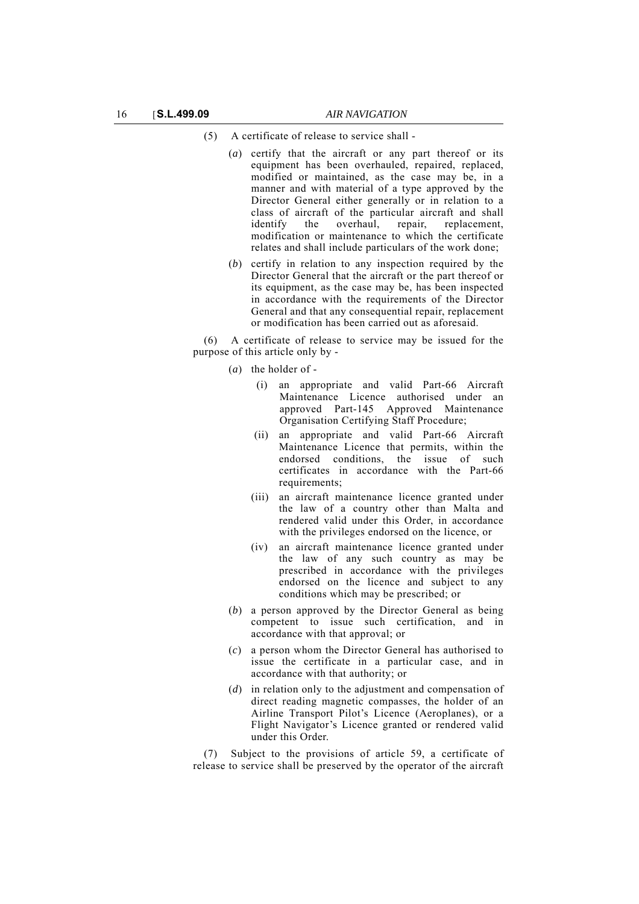### (5) A certificate of release to service shall -

- (*a*) certify that the aircraft or any part thereof or its equipment has been overhauled, repaired, replaced, modified or maintained, as the case may be, in a manner and with material of a type approved by the Director General either generally or in relation to a class of aircraft of the particular aircraft and shall<br>identify the overhaul, repair, replacement, the overhaul, repair, replacement, modification or maintenance to which the certificate relates and shall include particulars of the work done;
- (*b*) certify in relation to any inspection required by the Director General that the aircraft or the part thereof or its equipment, as the case may be, has been inspected in accordance with the requirements of the Director General and that any consequential repair, replacement or modification has been carried out as aforesaid.

(6) A certificate of release to service may be issued for the purpose of this article only by -

- (*a*) the holder of
	- (i) an appropriate and valid Part-66 Aircraft Maintenance Licence authorised under an approved Part-145 Approved Maintenance Organisation Certifying Staff Procedure;
	- (ii) an appropriate and valid Part-66 Aircraft Maintenance Licence that permits, within the endorsed conditions, the issue of such certificates in accordance with the Part-66 requirements;
	- (iii) an aircraft maintenance licence granted under the law of a country other than Malta and rendered valid under this Order, in accordance with the privileges endorsed on the licence, or
	- (iv) an aircraft maintenance licence granted under the law of any such country as may be prescribed in accordance with the privileges endorsed on the licence and subject to any conditions which may be prescribed; or
- (*b*) a person approved by the Director General as being competent to issue such certification, and in accordance with that approval; or
- (*c*) a person whom the Director General has authorised to issue the certificate in a particular case, and in accordance with that authority; or
- (*d*) in relation only to the adjustment and compensation of direct reading magnetic compasses, the holder of an Airline Transport Pilot's Licence (Aeroplanes), or a Flight Navigator's Licence granted or rendered valid under this Order.

(7) Subject to the provisions of article 59, a certificate of release to service shall be preserved by the operator of the aircraft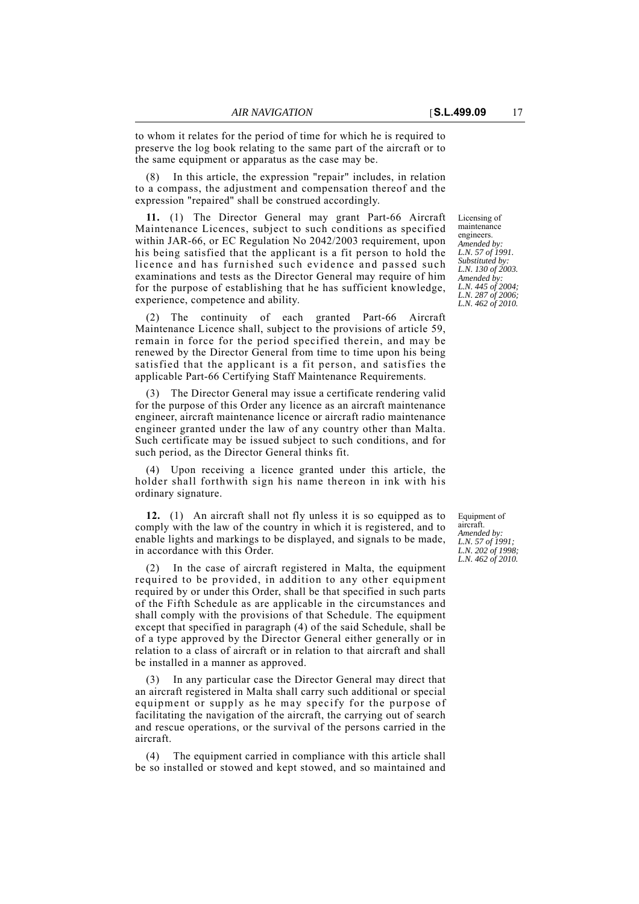to whom it relates for the period of time for which he is required to preserve the log book relating to the same part of the aircraft or to the same equipment or apparatus as the case may be.

In this article, the expression "repair" includes, in relation to a compass, the adjustment and compensation thereof and the expression "repaired" shall be construed accordingly.

**11.** (1) The Director General may grant Part-66 Aircraft Maintenance Licences, subject to such conditions as specified within JAR-66, or EC Regulation No 2042/2003 requirement, upon his being satisfied that the applicant is a fit person to hold the licence and has furnished such evidence and passed such examinations and tests as the Director General may require of him for the purpose of establishing that he has sufficient knowledge, experience, competence and ability.

(2) The continuity of each granted Part-66 Aircraft Maintenance Licence shall, subject to the provisions of article 59, remain in force for the period specified therein, and may be renewed by the Director General from time to time upon his being satisfied that the applicant is a fit person, and satisfies the applicable Part-66 Certifying Staff Maintenance Requirements.

(3) The Director General may issue a certificate rendering valid for the purpose of this Order any licence as an aircraft maintenance engineer, aircraft maintenance licence or aircraft radio maintenance engineer granted under the law of any country other than Malta. Such certificate may be issued subject to such conditions, and for such period, as the Director General thinks fit.

(4) Upon receiving a licence granted under this article, the holder shall forthwith sign his name thereon in ink with his ordinary signature.

**12.** (1) An aircraft shall not fly unless it is so equipped as to comply with the law of the country in which it is registered, and to enable lights and markings to be displayed, and signals to be made, in accordance with this Order.

(2) In the case of aircraft registered in Malta, the equipment required to be provided, in addition to any other equipment required by or under this Order, shall be that specified in such parts of the Fifth Schedule as are applicable in the circumstances and shall comply with the provisions of that Schedule. The equipment except that specified in paragraph (4) of the said Schedule, shall be of a type approved by the Director General either generally or in relation to a class of aircraft or in relation to that aircraft and shall be installed in a manner as approved.

(3) In any particular case the Director General may direct that an aircraft registered in Malta shall carry such additional or special equipment or supply as he may specify for the purpose of facilitating the navigation of the aircraft, the carrying out of search and rescue operations, or the survival of the persons carried in the aircraft.

(4) The equipment carried in compliance with this article shall be so installed or stowed and kept stowed, and so maintained and Licensing of maintenance engineers. *Amended by: L.N. 57 of 1991. Substituted by: L.N. 130 of 2003. Amended by: L.N. 445 of 2004; L.N. 287 of 2006; L.N. 462 of 2010.*

Equipment of aircraft. *Amended by: L.N. 57 of 1991; L.N. 202 of 1998; L.N. 462 of 2010.*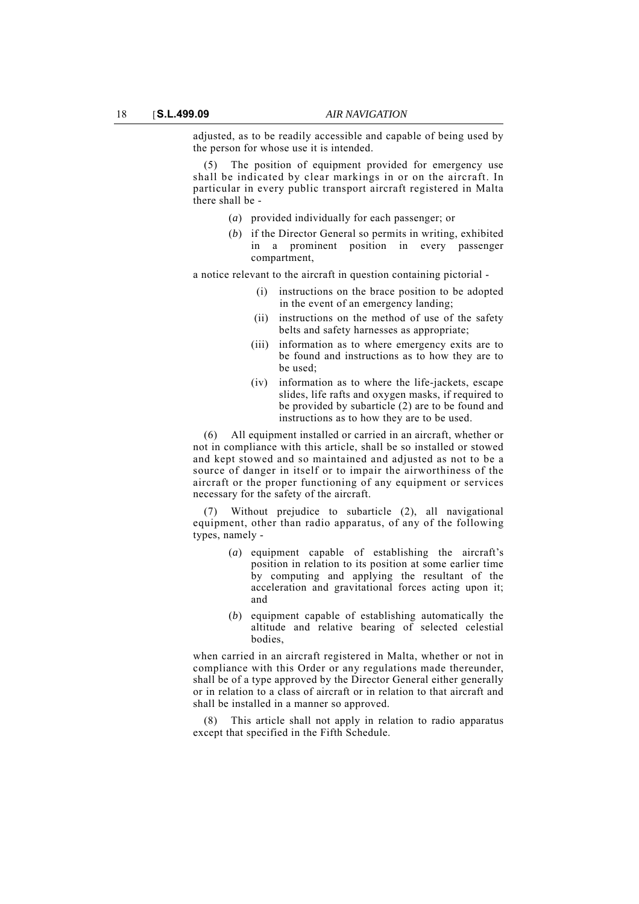adjusted, as to be readily accessible and capable of being used by the person for whose use it is intended.

The position of equipment provided for emergency use shall be indicated by clear markings in or on the aircraft. In particular in every public transport aircraft registered in Malta there shall be -

- (*a*) provided individually for each passenger; or
- (*b*) if the Director General so permits in writing, exhibited in a prominent position in every passenger compartment,

a notice relevant to the aircraft in question containing pictorial -

- (i) instructions on the brace position to be adopted in the event of an emergency landing;
- (ii) instructions on the method of use of the safety belts and safety harnesses as appropriate;
- (iii) information as to where emergency exits are to be found and instructions as to how they are to be used;
- (iv) information as to where the life-jackets, escape slides, life rafts and oxygen masks, if required to be provided by subarticle (2) are to be found and instructions as to how they are to be used.

(6) All equipment installed or carried in an aircraft, whether or not in compliance with this article, shall be so installed or stowed and kept stowed and so maintained and adjusted as not to be a source of danger in itself or to impair the airworthiness of the aircraft or the proper functioning of any equipment or services necessary for the safety of the aircraft.

Without prejudice to subarticle (2), all navigational equipment, other than radio apparatus, of any of the following types, namely -

- (*a*) equipment capable of establishing the aircraft's position in relation to its position at some earlier time by computing and applying the resultant of the acceleration and gravitational forces acting upon it; and
- (*b*) equipment capable of establishing automatically the altitude and relative bearing of selected celestial bodies,

when carried in an aircraft registered in Malta, whether or not in compliance with this Order or any regulations made thereunder, shall be of a type approved by the Director General either generally or in relation to a class of aircraft or in relation to that aircraft and shall be installed in a manner so approved.

This article shall not apply in relation to radio apparatus except that specified in the Fifth Schedule.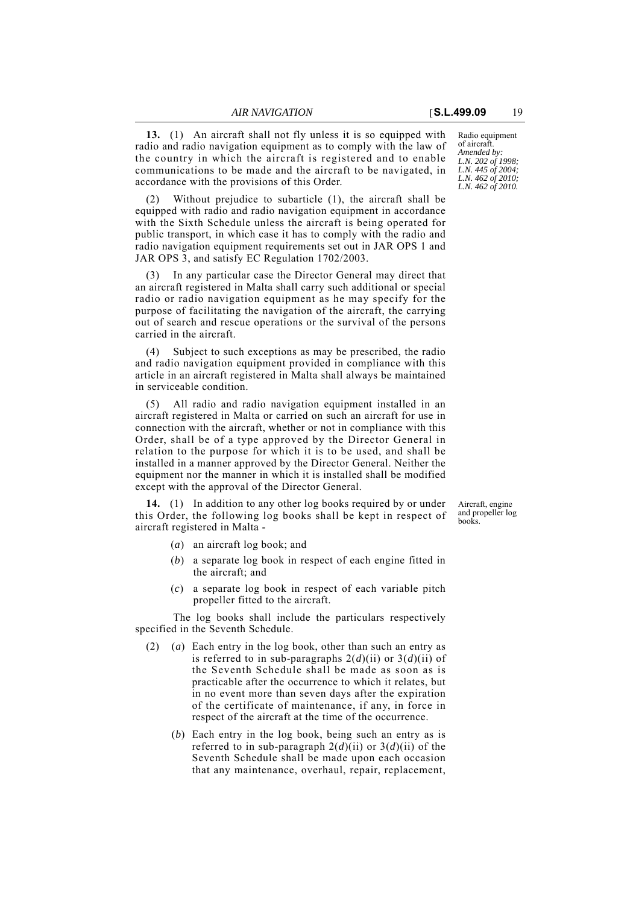**13.** (1) An aircraft shall not fly unless it is so equipped with radio and radio navigation equipment as to comply with the law of the country in which the aircraft is registered and to enable communications to be made and the aircraft to be navigated, in accordance with the provisions of this Order.

(2) Without prejudice to subarticle (1), the aircraft shall be equipped with radio and radio navigation equipment in accordance with the Sixth Schedule unless the aircraft is being operated for public transport, in which case it has to comply with the radio and radio navigation equipment requirements set out in JAR OPS 1 and JAR OPS 3, and satisfy EC Regulation 1702/2003.

(3) In any particular case the Director General may direct that an aircraft registered in Malta shall carry such additional or special radio or radio navigation equipment as he may specify for the purpose of facilitating the navigation of the aircraft, the carrying out of search and rescue operations or the survival of the persons carried in the aircraft.

(4) Subject to such exceptions as may be prescribed, the radio and radio navigation equipment provided in compliance with this article in an aircraft registered in Malta shall always be maintained in serviceable condition.

(5) All radio and radio navigation equipment installed in an aircraft registered in Malta or carried on such an aircraft for use in connection with the aircraft, whether or not in compliance with this Order, shall be of a type approved by the Director General in relation to the purpose for which it is to be used, and shall be installed in a manner approved by the Director General. Neither the equipment nor the manner in which it is installed shall be modified except with the approval of the Director General.

**14.** (1) In addition to any other log books required by or under this Order, the following log books shall be kept in respect of aircraft registered in Malta -

- (*a*) an aircraft log book; and
- (*b*) a separate log book in respect of each engine fitted in the aircraft; and
- (*c*) a separate log book in respect of each variable pitch propeller fitted to the aircraft.

The log books shall include the particulars respectively specified in the Seventh Schedule.

- (2) (*a*) Each entry in the log book, other than such an entry as is referred to in sub-paragraphs  $2(d)$ (ii) or  $3(d)$ (ii) of the Seventh Schedule shall be made as soon as is practicable after the occurrence to which it relates, but in no event more than seven days after the expiration of the certificate of maintenance, if any, in force in respect of the aircraft at the time of the occurrence.
	- (*b*) Each entry in the log book, being such an entry as is referred to in sub-paragraph  $2(d)(ii)$  or  $3(d)(ii)$  of the Seventh Schedule shall be made upon each occasion that any maintenance, overhaul, repair, replacement,

Radio equipment of aircraft. *Amended by: L.N. 202 of 1998; L.N. 445 of 2004; L.N. 462 of 2010; L.N. 462 of 2010.*

Aircraft, engine and propeller log books.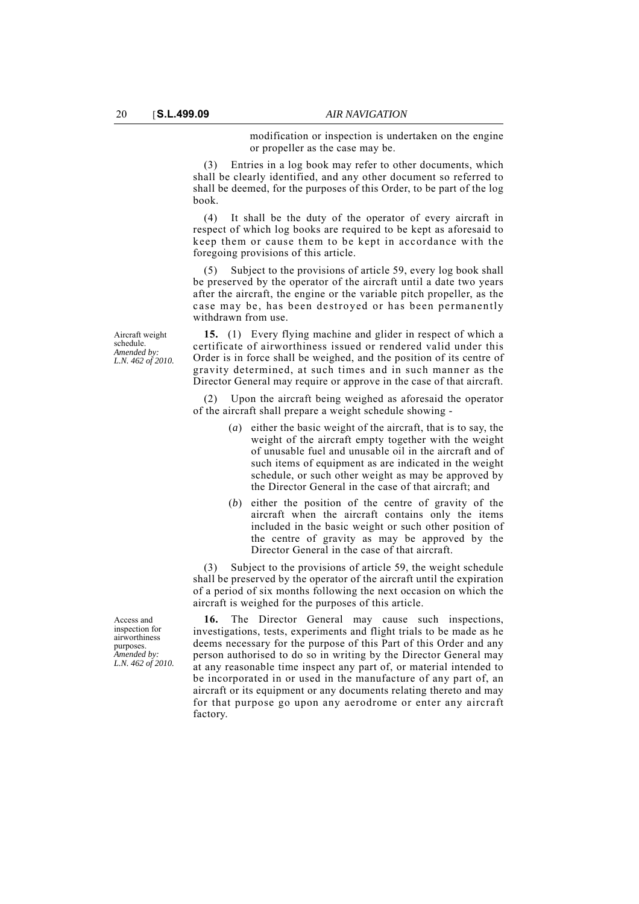modification or inspection is undertaken on the engine or propeller as the case may be.

(3) Entries in a log book may refer to other documents, which shall be clearly identified, and any other document so referred to shall be deemed, for the purposes of this Order, to be part of the log book.

(4) It shall be the duty of the operator of every aircraft in respect of which log books are required to be kept as aforesaid to keep them or cause them to be kept in accordance with the foregoing provisions of this article.

Subject to the provisions of article 59, every log book shall be preserved by the operator of the aircraft until a date two years after the aircraft, the engine or the variable pitch propeller, as the case may be, has been destroyed or has been permanently withdrawn from use.

Aircraft weight schedule. *Amended by: L.N. 462 of 2010.*

**15.** (1) Every flying machine and glider in respect of which a certificate of airworthiness issued or rendered valid under this Order is in force shall be weighed, and the position of its centre of gravity determined, at such times and in such manner as the Director General may require or approve in the case of that aircraft.

(2) Upon the aircraft being weighed as aforesaid the operator of the aircraft shall prepare a weight schedule showing -

- (*a*) either the basic weight of the aircraft, that is to say, the weight of the aircraft empty together with the weight of unusable fuel and unusable oil in the aircraft and of such items of equipment as are indicated in the weight schedule, or such other weight as may be approved by the Director General in the case of that aircraft; and
- (*b*) either the position of the centre of gravity of the aircraft when the aircraft contains only the items included in the basic weight or such other position of the centre of gravity as may be approved by the Director General in the case of that aircraft.

(3) Subject to the provisions of article 59, the weight schedule shall be preserved by the operator of the aircraft until the expiration of a period of six months following the next occasion on which the aircraft is weighed for the purposes of this article.

**16.** The Director General may cause such inspections, investigations, tests, experiments and flight trials to be made as he deems necessary for the purpose of this Part of this Order and any person authorised to do so in writing by the Director General may at any reasonable time inspect any part of, or material intended to be incorporated in or used in the manufacture of any part of, an aircraft or its equipment or any documents relating thereto and may for that purpose go upon any aerodrome or enter any aircraft factory.

Access and inspection for airworthiness purposes. *Amended by: L.N. 462 of 2010.*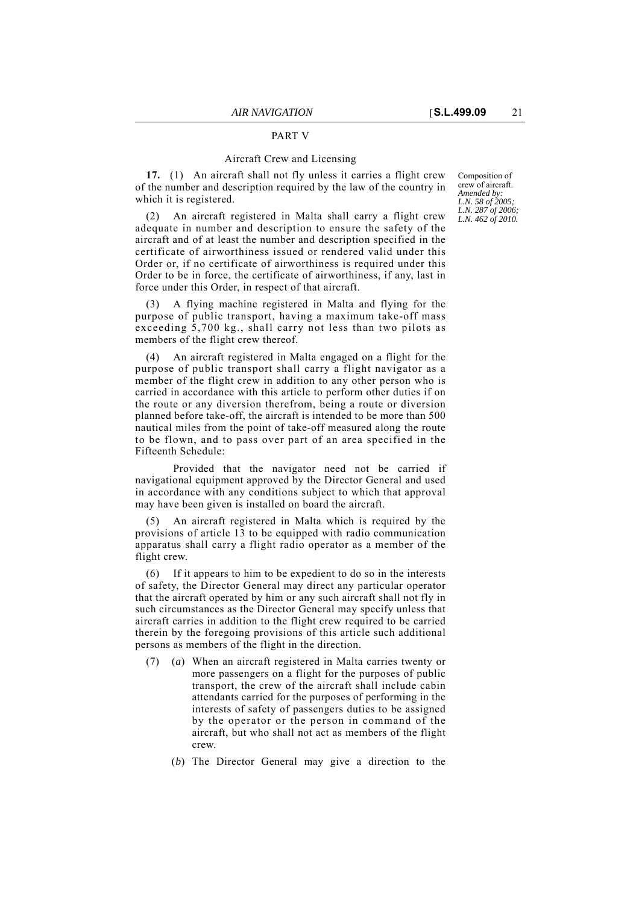### PART V

### Aircraft Crew and Licensing

**17.** (1) An aircraft shall not fly unless it carries a flight crew of the number and description required by the law of the country in which it is registered.

An aircraft registered in Malta shall carry a flight crew adequate in number and description to ensure the safety of the aircraft and of at least the number and description specified in the certificate of airworthiness issued or rendered valid under this Order or, if no certificate of airworthiness is required under this Order to be in force, the certificate of airworthiness, if any, last in force under this Order, in respect of that aircraft.

(3) A flying machine registered in Malta and flying for the purpose of public transport, having a maximum take-off mass exceeding 5,700 kg., shall carry not less than two pilots as members of the flight crew thereof.

(4) An aircraft registered in Malta engaged on a flight for the purpose of public transport shall carry a flight navigator as a member of the flight crew in addition to any other person who is carried in accordance with this article to perform other duties if on the route or any diversion therefrom, being a route or diversion planned before take-off, the aircraft is intended to be more than 500 nautical miles from the point of take-off measured along the route to be flown, and to pass over part of an area specified in the Fifteenth Schedule:

Provided that the navigator need not be carried if navigational equipment approved by the Director General and used in accordance with any conditions subject to which that approval may have been given is installed on board the aircraft.

(5) An aircraft registered in Malta which is required by the provisions of article 13 to be equipped with radio communication apparatus shall carry a flight radio operator as a member of the flight crew.

(6) If it appears to him to be expedient to do so in the interests of safety, the Director General may direct any particular operator that the aircraft operated by him or any such aircraft shall not fly in such circumstances as the Director General may specify unless that aircraft carries in addition to the flight crew required to be carried therein by the foregoing provisions of this article such additional persons as members of the flight in the direction.

- (7) (*a*) When an aircraft registered in Malta carries twenty or more passengers on a flight for the purposes of public transport, the crew of the aircraft shall include cabin attendants carried for the purposes of performing in the interests of safety of passengers duties to be assigned by the operator or the person in command of the aircraft, but who shall not act as members of the flight crew.
	- (*b*) The Director General may give a direction to the

Composition of crew of aircraft. *Amended by: L.N. 58 of 2005; L.N. 287 of 2006; L.N. 462 of 2010.*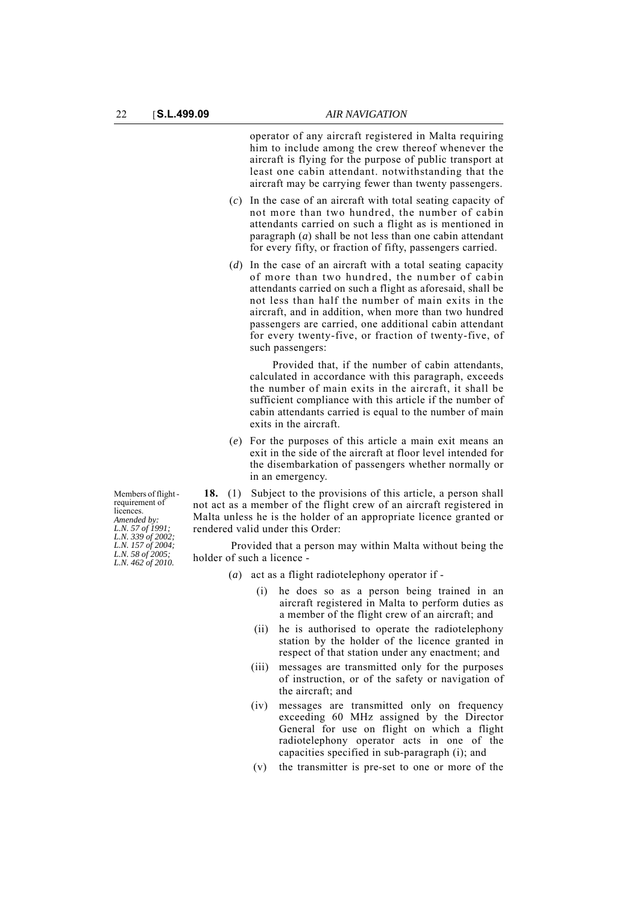operator of any aircraft registered in Malta requiring him to include among the crew thereof whenever the aircraft is flying for the purpose of public transport at least one cabin attendant. notwithstanding that the aircraft may be carrying fewer than twenty passengers.

- (*c*) In the case of an aircraft with total seating capacity of not more than two hundred, the number of cabin attendants carried on such a flight as is mentioned in paragraph (*a*) shall be not less than one cabin attendant for every fifty, or fraction of fifty, passengers carried.
- (*d*) In the case of an aircraft with a total seating capacity of more than two hundred, the number of cabin attendants carried on such a flight as aforesaid, shall be not less than half the number of main exits in the aircraft, and in addition, when more than two hundred passengers are carried, one additional cabin attendant for every twenty-five, or fraction of twenty-five, of such passengers:

Provided that, if the number of cabin attendants, calculated in accordance with this paragraph, exceeds the number of main exits in the aircraft, it shall be sufficient compliance with this article if the number of cabin attendants carried is equal to the number of main exits in the aircraft.

(*e*) For the purposes of this article a main exit means an exit in the side of the aircraft at floor level intended for the disembarkation of passengers whether normally or in an emergency.

Members of flight requirement of licences *Amended by: L.N. 57 of 1991; L.N. 339 of 2002; L.N. 157 of 2004; L.N. 58 of 2005; L.N. 462 of 2010.*

**18.** (1) Subject to the provisions of this article, a person shall not act as a member of the flight crew of an aircraft registered in Malta unless he is the holder of an appropriate licence granted or rendered valid under this Order:

Provided that a person may within Malta without being the holder of such a licence -

- (*a*) act as a flight radiotelephony operator if
	- (i) he does so as a person being trained in an aircraft registered in Malta to perform duties as a member of the flight crew of an aircraft; and
	- (ii) he is authorised to operate the radiotelephony station by the holder of the licence granted in respect of that station under any enactment; and
	- (iii) messages are transmitted only for the purposes of instruction, or of the safety or navigation of the aircraft; and
	- (iv) messages are transmitted only on frequency exceeding 60 MHz assigned by the Director General for use on flight on which a flight radiotelephony operator acts in one of the capacities specified in sub-paragraph (i); and
	- (v) the transmitter is pre-set to one or more of the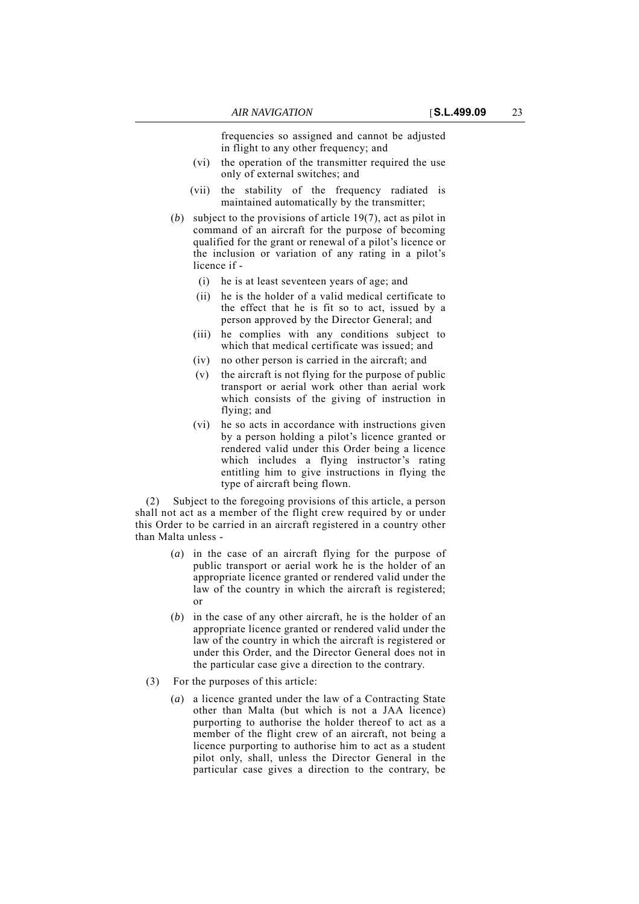frequencies so assigned and cannot be adjusted in flight to any other frequency; and

- (vi) the operation of the transmitter required the use only of external switches; and
- (vii) the stability of the frequency radiated is maintained automatically by the transmitter;
- (*b*) subject to the provisions of article 19(7), act as pilot in command of an aircraft for the purpose of becoming qualified for the grant or renewal of a pilot's licence or the inclusion or variation of any rating in a pilot's licence if -
	- (i) he is at least seventeen years of age; and
	- (ii) he is the holder of a valid medical certificate to the effect that he is fit so to act, issued by a person approved by the Director General; and
	- (iii) he complies with any conditions subject to which that medical certificate was issued; and
	- (iv) no other person is carried in the aircraft; and
	- (v) the aircraft is not flying for the purpose of public transport or aerial work other than aerial work which consists of the giving of instruction in flying; and
	- (vi) he so acts in accordance with instructions given by a person holding a pilot's licence granted or rendered valid under this Order being a licence which includes a flying instructor's rating entitling him to give instructions in flying the type of aircraft being flown.

(2) Subject to the foregoing provisions of this article, a person shall not act as a member of the flight crew required by or under this Order to be carried in an aircraft registered in a country other than Malta unless -

- (*a*) in the case of an aircraft flying for the purpose of public transport or aerial work he is the holder of an appropriate licence granted or rendered valid under the law of the country in which the aircraft is registered; or
- (*b*) in the case of any other aircraft, he is the holder of an appropriate licence granted or rendered valid under the law of the country in which the aircraft is registered or under this Order, and the Director General does not in the particular case give a direction to the contrary.
- (3) For the purposes of this article:
	- (*a*) a licence granted under the law of a Contracting State other than Malta (but which is not a JAA licence) purporting to authorise the holder thereof to act as a member of the flight crew of an aircraft, not being a licence purporting to authorise him to act as a student pilot only, shall, unless the Director General in the particular case gives a direction to the contrary, be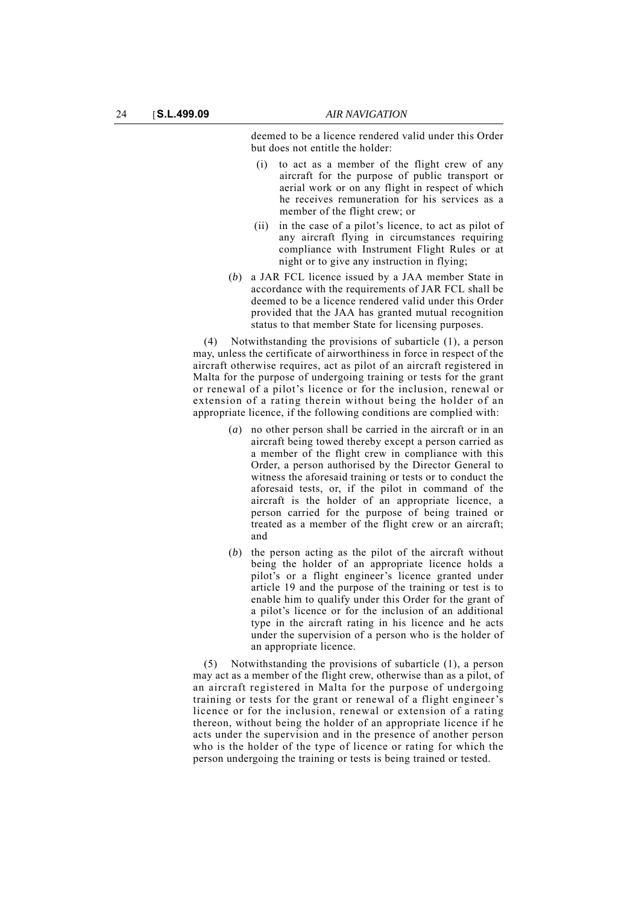deemed to be a licence rendered valid under this Order but does not entitle the holder:

- (i) to act as a member of the flight crew of any aircraft for the purpose of public transport or aerial work or on any flight in respect of which he receives remuneration for his services as a member of the flight crew; or
- (ii) in the case of a pilot's licence, to act as pilot of any aircraft flying in circumstances requiring compliance with Instrument Flight Rules or at night or to give any instruction in flying;
- (*b*) a JAR FCL licence issued by a JAA member State in accordance with the requirements of JAR FCL shall be deemed to be a licence rendered valid under this Order provided that the JAA has granted mutual recognition status to that member State for licensing purposes.

(4) Notwithstanding the provisions of subarticle (1), a person may, unless the certificate of airworthiness in force in respect of the aircraft otherwise requires, act as pilot of an aircraft registered in Malta for the purpose of undergoing training or tests for the grant or renewal of a pilot's licence or for the inclusion, renewal or extension of a rating therein without being the holder of an appropriate licence, if the following conditions are complied with:

- (*a*) no other person shall be carried in the aircraft or in an aircraft being towed thereby except a person carried as a member of the flight crew in compliance with this Order, a person authorised by the Director General to witness the aforesaid training or tests or to conduct the aforesaid tests, or, if the pilot in command of the aircraft is the holder of an appropriate licence, a person carried for the purpose of being trained or treated as a member of the flight crew or an aircraft; and
- (*b*) the person acting as the pilot of the aircraft without being the holder of an appropriate licence holds a pilot's or a flight engineer's licence granted under article 19 and the purpose of the training or test is to enable him to qualify under this Order for the grant of a pilot's licence or for the inclusion of an additional type in the aircraft rating in his licence and he acts under the supervision of a person who is the holder of an appropriate licence.

(5) Notwithstanding the provisions of subarticle (1), a person may act as a member of the flight crew, otherwise than as a pilot, of an aircraft registered in Malta for the purpose of undergoing training or tests for the grant or renewal of a flight engineer's licence or for the inclusion, renewal or extension of a rating thereon, without being the holder of an appropriate licence if he acts under the supervision and in the presence of another person who is the holder of the type of licence or rating for which the person undergoing the training or tests is being trained or tested.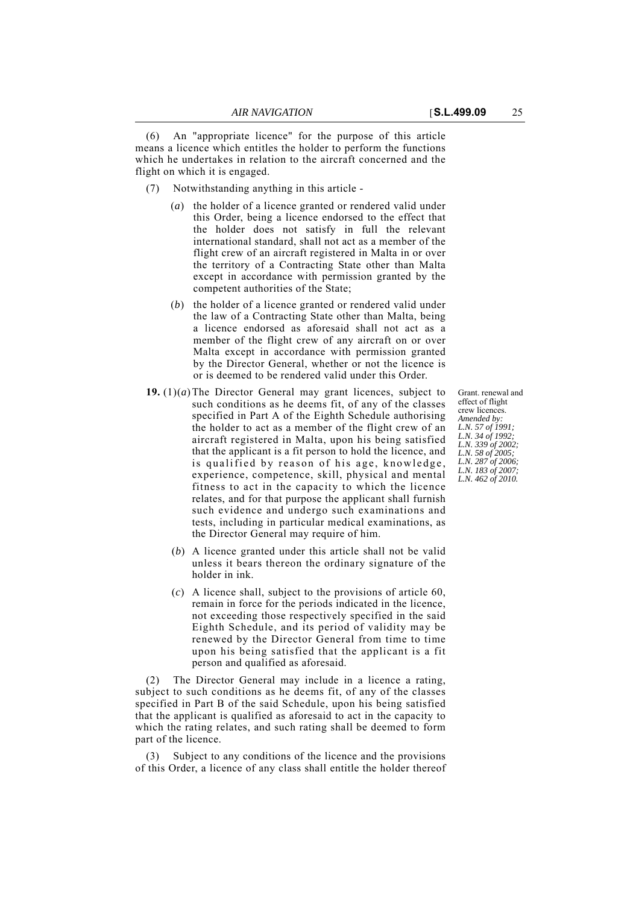(6) An "appropriate licence" for the purpose of this article means a licence which entitles the holder to perform the functions which he undertakes in relation to the aircraft concerned and the flight on which it is engaged.

- (7) Notwithstanding anything in this article
	- (*a*) the holder of a licence granted or rendered valid under this Order, being a licence endorsed to the effect that the holder does not satisfy in full the relevant international standard, shall not act as a member of the flight crew of an aircraft registered in Malta in or over the territory of a Contracting State other than Malta except in accordance with permission granted by the competent authorities of the State;
	- (*b*) the holder of a licence granted or rendered valid under the law of a Contracting State other than Malta, being a licence endorsed as aforesaid shall not act as a member of the flight crew of any aircraft on or over Malta except in accordance with permission granted by the Director General, whether or not the licence is or is deemed to be rendered valid under this Order.
- **19.** (1)(*a*)The Director General may grant licences, subject to such conditions as he deems fit, of any of the classes specified in Part A of the Eighth Schedule authorising the holder to act as a member of the flight crew of an aircraft registered in Malta, upon his being satisfied that the applicant is a fit person to hold the licence, and is qualified by reason of his age, knowledge, experience, competence, skill, physical and mental fitness to act in the capacity to which the licence relates, and for that purpose the applicant shall furnish such evidence and undergo such examinations and tests, including in particular medical examinations, as the Director General may require of him.
	- (*b*) A licence granted under this article shall not be valid unless it bears thereon the ordinary signature of the holder in ink.
	- (*c*) A licence shall, subject to the provisions of article 60, remain in force for the periods indicated in the licence, not exceeding those respectively specified in the said Eighth Schedule, and its period of validity may be renewed by the Director General from time to time upon his being satisfied that the applicant is a fit person and qualified as aforesaid.

(2) The Director General may include in a licence a rating, subject to such conditions as he deems fit, of any of the classes specified in Part B of the said Schedule, upon his being satisfied that the applicant is qualified as aforesaid to act in the capacity to which the rating relates, and such rating shall be deemed to form part of the licence.

(3) Subject to any conditions of the licence and the provisions of this Order, a licence of any class shall entitle the holder thereof Grant. renewal and effect of flight crew licences. *Amended by: L.N. 57 of 1991; L.N. 34 of 1992; L.N. 339 of 2002; L.N. 58 of 2005; L.N. 287 of 2006; L.N. 183 of 2007; L.N. 462 of 2010.*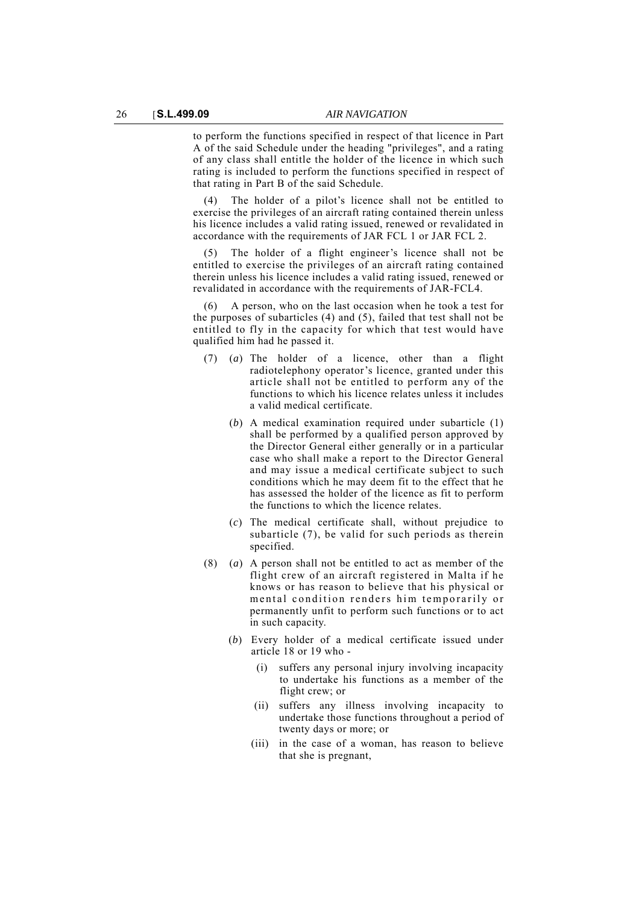to perform the functions specified in respect of that licence in Part A of the said Schedule under the heading "privileges", and a rating of any class shall entitle the holder of the licence in which such rating is included to perform the functions specified in respect of that rating in Part B of the said Schedule.

(4) The holder of a pilot's licence shall not be entitled to exercise the privileges of an aircraft rating contained therein unless his licence includes a valid rating issued, renewed or revalidated in accordance with the requirements of JAR FCL 1 or JAR FCL 2.

(5) The holder of a flight engineer's licence shall not be entitled to exercise the privileges of an aircraft rating contained therein unless his licence includes a valid rating issued, renewed or revalidated in accordance with the requirements of JAR-FCL4.

(6) A person, who on the last occasion when he took a test for the purposes of subarticles (4) and (5), failed that test shall not be entitled to fly in the capacity for which that test would have qualified him had he passed it.

- (7) (*a*) The holder of a licence, other than a flight radiotelephony operator's licence, granted under this article shall not be entitled to perform any of the functions to which his licence relates unless it includes a valid medical certificate.
	- (*b*) A medical examination required under subarticle (1) shall be performed by a qualified person approved by the Director General either generally or in a particular case who shall make a report to the Director General and may issue a medical certificate subject to such conditions which he may deem fit to the effect that he has assessed the holder of the licence as fit to perform the functions to which the licence relates.
	- (*c*) The medical certificate shall, without prejudice to subarticle (7), be valid for such periods as therein specified.
- (8) (*a*) A person shall not be entitled to act as member of the flight crew of an aircraft registered in Malta if he knows or has reason to believe that his physical or mental condition renders him temporarily or permanently unfit to perform such functions or to act in such capacity.
	- (*b*) Every holder of a medical certificate issued under article 18 or 19 who -
		- (i) suffers any personal injury involving incapacity to undertake his functions as a member of the flight crew; or
		- (ii) suffers any illness involving incapacity to undertake those functions throughout a period of twenty days or more; or
		- (iii) in the case of a woman, has reason to believe that she is pregnant,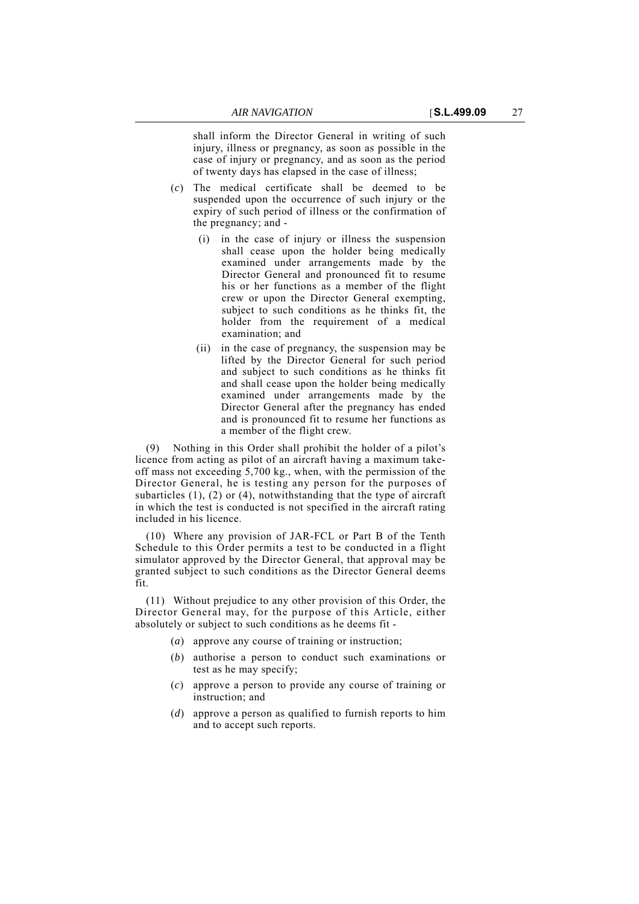shall inform the Director General in writing of such injury, illness or pregnancy, as soon as possible in the case of injury or pregnancy, and as soon as the period of twenty days has elapsed in the case of illness;

- (*c*) The medical certificate shall be deemed to be suspended upon the occurrence of such injury or the expiry of such period of illness or the confirmation of the pregnancy; and -
	- (i) in the case of injury or illness the suspension shall cease upon the holder being medically examined under arrangements made by the Director General and pronounced fit to resume his or her functions as a member of the flight crew or upon the Director General exempting, subject to such conditions as he thinks fit, the holder from the requirement of a medical examination; and
	- (ii) in the case of pregnancy, the suspension may be lifted by the Director General for such period and subject to such conditions as he thinks fit and shall cease upon the holder being medically examined under arrangements made by the Director General after the pregnancy has ended and is pronounced fit to resume her functions as a member of the flight crew.

(9) Nothing in this Order shall prohibit the holder of a pilot's licence from acting as pilot of an aircraft having a maximum takeoff mass not exceeding 5,700 kg., when, with the permission of the Director General, he is testing any person for the purposes of subarticles  $(1)$ ,  $(2)$  or  $(4)$ , notwithstanding that the type of aircraft in which the test is conducted is not specified in the aircraft rating included in his licence.

(10) Where any provision of JAR-FCL or Part B of the Tenth Schedule to this Order permits a test to be conducted in a flight simulator approved by the Director General, that approval may be granted subject to such conditions as the Director General deems fit.

(11) Without prejudice to any other provision of this Order, the Director General may, for the purpose of this Article, either absolutely or subject to such conditions as he deems fit -

- (*a*) approve any course of training or instruction;
- (*b*) authorise a person to conduct such examinations or test as he may specify;
- (*c*) approve a person to provide any course of training or instruction; and
- (*d*) approve a person as qualified to furnish reports to him and to accept such reports.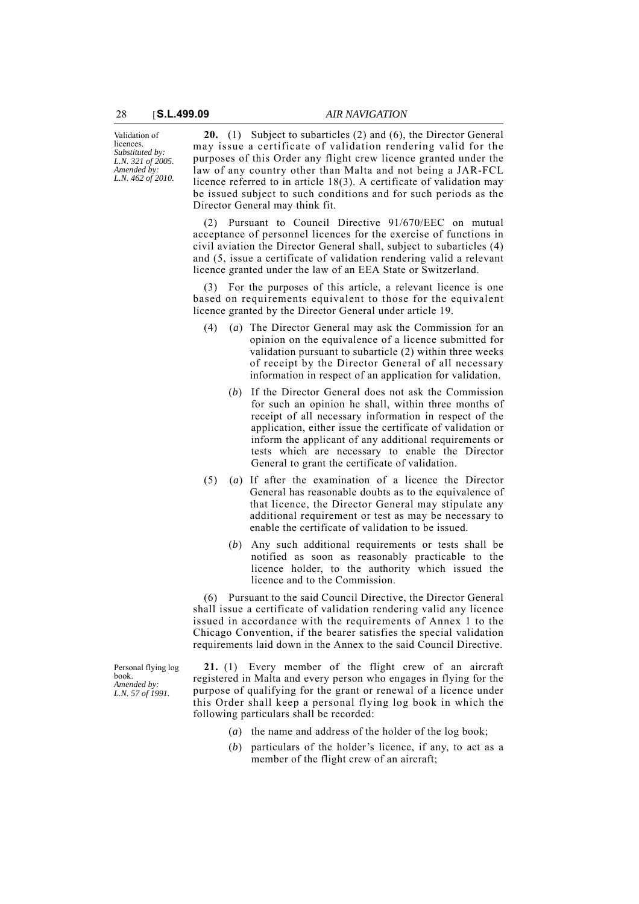Validation of licences. *Substituted by: L.N. 321 of 2005. Amended by: L.N. 462 of 2010.*

**20.** (1) Subject to subarticles (2) and (6), the Director General may issue a certificate of validation rendering valid for the purposes of this Order any flight crew licence granted under the law of any country other than Malta and not being a JAR-FCL licence referred to in article 18(3). A certificate of validation may be issued subject to such conditions and for such periods as the Director General may think fit.

(2) Pursuant to Council Directive 91/670/EEC on mutual acceptance of personnel licences for the exercise of functions in civil aviation the Director General shall, subject to subarticles (4) and (5, issue a certificate of validation rendering valid a relevant licence granted under the law of an EEA State or Switzerland.

(3) For the purposes of this article, a relevant licence is one based on requirements equivalent to those for the equivalent licence granted by the Director General under article 19.

- (4) (*a*) The Director General may ask the Commission for an opinion on the equivalence of a licence submitted for validation pursuant to subarticle (2) within three weeks of receipt by the Director General of all necessary information in respect of an application for validation.
	- (*b*) If the Director General does not ask the Commission for such an opinion he shall, within three months of receipt of all necessary information in respect of the application, either issue the certificate of validation or inform the applicant of any additional requirements or tests which are necessary to enable the Director General to grant the certificate of validation.
- (5) (*a*) If after the examination of a licence the Director General has reasonable doubts as to the equivalence of that licence, the Director General may stipulate any additional requirement or test as may be necessary to enable the certificate of validation to be issued.
	- (*b*) Any such additional requirements or tests shall be notified as soon as reasonably practicable to the licence holder, to the authority which issued the licence and to the Commission.

(6) Pursuant to the said Council Directive, the Director General shall issue a certificate of validation rendering valid any licence issued in accordance with the requirements of Annex 1 to the Chicago Convention, if the bearer satisfies the special validation requirements laid down in the Annex to the said Council Directive.

**21.** (1) Every member of the flight crew of an aircraft registered in Malta and every person who engages in flying for the purpose of qualifying for the grant or renewal of a licence under this Order shall keep a personal flying log book in which the following particulars shall be recorded:

- (*a*) the name and address of the holder of the log book;
- (*b*) particulars of the holder's licence, if any, to act as a member of the flight crew of an aircraft;

Personal flying log book. *Amended by: L.N. 57 of 1991.*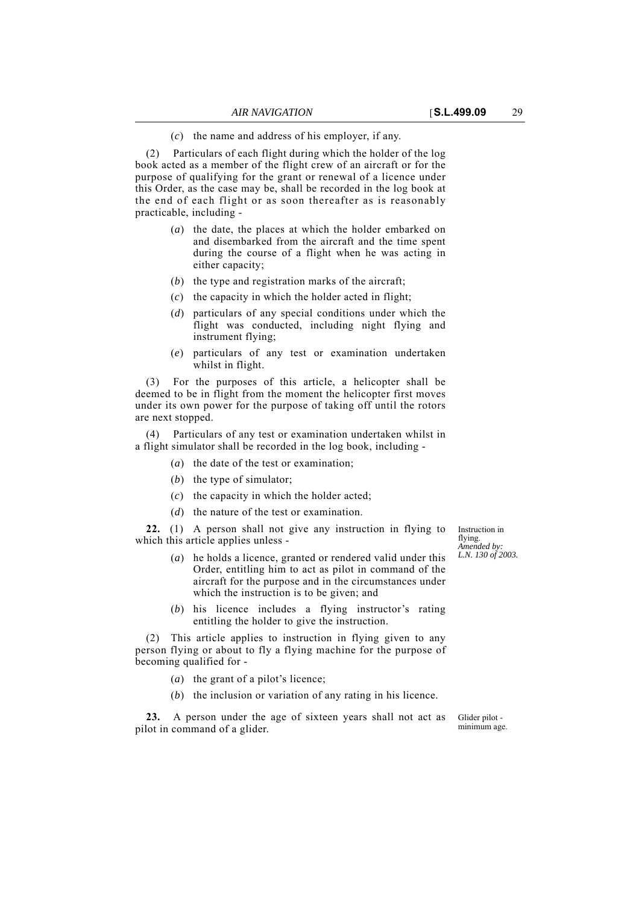(*c*) the name and address of his employer, if any.

(2) Particulars of each flight during which the holder of the log book acted as a member of the flight crew of an aircraft or for the purpose of qualifying for the grant or renewal of a licence under this Order, as the case may be, shall be recorded in the log book at the end of each flight or as soon thereafter as is reasonably practicable, including -

- (*a*) the date, the places at which the holder embarked on and disembarked from the aircraft and the time spent during the course of a flight when he was acting in either capacity;
- (*b*) the type and registration marks of the aircraft;
- (*c*) the capacity in which the holder acted in flight;
- (*d*) particulars of any special conditions under which the flight was conducted, including night flying and instrument flying;
- (*e*) particulars of any test or examination undertaken whilst in flight.

For the purposes of this article, a helicopter shall be deemed to be in flight from the moment the helicopter first moves under its own power for the purpose of taking off until the rotors are next stopped.

(4) Particulars of any test or examination undertaken whilst in a flight simulator shall be recorded in the log book, including -

- (*a*) the date of the test or examination;
- (*b*) the type of simulator;
- (*c*) the capacity in which the holder acted;
- (*d*) the nature of the test or examination.

**22.** (1) A person shall not give any instruction in flying to which this article applies unless -

- (*a*) he holds a licence, granted or rendered valid under this Order, entitling him to act as pilot in command of the aircraft for the purpose and in the circumstances under which the instruction is to be given; and
- (*b*) his licence includes a flying instructor's rating entitling the holder to give the instruction.

(2) This article applies to instruction in flying given to any person flying or about to fly a flying machine for the purpose of becoming qualified for -

- (*a*) the grant of a pilot's licence;
- (*b*) the inclusion or variation of any rating in his licence.

23. A person under the age of sixteen years shall not act as pilot in command of a glider.

Instruction in flying. *Amended by: L.N. 130 of 2003.*

Glider pilot minimum age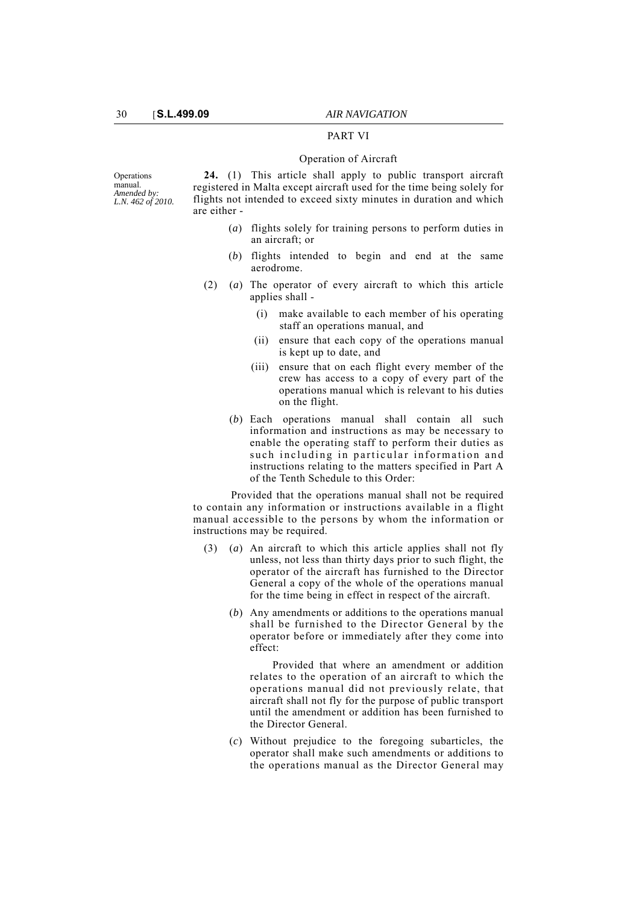## PART VI

### Operation of Aircraft

**Operations** manual. *Amended by: L.N. 462 of 2010.*

**24.** (1) This article shall apply to public transport aircraft registered in Malta except aircraft used for the time being solely for flights not intended to exceed sixty minutes in duration and which are either -

- (*a*) flights solely for training persons to perform duties in an aircraft; or
- (*b*) flights intended to begin and end at the same aerodrome.
- (2) (*a*) The operator of every aircraft to which this article applies shall -
	- (i) make available to each member of his operating staff an operations manual, and
	- (ii) ensure that each copy of the operations manual is kept up to date, and
	- (iii) ensure that on each flight every member of the crew has access to a copy of every part of the operations manual which is relevant to his duties on the flight.
	- (*b*) Each operations manual shall contain all such information and instructions as may be necessary to enable the operating staff to perform their duties as such including in particular information and instructions relating to the matters specified in Part A of the Tenth Schedule to this Order:

Provided that the operations manual shall not be required to contain any information or instructions available in a flight manual accessible to the persons by whom the information or instructions may be required.

- (3) (*a*) An aircraft to which this article applies shall not fly unless, not less than thirty days prior to such flight, the operator of the aircraft has furnished to the Director General a copy of the whole of the operations manual for the time being in effect in respect of the aircraft.
	- (*b*) Any amendments or additions to the operations manual shall be furnished to the Director General by the operator before or immediately after they come into effect:

Provided that where an amendment or addition relates to the operation of an aircraft to which the operations manual did not previously relate, that aircraft shall not fly for the purpose of public transport until the amendment or addition has been furnished to the Director General.

(*c*) Without prejudice to the foregoing subarticles, the operator shall make such amendments or additions to the operations manual as the Director General may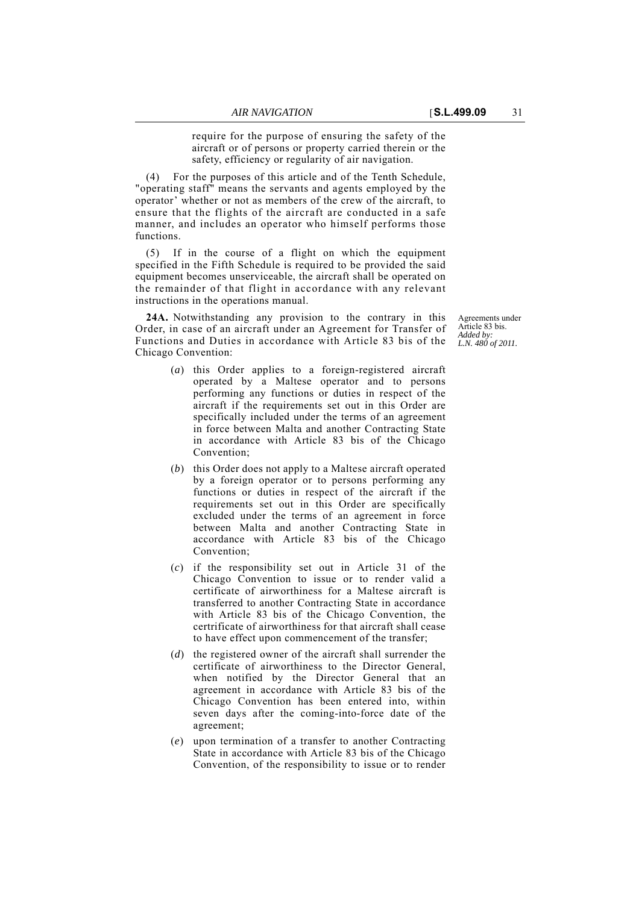require for the purpose of ensuring the safety of the aircraft or of persons or property carried therein or the safety, efficiency or regularity of air navigation.

(4) For the purposes of this article and of the Tenth Schedule, "operating staff" means the servants and agents employed by the operator' whether or not as members of the crew of the aircraft, to ensure that the flights of the aircraft are conducted in a safe manner, and includes an operator who himself performs those functions.

(5) If in the course of a flight on which the equipment specified in the Fifth Schedule is required to be provided the said equipment becomes unserviceable, the aircraft shall be operated on the remainder of that flight in accordance with any relevant instructions in the operations manual.

**24A.** Notwithstanding any provision to the contrary in this Order, in case of an aircraft under an Agreement for Transfer of Functions and Duties in accordance with Article 83 bis of the Chicago Convention:

- (*a*) this Order applies to a foreign-registered aircraft operated by a Maltese operator and to persons performing any functions or duties in respect of the aircraft if the requirements set out in this Order are specifically included under the terms of an agreement in force between Malta and another Contracting State in accordance with Article 83 bis of the Chicago Convention;
- (*b*) this Order does not apply to a Maltese aircraft operated by a foreign operator or to persons performing any functions or duties in respect of the aircraft if the requirements set out in this Order are specifically excluded under the terms of an agreement in force between Malta and another Contracting State in accordance with Article 83 bis of the Chicago Convention;
- (*c*) if the responsibility set out in Article 31 of the Chicago Convention to issue or to render valid a certificate of airworthiness for a Maltese aircraft is transferred to another Contracting State in accordance with Article 83 bis of the Chicago Convention, the certrificate of airworthiness for that aircraft shall cease to have effect upon commencement of the transfer;
- (*d*) the registered owner of the aircraft shall surrender the certificate of airworthiness to the Director General, when notified by the Director General that an agreement in accordance with Article 83 bis of the Chicago Convention has been entered into, within seven days after the coming-into-force date of the agreement;
- (*e*) upon termination of a transfer to another Contracting State in accordance with Article 83 bis of the Chicago Convention, of the responsibility to issue or to render

Agreements under Article 83 bis. *Added by: L.N. 480 of 2011.*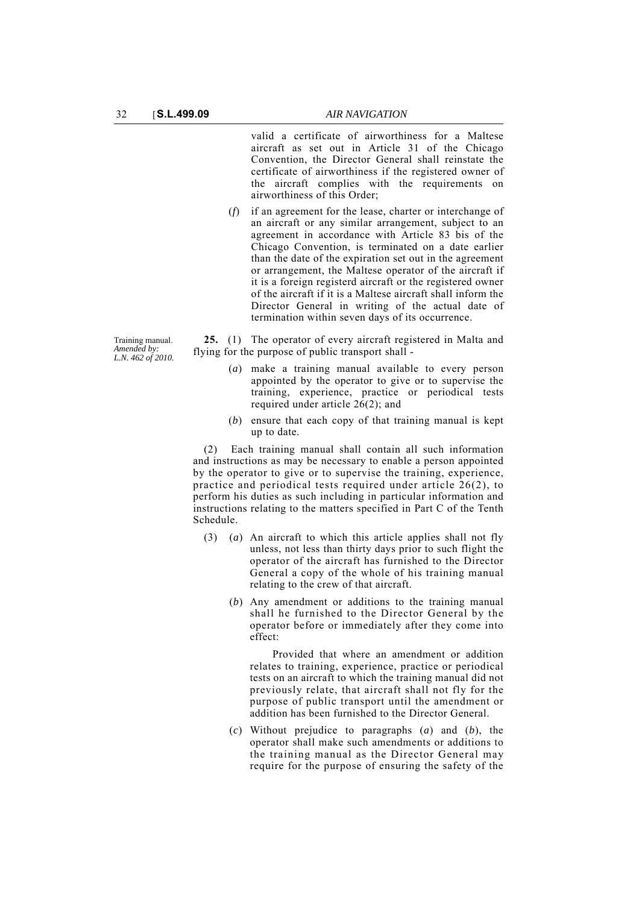valid a certificate of airworthiness for a Maltese aircraft as set out in Article 31 of the Chicago Convention, the Director General shall reinstate the certificate of airworthiness if the registered owner of the aircraft complies with the requirements on airworthiness of this Order;

(*f*) if an agreement for the lease, charter or interchange of an aircraft or any similar arrangement, subject to an agreement in accordance with Article 83 bis of the Chicago Convention, is terminated on a date earlier than the date of the expiration set out in the agreement or arrangement, the Maltese operator of the aircraft if it is a foreign registerd aircraft or the registered owner of the aircraft if it is a Maltese aircraft shall inform the Director General in writing of the actual date of termination within seven days of its occurrence.

**25.** (1) The operator of every aircraft registered in Malta and flying for the purpose of public transport shall -

- (*a*) make a training manual available to every person appointed by the operator to give or to supervise the training, experience, practice or periodical tests required under article  $26(2)$ ; and
- (*b*) ensure that each copy of that training manual is kept up to date.

(2) Each training manual shall contain all such information and instructions as may be necessary to enable a person appointed by the operator to give or to supervise the training, experience, practice and periodical tests required under article 26(2), to perform his duties as such including in particular information and instructions relating to the matters specified in Part C of the Tenth Schedule.

- (3) (*a*) An aircraft to which this article applies shall not fly unless, not less than thirty days prior to such flight the operator of the aircraft has furnished to the Director General a copy of the whole of his training manual relating to the crew of that aircraft.
	- (*b*) Any amendment or additions to the training manual shall he furnished to the Director General by the operator before or immediately after they come into effect:

Provided that where an amendment or addition relates to training, experience, practice or periodical tests on an aircraft to which the training manual did not previously relate, that aircraft shall not fly for the purpose of public transport until the amendment or addition has been furnished to the Director General.

(*c*) Without prejudice to paragraphs (*a*) and (*b*), the operator shall make such amendments or additions to the training manual as the Director General may require for the purpose of ensuring the safety of the

Training manual. *Amended by: L.N. 462 of 2010.*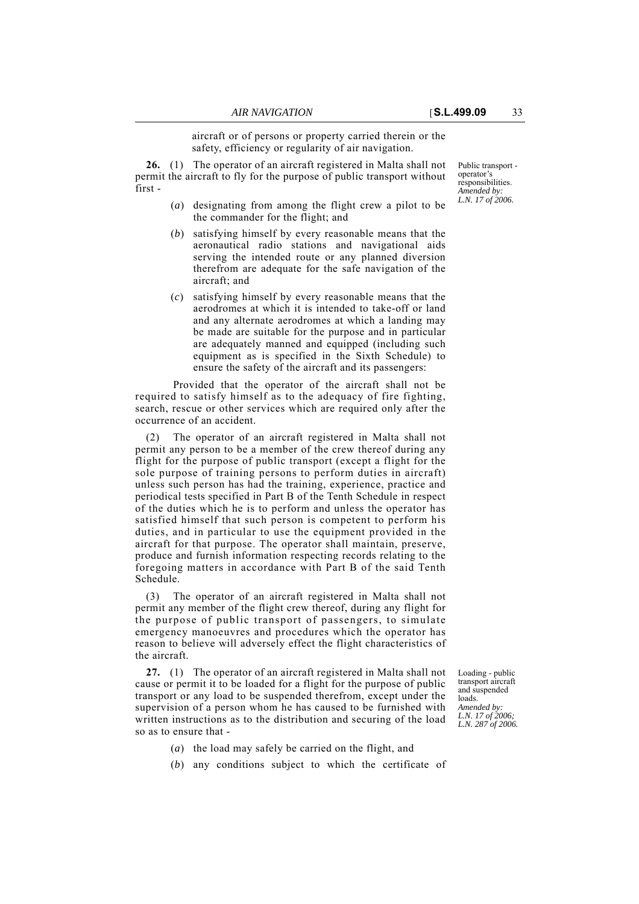aircraft or of persons or property carried therein or the safety, efficiency or regularity of air navigation.

**26.** (1) The operator of an aircraft registered in Malta shall not permit the aircraft to fly for the purpose of public transport without first -

- (*a*) designating from among the flight crew a pilot to be the commander for the flight; and
- (*b*) satisfying himself by every reasonable means that the aeronautical radio stations and navigational aids serving the intended route or any planned diversion therefrom are adequate for the safe navigation of the aircraft; and
- (*c*) satisfying himself by every reasonable means that the aerodromes at which it is intended to take-off or land and any alternate aerodromes at which a landing may be made are suitable for the purpose and in particular are adequately manned and equipped (including such equipment as is specified in the Sixth Schedule) to ensure the safety of the aircraft and its passengers:

Provided that the operator of the aircraft shall not be required to satisfy himself as to the adequacy of fire fighting, search, rescue or other services which are required only after the occurrence of an accident.

(2) The operator of an aircraft registered in Malta shall not permit any person to be a member of the crew thereof during any flight for the purpose of public transport (except a flight for the sole purpose of training persons to perform duties in aircraft) unless such person has had the training, experience, practice and periodical tests specified in Part B of the Tenth Schedule in respect of the duties which he is to perform and unless the operator has satisfied himself that such person is competent to perform his duties, and in particular to use the equipment provided in the aircraft for that purpose. The operator shall maintain, preserve, produce and furnish information respecting records relating to the foregoing matters in accordance with Part B of the said Tenth Schedule.

(3) The operator of an aircraft registered in Malta shall not permit any member of the flight crew thereof, during any flight for the purpose of public transport of passengers, to simulate emergency manoeuvres and procedures which the operator has reason to believe will adversely effect the flight characteristics of the aircraft.

**27.** (1) The operator of an aircraft registered in Malta shall not cause or permit it to be loaded for a flight for the purpose of public transport or any load to be suspended therefrom, except under the supervision of a person whom he has caused to be furnished with written instructions as to the distribution and securing of the load so as to ensure that -

Loading - public transport aircraft and suspended loads. *Amended by: L.N. 17 of 2006; L.N. 287 of 2006.*

- (*a*) the load may safely be carried on the flight, and
- (*b*) any conditions subject to which the certificate of

Public transport operator's responsibilities. *Amended by: L.N. 17 of 2006.*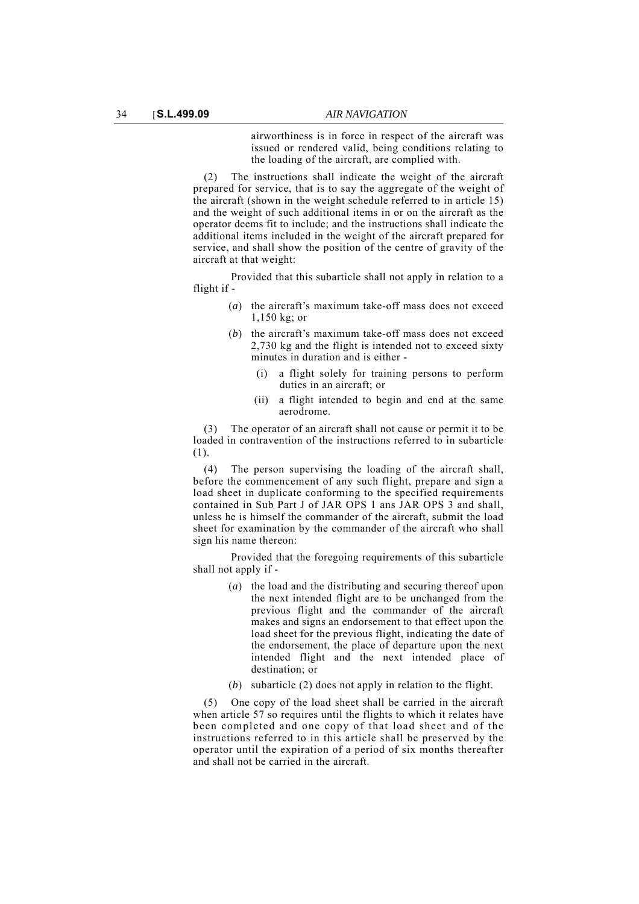airworthiness is in force in respect of the aircraft was issued or rendered valid, being conditions relating to the loading of the aircraft, are complied with.

(2) The instructions shall indicate the weight of the aircraft prepared for service, that is to say the aggregate of the weight of the aircraft (shown in the weight schedule referred to in article 15) and the weight of such additional items in or on the aircraft as the operator deems fit to include; and the instructions shall indicate the additional items included in the weight of the aircraft prepared for service, and shall show the position of the centre of gravity of the aircraft at that weight:

Provided that this subarticle shall not apply in relation to a flight if -

- (*a*) the aircraft's maximum take-off mass does not exceed 1,150 kg; or
- (*b*) the aircraft's maximum take-off mass does not exceed 2,730 kg and the flight is intended not to exceed sixty minutes in duration and is either -
	- (i) a flight solely for training persons to perform duties in an aircraft; or
	- (ii) a flight intended to begin and end at the same aerodrome.

(3) The operator of an aircraft shall not cause or permit it to be loaded in contravention of the instructions referred to in subarticle (1).

(4) The person supervising the loading of the aircraft shall, before the commencement of any such flight, prepare and sign a load sheet in duplicate conforming to the specified requirements contained in Sub Part J of JAR OPS 1 ans JAR OPS 3 and shall, unless he is himself the commander of the aircraft, submit the load sheet for examination by the commander of the aircraft who shall sign his name thereon:

Provided that the foregoing requirements of this subarticle shall not apply if -

- (*a*) the load and the distributing and securing thereof upon the next intended flight are to be unchanged from the previous flight and the commander of the aircraft makes and signs an endorsement to that effect upon the load sheet for the previous flight, indicating the date of the endorsement, the place of departure upon the next intended flight and the next intended place of destination; or
- (*b*) subarticle (2) does not apply in relation to the flight.

(5) One copy of the load sheet shall be carried in the aircraft when article 57 so requires until the flights to which it relates have been completed and one copy of that load sheet and of the instructions referred to in this article shall be preserved by the operator until the expiration of a period of six months thereafter and shall not be carried in the aircraft.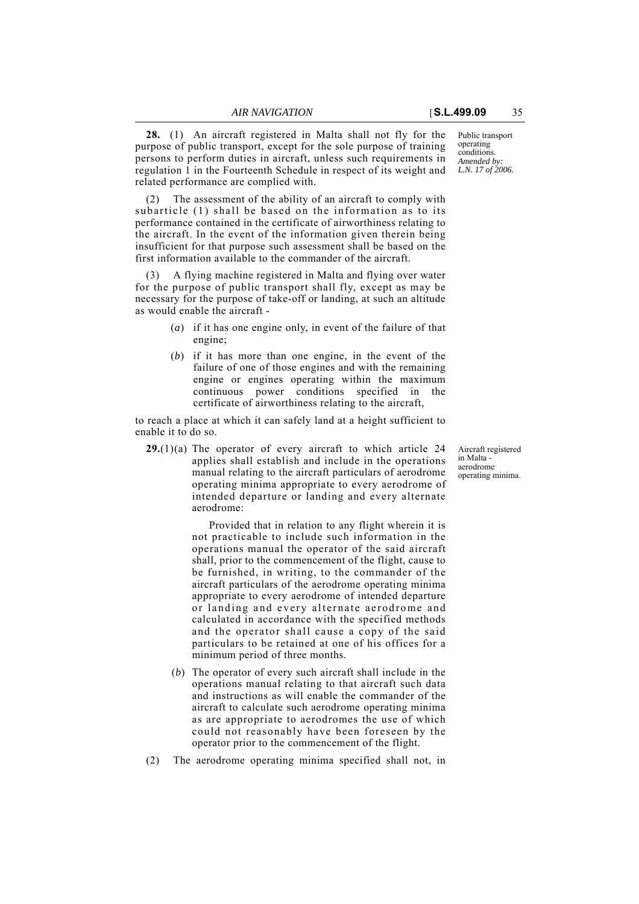**28.** (1) An aircraft registered in Malta shall not fly for the purpose of public transport, except for the sole purpose of training persons to perform duties in aircraft, unless such requirements in regulation 1 in the Fourteenth Schedule in respect of its weight and related performance are complied with.

(2) The assessment of the ability of an aircraft to comply with subarticle (1) shall be based on the information as to its performance contained in the certificate of airworthiness relating to the aircraft. In the event of the information given therein being insufficient for that purpose such assessment shall be based on the first information available to the commander of the aircraft.

A flying machine registered in Malta and flying over water for the purpose of public transport shall fly, except as may be necessary for the purpose of take-off or landing, at such an altitude as would enable the aircraft -

- (*a*) if it has one engine only, in event of the failure of that engine;
- (*b*) if it has more than one engine, in the event of the failure of one of those engines and with the remaining engine or engines operating within the maximum continuous power conditions specified in the certificate of airworthiness relating to the aircraft,

to reach a place at which it can safely land at a height sufficient to enable it to do so.

**29.**(1)(a) The operator of every aircraft to which article 24 applies shall establish and include in the operations manual relating to the aircraft particulars of aerodrome operating minima appropriate to every aerodrome of intended departure or landing and every alternate aerodrome:

> Provided that in relation to any flight wherein it is not practicable to include such information in the operations manual the operator of the said aircraft shall, prior to the commencement of the flight, cause to be furnished, in writing, to the commander of the aircraft particulars of the aerodrome operating minima appropriate to every aerodrome of intended departure or landing and every alternate aerodrome and calculated in accordance with the specified methods and the operator shall cause a copy of the said particulars to be retained at one of his offices for a minimum period of three months.

- (*b*) The operator of every such aircraft shall include in the operations manual relating to that aircraft such data and instructions as will enable the commander of the aircraft to calculate such aerodrome operating minima as are appropriate to aerodromes the use of which could not reasonably have been foreseen by the operator prior to the commencement of the flight.
- (2) The aerodrome operating minima specified shall not, in

Aircraft registered in Malta aerodrome operating minima.

Public transport operating conditions. *Amended by: L.N. 17 of 2006.*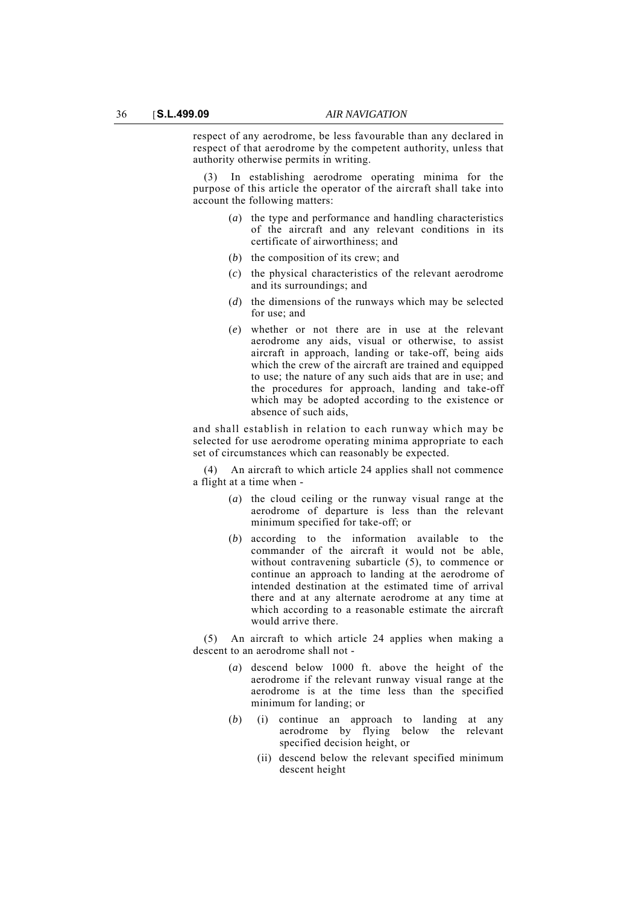respect of any aerodrome, be less favourable than any declared in respect of that aerodrome by the competent authority, unless that authority otherwise permits in writing.

(3) In establishing aerodrome operating minima for the purpose of this article the operator of the aircraft shall take into account the following matters:

- (*a*) the type and performance and handling characteristics of the aircraft and any relevant conditions in its certificate of airworthiness; and
- (*b*) the composition of its crew; and
- (*c*) the physical characteristics of the relevant aerodrome and its surroundings; and
- (*d*) the dimensions of the runways which may be selected for use; and
- (*e*) whether or not there are in use at the relevant aerodrome any aids, visual or otherwise, to assist aircraft in approach, landing or take-off, being aids which the crew of the aircraft are trained and equipped to use; the nature of any such aids that are in use; and the procedures for approach, landing and take-off which may be adopted according to the existence or absence of such aids,

and shall establish in relation to each runway which may be selected for use aerodrome operating minima appropriate to each set of circumstances which can reasonably be expected.

An aircraft to which article 24 applies shall not commence a flight at a time when -

- (*a*) the cloud ceiling or the runway visual range at the aerodrome of departure is less than the relevant minimum specified for take-off; or
- (*b*) according to the information available to the commander of the aircraft it would not be able, without contravening subarticle (5), to commence or continue an approach to landing at the aerodrome of intended destination at the estimated time of arrival there and at any alternate aerodrome at any time at which according to a reasonable estimate the aircraft would arrive there.

(5) An aircraft to which article 24 applies when making a descent to an aerodrome shall not -

- (*a*) descend below 1000 ft. above the height of the aerodrome if the relevant runway visual range at the aerodrome is at the time less than the specified minimum for landing; or
- (*b*) (i) continue an approach to landing at any aerodrome by flying below the relevant specified decision height, or
	- (ii) descend below the relevant specified minimum descent height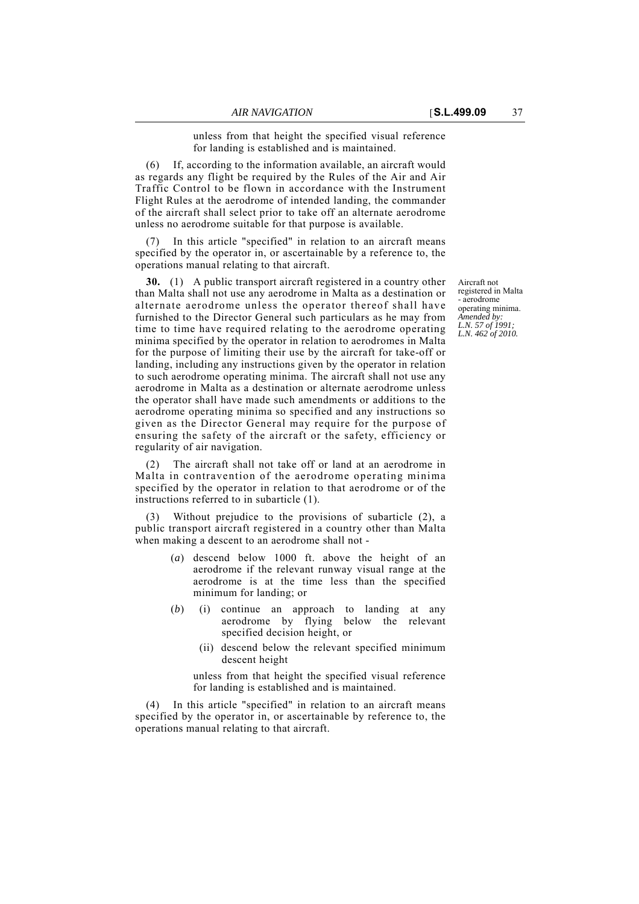unless from that height the specified visual reference for landing is established and is maintained.

If, according to the information available, an aircraft would as regards any flight be required by the Rules of the Air and Air Traffic Control to be flown in accordance with the Instrument Flight Rules at the aerodrome of intended landing, the commander of the aircraft shall select prior to take off an alternate aerodrome unless no aerodrome suitable for that purpose is available.

In this article "specified" in relation to an aircraft means specified by the operator in, or ascertainable by a reference to, the operations manual relating to that aircraft.

**30.** (1) A public transport aircraft registered in a country other than Malta shall not use any aerodrome in Malta as a destination or alternate aerodrome unless the operator thereof shall have furnished to the Director General such particulars as he may from time to time have required relating to the aerodrome operating minima specified by the operator in relation to aerodromes in Malta for the purpose of limiting their use by the aircraft for take-off or landing, including any instructions given by the operator in relation to such aerodrome operating minima. The aircraft shall not use any aerodrome in Malta as a destination or alternate aerodrome unless the operator shall have made such amendments or additions to the aerodrome operating minima so specified and any instructions so given as the Director General may require for the purpose of ensuring the safety of the aircraft or the safety, efficiency or regularity of air navigation.

(2) The aircraft shall not take off or land at an aerodrome in Malta in contravention of the aerodrome operating minima specified by the operator in relation to that aerodrome or of the instructions referred to in subarticle (1).

Without prejudice to the provisions of subarticle  $(2)$ , a public transport aircraft registered in a country other than Malta when making a descent to an aerodrome shall not -

- (*a*) descend below 1000 ft. above the height of an aerodrome if the relevant runway visual range at the aerodrome is at the time less than the specified minimum for landing; or
- (*b*) (i) continue an approach to landing at any aerodrome by flying below the relevant specified decision height, or
	- (ii) descend below the relevant specified minimum descent height

unless from that height the specified visual reference for landing is established and is maintained.

(4) In this article "specified" in relation to an aircraft means specified by the operator in, or ascertainable by reference to, the operations manual relating to that aircraft.

Aircraft not registered in Malta - aerodrome operating minima. *Amended by: L.N. 57 of 1991; L.N. 462 of 2010.*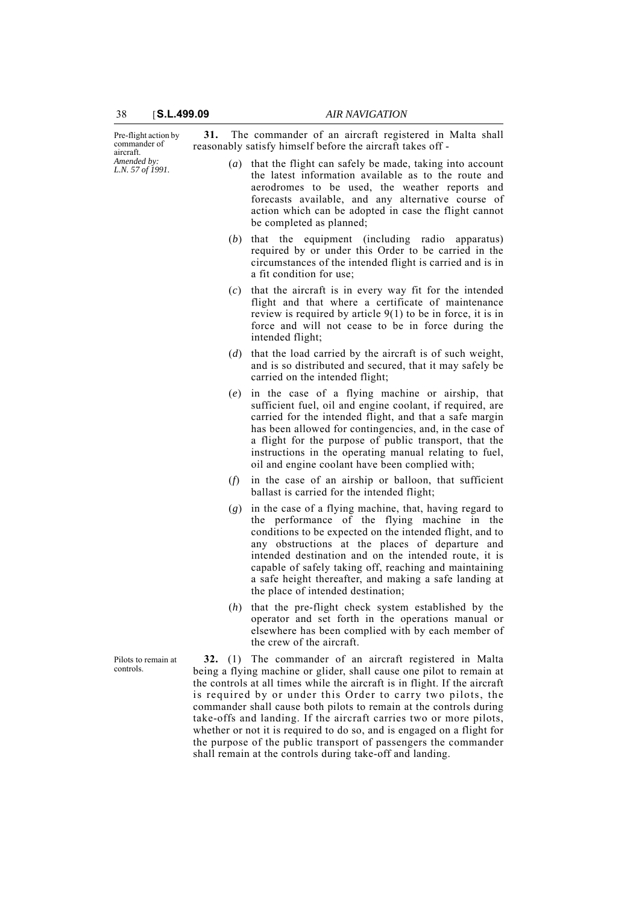| Pre-flight action by<br>commander of<br>aircraft.<br>Amended by:<br>L.N. 57 of 1991. | 31.                                                                                                                                                                                                                                                                                                                                                    | The commander of an aircraft registered in Malta shall<br>reasonably satisfy himself before the aircraft takes off -                                                                                                                                                                                                                                                                                                                      |
|--------------------------------------------------------------------------------------|--------------------------------------------------------------------------------------------------------------------------------------------------------------------------------------------------------------------------------------------------------------------------------------------------------------------------------------------------------|-------------------------------------------------------------------------------------------------------------------------------------------------------------------------------------------------------------------------------------------------------------------------------------------------------------------------------------------------------------------------------------------------------------------------------------------|
|                                                                                      |                                                                                                                                                                                                                                                                                                                                                        | (a) that the flight can safely be made, taking into account<br>the latest information available as to the route and<br>aerodromes to be used, the weather reports and<br>forecasts available, and any alternative course of<br>action which can be adopted in case the flight cannot<br>be completed as planned;                                                                                                                          |
|                                                                                      | (b)                                                                                                                                                                                                                                                                                                                                                    | that the equipment (including radio<br>apparatus)<br>required by or under this Order to be carried in the<br>circumstances of the intended flight is carried and is in<br>a fit condition for use;                                                                                                                                                                                                                                        |
|                                                                                      | (c)                                                                                                                                                                                                                                                                                                                                                    | that the aircraft is in every way fit for the intended<br>flight and that where a certificate of maintenance<br>review is required by article $9(1)$ to be in force, it is in<br>force and will not cease to be in force during the<br>intended flight;                                                                                                                                                                                   |
|                                                                                      | (d)                                                                                                                                                                                                                                                                                                                                                    | that the load carried by the aircraft is of such weight,<br>and is so distributed and secured, that it may safely be<br>carried on the intended flight;                                                                                                                                                                                                                                                                                   |
|                                                                                      | (e)                                                                                                                                                                                                                                                                                                                                                    | in the case of a flying machine or airship, that<br>sufficient fuel, oil and engine coolant, if required, are<br>carried for the intended flight, and that a safe margin<br>has been allowed for contingencies, and, in the case of<br>a flight for the purpose of public transport, that the<br>instructions in the operating manual relating to fuel,<br>oil and engine coolant have been complied with;                                |
|                                                                                      | (f)                                                                                                                                                                                                                                                                                                                                                    | in the case of an airship or balloon, that sufficient<br>ballast is carried for the intended flight;                                                                                                                                                                                                                                                                                                                                      |
|                                                                                      | (g)                                                                                                                                                                                                                                                                                                                                                    | in the case of a flying machine, that, having regard to<br>the performance of the flying machine in the<br>conditions to be expected on the intended flight, and to<br>any obstructions at the places of departure and<br>intended destination and on the intended route, it is<br>capable of safely taking off, reaching and maintaining<br>a safe height thereafter, and making a safe landing at<br>the place of intended destination; |
|                                                                                      |                                                                                                                                                                                                                                                                                                                                                        | $(h)$ that the pre-flight check system established by the<br>operator and set forth in the operations manual or<br>elsewhere has been complied with by each member of<br>the crew of the aircraft.                                                                                                                                                                                                                                        |
| Pilots to remain at<br>controls.                                                     | (1) The commander of an aircraft registered in Malta<br>32.<br>being a flying machine or glider, shall cause one pilot to remain at<br>the controls at all times while the aircraft is in flight. If the aircraft<br>is required by or under this Order to carry two pilots, the<br>commander shall cause both pilots to remain at the controls during |                                                                                                                                                                                                                                                                                                                                                                                                                                           |

take-offs and landing. If the aircraft carries two or more pilots, whether or not it is required to do so, and is engaged on a flight for the purpose of the public transport of passengers the commander

shall remain at the controls during take-off and landing.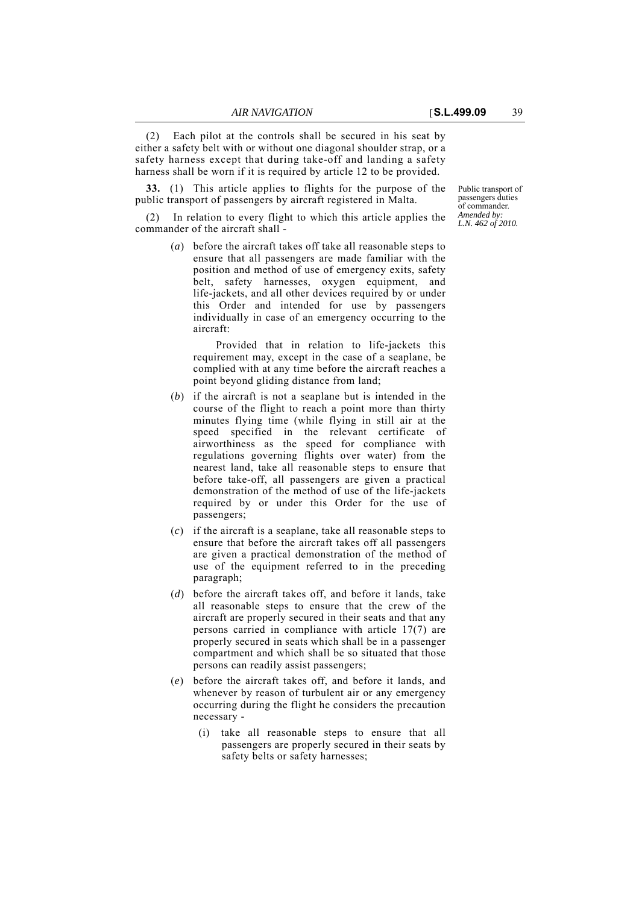(2) Each pilot at the controls shall be secured in his seat by either a safety belt with or without one diagonal shoulder strap, or a safety harness except that during take-off and landing a safety

**33.** (1) This article applies to flights for the purpose of the public transport of passengers by aircraft registered in Malta.

harness shall be worn if it is required by article 12 to be provided.

(2) In relation to every flight to which this article applies the commander of the aircraft shall -

> (*a*) before the aircraft takes off take all reasonable steps to ensure that all passengers are made familiar with the position and method of use of emergency exits, safety belt, safety harnesses, oxygen equipment, and life-jackets, and all other devices required by or under this Order and intended for use by passengers individually in case of an emergency occurring to the aircraft:

Provided that in relation to life-jackets this requirement may, except in the case of a seaplane, be complied with at any time before the aircraft reaches a point beyond gliding distance from land;

- (*b*) if the aircraft is not a seaplane but is intended in the course of the flight to reach a point more than thirty minutes flying time (while flying in still air at the speed specified in the relevant certificate of airworthiness as the speed for compliance with regulations governing flights over water) from the nearest land, take all reasonable steps to ensure that before take-off, all passengers are given a practical demonstration of the method of use of the life-jackets required by or under this Order for the use of passengers;
- (*c*) if the aircraft is a seaplane, take all reasonable steps to ensure that before the aircraft takes off all passengers are given a practical demonstration of the method of use of the equipment referred to in the preceding paragraph;
- (*d*) before the aircraft takes off, and before it lands, take all reasonable steps to ensure that the crew of the aircraft are properly secured in their seats and that any persons carried in compliance with article 17(7) are properly secured in seats which shall be in a passenger compartment and which shall be so situated that those persons can readily assist passengers;
- (*e*) before the aircraft takes off, and before it lands, and whenever by reason of turbulent air or any emergency occurring during the flight he considers the precaution necessary -
	- (i) take all reasonable steps to ensure that all passengers are properly secured in their seats by safety belts or safety harnesses;

Public transport of passengers duties of commander. *Amended by: L.N. 462 of 2010.*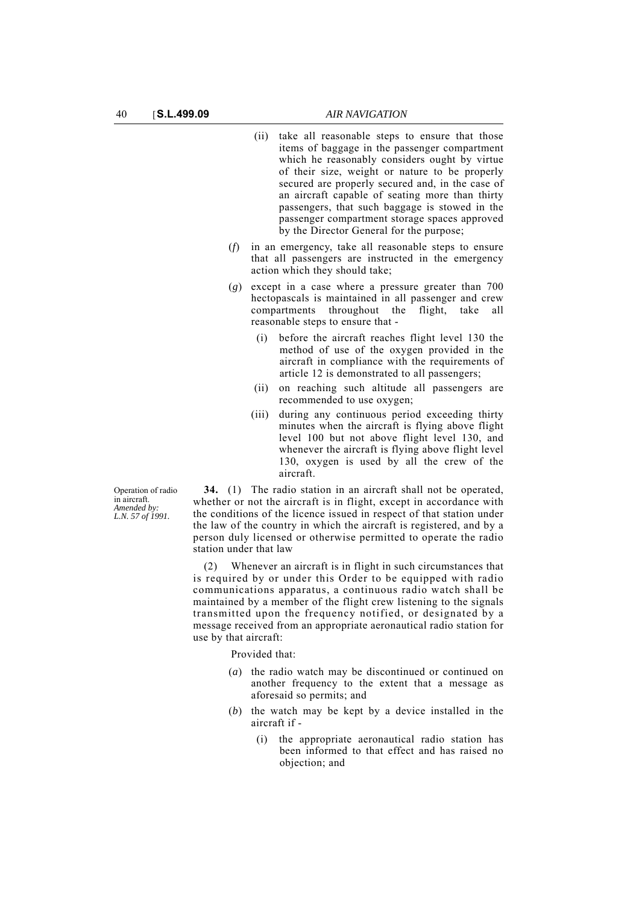- (ii) take all reasonable steps to ensure that those items of baggage in the passenger compartment which he reasonably considers ought by virtue of their size, weight or nature to be properly secured are properly secured and, in the case of an aircraft capable of seating more than thirty passengers, that such baggage is stowed in the passenger compartment storage spaces approved by the Director General for the purpose;
- (*f*) in an emergency, take all reasonable steps to ensure that all passengers are instructed in the emergency action which they should take;
- (*g*) except in a case where a pressure greater than 700 hectopascals is maintained in all passenger and crew compartments throughout the flight, take all reasonable steps to ensure that -
	- (i) before the aircraft reaches flight level 130 the method of use of the oxygen provided in the aircraft in compliance with the requirements of article 12 is demonstrated to all passengers;
	- (ii) on reaching such altitude all passengers are recommended to use oxygen;
	- (iii) during any continuous period exceeding thirty minutes when the aircraft is flying above flight level 100 but not above flight level 130, and whenever the aircraft is flying above flight level 130, oxygen is used by all the crew of the aircraft.

Operation of radio in aircraft. *Amended by: L.N. 57 of 1991.*

**34.** (1) The radio station in an aircraft shall not be operated, whether or not the aircraft is in flight, except in accordance with the conditions of the licence issued in respect of that station under the law of the country in which the aircraft is registered, and by a person duly licensed or otherwise permitted to operate the radio station under that law

(2) Whenever an aircraft is in flight in such circumstances that is required by or under this Order to be equipped with radio communications apparatus, a continuous radio watch shall be maintained by a member of the flight crew listening to the signals transmitted upon the frequency notified, or designated by a message received from an appropriate aeronautical radio station for use by that aircraft:

Provided that:

- (*a*) the radio watch may be discontinued or continued on another frequency to the extent that a message as aforesaid so permits; and
- (*b*) the watch may be kept by a device installed in the aircraft if -
	- (i) the appropriate aeronautical radio station has been informed to that effect and has raised no objection; and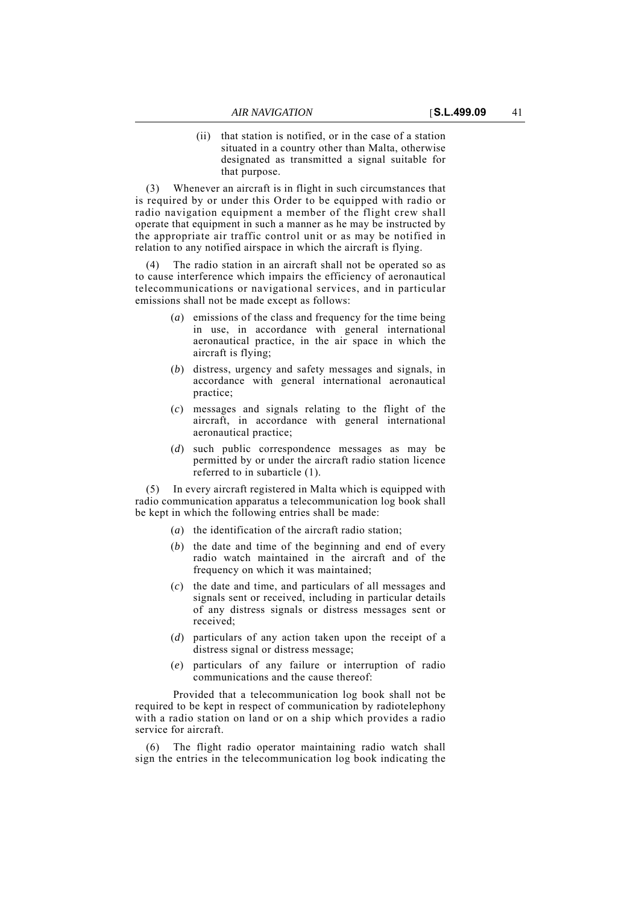(ii) that station is notified, or in the case of a station situated in a country other than Malta, otherwise designated as transmitted a signal suitable for that purpose.

(3) Whenever an aircraft is in flight in such circumstances that is required by or under this Order to be equipped with radio or radio navigation equipment a member of the flight crew shall operate that equipment in such a manner as he may be instructed by the appropriate air traffic control unit or as may be notified in relation to any notified airspace in which the aircraft is flying.

The radio station in an aircraft shall not be operated so as to cause interference which impairs the efficiency of aeronautical telecommunications or navigational services, and in particular emissions shall not be made except as follows:

- (*a*) emissions of the class and frequency for the time being in use, in accordance with general international aeronautical practice, in the air space in which the aircraft is flying;
- (*b*) distress, urgency and safety messages and signals, in accordance with general international aeronautical practice;
- (*c*) messages and signals relating to the flight of the aircraft, in accordance with general international aeronautical practice;
- (*d*) such public correspondence messages as may be permitted by or under the aircraft radio station licence referred to in subarticle (1).

(5) In every aircraft registered in Malta which is equipped with radio communication apparatus a telecommunication log book shall be kept in which the following entries shall be made:

- (*a*) the identification of the aircraft radio station;
- (*b*) the date and time of the beginning and end of every radio watch maintained in the aircraft and of the frequency on which it was maintained;
- (*c*) the date and time, and particulars of all messages and signals sent or received, including in particular details of any distress signals or distress messages sent or received;
- (*d*) particulars of any action taken upon the receipt of a distress signal or distress message;
- (*e*) particulars of any failure or interruption of radio communications and the cause thereof:

Provided that a telecommunication log book shall not be required to be kept in respect of communication by radiotelephony with a radio station on land or on a ship which provides a radio service for aircraft.

The flight radio operator maintaining radio watch shall sign the entries in the telecommunication log book indicating the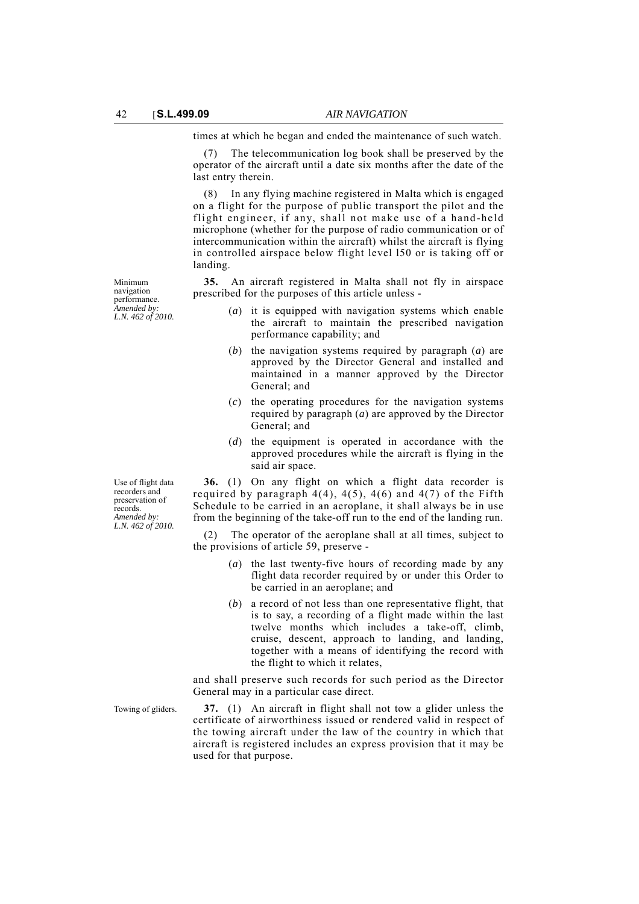times at which he began and ended the maintenance of such watch.

(7) The telecommunication log book shall be preserved by the operator of the aircraft until a date six months after the date of the last entry therein.

(8) In any flying machine registered in Malta which is engaged on a flight for the purpose of public transport the pilot and the flight engineer, if any, shall not make use of a hand-held microphone (whether for the purpose of radio communication or of intercommunication within the aircraft) whilst the aircraft is flying in controlled airspace below flight level l50 or is taking off or landing.

**35.** An aircraft registered in Malta shall not fly in airspace prescribed for the purposes of this article unless -

- (*a*) it is equipped with navigation systems which enable the aircraft to maintain the prescribed navigation performance capability; and
- (*b*) the navigation systems required by paragraph (*a*) are approved by the Director General and installed and maintained in a manner approved by the Director General; and
- (*c*) the operating procedures for the navigation systems required by paragraph (*a*) are approved by the Director General; and
- (*d*) the equipment is operated in accordance with the approved procedures while the aircraft is flying in the said air space.

**36.** (1) On any flight on which a flight data recorder is required by paragraph  $4(4)$ ,  $4(5)$ ,  $4(6)$  and  $4(7)$  of the Fifth Schedule to be carried in an aeroplane, it shall always be in use from the beginning of the take-off run to the end of the landing run.

(2) The operator of the aeroplane shall at all times, subject to the provisions of article 59, preserve -

- (*a*) the last twenty-five hours of recording made by any flight data recorder required by or under this Order to be carried in an aeroplane; and
- (*b*) a record of not less than one representative flight, that is to say, a recording of a flight made within the last twelve months which includes a take-off, climb, cruise, descent, approach to landing, and landing, together with a means of identifying the record with the flight to which it relates,

and shall preserve such records for such period as the Director General may in a particular case direct.

Towing of gliders. **37.** (1) An aircraft in flight shall not tow a glider unless the certificate of airworthiness issued or rendered valid in respect of the towing aircraft under the law of the country in which that aircraft is registered includes an express provision that it may be used for that purpose.

Minimum navigation performance. *Amended by: L.N. 462 of 2010.*

Use of flight data recorders and preservation of records. *Amended by: L.N. 462 of 2010.*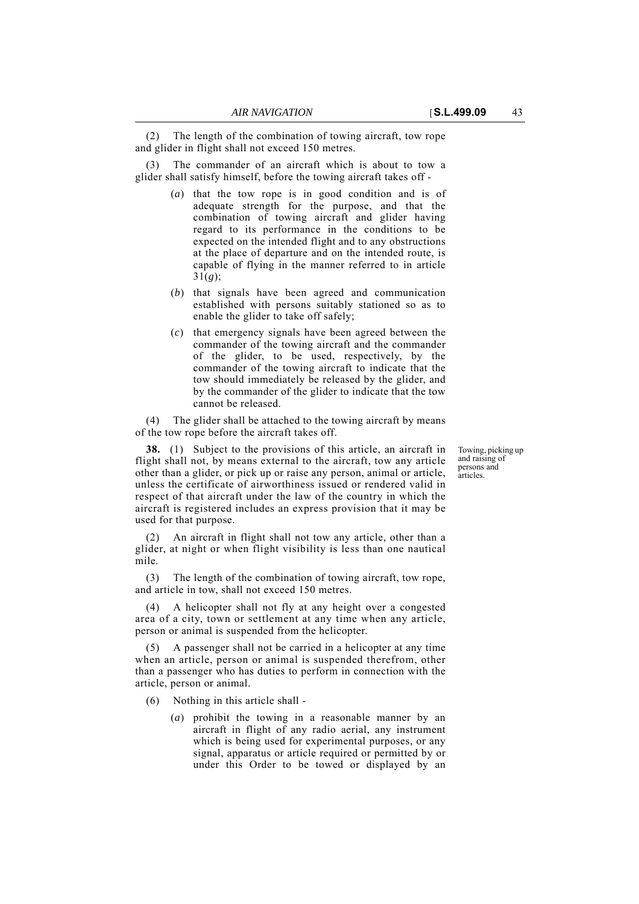(2) The length of the combination of towing aircraft, tow rope and glider in flight shall not exceed 150 metres.

The commander of an aircraft which is about to tow a glider shall satisfy himself, before the towing aircraft takes off -

- (*a*) that the tow rope is in good condition and is of adequate strength for the purpose, and that the combination of towing aircraft and glider having regard to its performance in the conditions to be expected on the intended flight and to any obstructions at the place of departure and on the intended route, is capable of flying in the manner referred to in article 31(*g*);
- (*b*) that signals have been agreed and communication established with persons suitably stationed so as to enable the glider to take off safely;
- (*c*) that emergency signals have been agreed between the commander of the towing aircraft and the commander of the glider, to be used, respectively, by the commander of the towing aircraft to indicate that the tow should immediately be released by the glider, and by the commander of the glider to indicate that the tow cannot be released.

(4) The glider shall be attached to the towing aircraft by means of the tow rope before the aircraft takes off.

**38.** (1) Subject to the provisions of this article, an aircraft in flight shall not, by means external to the aircraft, tow any article other than a glider, or pick up or raise any person, animal or article, unless the certificate of airworthiness issued or rendered valid in respect of that aircraft under the law of the country in which the aircraft is registered includes an express provision that it may be used for that purpose.

An aircraft in flight shall not tow any article, other than a glider, at night or when flight visibility is less than one nautical mile.

(3) The length of the combination of towing aircraft, tow rope, and article in tow, shall not exceed 150 metres.

(4) A helicopter shall not fly at any height over a congested area of a city, town or settlement at any time when any article, person or animal is suspended from the helicopter.

(5) A passenger shall not be carried in a helicopter at any time when an article, person or animal is suspended therefrom, other than a passenger who has duties to perform in connection with the article, person or animal.

- (6) Nothing in this article shall
	- (*a*) prohibit the towing in a reasonable manner by an aircraft in flight of any radio aerial, any instrument which is being used for experimental purposes, or any signal, apparatus or article required or permitted by or under this Order to be towed or displayed by an

Towing, picking up and raising of persons and <u>.</u><br>articles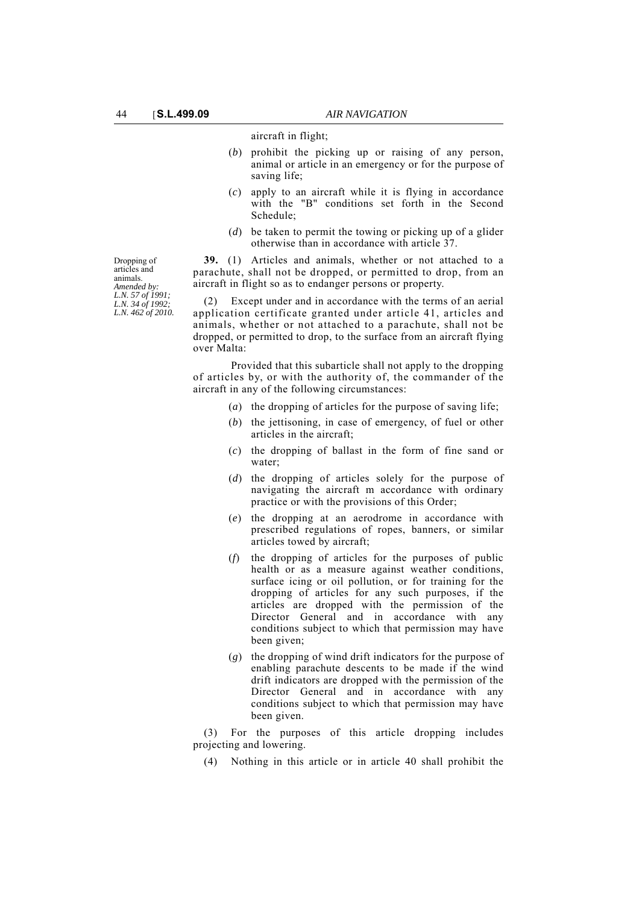# aircraft in flight;

- (*b*) prohibit the picking up or raising of any person, animal or article in an emergency or for the purpose of saving life;
- (*c*) apply to an aircraft while it is flying in accordance with the "B" conditions set forth in the Second Schedule;
- (*d*) be taken to permit the towing or picking up of a glider otherwise than in accordance with article 37.

**39.** (1) Articles and animals, whether or not attached to a parachute, shall not be dropped, or permitted to drop, from an aircraft in flight so as to endanger persons or property.

(2) Except under and in accordance with the terms of an aerial application certificate granted under article 41, articles and animals, whether or not attached to a parachute, shall not be dropped, or permitted to drop, to the surface from an aircraft flying over Malta:

Provided that this subarticle shall not apply to the dropping of articles by, or with the authority of, the commander of the aircraft in any of the following circumstances:

- (*a*) the dropping of articles for the purpose of saving life;
- (*b*) the jettisoning, in case of emergency, of fuel or other articles in the aircraft;
- (*c*) the dropping of ballast in the form of fine sand or water;
- (*d*) the dropping of articles solely for the purpose of navigating the aircraft m accordance with ordinary practice or with the provisions of this Order;
- (*e*) the dropping at an aerodrome in accordance with prescribed regulations of ropes, banners, or similar articles towed by aircraft;
- (*f*) the dropping of articles for the purposes of public health or as a measure against weather conditions, surface icing or oil pollution, or for training for the dropping of articles for any such purposes, if the articles are dropped with the permission of the Director General and in accordance with any conditions subject to which that permission may have been given;
- (*g*) the dropping of wind drift indicators for the purpose of enabling parachute descents to be made if the wind drift indicators are dropped with the permission of the Director General and in accordance with any conditions subject to which that permission may have been given.

(3) For the purposes of this article dropping includes projecting and lowering.

(4) Nothing in this article or in article 40 shall prohibit the

Dropping of articles and animals. *Amended by: L.N. 57 of 1991; L.N. 34 of 1992; L.N. 462 of 2010.*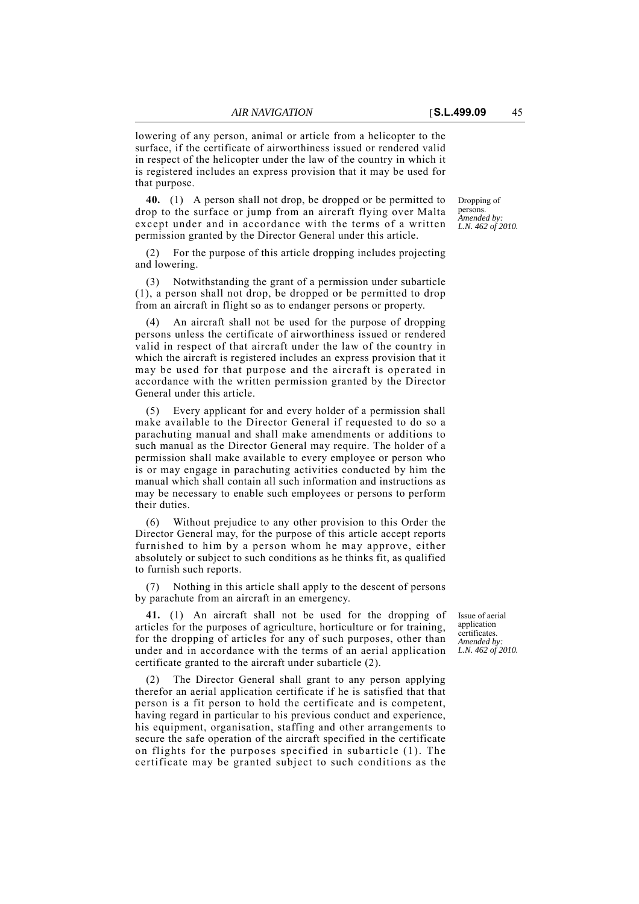lowering of any person, animal or article from a helicopter to the surface, if the certificate of airworthiness issued or rendered valid in respect of the helicopter under the law of the country in which it is registered includes an express provision that it may be used for that purpose.

**40.** (1) A person shall not drop, be dropped or be permitted to drop to the surface or jump from an aircraft flying over Malta except under and in accordance with the terms of a written permission granted by the Director General under this article.

(2) For the purpose of this article dropping includes projecting and lowering.

(3) Notwithstanding the grant of a permission under subarticle (1), a person shall not drop, be dropped or be permitted to drop from an aircraft in flight so as to endanger persons or property.

(4) An aircraft shall not be used for the purpose of dropping persons unless the certificate of airworthiness issued or rendered valid in respect of that aircraft under the law of the country in which the aircraft is registered includes an express provision that it may be used for that purpose and the aircraft is operated in accordance with the written permission granted by the Director General under this article.

(5) Every applicant for and every holder of a permission shall make available to the Director General if requested to do so a parachuting manual and shall make amendments or additions to such manual as the Director General may require. The holder of a permission shall make available to every employee or person who is or may engage in parachuting activities conducted by him the manual which shall contain all such information and instructions as may be necessary to enable such employees or persons to perform their duties.

(6) Without prejudice to any other provision to this Order the Director General may, for the purpose of this article accept reports furnished to him by a person whom he may approve, either absolutely or subject to such conditions as he thinks fit, as qualified to furnish such reports.

Nothing in this article shall apply to the descent of persons by parachute from an aircraft in an emergency.

**41.** (1) An aircraft shall not be used for the dropping of articles for the purposes of agriculture, horticulture or for training, for the dropping of articles for any of such purposes, other than under and in accordance with the terms of an aerial application certificate granted to the aircraft under subarticle (2).

The Director General shall grant to any person applying therefor an aerial application certificate if he is satisfied that that person is a fit person to hold the certificate and is competent, having regard in particular to his previous conduct and experience, his equipment, organisation, staffing and other arrangements to secure the safe operation of the aircraft specified in the certificate on flights for the purposes specified in subarticle (1). The certificate may be granted subject to such conditions as the Issue of aerial application certificates. *Amended by: L.N. 462 of 2010.*

Dropping of persons. *Amended by: L.N. 462 of 2010.*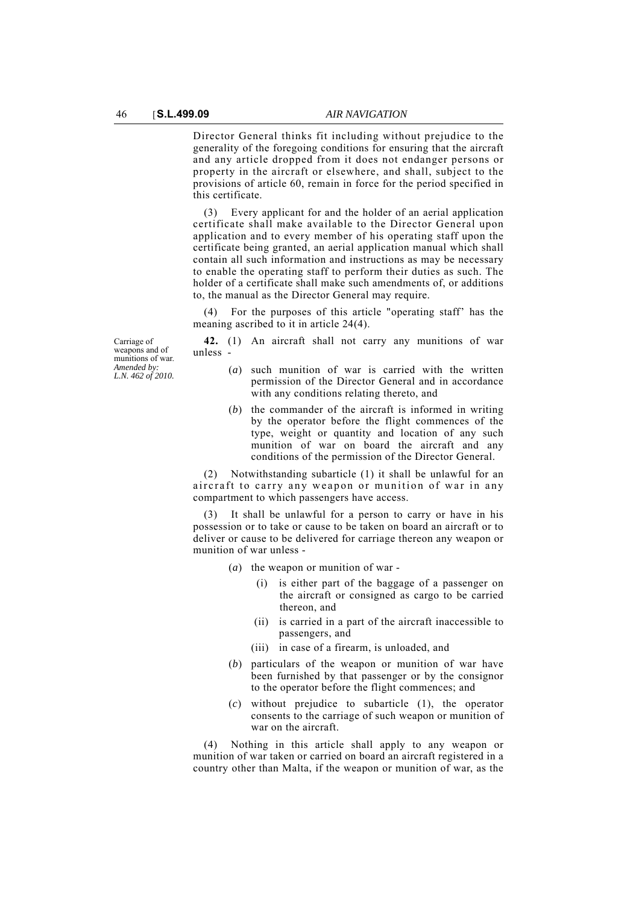Director General thinks fit including without prejudice to the generality of the foregoing conditions for ensuring that the aircraft and any article dropped from it does not endanger persons or property in the aircraft or elsewhere, and shall, subject to the provisions of article 60, remain in force for the period specified in this certificate.

(3) Every applicant for and the holder of an aerial application certificate shall make available to the Director General upon application and to every member of his operating staff upon the certificate being granted, an aerial application manual which shall contain all such information and instructions as may be necessary to enable the operating staff to perform their duties as such. The holder of a certificate shall make such amendments of, or additions to, the manual as the Director General may require.

For the purposes of this article "operating staff' has the meaning ascribed to it in article 24(4).

Carriage of weapons and of munitions of war. *Amended by: L.N. 462 of 2010.*

**42.** (1) An aircraft shall not carry any munitions of war unless -

- (*a*) such munition of war is carried with the written permission of the Director General and in accordance with any conditions relating thereto, and
- (*b*) the commander of the aircraft is informed in writing by the operator before the flight commences of the type, weight or quantity and location of any such munition of war on board the aircraft and any conditions of the permission of the Director General.

(2) Notwithstanding subarticle (1) it shall be unlawful for an aircraft to carry any weapon or munition of war in any compartment to which passengers have access.

It shall be unlawful for a person to carry or have in his possession or to take or cause to be taken on board an aircraft or to deliver or cause to be delivered for carriage thereon any weapon or munition of war unless -

- (*a*) the weapon or munition of war
	- is either part of the baggage of a passenger on the aircraft or consigned as cargo to be carried thereon, and
	- (ii) is carried in a part of the aircraft inaccessible to passengers, and
	- (iii) in case of a firearm, is unloaded, and
- (*b*) particulars of the weapon or munition of war have been furnished by that passenger or by the consignor to the operator before the flight commences; and
- (*c*) without prejudice to subarticle (1), the operator consents to the carriage of such weapon or munition of war on the aircraft.

(4) Nothing in this article shall apply to any weapon or munition of war taken or carried on board an aircraft registered in a country other than Malta, if the weapon or munition of war, as the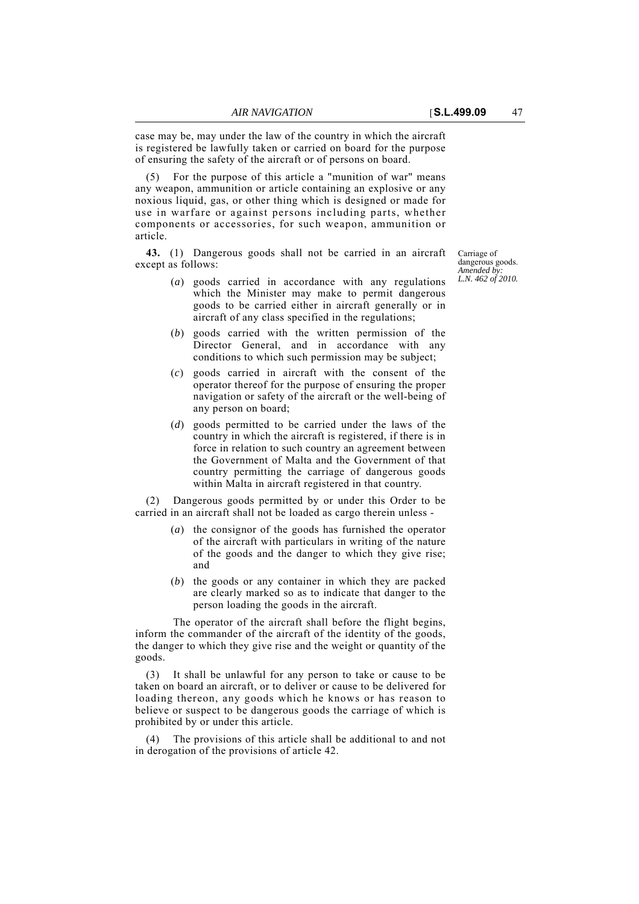case may be, may under the law of the country in which the aircraft is registered be lawfully taken or carried on board for the purpose of ensuring the safety of the aircraft or of persons on board.

For the purpose of this article a "munition of war" means any weapon, ammunition or article containing an explosive or any noxious liquid, gas, or other thing which is designed or made for use in warfare or against persons including parts, whether components or accessories, for such weapon, ammunition or article.

**43.** (1) Dangerous goods shall not be carried in an aircraft except as follows:

- (*a*) goods carried in accordance with any regulations which the Minister may make to permit dangerous goods to be carried either in aircraft generally or in aircraft of any class specified in the regulations;
- (*b*) goods carried with the written permission of the Director General, and in accordance with any conditions to which such permission may be subject;
- (*c*) goods carried in aircraft with the consent of the operator thereof for the purpose of ensuring the proper navigation or safety of the aircraft or the well-being of any person on board;
- (*d*) goods permitted to be carried under the laws of the country in which the aircraft is registered, if there is in force in relation to such country an agreement between the Government of Malta and the Government of that country permitting the carriage of dangerous goods within Malta in aircraft registered in that country.

(2) Dangerous goods permitted by or under this Order to be carried in an aircraft shall not be loaded as cargo therein unless -

- (*a*) the consignor of the goods has furnished the operator of the aircraft with particulars in writing of the nature of the goods and the danger to which they give rise; and
- (*b*) the goods or any container in which they are packed are clearly marked so as to indicate that danger to the person loading the goods in the aircraft.

The operator of the aircraft shall before the flight begins, inform the commander of the aircraft of the identity of the goods, the danger to which they give rise and the weight or quantity of the goods.

(3) It shall be unlawful for any person to take or cause to be taken on board an aircraft, or to deliver or cause to be delivered for loading thereon, any goods which he knows or has reason to believe or suspect to be dangerous goods the carriage of which is prohibited by or under this article.

(4) The provisions of this article shall be additional to and not in derogation of the provisions of article 42.

Carriage of dangerous goods. *Amended by: L.N. 462 of 2010.*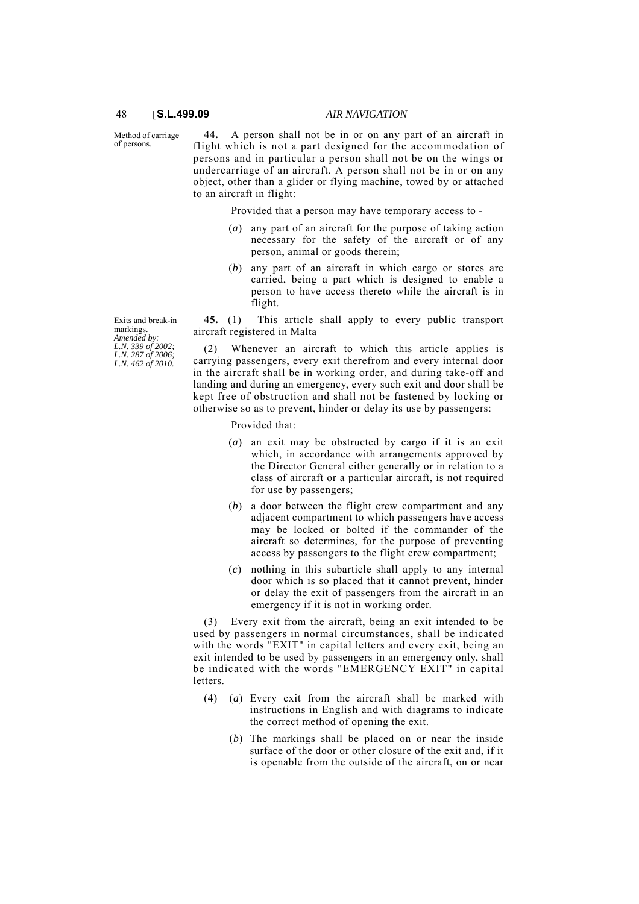Method of carriage of persons.

**44.** A person shall not be in or on any part of an aircraft in flight which is not a part designed for the accommodation of persons and in particular a person shall not be on the wings or undercarriage of an aircraft. A person shall not be in or on any object, other than a glider or flying machine, towed by or attached to an aircraft in flight:

Provided that a person may have temporary access to -

- (*a*) any part of an aircraft for the purpose of taking action necessary for the safety of the aircraft or of any person, animal or goods therein;
- (*b*) any part of an aircraft in which cargo or stores are carried, being a part which is designed to enable a person to have access thereto while the aircraft is in flight.

**45.** (1) This article shall apply to every public transport aircraft registered in Malta

Whenever an aircraft to which this article applies is carrying passengers, every exit therefrom and every internal door in the aircraft shall be in working order, and during take-off and landing and during an emergency, every such exit and door shall be kept free of obstruction and shall not be fastened by locking or otherwise so as to prevent, hinder or delay its use by passengers:

Provided that:

- (*a*) an exit may be obstructed by cargo if it is an exit which, in accordance with arrangements approved by the Director General either generally or in relation to a class of aircraft or a particular aircraft, is not required for use by passengers;
- (*b*) a door between the flight crew compartment and any adjacent compartment to which passengers have access may be locked or bolted if the commander of the aircraft so determines, for the purpose of preventing access by passengers to the flight crew compartment;
- (*c*) nothing in this subarticle shall apply to any internal door which is so placed that it cannot prevent, hinder or delay the exit of passengers from the aircraft in an emergency if it is not in working order.

(3) Every exit from the aircraft, being an exit intended to be used by passengers in normal circumstances, shall be indicated with the words "EXIT" in capital letters and every exit, being an exit intended to be used by passengers in an emergency only, shall be indicated with the words "EMERGENCY EXIT" in capital letters.

- (4) (*a*) Every exit from the aircraft shall be marked with instructions in English and with diagrams to indicate the correct method of opening the exit.
	- (*b*) The markings shall be placed on or near the inside surface of the door or other closure of the exit and, if it is openable from the outside of the aircraft, on or near

Exits and break-in markings. *Amended by: L.N. 339 of 2002; L.N. 287 of 2006; L.N. 462 of 2010.*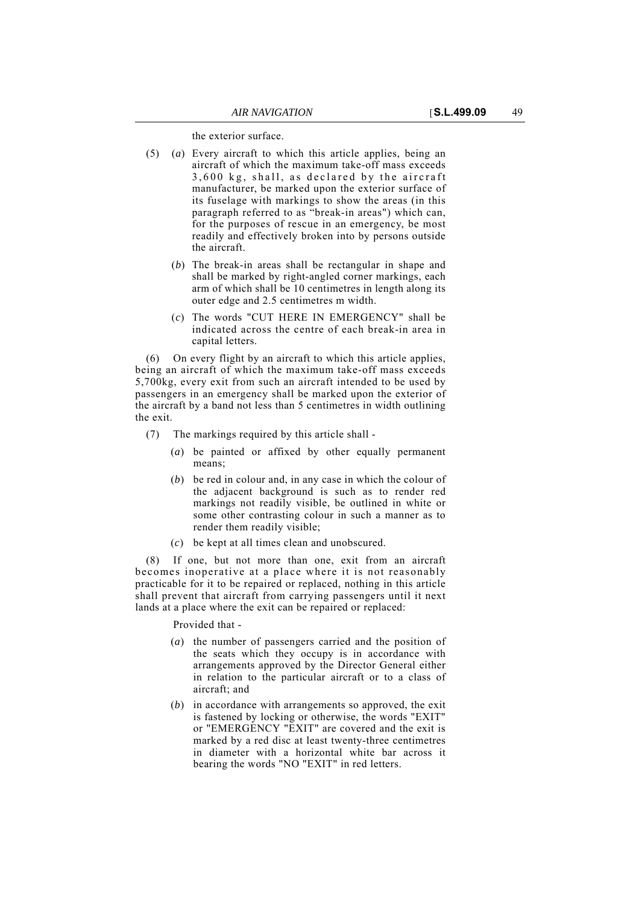the exterior surface.

- (5) (*a*) Every aircraft to which this article applies, being an aircraft of which the maximum take-off mass exceeds 3,600 kg, shall, as declared by the aircraft manufacturer, be marked upon the exterior surface of its fuselage with markings to show the areas (in this paragraph referred to as "break-in areas") which can, for the purposes of rescue in an emergency, be most readily and effectively broken into by persons outside the aircraft.
	- (*b*) The break-in areas shall be rectangular in shape and shall be marked by right-angled corner markings, each arm of which shall be 10 centimetres in length along its outer edge and 2.5 centimetres m width.
	- (*c*) The words "CUT HERE IN EMERGENCY" shall be indicated across the centre of each break-in area in capital letters.

(6) On every flight by an aircraft to which this article applies, being an aircraft of which the maximum take-off mass exceeds 5,700kg, every exit from such an aircraft intended to be used by passengers in an emergency shall be marked upon the exterior of the aircraft by a band not less than 5 centimetres in width outlining the exit.

- (7) The markings required by this article shall
	- (*a*) be painted or affixed by other equally permanent means;
	- (*b*) be red in colour and, in any case in which the colour of the adjacent background is such as to render red markings not readily visible, be outlined in white or some other contrasting colour in such a manner as to render them readily visible;
	- (*c*) be kept at all times clean and unobscured.

(8) If one, but not more than one, exit from an aircraft becomes inoperative at a place where it is not reasonably practicable for it to be repaired or replaced, nothing in this article shall prevent that aircraft from carrying passengers until it next lands at a place where the exit can be repaired or replaced:

Provided that -

- (*a*) the number of passengers carried and the position of the seats which they occupy is in accordance with arrangements approved by the Director General either in relation to the particular aircraft or to a class of aircraft; and
- (*b*) in accordance with arrangements so approved, the exit is fastened by locking or otherwise, the words "EXIT" or "EMERGENCY "EXIT" are covered and the exit is marked by a red disc at least twenty-three centimetres in diameter with a horizontal white bar across it bearing the words "NO "EXIT" in red letters.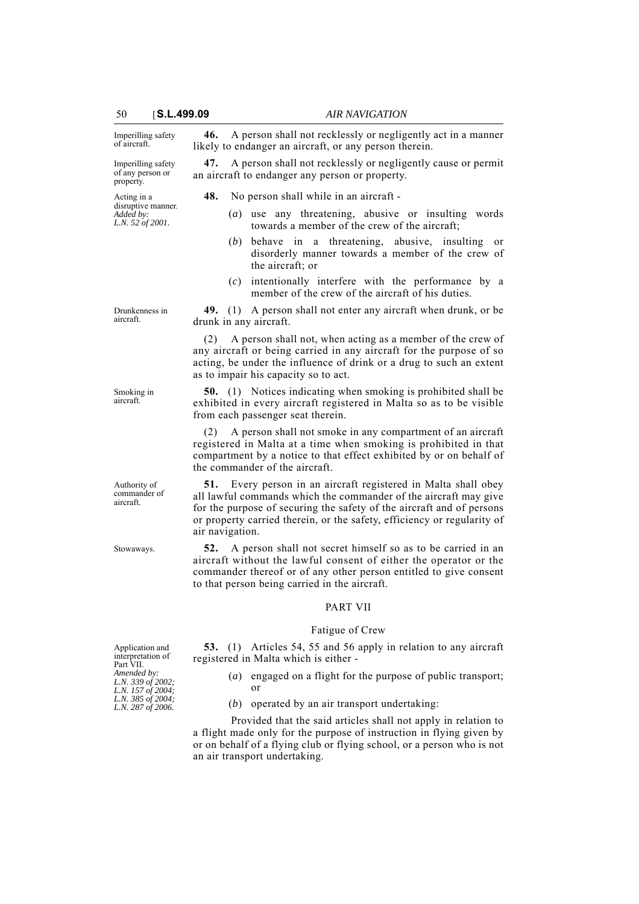Imperilling safety of aircraft.

50 [**S.L.499.09** *AIR NAVIGATION*

**46.** A person shall not recklessly or negligently act in a manner

likely to endanger an aircraft, or any person therein.

Imperilling safety of any person or property. **47.** A person shall not recklessly or negligently cause or permit an aircraft to endanger any person or property. Acting in a disruptive manner. *Added by: L.N. 52 of 2001.* **48.** No person shall while in an aircraft - (*a*) use any threatening, abusive or insulting words towards a member of the crew of the aircraft; (*b*) behave in a threatening, abusive, insulting or disorderly manner towards a member of the crew of the aircraft; or (*c*) intentionally interfere with the performance by a member of the crew of the aircraft of his duties. Drunkenness in **49.** (1) A person shall not enter any aircraft when drunk, or be drunk in any aircraft. (2) A person shall not, when acting as a member of the crew of any aircraft or being carried in any aircraft for the purpose of so acting, be under the influence of drink or a drug to such an extent as to impair his capacity so to act. **50.** (1) Notices indicating when smoking is prohibited shall be exhibited in every aircraft registered in Malta so as to be visible from each passenger seat therein. A person shall not smoke in any compartment of an aircraft registered in Malta at a time when smoking is prohibited in that compartment by a notice to that effect exhibited by or on behalf of the commander of the aircraft. **51.** Every person in an aircraft registered in Malta shall obey all lawful commands which the commander of the aircraft may give for the purpose of securing the safety of the aircraft and of persons or property carried therein, or the safety, efficiency or regularity of air navigation. Stowaways. **52.** A person shall not secret himself so as to be carried in an aircraft without the lawful consent of either the operator or the commander thereof or of any other person entitled to give consent to that person being carried in the aircraft. PART VII Fatigue of Crew **53.** (1) Articles 54, 55 and 56 apply in relation to any aircraft registered in Malta which is either - (*a*) engaged on a flight for the purpose of public transport; or (*b*) operated by an air transport undertaking: Provided that the said articles shall not apply in relation to a flight made only for the purpose of instruction in flying given by or on behalf of a flying club or flying school, or a person who is not an air transport undertaking.

aircraft.

Smoking in aircraft.

Authority of commander of aircraft.

Application and interpretation of Part VII. *Amended by: L.N. 339 of 2002; L.N. 157 of 2004; L.N. 385 of 2004; L.N. 287 of 2006.*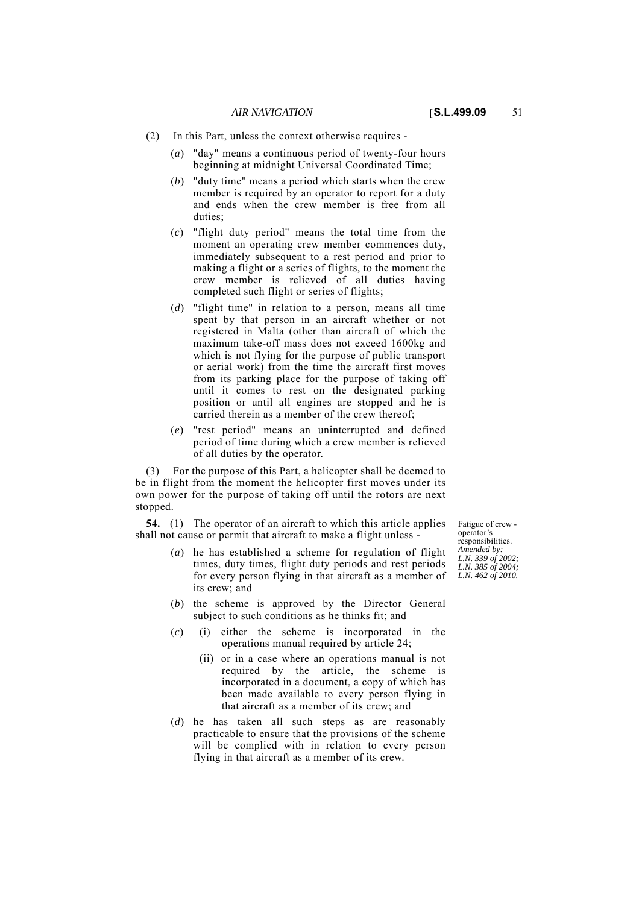- (2) In this Part, unless the context otherwise requires
	- (*a*) "day" means a continuous period of twenty-four hours beginning at midnight Universal Coordinated Time;
	- (*b*) "duty time" means a period which starts when the crew member is required by an operator to report for a duty and ends when the crew member is free from all duties;
	- (*c*) "flight duty period" means the total time from the moment an operating crew member commences duty, immediately subsequent to a rest period and prior to making a flight or a series of flights, to the moment the crew member is relieved of all duties having completed such flight or series of flights;
	- (*d*) "flight time" in relation to a person, means all time spent by that person in an aircraft whether or not registered in Malta (other than aircraft of which the maximum take-off mass does not exceed 1600kg and which is not flying for the purpose of public transport or aerial work) from the time the aircraft first moves from its parking place for the purpose of taking off until it comes to rest on the designated parking position or until all engines are stopped and he is carried therein as a member of the crew thereof;
	- (*e*) "rest period" means an uninterrupted and defined period of time during which a crew member is relieved of all duties by the operator.

(3) For the purpose of this Part, a helicopter shall be deemed to be in flight from the moment the helicopter first moves under its own power for the purpose of taking off until the rotors are next stopped.

**54.** (1) The operator of an aircraft to which this article applies shall not cause or permit that aircraft to make a flight unless -

- (*a*) he has established a scheme for regulation of flight times, duty times, flight duty periods and rest periods for every person flying in that aircraft as a member of its crew; and
- (*b*) the scheme is approved by the Director General subject to such conditions as he thinks fit; and
- (*c*) (i) either the scheme is incorporated in the operations manual required by article 24;
	- (ii) or in a case where an operations manual is not required by the article, the scheme is incorporated in a document, a copy of which has been made available to every person flying in that aircraft as a member of its crew; and
- (*d*) he has taken all such steps as are reasonably practicable to ensure that the provisions of the scheme will be complied with in relation to every person flying in that aircraft as a member of its crew.

Fatigue of crew operator's responsibilities. *Amended by: L.N. 339 of 2002; L.N. 385 of 2004; L.N. 462 of 2010.*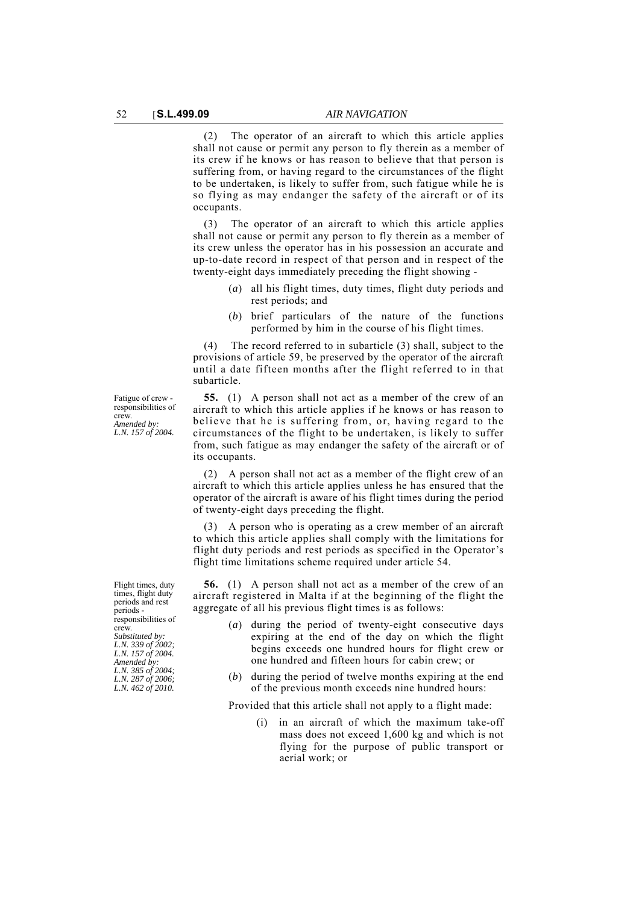(2) The operator of an aircraft to which this article applies shall not cause or permit any person to fly therein as a member of its crew if he knows or has reason to believe that that person is suffering from, or having regard to the circumstances of the flight to be undertaken, is likely to suffer from, such fatigue while he is so flying as may endanger the safety of the aircraft or of its occupants.

(3) The operator of an aircraft to which this article applies shall not cause or permit any person to fly therein as a member of its crew unless the operator has in his possession an accurate and up-to-date record in respect of that person and in respect of the twenty-eight days immediately preceding the flight showing -

- (*a*) all his flight times, duty times, flight duty periods and rest periods; and
- (*b*) brief particulars of the nature of the functions performed by him in the course of his flight times.

(4) The record referred to in subarticle (3) shall, subject to the provisions of article 59, be preserved by the operator of the aircraft until a date fifteen months after the flight referred to in that subarticle.

**55.** (1) A person shall not act as a member of the crew of an aircraft to which this article applies if he knows or has reason to believe that he is suffering from, or, having regard to the circumstances of the flight to be undertaken, is likely to suffer from, such fatigue as may endanger the safety of the aircraft or of its occupants.

(2) A person shall not act as a member of the flight crew of an aircraft to which this article applies unless he has ensured that the operator of the aircraft is aware of his flight times during the period of twenty-eight days preceding the flight.

(3) A person who is operating as a crew member of an aircraft to which this article applies shall comply with the limitations for flight duty periods and rest periods as specified in the Operator's flight time limitations scheme required under article 54.

**56.** (1) A person shall not act as a member of the crew of an aircraft registered in Malta if at the beginning of the flight the aggregate of all his previous flight times is as follows:

- (*a*) during the period of twenty-eight consecutive days expiring at the end of the day on which the flight begins exceeds one hundred hours for flight crew or one hundred and fifteen hours for cabin crew; or
- (*b*) during the period of twelve months expiring at the end of the previous month exceeds nine hundred hours:

Provided that this article shall not apply to a flight made:

(i) in an aircraft of which the maximum take-off mass does not exceed 1,600 kg and which is not flying for the purpose of public transport or aerial work; or

Fatigue of crew responsibilities of crew. *Amended by: L.N. 157 of 2004.*

Flight times, duty times, flight duty periods and rest periods responsibilities of crew. *Substituted by: L.N. 339 of 2002; L.N. 157 of 2004. Amended by: L.N. 385 of 2004; L.N. 287 of 2006; L.N. 462 of 2010.*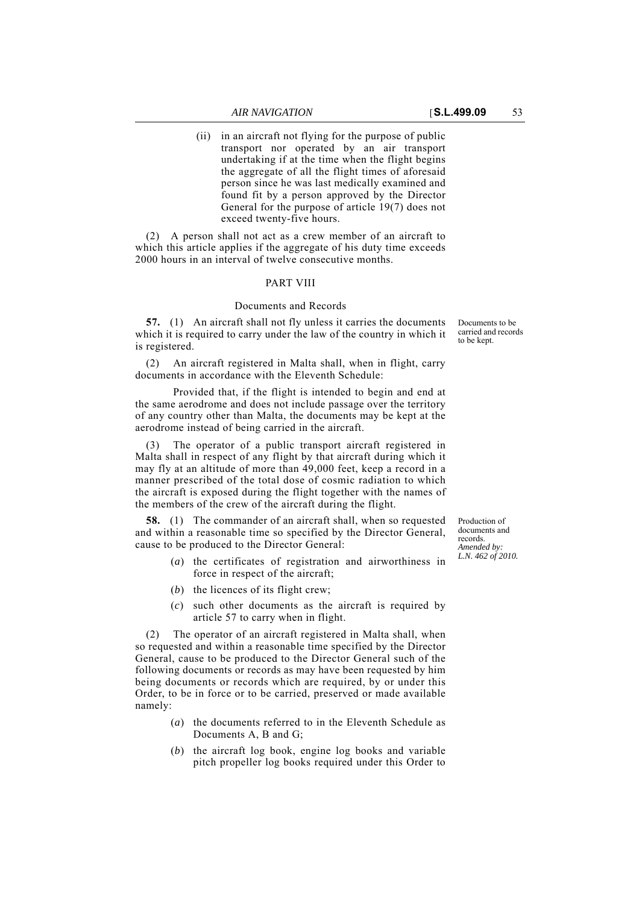(ii) in an aircraft not flying for the purpose of public transport nor operated by an air transport undertaking if at the time when the flight begins the aggregate of all the flight times of aforesaid person since he was last medically examined and found fit by a person approved by the Director General for the purpose of article 19(7) does not exceed twenty-five hours.

(2) A person shall not act as a crew member of an aircraft to which this article applies if the aggregate of his duty time exceeds 2000 hours in an interval of twelve consecutive months.

## PART VIII

## Documents and Records

**57.** (1) An aircraft shall not fly unless it carries the documents which it is required to carry under the law of the country in which it is registered.

(2) An aircraft registered in Malta shall, when in flight, carry documents in accordance with the Eleventh Schedule:

Provided that, if the flight is intended to begin and end at the same aerodrome and does not include passage over the territory of any country other than Malta, the documents may be kept at the aerodrome instead of being carried in the aircraft.

The operator of a public transport aircraft registered in Malta shall in respect of any flight by that aircraft during which it may fly at an altitude of more than 49,000 feet, keep a record in a manner prescribed of the total dose of cosmic radiation to which the aircraft is exposed during the flight together with the names of the members of the crew of the aircraft during the flight.

**58.** (1) The commander of an aircraft shall, when so requested and within a reasonable time so specified by the Director General, cause to be produced to the Director General:

- (*a*) the certificates of registration and airworthiness in force in respect of the aircraft;
- (*b*) the licences of its flight crew;
- (*c*) such other documents as the aircraft is required by article 57 to carry when in flight.

(2) The operator of an aircraft registered in Malta shall, when so requested and within a reasonable time specified by the Director General, cause to be produced to the Director General such of the following documents or records as may have been requested by him being documents or records which are required, by or under this Order, to be in force or to be carried, preserved or made available namely:

- (*a*) the documents referred to in the Eleventh Schedule as Documents A, B and G;
- (*b*) the aircraft log book, engine log books and variable pitch propeller log books required under this Order to

Production of documents and records. *Amended by: L.N. 462 of 2010.*

Documents to be carried and records to be kept.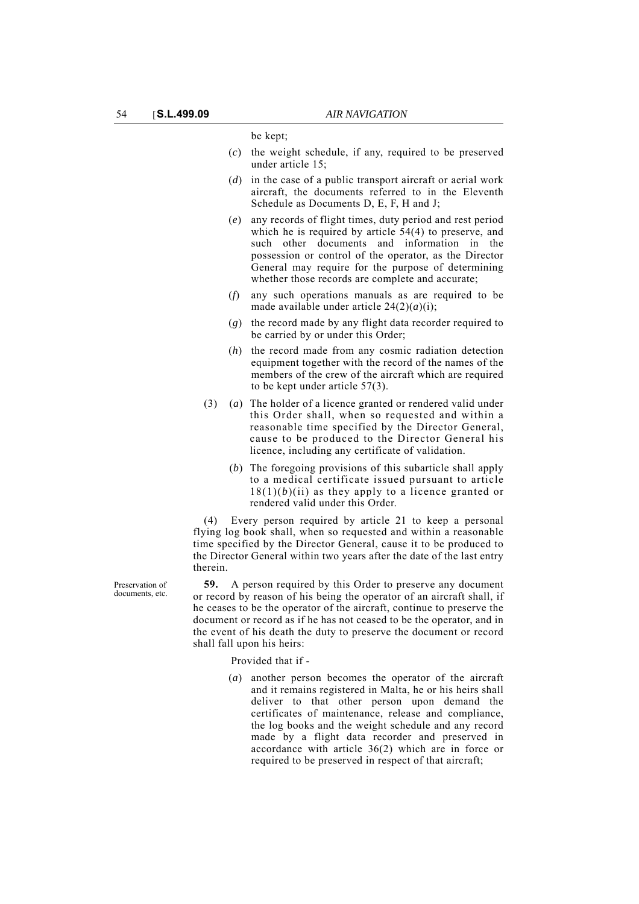be kept;

- (*c*) the weight schedule, if any, required to be preserved under article 15;
- (*d*) in the case of a public transport aircraft or aerial work aircraft, the documents referred to in the Eleventh Schedule as Documents D, E, F, H and J;
- (*e*) any records of flight times, duty period and rest period which he is required by article 54(4) to preserve, and such other documents and information in the possession or control of the operator, as the Director General may require for the purpose of determining whether those records are complete and accurate;
- (*f*) any such operations manuals as are required to be made available under article  $24(2)(a)(i)$ ;
- (*g*) the record made by any flight data recorder required to be carried by or under this Order;
- (*h*) the record made from any cosmic radiation detection equipment together with the record of the names of the members of the crew of the aircraft which are required to be kept under article 57(3).
- (3) (*a*) The holder of a licence granted or rendered valid under this Order shall, when so requested and within a reasonable time specified by the Director General, cause to be produced to the Director General his licence, including any certificate of validation.
	- (*b*) The foregoing provisions of this subarticle shall apply to a medical certificate issued pursuant to article  $18(1)(b)(ii)$  as they apply to a licence granted or rendered valid under this Order.

(4) Every person required by article 21 to keep a personal flying log book shall, when so requested and within a reasonable time specified by the Director General, cause it to be produced to the Director General within two years after the date of the last entry therein.

**59.** A person required by this Order to preserve any document or record by reason of his being the operator of an aircraft shall, if he ceases to be the operator of the aircraft, continue to preserve the document or record as if he has not ceased to be the operator, and in the event of his death the duty to preserve the document or record shall fall upon his heirs:

Provided that if -

(*a*) another person becomes the operator of the aircraft and it remains registered in Malta, he or his heirs shall deliver to that other person upon demand the certificates of maintenance, release and compliance, the log books and the weight schedule and any record made by a flight data recorder and preserved in accordance with article 36(2) which are in force or required to be preserved in respect of that aircraft;

Preservation of documents, etc.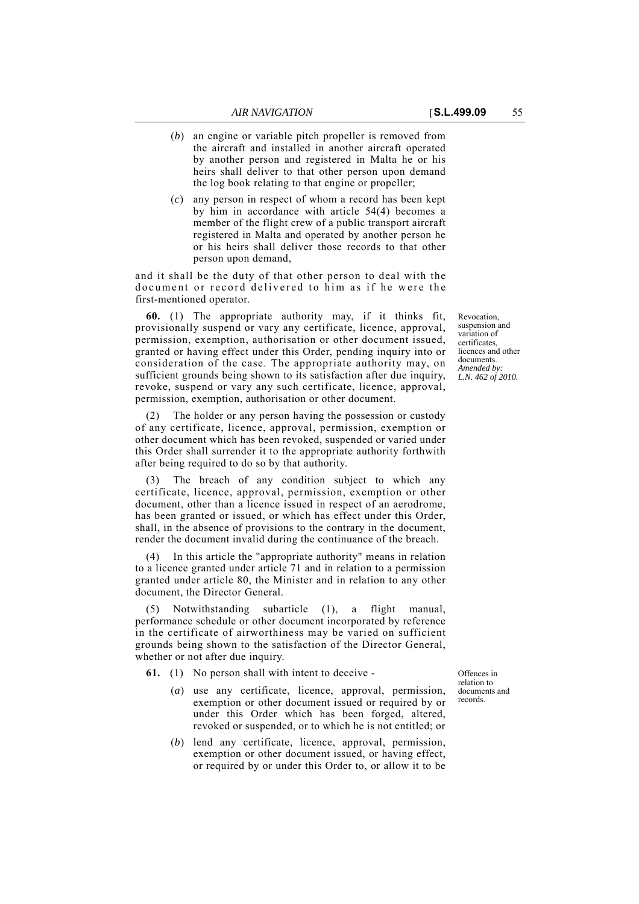- (*b*) an engine or variable pitch propeller is removed from the aircraft and installed in another aircraft operated by another person and registered in Malta he or his
- (*c*) any person in respect of whom a record has been kept by him in accordance with article 54(4) becomes a member of the flight crew of a public transport aircraft registered in Malta and operated by another person he or his heirs shall deliver those records to that other person upon demand,

heirs shall deliver to that other person upon demand the log book relating to that engine or propeller;

and it shall be the duty of that other person to deal with the document or record delivered to him as if he were the first-mentioned operator.

**60.** (1) The appropriate authority may, if it thinks fit, provisionally suspend or vary any certificate, licence, approval, permission, exemption, authorisation or other document issued, granted or having effect under this Order, pending inquiry into or consideration of the case. The appropriate authority may, on sufficient grounds being shown to its satisfaction after due inquiry, revoke, suspend or vary any such certificate, licence, approval, permission, exemption, authorisation or other document.

(2) The holder or any person having the possession or custody of any certificate, licence, approval, permission, exemption or other document which has been revoked, suspended or varied under this Order shall surrender it to the appropriate authority forthwith after being required to do so by that authority.

The breach of any condition subject to which any certificate, licence, approval, permission, exemption or other document, other than a licence issued in respect of an aerodrome, has been granted or issued, or which has effect under this Order, shall, in the absence of provisions to the contrary in the document, render the document invalid during the continuance of the breach.

(4) In this article the "appropriate authority" means in relation to a licence granted under article 71 and in relation to a permission granted under article 80, the Minister and in relation to any other document, the Director General.

(5) Notwithstanding subarticle (1), a flight manual, performance schedule or other document incorporated by reference in the certificate of airworthiness may be varied on sufficient grounds being shown to the satisfaction of the Director General, whether or not after due inquiry.

**61.** (1) No person shall with intent to deceive -

- (*a*) use any certificate, licence, approval, permission, exemption or other document issued or required by or under this Order which has been forged, altered, revoked or suspended, or to which he is not entitled; or
- (*b*) lend any certificate, licence, approval, permission, exemption or other document issued, or having effect, or required by or under this Order to, or allow it to be

Offences in relation to documents and records.

Revocation, suspension and variation of certificates, licences and other documents. *Amended by: L.N. 462 of 2010.*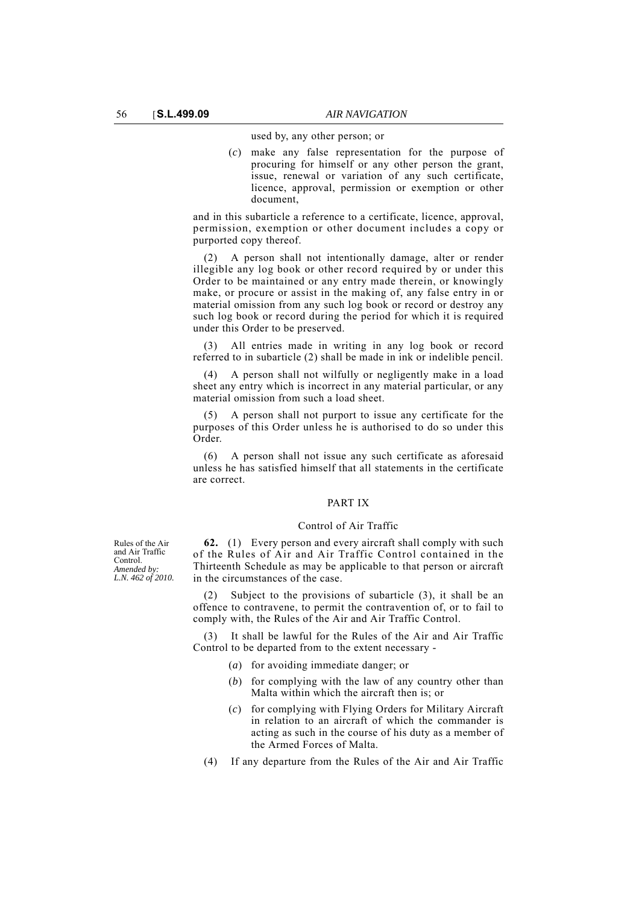used by, any other person; or

(*c*) make any false representation for the purpose of procuring for himself or any other person the grant, issue, renewal or variation of any such certificate, licence, approval, permission or exemption or other document,

and in this subarticle a reference to a certificate, licence, approval, permission, exemption or other document includes a copy or purported copy thereof.

(2) A person shall not intentionally damage, alter or render illegible any log book or other record required by or under this Order to be maintained or any entry made therein, or knowingly make, or procure or assist in the making of, any false entry in or material omission from any such log book or record or destroy any such log book or record during the period for which it is required under this Order to be preserved.

(3) All entries made in writing in any log book or record referred to in subarticle (2) shall be made in ink or indelible pencil.

(4) A person shall not wilfully or negligently make in a load sheet any entry which is incorrect in any material particular, or any material omission from such a load sheet.

(5) A person shall not purport to issue any certificate for the purposes of this Order unless he is authorised to do so under this Order.

(6) A person shall not issue any such certificate as aforesaid unless he has satisfied himself that all statements in the certificate are correct.

# PART IX

#### Control of Air Traffic

**62.** (1) Every person and every aircraft shall comply with such of the Rules of Air and Air Traffic Control contained in the Thirteenth Schedule as may be applicable to that person or aircraft in the circumstances of the case.

Subject to the provisions of subarticle (3), it shall be an offence to contravene, to permit the contravention of, or to fail to comply with, the Rules of the Air and Air Traffic Control.

(3) It shall be lawful for the Rules of the Air and Air Traffic Control to be departed from to the extent necessary -

- (*a*) for avoiding immediate danger; or
- (*b*) for complying with the law of any country other than Malta within which the aircraft then is; or
- (*c*) for complying with Flying Orders for Military Aircraft in relation to an aircraft of which the commander is acting as such in the course of his duty as a member of the Armed Forces of Malta.
- (4) If any departure from the Rules of the Air and Air Traffic

Rules of the Air and Air Traffic Control. *Amended by: L.N. 462 of 2010.*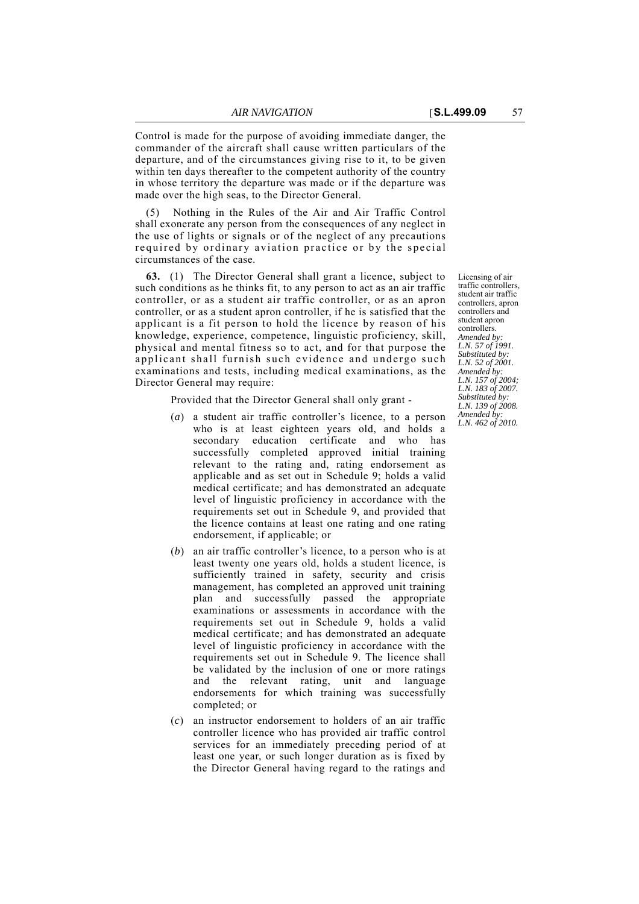Control is made for the purpose of avoiding immediate danger, the commander of the aircraft shall cause written particulars of the departure, and of the circumstances giving rise to it, to be given within ten days thereafter to the competent authority of the country in whose territory the departure was made or if the departure was made over the high seas, to the Director General.

Nothing in the Rules of the Air and Air Traffic Control shall exonerate any person from the consequences of any neglect in the use of lights or signals or of the neglect of any precautions required by ordinary aviation practice or by the special circumstances of the case.

**63.** (1) The Director General shall grant a licence, subject to such conditions as he thinks fit, to any person to act as an air traffic controller, or as a student air traffic controller, or as an apron controller, or as a student apron controller, if he is satisfied that the applicant is a fit person to hold the licence by reason of his knowledge, experience, competence, linguistic proficiency, skill, physical and mental fitness so to act, and for that purpose the applicant shall furnish such evidence and undergo such examinations and tests, including medical examinations, as the Director General may require:

Provided that the Director General shall only grant -

- (*a*) a student air traffic controller's licence, to a person who is at least eighteen years old, and holds a secondary education certificate and who has successfully completed approved initial training relevant to the rating and, rating endorsement as applicable and as set out in Schedule 9; holds a valid medical certificate; and has demonstrated an adequate level of linguistic proficiency in accordance with the requirements set out in Schedule 9, and provided that the licence contains at least one rating and one rating endorsement, if applicable; or
- (*b*) an air traffic controller's licence, to a person who is at least twenty one years old, holds a student licence, is sufficiently trained in safety, security and crisis management, has completed an approved unit training plan and successfully passed the appropriate examinations or assessments in accordance with the requirements set out in Schedule 9, holds a valid medical certificate; and has demonstrated an adequate level of linguistic proficiency in accordance with the requirements set out in Schedule 9. The licence shall be validated by the inclusion of one or more ratings and the relevant rating, unit and language endorsements for which training was successfully completed; or
- (*c*) an instructor endorsement to holders of an air traffic controller licence who has provided air traffic control services for an immediately preceding period of at least one year, or such longer duration as is fixed by the Director General having regard to the ratings and

Licensing of air traffic controllers, student air traffic controllers, apron controllers and student apron controllers. *Amended by: L.N. 57 of 1991. Substituted by: L.N. 52 of 2001. Amended by: L.N. 157 of 2004; L.N. 183 of 2007. Substituted by: L.N. 139 of 2008. Amended by: L.N. 462 of 2010.*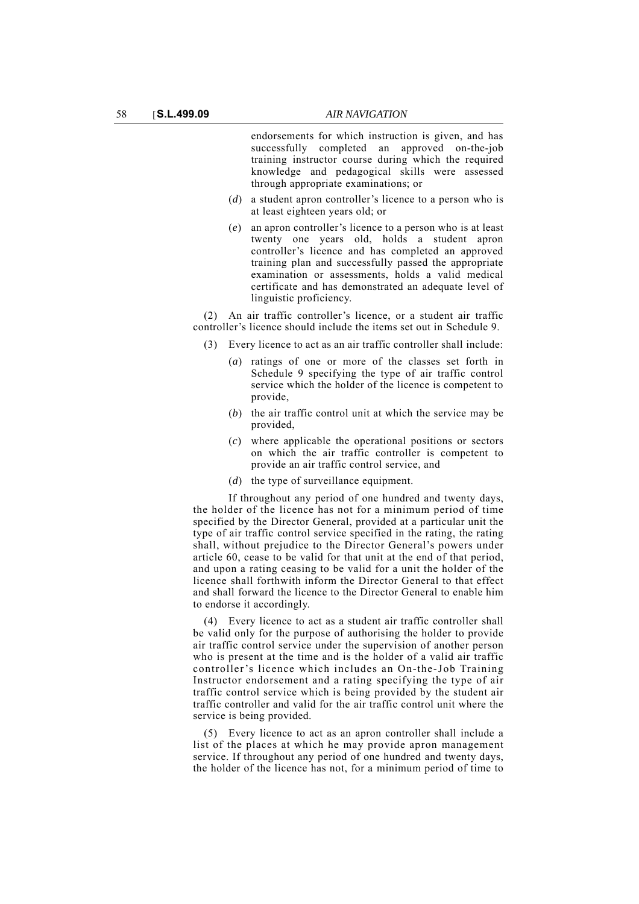endorsements for which instruction is given, and has successfully completed an approved on-the-job training instructor course during which the required knowledge and pedagogical skills were assessed through appropriate examinations; or

- (*d*) a student apron controller's licence to a person who is at least eighteen years old; or
- (*e*) an apron controller's licence to a person who is at least twenty one years old, holds a student apron controller's licence and has completed an approved training plan and successfully passed the appropriate examination or assessments, holds a valid medical certificate and has demonstrated an adequate level of linguistic proficiency.

(2) An air traffic controller's licence, or a student air traffic controller's licence should include the items set out in Schedule 9.

- (3) Every licence to act as an air traffic controller shall include:
	- (*a*) ratings of one or more of the classes set forth in Schedule 9 specifying the type of air traffic control service which the holder of the licence is competent to provide,
	- (*b*) the air traffic control unit at which the service may be provided,
	- (*c*) where applicable the operational positions or sectors on which the air traffic controller is competent to provide an air traffic control service, and
	- (*d*) the type of surveillance equipment.

If throughout any period of one hundred and twenty days, the holder of the licence has not for a minimum period of time specified by the Director General, provided at a particular unit the type of air traffic control service specified in the rating, the rating shall, without prejudice to the Director General's powers under article 60, cease to be valid for that unit at the end of that period, and upon a rating ceasing to be valid for a unit the holder of the licence shall forthwith inform the Director General to that effect and shall forward the licence to the Director General to enable him to endorse it accordingly.

(4) Every licence to act as a student air traffic controller shall be valid only for the purpose of authorising the holder to provide air traffic control service under the supervision of another person who is present at the time and is the holder of a valid air traffic controller's licence which includes an On-the-Job Training Instructor endorsement and a rating specifying the type of air traffic control service which is being provided by the student air traffic controller and valid for the air traffic control unit where the service is being provided.

(5) Every licence to act as an apron controller shall include a list of the places at which he may provide apron management service. If throughout any period of one hundred and twenty days, the holder of the licence has not, for a minimum period of time to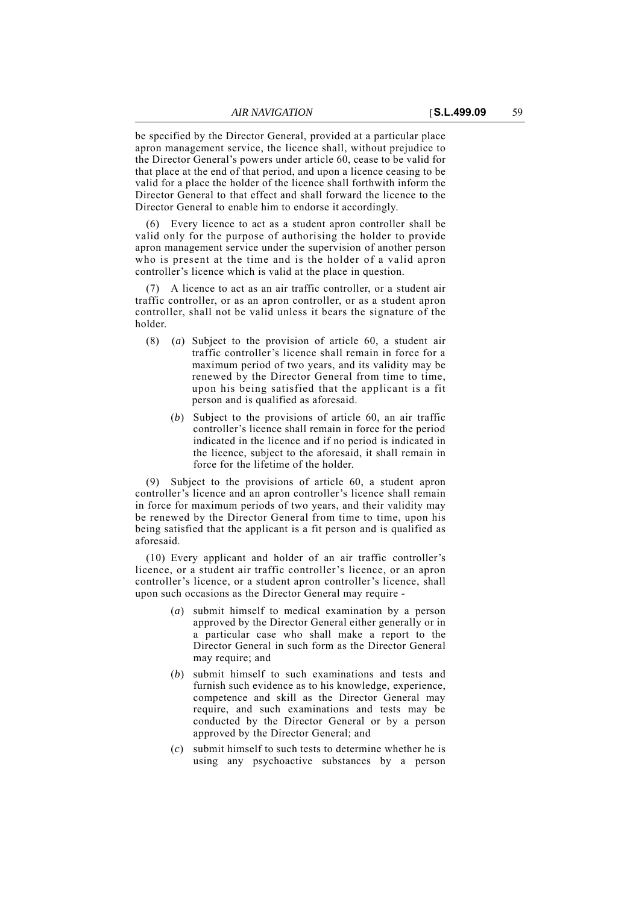be specified by the Director General, provided at a particular place apron management service, the licence shall, without prejudice to the Director General's powers under article 60, cease to be valid for that place at the end of that period, and upon a licence ceasing to be valid for a place the holder of the licence shall forthwith inform the Director General to that effect and shall forward the licence to the Director General to enable him to endorse it accordingly.

(6) Every licence to act as a student apron controller shall be valid only for the purpose of authorising the holder to provide apron management service under the supervision of another person who is present at the time and is the holder of a valid apron controller's licence which is valid at the place in question.

(7) A licence to act as an air traffic controller, or a student air traffic controller, or as an apron controller, or as a student apron controller, shall not be valid unless it bears the signature of the holder.

- (8) (*a*) Subject to the provision of article 60, a student air traffic controller's licence shall remain in force for a maximum period of two years, and its validity may be renewed by the Director General from time to time, upon his being satisfied that the applicant is a fit person and is qualified as aforesaid.
	- (*b*) Subject to the provisions of article 60, an air traffic controller's licence shall remain in force for the period indicated in the licence and if no period is indicated in the licence, subject to the aforesaid, it shall remain in force for the lifetime of the holder.

(9) Subject to the provisions of article 60, a student apron controller's licence and an apron controller's licence shall remain in force for maximum periods of two years, and their validity may be renewed by the Director General from time to time, upon his being satisfied that the applicant is a fit person and is qualified as aforesaid.

(10) Every applicant and holder of an air traffic controller's licence, or a student air traffic controller's licence, or an apron controller's licence, or a student apron controller's licence, shall upon such occasions as the Director General may require -

- (*a*) submit himself to medical examination by a person approved by the Director General either generally or in a particular case who shall make a report to the Director General in such form as the Director General may require; and
- (*b*) submit himself to such examinations and tests and furnish such evidence as to his knowledge, experience, competence and skill as the Director General may require, and such examinations and tests may be conducted by the Director General or by a person approved by the Director General; and
- (*c*) submit himself to such tests to determine whether he is using any psychoactive substances by a person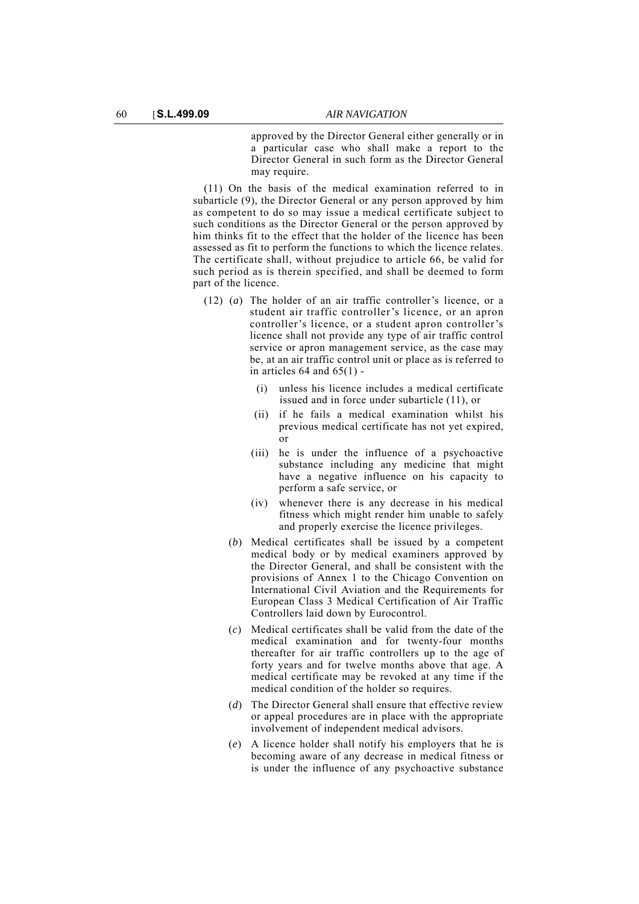approved by the Director General either generally or in a particular case who shall make a report to the Director General in such form as the Director General may require.

(11) On the basis of the medical examination referred to in subarticle (9), the Director General or any person approved by him as competent to do so may issue a medical certificate subject to such conditions as the Director General or the person approved by him thinks fit to the effect that the holder of the licence has been assessed as fit to perform the functions to which the licence relates. The certificate shall, without prejudice to article 66, be valid for such period as is therein specified, and shall be deemed to form part of the licence.

- (12) (*a*) The holder of an air traffic controller's licence, or a student air traffic controller's licence, or an apron controller's licence, or a student apron controller's licence shall not provide any type of air traffic control service or apron management service, as the case may be, at an air traffic control unit or place as is referred to in articles  $64$  and  $65(1)$  -
	- (i) unless his licence includes a medical certificate issued and in force under subarticle (11), or
	- (ii) if he fails a medical examination whilst his previous medical certificate has not yet expired, or
	- (iii) he is under the influence of a psychoactive substance including any medicine that might have a negative influence on his capacity to perform a safe service, or
	- (iv) whenever there is any decrease in his medical fitness which might render him unable to safely and properly exercise the licence privileges.
	- (*b*) Medical certificates shall be issued by a competent medical body or by medical examiners approved by the Director General, and shall be consistent with the provisions of Annex 1 to the Chicago Convention on International Civil Aviation and the Requirements for European Class 3 Medical Certification of Air Traffic Controllers laid down by Eurocontrol.
	- (*c*) Medical certificates shall be valid from the date of the medical examination and for twenty-four months thereafter for air traffic controllers up to the age of forty years and for twelve months above that age. A medical certificate may be revoked at any time if the medical condition of the holder so requires.
	- (*d*) The Director General shall ensure that effective review or appeal procedures are in place with the appropriate involvement of independent medical advisors.
	- (*e*) A licence holder shall notify his employers that he is becoming aware of any decrease in medical fitness or is under the influence of any psychoactive substance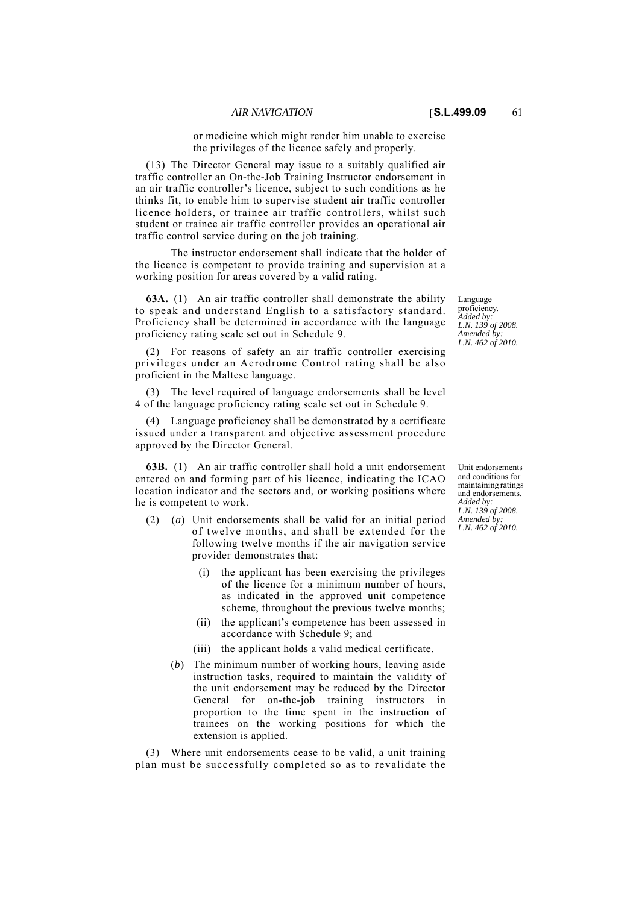or medicine which might render him unable to exercise the privileges of the licence safely and properly.

(13) The Director General may issue to a suitably qualified air traffic controller an On-the-Job Training Instructor endorsement in an air traffic controller's licence, subject to such conditions as he thinks fit, to enable him to supervise student air traffic controller licence holders, or trainee air traffic controllers, whilst such student or trainee air traffic controller provides an operational air traffic control service during on the job training.

The instructor endorsement shall indicate that the holder of the licence is competent to provide training and supervision at a working position for areas covered by a valid rating.

**63A.** (1) An air traffic controller shall demonstrate the ability to speak and understand English to a satisfactory standard. Proficiency shall be determined in accordance with the language proficiency rating scale set out in Schedule 9.

(2) For reasons of safety an air traffic controller exercising privileges under an Aerodrome Control rating shall be also proficient in the Maltese language.

(3) The level required of language endorsements shall be level 4 of the language proficiency rating scale set out in Schedule 9.

(4) Language proficiency shall be demonstrated by a certificate issued under a transparent and objective assessment procedure approved by the Director General.

**63B.** (1) An air traffic controller shall hold a unit endorsement entered on and forming part of his licence, indicating the ICAO location indicator and the sectors and, or working positions where he is competent to work.

- (2) (*a*) Unit endorsements shall be valid for an initial period of twelve months, and shall be extended for the following twelve months if the air navigation service provider demonstrates that:
	- (i) the applicant has been exercising the privileges of the licence for a minimum number of hours, as indicated in the approved unit competence scheme, throughout the previous twelve months;
	- (ii) the applicant's competence has been assessed in accordance with Schedule 9; and
	- (iii) the applicant holds a valid medical certificate.
	- (*b*) The minimum number of working hours, leaving aside instruction tasks, required to maintain the validity of the unit endorsement may be reduced by the Director General for on-the-job training instructors in proportion to the time spent in the instruction of trainees on the working positions for which the extension is applied.

(3) Where unit endorsements cease to be valid, a unit training plan must be successfully completed so as to revalidate the Language proficiency. *Added by: L.N. 139 of 2008. Amended by: L.N. 462 of 2010.*

Unit endorsements and conditions for maintaining ratings and endorsements. *Added by: L.N. 139 of 2008. Amended by: L.N. 462 of 2010.*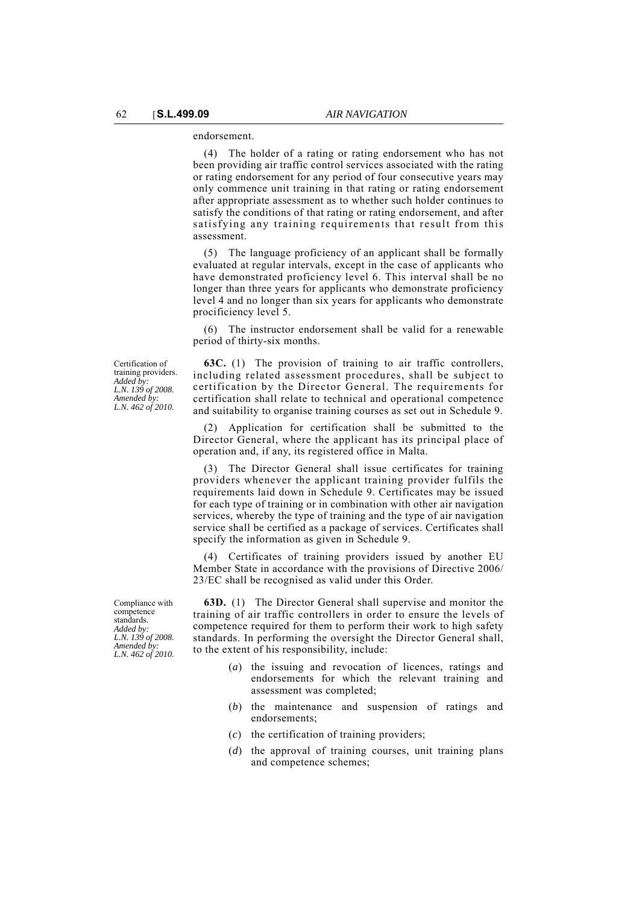endorsement.

(4) The holder of a rating or rating endorsement who has not been providing air traffic control services associated with the rating or rating endorsement for any period of four consecutive years may only commence unit training in that rating or rating endorsement after appropriate assessment as to whether such holder continues to satisfy the conditions of that rating or rating endorsement, and after satisfying any training requirements that result from this assessment.

(5) The language proficiency of an applicant shall be formally evaluated at regular intervals, except in the case of applicants who have demonstrated proficiency level 6. This interval shall be no longer than three years for applicants who demonstrate proficiency level 4 and no longer than six years for applicants who demonstrate procificiency level 5.

(6) The instructor endorsement shall be valid for a renewable period of thirty-six months.

Certification of training providers. *Added by: L.N. 139 of 2008. Amended by: L.N. 462 of 2010.*

**63C.** (1) The provision of training to air traffic controllers, including related assessment procedures, shall be subject to certification by the Director General. The requirements for certification shall relate to technical and operational competence and suitability to organise training courses as set out in Schedule 9.

(2) Application for certification shall be submitted to the Director General, where the applicant has its principal place of operation and, if any, its registered office in Malta.

(3) The Director General shall issue certificates for training providers whenever the applicant training provider fulfils the requirements laid down in Schedule 9. Certificates may be issued for each type of training or in combination with other air navigation services, whereby the type of training and the type of air navigation service shall be certified as a package of services. Certificates shall specify the information as given in Schedule 9.

(4) Certificates of training providers issued by another EU Member State in accordance with the provisions of Directive 2006/ 23/EC shall be recognised as valid under this Order.

Compliance with competence standards. *Added by: L.N. 139 of 2008. Amended by: L.N. 462 of 2010.*

**63D.** (1) The Director General shall supervise and monitor the training of air traffic controllers in order to ensure the levels of competence required for them to perform their work to high safety standards. In performing the oversight the Director General shall, to the extent of his responsibility, include:

- (*a*) the issuing and revocation of licences, ratings and endorsements for which the relevant training and assessment was completed;
- (*b*) the maintenance and suspension of ratings and endorsements;
- (*c*) the certification of training providers;
- (*d*) the approval of training courses, unit training plans and competence schemes;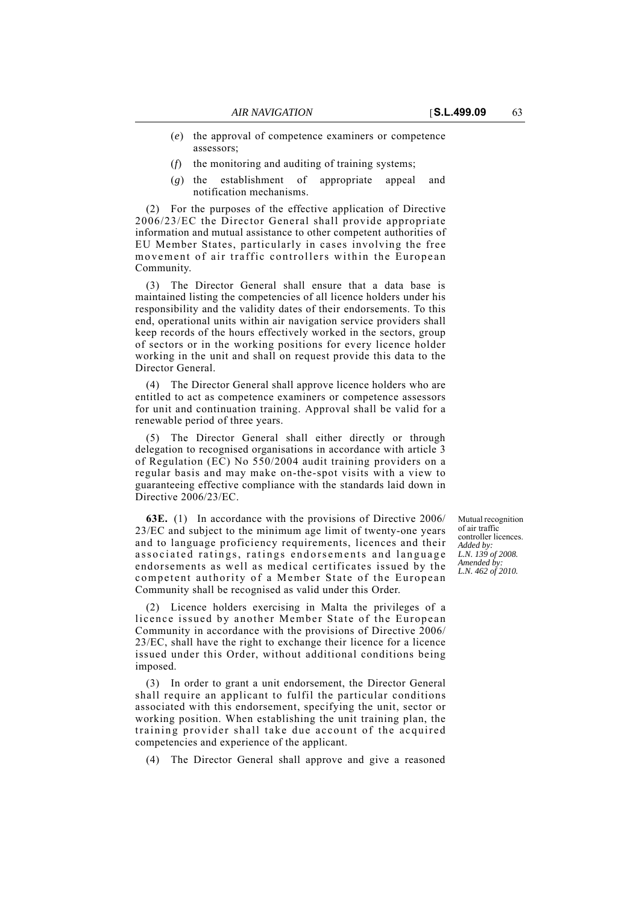- (*e*) the approval of competence examiners or competence assessors;
- (*f*) the monitoring and auditing of training systems;
- (*g*) the establishment of appropriate appeal and notification mechanisms.

(2) For the purposes of the effective application of Directive 2006/23/EC the Director General shall provide appropriate information and mutual assistance to other competent authorities of EU Member States, particularly in cases involving the free movement of air traffic controllers within the European Community.

(3) The Director General shall ensure that a data base is maintained listing the competencies of all licence holders under his responsibility and the validity dates of their endorsements. To this end, operational units within air navigation service providers shall keep records of the hours effectively worked in the sectors, group of sectors or in the working positions for every licence holder working in the unit and shall on request provide this data to the Director General.

(4) The Director General shall approve licence holders who are entitled to act as competence examiners or competence assessors for unit and continuation training. Approval shall be valid for a renewable period of three years.

(5) The Director General shall either directly or through delegation to recognised organisations in accordance with article 3 of Regulation (EC) No 550/2004 audit training providers on a regular basis and may make on-the-spot visits with a view to guaranteeing effective compliance with the standards laid down in Directive 2006/23/EC.

**63E.** (1) In accordance with the provisions of Directive 2006/ 23/EC and subject to the minimum age limit of twenty-one years and to language proficiency requirements, licences and their associated ratings, ratings endorsements and language endorsements as well as medical certificates issued by the competent authority of a Member State of the European Community shall be recognised as valid under this Order.

(2) Licence holders exercising in Malta the privileges of a licence issued by another Member State of the European Community in accordance with the provisions of Directive 2006/ 23/EC, shall have the right to exchange their licence for a licence issued under this Order, without additional conditions being imposed.

(3) In order to grant a unit endorsement, the Director General shall require an applicant to fulfil the particular conditions associated with this endorsement, specifying the unit, sector or working position. When establishing the unit training plan, the training provider shall take due account of the acquired competencies and experience of the applicant.

(4) The Director General shall approve and give a reasoned

Mutual recognition of air traffic controller licences. *Added by: L.N. 139 of 2008. Amended by: L.N. 462 of 2010.*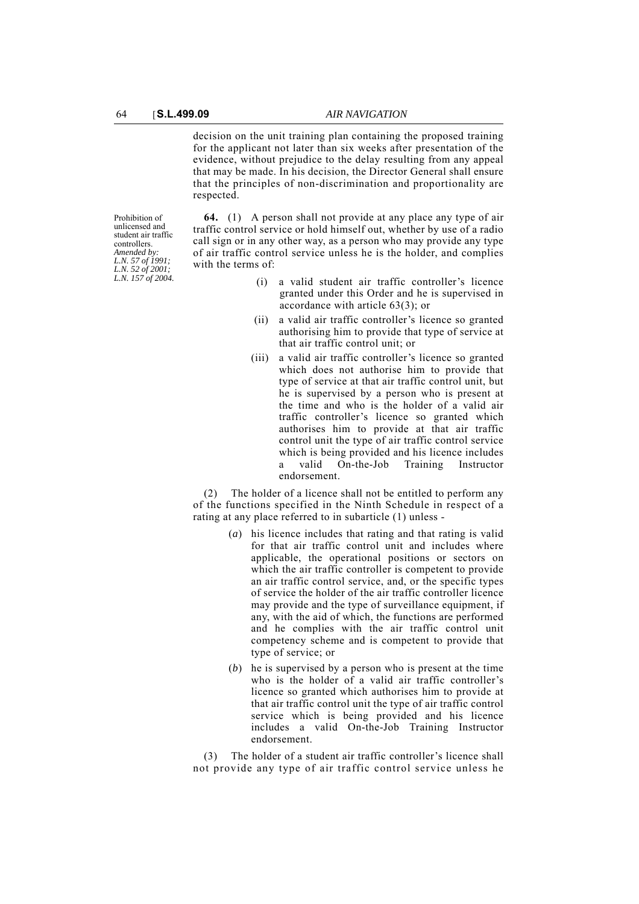decision on the unit training plan containing the proposed training for the applicant not later than six weeks after presentation of the evidence, without prejudice to the delay resulting from any appeal that may be made. In his decision, the Director General shall ensure that the principles of non-discrimination and proportionality are respected.

Prohibition of unlicensed and student air traffic controllers. *Amended by: L.N. 57 of 1991; L.N. 52 of 2001; L.N. 157 of 2004.*

**64.** (1) A person shall not provide at any place any type of air traffic control service or hold himself out, whether by use of a radio call sign or in any other way, as a person who may provide any type of air traffic control service unless he is the holder, and complies with the terms of:

- (i) a valid student air traffic controller's licence granted under this Order and he is supervised in accordance with article 63(3); or
- (ii) a valid air traffic controller's licence so granted authorising him to provide that type of service at that air traffic control unit; or
- (iii) a valid air traffic controller's licence so granted which does not authorise him to provide that type of service at that air traffic control unit, but he is supervised by a person who is present at the time and who is the holder of a valid air traffic controller's licence so granted which authorises him to provide at that air traffic control unit the type of air traffic control service which is being provided and his licence includes a valid On-the-Job Training Instructor endorsement.

(2) The holder of a licence shall not be entitled to perform any of the functions specified in the Ninth Schedule in respect of a rating at any place referred to in subarticle (1) unless -

- (*a*) his licence includes that rating and that rating is valid for that air traffic control unit and includes where applicable, the operational positions or sectors on which the air traffic controller is competent to provide an air traffic control service, and, or the specific types of service the holder of the air traffic controller licence may provide and the type of surveillance equipment, if any, with the aid of which, the functions are performed and he complies with the air traffic control unit competency scheme and is competent to provide that type of service; or
- (*b*) he is supervised by a person who is present at the time who is the holder of a valid air traffic controller's licence so granted which authorises him to provide at that air traffic control unit the type of air traffic control service which is being provided and his licence includes a valid On-the-Job Training Instructor endorsement.

(3) The holder of a student air traffic controller's licence shall not provide any type of air traffic control service unless he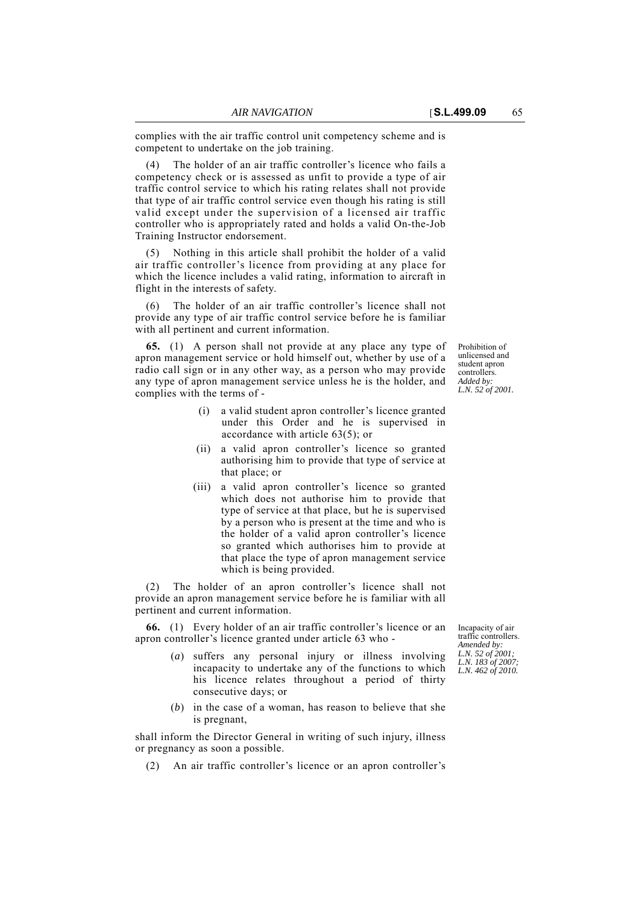complies with the air traffic control unit competency scheme and is competent to undertake on the job training.

The holder of an air traffic controller's licence who fails a competency check or is assessed as unfit to provide a type of air traffic control service to which his rating relates shall not provide that type of air traffic control service even though his rating is still valid except under the supervision of a licensed air traffic controller who is appropriately rated and holds a valid On-the-Job Training Instructor endorsement.

(5) Nothing in this article shall prohibit the holder of a valid air traffic controller's licence from providing at any place for which the licence includes a valid rating, information to aircraft in flight in the interests of safety.

(6) The holder of an air traffic controller's licence shall not provide any type of air traffic control service before he is familiar with all pertinent and current information.

**65.** (1) A person shall not provide at any place any type of apron management service or hold himself out, whether by use of a radio call sign or in any other way, as a person who may provide any type of apron management service unless he is the holder, and complies with the terms of -

- Prohibition of unlicensed and student apron controllers. *Added by: L.N. 52 of 2001.*
- (i) a valid student apron controller's licence granted under this Order and he is supervised in accordance with article 63(5); or
- (ii) a valid apron controller's licence so granted authorising him to provide that type of service at that place; or
- (iii) a valid apron controller's licence so granted which does not authorise him to provide that type of service at that place, but he is supervised by a person who is present at the time and who is the holder of a valid apron controller's licence so granted which authorises him to provide at that place the type of apron management service which is being provided.

(2) The holder of an apron controller's licence shall not provide an apron management service before he is familiar with all pertinent and current information.

**66.** (1) Every holder of an air traffic controller's licence or an apron controller's licence granted under article 63 who -

- (*a*) suffers any personal injury or illness involving incapacity to undertake any of the functions to which his licence relates throughout a period of thirty consecutive days; or
- (*b*) in the case of a woman, has reason to believe that she is pregnant,

shall inform the Director General in writing of such injury, illness or pregnancy as soon a possible.

(2) An air traffic controller's licence or an apron controller's

Incapacity of air traffic controllers. *Amended by: L.N. 52 of 2001; L.N. 183 of 2007; L.N. 462 of 2010.*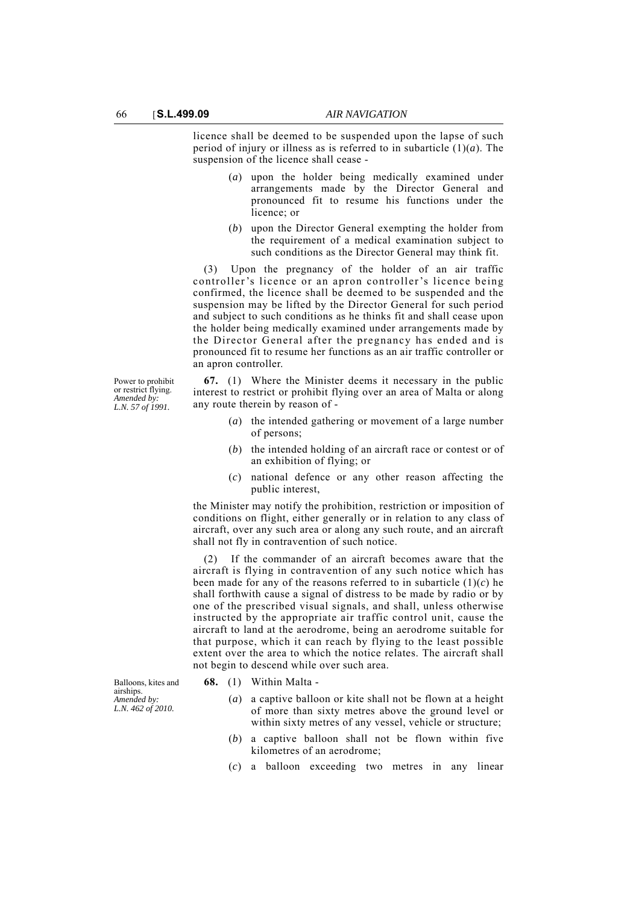licence shall be deemed to be suspended upon the lapse of such period of injury or illness as is referred to in subarticle (1)(*a*). The suspension of the licence shall cease -

- (*a*) upon the holder being medically examined under arrangements made by the Director General and pronounced fit to resume his functions under the licence; or
- (*b*) upon the Director General exempting the holder from the requirement of a medical examination subject to such conditions as the Director General may think fit.

(3) Upon the pregnancy of the holder of an air traffic controller's licence or an apron controller's licence being confirmed, the licence shall be deemed to be suspended and the suspension may be lifted by the Director General for such period and subject to such conditions as he thinks fit and shall cease upon the holder being medically examined under arrangements made by the Director General after the pregnancy has ended and is pronounced fit to resume her functions as an air traffic controller or an apron controller.

**67.** (1) Where the Minister deems it necessary in the public interest to restrict or prohibit flying over an area of Malta or along any route therein by reason of -

- (*a*) the intended gathering or movement of a large number of persons;
- (*b*) the intended holding of an aircraft race or contest or of an exhibition of flying; or
- (*c*) national defence or any other reason affecting the public interest,

the Minister may notify the prohibition, restriction or imposition of conditions on flight, either generally or in relation to any class of aircraft, over any such area or along any such route, and an aircraft shall not fly in contravention of such notice.

If the commander of an aircraft becomes aware that the aircraft is flying in contravention of any such notice which has been made for any of the reasons referred to in subarticle  $(1)(c)$  he shall forthwith cause a signal of distress to be made by radio or by one of the prescribed visual signals, and shall, unless otherwise instructed by the appropriate air traffic control unit, cause the aircraft to land at the aerodrome, being an aerodrome suitable for that purpose, which it can reach by flying to the least possible extent over the area to which the notice relates. The aircraft shall not begin to descend while over such area.

- **68.** (1) Within Malta
	- (*a*) a captive balloon or kite shall not be flown at a height of more than sixty metres above the ground level or within sixty metres of any vessel, vehicle or structure;
	- (*b*) a captive balloon shall not be flown within five kilometres of an aerodrome;
	- (*c*) a balloon exceeding two metres in any linear

Power to prohibit or restrict flying. *Amended by: L.N. 57 of 1991.*

Balloons, kites and airships. *Amended by: L.N. 462 of 2010.*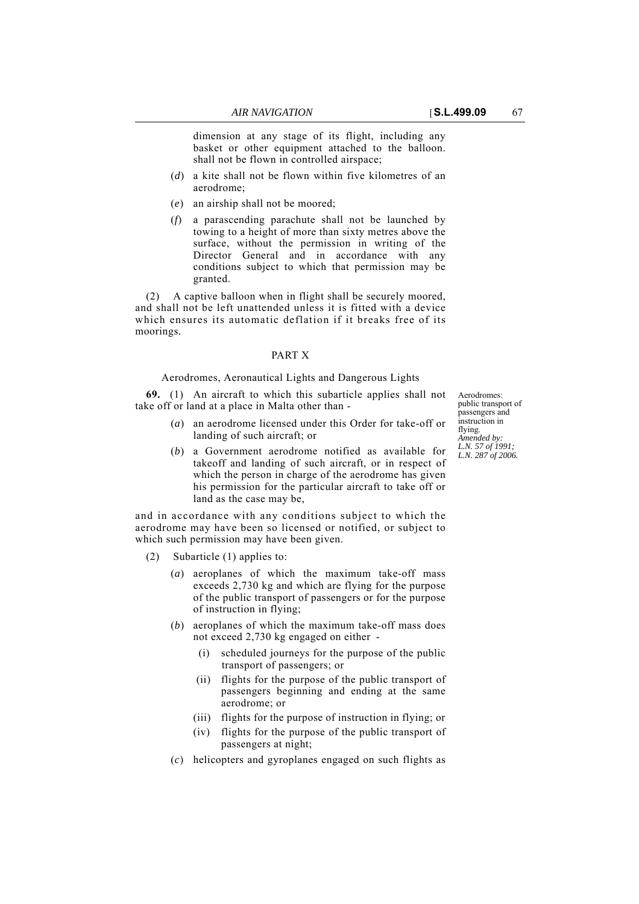dimension at any stage of its flight, including any

- basket or other equipment attached to the balloon. shall not be flown in controlled airspace;
- (*d*) a kite shall not be flown within five kilometres of an aerodrome;
- (*e*) an airship shall not be moored;
- (*f*) a parascending parachute shall not be launched by towing to a height of more than sixty metres above the surface, without the permission in writing of the Director General and in accordance with any conditions subject to which that permission may be granted.

(2) A captive balloon when in flight shall be securely moored, and shall not be left unattended unless it is fitted with a device which ensures its automatic deflation if it breaks free of its moorings.

# PART X

### Aerodromes, Aeronautical Lights and Dangerous Lights

**69.** (1) An aircraft to which this subarticle applies shall not take off or land at a place in Malta other than -

- (*a*) an aerodrome licensed under this Order for take-off or landing of such aircraft; or
- (*b*) a Government aerodrome notified as available for takeoff and landing of such aircraft, or in respect of which the person in charge of the aerodrome has given his permission for the particular aircraft to take off or land as the case may be,

and in accordance with any conditions subject to which the aerodrome may have been so licensed or notified, or subject to which such permission may have been given.

- (2) Subarticle (1) applies to:
	- (*a*) aeroplanes of which the maximum take-off mass exceeds 2,730 kg and which are flying for the purpose of the public transport of passengers or for the purpose of instruction in flying;
	- (*b*) aeroplanes of which the maximum take-off mass does not exceed 2,730 kg engaged on either -
		- (i) scheduled journeys for the purpose of the public transport of passengers; or
		- (ii) flights for the purpose of the public transport of passengers beginning and ending at the same aerodrome; or
		- (iii) flights for the purpose of instruction in flying; or
		- (iv) flights for the purpose of the public transport of passengers at night;
	- (*c*) helicopters and gyroplanes engaged on such flights as

Aerodromes: public transport of passengers and instruction in flying. *Amended by: L.N. 57 of 1991; L.N. 287 of 2006.*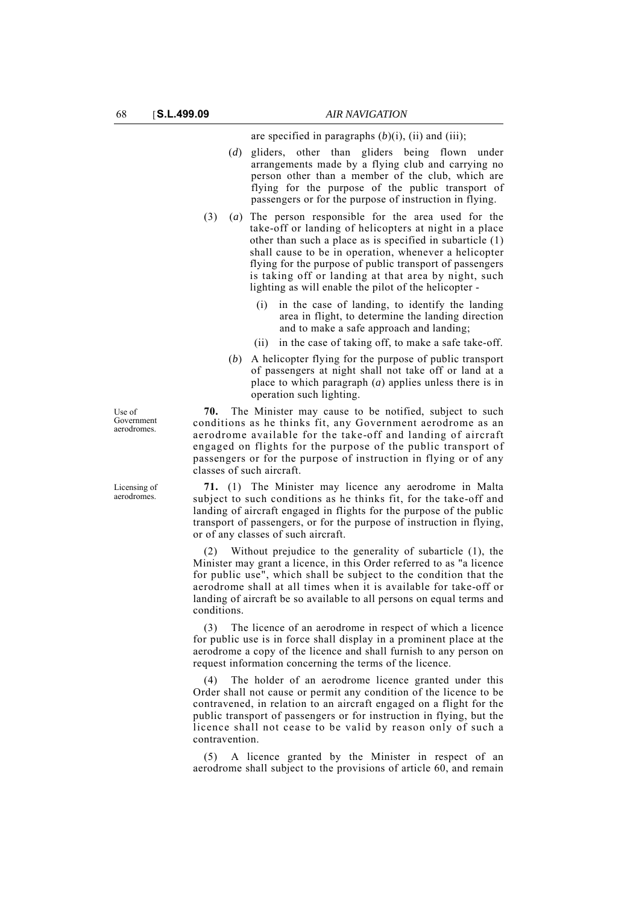are specified in paragraphs  $(b)(i)$ ,  $(ii)$  and  $(iii)$ ;

- (*d*) gliders, other than gliders being flown under arrangements made by a flying club and carrying no person other than a member of the club, which are flying for the purpose of the public transport of passengers or for the purpose of instruction in flying.
- (3) (*a*) The person responsible for the area used for the take-off or landing of helicopters at night in a place other than such a place as is specified in subarticle (1) shall cause to be in operation, whenever a helicopter flying for the purpose of public transport of passengers is taking off or landing at that area by night, such lighting as will enable the pilot of the helicopter -
	- (i) in the case of landing, to identify the landing area in flight, to determine the landing direction and to make a safe approach and landing;
	- (ii) in the case of taking off, to make a safe take-off.
	- (*b*) A helicopter flying for the purpose of public transport of passengers at night shall not take off or land at a place to which paragraph (*a*) applies unless there is in operation such lighting.

**70.** The Minister may cause to be notified, subject to such conditions as he thinks fit, any Government aerodrome as an aerodrome available for the take-off and landing of aircraft engaged on flights for the purpose of the public transport of passengers or for the purpose of instruction in flying or of any classes of such aircraft.

**71.** (1) The Minister may licence any aerodrome in Malta subject to such conditions as he thinks fit, for the take-off and landing of aircraft engaged in flights for the purpose of the public transport of passengers, or for the purpose of instruction in flying, or of any classes of such aircraft.

(2) Without prejudice to the generality of subarticle (1), the Minister may grant a licence, in this Order referred to as "a licence for public use", which shall be subject to the condition that the aerodrome shall at all times when it is available for take-off or landing of aircraft be so available to all persons on equal terms and conditions.

(3) The licence of an aerodrome in respect of which a licence for public use is in force shall display in a prominent place at the aerodrome a copy of the licence and shall furnish to any person on request information concerning the terms of the licence.

The holder of an aerodrome licence granted under this Order shall not cause or permit any condition of the licence to be contravened, in relation to an aircraft engaged on a flight for the public transport of passengers or for instruction in flying, but the licence shall not cease to be valid by reason only of such a contravention.

(5) A licence granted by the Minister in respect of an aerodrome shall subject to the provisions of article 60, and remain

Use of Government aerodromes.

Licensing of aerodromes.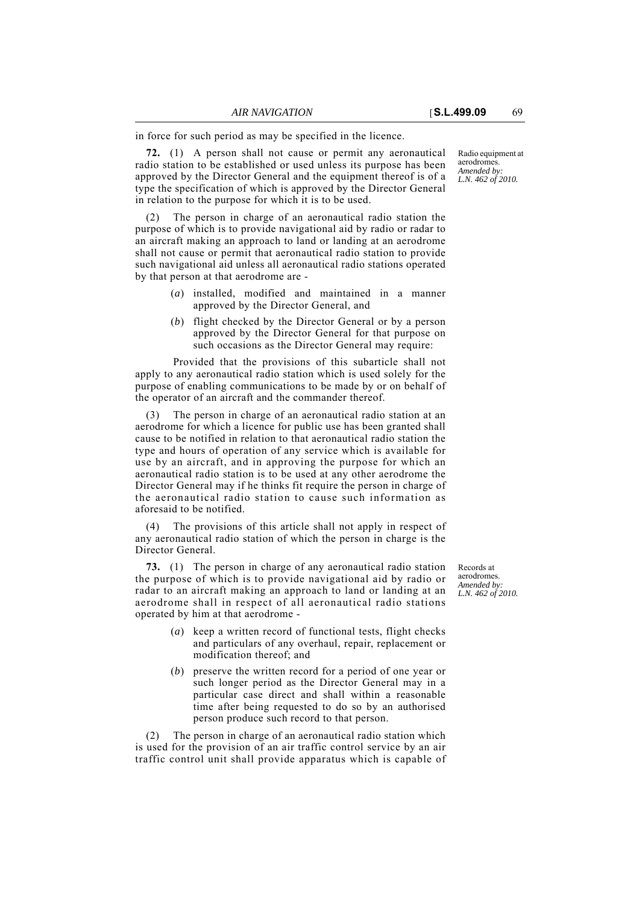in force for such period as may be specified in the licence.

**72.** (1) A person shall not cause or permit any aeronautical radio station to be established or used unless its purpose has been approved by the Director General and the equipment thereof is of a type the specification of which is approved by the Director General in relation to the purpose for which it is to be used.

(2) The person in charge of an aeronautical radio station the purpose of which is to provide navigational aid by radio or radar to an aircraft making an approach to land or landing at an aerodrome shall not cause or permit that aeronautical radio station to provide such navigational aid unless all aeronautical radio stations operated by that person at that aerodrome are -

- (*a*) installed, modified and maintained in a manner approved by the Director General, and
- (*b*) flight checked by the Director General or by a person approved by the Director General for that purpose on such occasions as the Director General may require:

Provided that the provisions of this subarticle shall not apply to any aeronautical radio station which is used solely for the purpose of enabling communications to be made by or on behalf of the operator of an aircraft and the commander thereof.

The person in charge of an aeronautical radio station at an aerodrome for which a licence for public use has been granted shall cause to be notified in relation to that aeronautical radio station the type and hours of operation of any service which is available for use by an aircraft, and in approving the purpose for which an aeronautical radio station is to be used at any other aerodrome the Director General may if he thinks fit require the person in charge of the aeronautical radio station to cause such information as aforesaid to be notified.

The provisions of this article shall not apply in respect of any aeronautical radio station of which the person in charge is the Director General.

**73.** (1) The person in charge of any aeronautical radio station the purpose of which is to provide navigational aid by radio or radar to an aircraft making an approach to land or landing at an aerodrome shall in respect of all aeronautical radio stations operated by him at that aerodrome -

- (*a*) keep a written record of functional tests, flight checks and particulars of any overhaul, repair, replacement or modification thereof; and
- (*b*) preserve the written record for a period of one year or such longer period as the Director General may in a particular case direct and shall within a reasonable time after being requested to do so by an authorised person produce such record to that person.

(2) The person in charge of an aeronautical radio station which is used for the provision of an air traffic control service by an air traffic control unit shall provide apparatus which is capable of Radio equipment at aerodromes. *Amended by: L.N. 462 of 2010.*

Records at aerodromes. *Amended by: L.N. 462 of 2010.*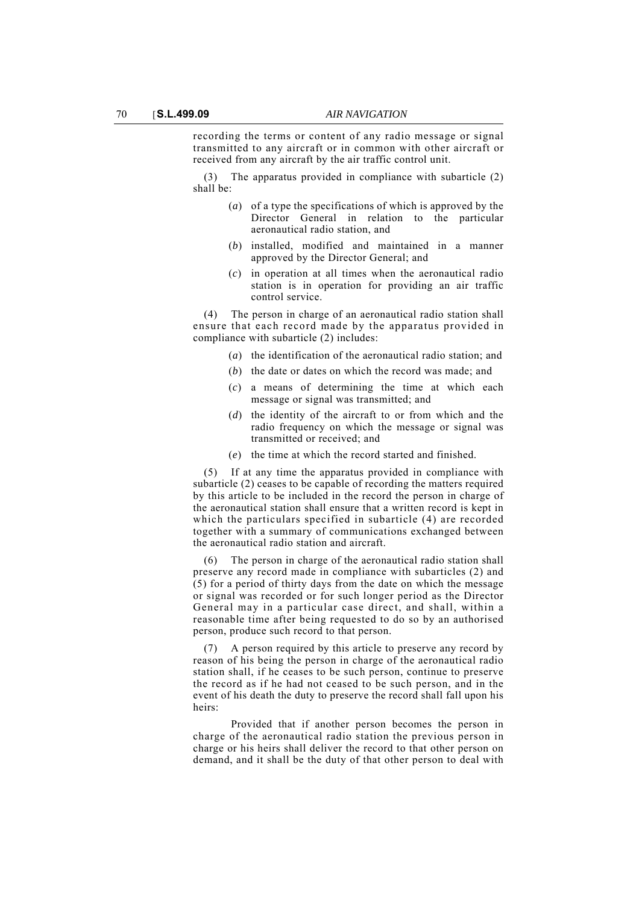recording the terms or content of any radio message or signal transmitted to any aircraft or in common with other aircraft or received from any aircraft by the air traffic control unit.

The apparatus provided in compliance with subarticle (2) shall be:

- (*a*) of a type the specifications of which is approved by the Director General in relation to the particular aeronautical radio station, and
- (*b*) installed, modified and maintained in a manner approved by the Director General; and
- (*c*) in operation at all times when the aeronautical radio station is in operation for providing an air traffic control service.

(4) The person in charge of an aeronautical radio station shall ensure that each record made by the apparatus provided in compliance with subarticle (2) includes:

- (*a*) the identification of the aeronautical radio station; and
- (*b*) the date or dates on which the record was made; and
- (*c*) a means of determining the time at which each message or signal was transmitted; and
- (*d*) the identity of the aircraft to or from which and the radio frequency on which the message or signal was transmitted or received; and
- (*e*) the time at which the record started and finished.

(5) If at any time the apparatus provided in compliance with subarticle (2) ceases to be capable of recording the matters required by this article to be included in the record the person in charge of the aeronautical station shall ensure that a written record is kept in which the particulars specified in subarticle (4) are recorded together with a summary of communications exchanged between the aeronautical radio station and aircraft.

(6) The person in charge of the aeronautical radio station shall preserve any record made in compliance with subarticles (2) and (5) for a period of thirty days from the date on which the message or signal was recorded or for such longer period as the Director General may in a particular case direct, and shall, within a reasonable time after being requested to do so by an authorised person, produce such record to that person.

(7) A person required by this article to preserve any record by reason of his being the person in charge of the aeronautical radio station shall, if he ceases to be such person, continue to preserve the record as if he had not ceased to be such person, and in the event of his death the duty to preserve the record shall fall upon his heirs:

Provided that if another person becomes the person in charge of the aeronautical radio station the previous person in charge or his heirs shall deliver the record to that other person on demand, and it shall be the duty of that other person to deal with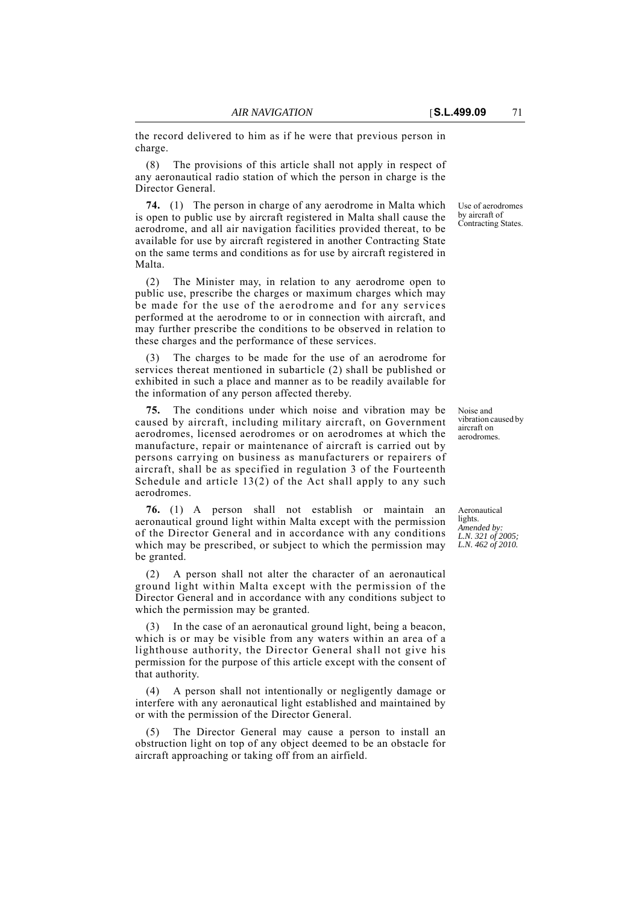the record delivered to him as if he were that previous person in charge.

(8) The provisions of this article shall not apply in respect of any aeronautical radio station of which the person in charge is the Director General.

**74.** (1) The person in charge of any aerodrome in Malta which is open to public use by aircraft registered in Malta shall cause the aerodrome, and all air navigation facilities provided thereat, to be available for use by aircraft registered in another Contracting State on the same terms and conditions as for use by aircraft registered in Malta.

(2) The Minister may, in relation to any aerodrome open to public use, prescribe the charges or maximum charges which may be made for the use of the aerodrome and for any services performed at the aerodrome to or in connection with aircraft, and may further prescribe the conditions to be observed in relation to these charges and the performance of these services.

The charges to be made for the use of an aerodrome for services thereat mentioned in subarticle (2) shall be published or exhibited in such a place and manner as to be readily available for the information of any person affected thereby.

**75.** The conditions under which noise and vibration may be caused by aircraft, including military aircraft, on Government aerodromes, licensed aerodromes or on aerodromes at which the manufacture, repair or maintenance of aircraft is carried out by persons carrying on business as manufacturers or repairers of aircraft, shall be as specified in regulation 3 of the Fourteenth Schedule and article  $13(2)$  of the Act shall apply to any such aerodromes.

**76.** (1) A person shall not establish or maintain an aeronautical ground light within Malta except with the permission of the Director General and in accordance with any conditions which may be prescribed, or subject to which the permission may be granted.

(2) A person shall not alter the character of an aeronautical ground light within Malta except with the permission of the Director General and in accordance with any conditions subject to which the permission may be granted.

In the case of an aeronautical ground light, being a beacon, which is or may be visible from any waters within an area of a lighthouse authority, the Director General shall not give his permission for the purpose of this article except with the consent of that authority.

(4) A person shall not intentionally or negligently damage or interfere with any aeronautical light established and maintained by or with the permission of the Director General.

The Director General may cause a person to install an obstruction light on top of any object deemed to be an obstacle for aircraft approaching or taking off from an airfield.

Use of aerodromes by aircraft of Contracting States.

Noise and vibration caused by aircraft on aerodromes.

Aeronautical lights. *Amended by: L.N. 321 of 2005; L.N. 462 of 2010.*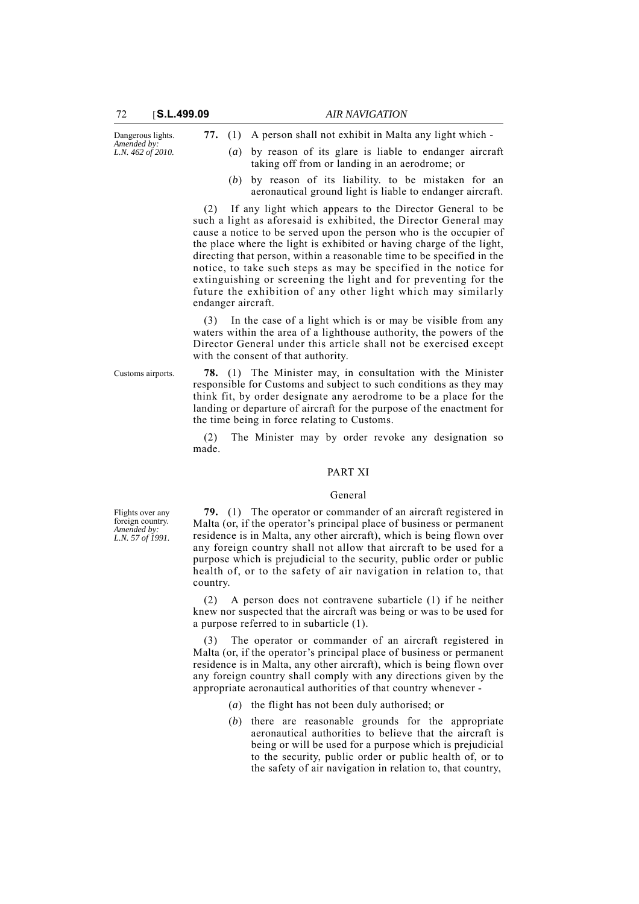| Dangerous lights.                |  | 77. (1) A person shall not exhibit in Malta any light which - |
|----------------------------------|--|---------------------------------------------------------------|
| Amended by:<br>L.N. 462 of 2010. |  | (a) by reason of its glare is liable to endanger aircraft     |
|                                  |  | taking off from or landing in an aerodrome; or                |

(*b*) by reason of its liability. to be mistaken for an aeronautical ground light is liable to endanger aircraft.

(2) If any light which appears to the Director General to be such a light as aforesaid is exhibited, the Director General may cause a notice to be served upon the person who is the occupier of the place where the light is exhibited or having charge of the light, directing that person, within a reasonable time to be specified in the notice, to take such steps as may be specified in the notice for extinguishing or screening the light and for preventing for the future the exhibition of any other light which may similarly endanger aircraft.

(3) In the case of a light which is or may be visible from any waters within the area of a lighthouse authority, the powers of the Director General under this article shall not be exercised except with the consent of that authority.

Customs airports. **78.** (1) The Minister may, in consultation with the Minister responsible for Customs and subject to such conditions as they may think fit, by order designate any aerodrome to be a place for the landing or departure of aircraft for the purpose of the enactment for the time being in force relating to Customs.

> (2) The Minister may by order revoke any designation so made.

#### PART XI

#### General

Flights over any foreign country. *Amended by: L.N. 57 of 1991.*

**79.** (1) The operator or commander of an aircraft registered in Malta (or, if the operator's principal place of business or permanent residence is in Malta, any other aircraft), which is being flown over any foreign country shall not allow that aircraft to be used for a purpose which is prejudicial to the security, public order or public health of, or to the safety of air navigation in relation to, that country.

(2) A person does not contravene subarticle (1) if he neither knew nor suspected that the aircraft was being or was to be used for a purpose referred to in subarticle (1).

The operator or commander of an aircraft registered in Malta (or, if the operator's principal place of business or permanent residence is in Malta, any other aircraft), which is being flown over any foreign country shall comply with any directions given by the appropriate aeronautical authorities of that country whenever -

- (*a*) the flight has not been duly authorised; or
- (*b*) there are reasonable grounds for the appropriate aeronautical authorities to believe that the aircraft is being or will be used for a purpose which is prejudicial to the security, public order or public health of, or to the safety of air navigation in relation to, that country,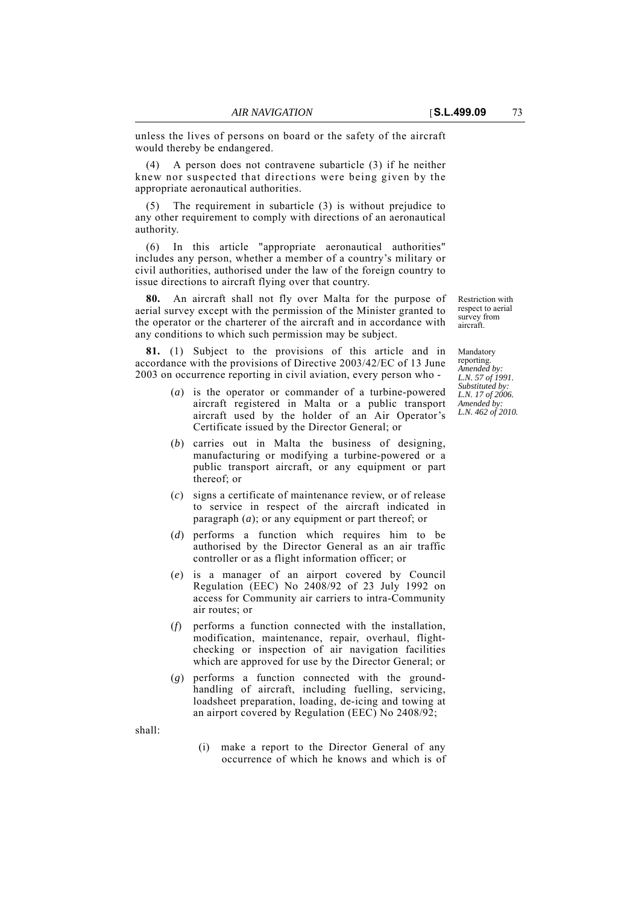unless the lives of persons on board or the safety of the aircraft would thereby be endangered.

(4) A person does not contravene subarticle (3) if he neither knew nor suspected that directions were being given by the appropriate aeronautical authorities.

(5) The requirement in subarticle (3) is without prejudice to any other requirement to comply with directions of an aeronautical authority.

(6) In this article "appropriate aeronautical authorities" includes any person, whether a member of a country's military or civil authorities, authorised under the law of the foreign country to issue directions to aircraft flying over that country.

**80.** An aircraft shall not fly over Malta for the purpose of aerial survey except with the permission of the Minister granted to the operator or the charterer of the aircraft and in accordance with any conditions to which such permission may be subject.

**81.** (1) Subject to the provisions of this article and in accordance with the provisions of Directive 2003/42/EC of 13 June 2003 on occurrence reporting in civil aviation, every person who -

- (*a*) is the operator or commander of a turbine-powered aircraft registered in Malta or a public transport aircraft used by the holder of an Air Operator's Certificate issued by the Director General; or
- (*b*) carries out in Malta the business of designing, manufacturing or modifying a turbine-powered or a public transport aircraft, or any equipment or part thereof; or
- (*c*) signs a certificate of maintenance review, or of release to service in respect of the aircraft indicated in paragraph (*a*); or any equipment or part thereof; or
- (*d*) performs a function which requires him to be authorised by the Director General as an air traffic controller or as a flight information officer; or
- (*e*) is a manager of an airport covered by Council Regulation (EEC) No 2408/92 of 23 July 1992 on access for Community air carriers to intra-Community air routes; or
- (*f*) performs a function connected with the installation, modification, maintenance, repair, overhaul, flightchecking or inspection of air navigation facilities which are approved for use by the Director General; or
- (*g*) performs a function connected with the groundhandling of aircraft, including fuelling, servicing, loadsheet preparation, loading, de-icing and towing at an airport covered by Regulation (EEC) No 2408/92;

shall:

(i) make a report to the Director General of any occurrence of which he knows and which is of Restriction with respect to aerial survey from aircraft.

Mandatory reporting. *Amended by: L.N. 57 of 1991. Substituted by: L.N. 17 of 2006. Amended by: L.N. 462 of 2010.*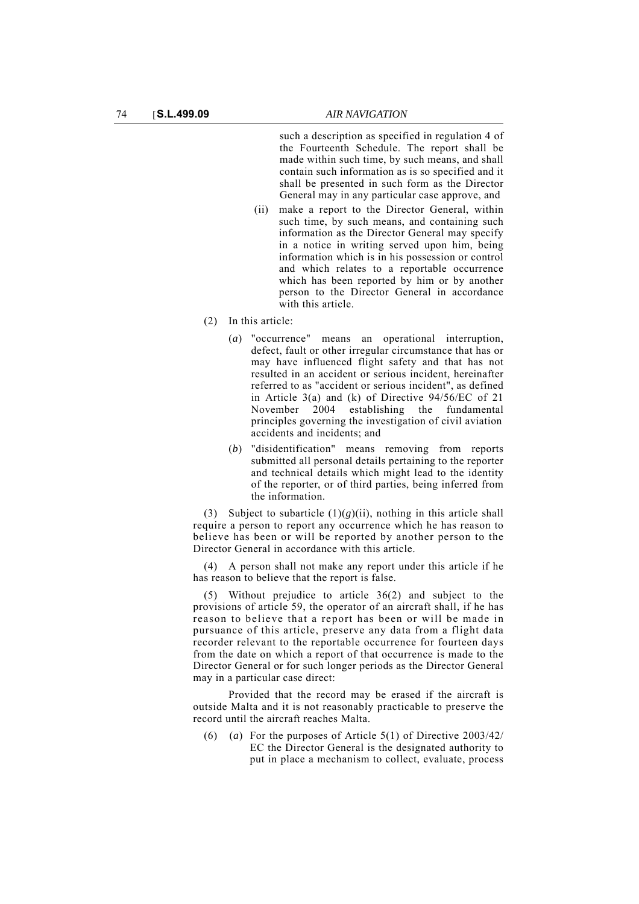such a description as specified in regulation 4 of the Fourteenth Schedule. The report shall be made within such time, by such means, and shall contain such information as is so specified and it shall be presented in such form as the Director General may in any particular case approve, and

- (ii) make a report to the Director General, within such time, by such means, and containing such information as the Director General may specify in a notice in writing served upon him, being information which is in his possession or control and which relates to a reportable occurrence which has been reported by him or by another person to the Director General in accordance with this article.
- (2) In this article:
	- (*a*) "occurrence" means an operational interruption, defect, fault or other irregular circumstance that has or may have influenced flight safety and that has not resulted in an accident or serious incident, hereinafter referred to as "accident or serious incident", as defined in Article 3(a) and (k) of Directive 94/56/EC of 21 November 2004 establishing the fundamental principles governing the investigation of civil aviation accidents and incidents; and
	- (*b*) "disidentification" means removing from reports submitted all personal details pertaining to the reporter and technical details which might lead to the identity of the reporter, or of third parties, being inferred from the information.

(3) Subject to subarticle  $(1)(g)(ii)$ , nothing in this article shall require a person to report any occurrence which he has reason to believe has been or will be reported by another person to the Director General in accordance with this article.

(4) A person shall not make any report under this article if he has reason to believe that the report is false.

(5) Without prejudice to article 36(2) and subject to the provisions of article 59, the operator of an aircraft shall, if he has reason to believe that a report has been or will be made in pursuance of this article, preserve any data from a flight data recorder relevant to the reportable occurrence for fourteen days from the date on which a report of that occurrence is made to the Director General or for such longer periods as the Director General may in a particular case direct:

Provided that the record may be erased if the aircraft is outside Malta and it is not reasonably practicable to preserve the record until the aircraft reaches Malta.

(6) (*a*) For the purposes of Article 5(1) of Directive 2003/42/ EC the Director General is the designated authority to put in place a mechanism to collect, evaluate, process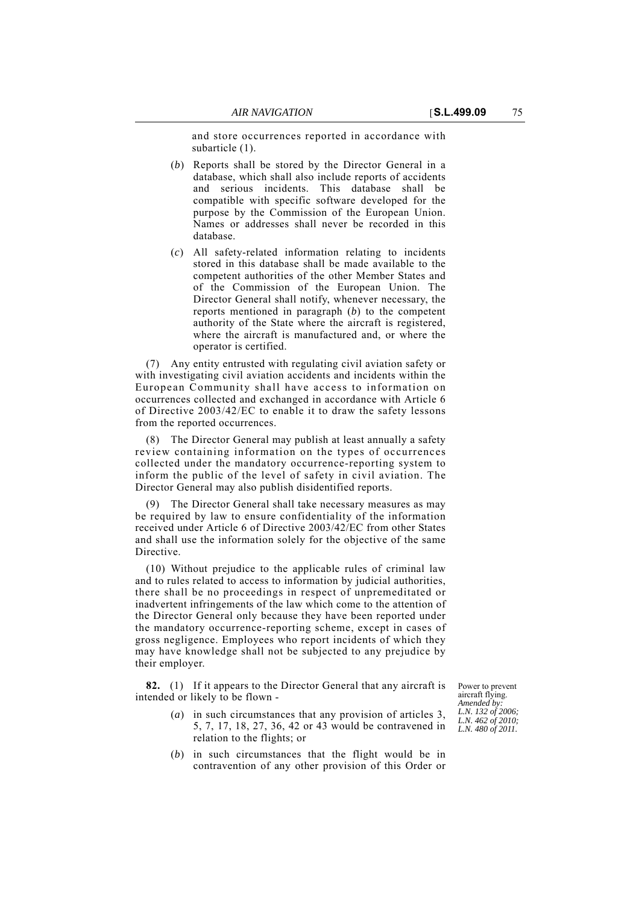and store occurrences reported in accordance with subarticle (1).

- (*b*) Reports shall be stored by the Director General in a database, which shall also include reports of accidents and serious incidents. This database shall be compatible with specific software developed for the purpose by the Commission of the European Union. Names or addresses shall never be recorded in this database.
- (*c*) All safety-related information relating to incidents stored in this database shall be made available to the competent authorities of the other Member States and of the Commission of the European Union. The Director General shall notify, whenever necessary, the reports mentioned in paragraph (*b*) to the competent authority of the State where the aircraft is registered, where the aircraft is manufactured and, or where the operator is certified.

(7) Any entity entrusted with regulating civil aviation safety or with investigating civil aviation accidents and incidents within the European Community shall have access to information on occurrences collected and exchanged in accordance with Article 6 of Directive 2003/42/EC to enable it to draw the safety lessons from the reported occurrences.

(8) The Director General may publish at least annually a safety review containing information on the types of occurrences collected under the mandatory occurrence-reporting system to inform the public of the level of safety in civil aviation. The Director General may also publish disidentified reports.

(9) The Director General shall take necessary measures as may be required by law to ensure confidentiality of the information received under Article 6 of Directive 2003/42/EC from other States and shall use the information solely for the objective of the same Directive.

(10) Without prejudice to the applicable rules of criminal law and to rules related to access to information by judicial authorities, there shall be no proceedings in respect of unpremeditated or inadvertent infringements of the law which come to the attention of the Director General only because they have been reported under the mandatory occurrence-reporting scheme, except in cases of gross negligence. Employees who report incidents of which they may have knowledge shall not be subjected to any prejudice by their employer.

**82.** (1) If it appears to the Director General that any aircraft is intended or likely to be flown -

Power to prevent aircraft flying. *Amended by: L.N. 132 of 2006; L.N. 462 of 2010; L.N. 480 of 2011.*

- (*a*) in such circumstances that any provision of articles 3, 5, 7, 17, 18, 27, 36, 42 or 43 would be contravened in relation to the flights; or
- (*b*) in such circumstances that the flight would be in contravention of any other provision of this Order or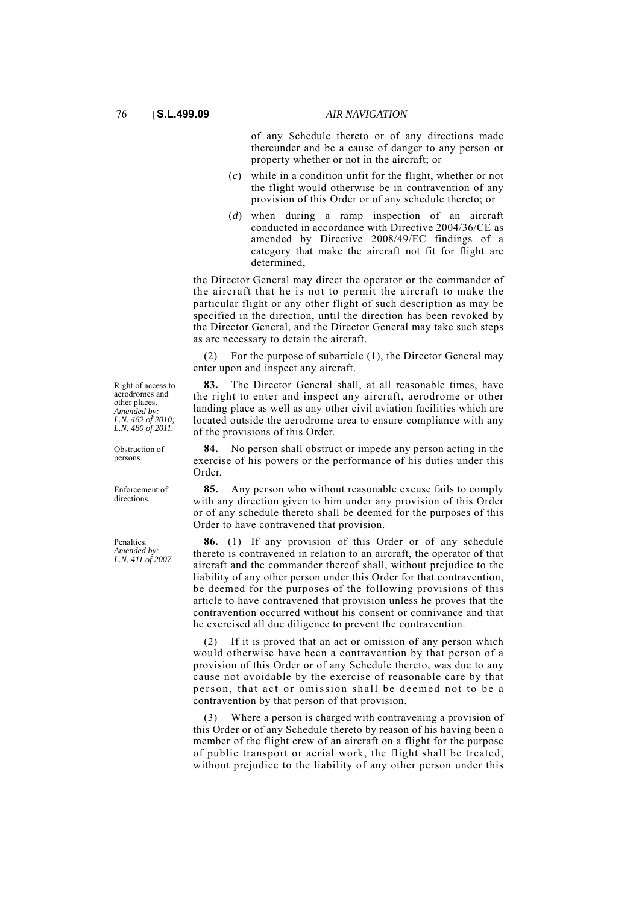of any Schedule thereto or of any directions made thereunder and be a cause of danger to any person or property whether or not in the aircraft; or

- (*c*) while in a condition unfit for the flight, whether or not the flight would otherwise be in contravention of any provision of this Order or of any schedule thereto; or
- (*d*) when during a ramp inspection of an aircraft conducted in accordance with Directive 2004/36/CE as amended by Directive 2008/49/EC findings of a category that make the aircraft not fit for flight are determined,

the Director General may direct the operator or the commander of the aircraft that he is not to permit the aircraft to make the particular flight or any other flight of such description as may be specified in the direction, until the direction has been revoked by the Director General, and the Director General may take such steps as are necessary to detain the aircraft.

(2) For the purpose of subarticle (1), the Director General may enter upon and inspect any aircraft.

**83.** The Director General shall, at all reasonable times, have the right to enter and inspect any aircraft, aerodrome or other landing place as well as any other civil aviation facilities which are located outside the aerodrome area to ensure compliance with any of the provisions of this Order.

**84.** No person shall obstruct or impede any person acting in the exercise of his powers or the performance of his duties under this Order.

**85.** Any person who without reasonable excuse fails to comply with any direction given to him under any provision of this Order or of any schedule thereto shall be deemed for the purposes of this Order to have contravened that provision.

**86.** (1) If any provision of this Order or of any schedule thereto is contravened in relation to an aircraft, the operator of that aircraft and the commander thereof shall, without prejudice to the liability of any other person under this Order for that contravention, be deemed for the purposes of the following provisions of this article to have contravened that provision unless he proves that the contravention occurred without his consent or connivance and that he exercised all due diligence to prevent the contravention.

(2) If it is proved that an act or omission of any person which would otherwise have been a contravention by that person of a provision of this Order or of any Schedule thereto, was due to any cause not avoidable by the exercise of reasonable care by that person, that act or omission shall be deemed not to be a contravention by that person of that provision.

(3) Where a person is charged with contravening a provision of this Order or of any Schedule thereto by reason of his having been a member of the flight crew of an aircraft on a flight for the purpose of public transport or aerial work, the flight shall be treated, without prejudice to the liability of any other person under this

Right of access to aerodromes and other places. *Amended by: L.N. 462 of 2010; L.N. 480 of 2011.*

Obstruction of persons.

Enforcement of directions.

Penalties. *Amended by: L.N. 411 of 2007.*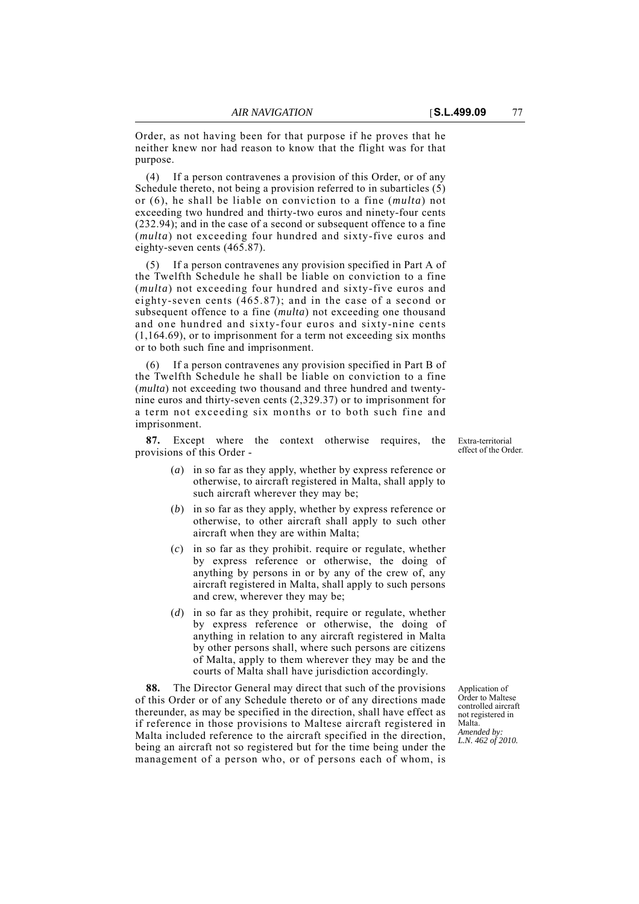Order, as not having been for that purpose if he proves that he neither knew nor had reason to know that the flight was for that purpose.

(4) If a person contravenes a provision of this Order, or of any Schedule thereto, not being a provision referred to in subarticles (5) or (6), he shall be liable on conviction to a fine (*multa*) not exceeding two hundred and thirty-two euros and ninety-four cents (232.94); and in the case of a second or subsequent offence to a fine (*multa*) not exceeding four hundred and sixty-five euros and eighty-seven cents (465.87).

(5) If a person contravenes any provision specified in Part A of the Twelfth Schedule he shall be liable on conviction to a fine (*multa*) not exceeding four hundred and sixty-five euros and eighty-seven cents (465.87); and in the case of a second or subsequent offence to a fine (*multa*) not exceeding one thousand and one hundred and sixty-four euros and sixty-nine cents (1,164.69), or to imprisonment for a term not exceeding six months or to both such fine and imprisonment.

(6) If a person contravenes any provision specified in Part B of the Twelfth Schedule he shall be liable on conviction to a fine (*multa*) not exceeding two thousand and three hundred and twentynine euros and thirty-seven cents (2,329.37) or to imprisonment for a term not exceeding six months or to both such fine and imprisonment.

**87.** Except where the context otherwise requires, the provisions of this Order -

- Extra-territorial effect of the Order.
- (*a*) in so far as they apply, whether by express reference or otherwise, to aircraft registered in Malta, shall apply to such aircraft wherever they may be;
- (*b*) in so far as they apply, whether by express reference or otherwise, to other aircraft shall apply to such other aircraft when they are within Malta;
- (*c*) in so far as they prohibit. require or regulate, whether by express reference or otherwise, the doing of anything by persons in or by any of the crew of, any aircraft registered in Malta, shall apply to such persons and crew, wherever they may be;
- (*d*) in so far as they prohibit, require or regulate, whether by express reference or otherwise, the doing of anything in relation to any aircraft registered in Malta by other persons shall, where such persons are citizens of Malta, apply to them wherever they may be and the courts of Malta shall have jurisdiction accordingly.

**88.** The Director General may direct that such of the provisions of this Order or of any Schedule thereto or of any directions made thereunder, as may be specified in the direction, shall have effect as if reference in those provisions to Maltese aircraft registered in Malta included reference to the aircraft specified in the direction, being an aircraft not so registered but for the time being under the management of a person who, or of persons each of whom, is

Application of Order to Maltese controlled aircraft not registered in Malta. *Amended by: L.N. 462 of 2010.*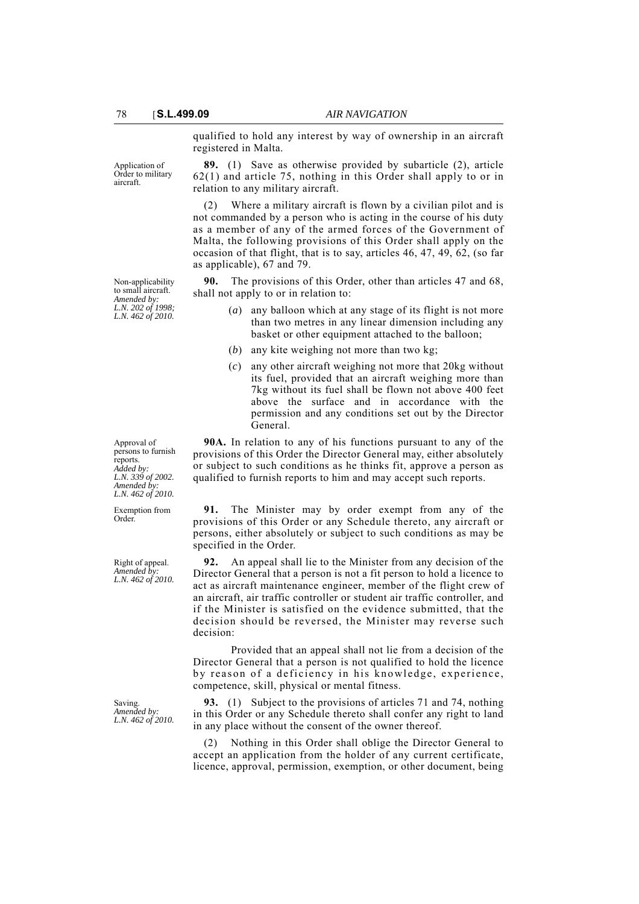qualified to hold any interest by way of ownership in an aircraft registered in Malta.

Application of Order to military aircraft.

Non-applicability to small aircraft. *Amended by: L.N. 202 of 1998; L.N. 462 of 2010.*

**89.** (1) Save as otherwise provided by subarticle (2), article 62(1) and article 75, nothing in this Order shall apply to or in relation to any military aircraft.

(2) Where a military aircraft is flown by a civilian pilot and is not commanded by a person who is acting in the course of his duty as a member of any of the armed forces of the Government of Malta, the following provisions of this Order shall apply on the occasion of that flight, that is to say, articles 46, 47, 49, 62, (so far as applicable), 67 and 79.

**90.** The provisions of this Order, other than articles 47 and 68, shall not apply to or in relation to:

- (*a*) any balloon which at any stage of its flight is not more than two metres in any linear dimension including any basket or other equipment attached to the balloon;
- (*b*) any kite weighing not more than two kg;
- (*c*) any other aircraft weighing not more that 20kg without its fuel, provided that an aircraft weighing more than 7kg without its fuel shall be flown not above 400 feet above the surface and in accordance with the permission and any conditions set out by the Director General.

**90A.** In relation to any of his functions pursuant to any of the provisions of this Order the Director General may, either absolutely or subject to such conditions as he thinks fit, approve a person as qualified to furnish reports to him and may accept such reports.

**91.** The Minister may by order exempt from any of the provisions of this Order or any Schedule thereto, any aircraft or persons, either absolutely or subject to such conditions as may be specified in the Order.

**92.** An appeal shall lie to the Minister from any decision of the Director General that a person is not a fit person to hold a licence to act as aircraft maintenance engineer, member of the flight crew of an aircraft, air traffic controller or student air traffic controller, and if the Minister is satisfied on the evidence submitted, that the decision should be reversed, the Minister may reverse such decision:

Provided that an appeal shall not lie from a decision of the Director General that a person is not qualified to hold the licence by reason of a deficiency in his knowledge, experience, competence, skill, physical or mental fitness.

**93.** (1) Subject to the provisions of articles 71 and 74, nothing in this Order or any Schedule thereto shall confer any right to land in any place without the consent of the owner thereof.

(2) Nothing in this Order shall oblige the Director General to accept an application from the holder of any current certificate, licence, approval, permission, exemption, or other document, being

Approval of persons to furnish reports. *Added by: L.N. 339 of 2002. Amended by: L.N. 462 of 2010.*

Exemption from Order.

Right of appeal. *Amended by: L.N. 462 of 2010.*

Saving. *Amended by: L.N. 462 of 2010.*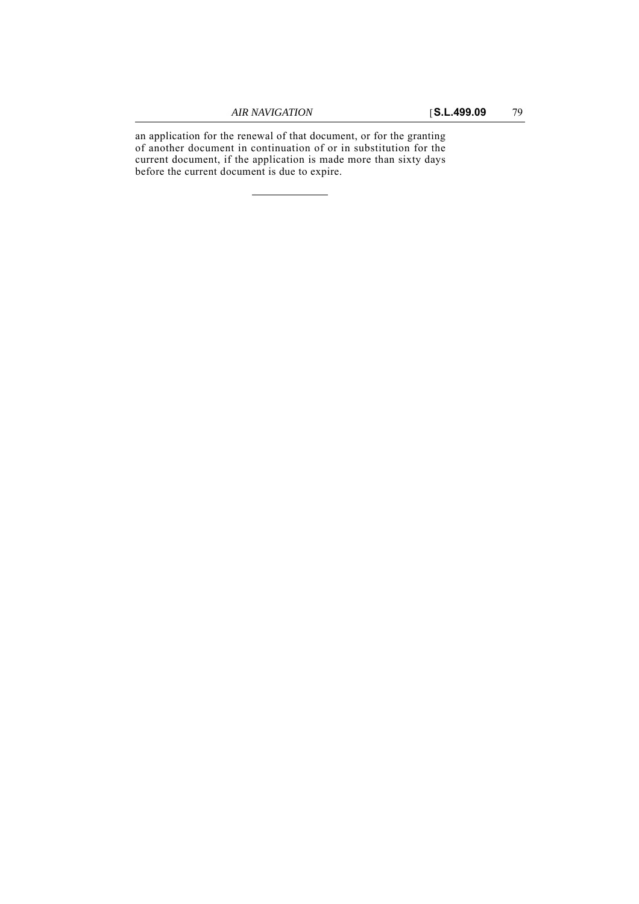an application for the renewal of that document, or for the granting of another document in continuation of or in substitution for the current document, if the application is made more than sixty days before the current document is due to expire.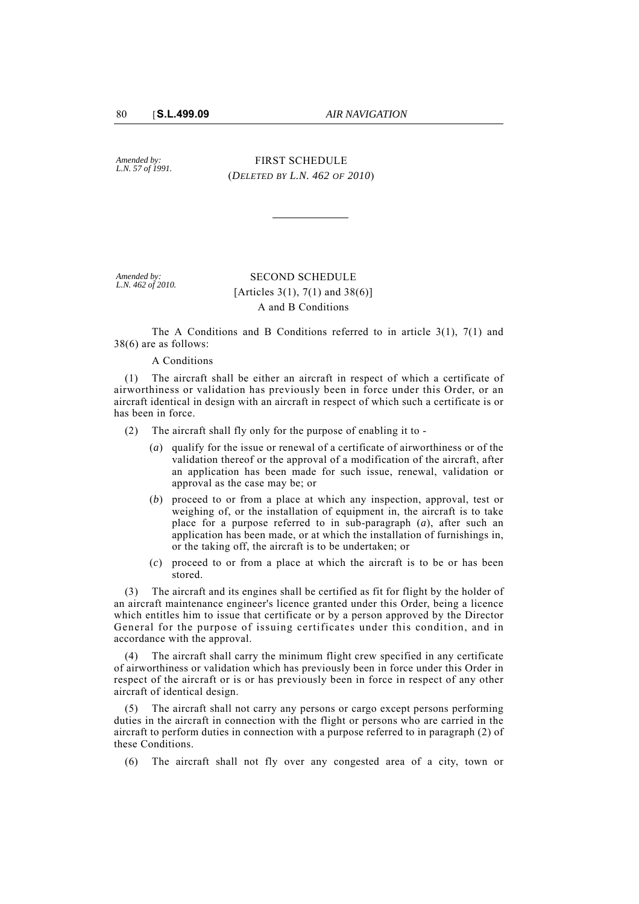*Amended by: L.N. 57 of 1991.*

FIRST SCHEDULE (*DELETED BY L.N. 462 OF 2010*)

*Amended by: L.N. 462 of 2010.*

# SECOND SCHEDULE [Articles 3(1), 7(1) and 38(6)] A and B Conditions

The A Conditions and B Conditions referred to in article 3(1), 7(1) and 38(6) are as follows:

#### A Conditions

(1) The aircraft shall be either an aircraft in respect of which a certificate of airworthiness or validation has previously been in force under this Order, or an aircraft identical in design with an aircraft in respect of which such a certificate is or has been in force.

(2) The aircraft shall fly only for the purpose of enabling it to -

- (*a*) qualify for the issue or renewal of a certificate of airworthiness or of the validation thereof or the approval of a modification of the aircraft, after an application has been made for such issue, renewal, validation or approval as the case may be; or
- (*b*) proceed to or from a place at which any inspection, approval, test or weighing of, or the installation of equipment in, the aircraft is to take place for a purpose referred to in sub-paragraph (*a*), after such an application has been made, or at which the installation of furnishings in, or the taking off, the aircraft is to be undertaken; or
- (*c*) proceed to or from a place at which the aircraft is to be or has been stored.

(3) The aircraft and its engines shall be certified as fit for flight by the holder of an aircraft maintenance engineer's licence granted under this Order, being a licence which entitles him to issue that certificate or by a person approved by the Director General for the purpose of issuing certificates under this condition, and in accordance with the approval.

The aircraft shall carry the minimum flight crew specified in any certificate of airworthiness or validation which has previously been in force under this Order in respect of the aircraft or is or has previously been in force in respect of any other aircraft of identical design.

The aircraft shall not carry any persons or cargo except persons performing duties in the aircraft in connection with the flight or persons who are carried in the aircraft to perform duties in connection with a purpose referred to in paragraph (2) of these Conditions.

(6) The aircraft shall not fly over any congested area of a city, town or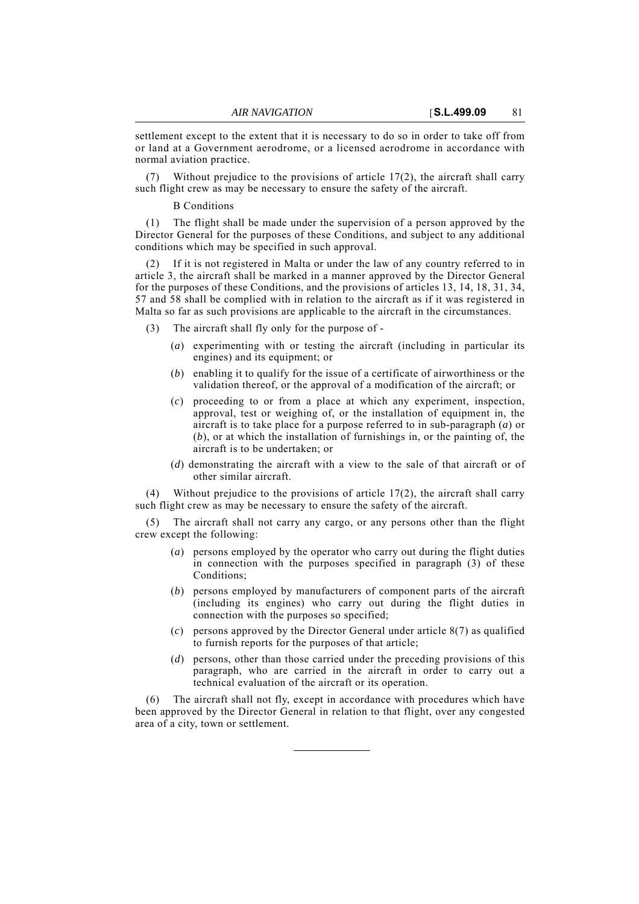settlement except to the extent that it is necessary to do so in order to take off from or land at a Government aerodrome, or a licensed aerodrome in accordance with normal aviation practice.

Without prejudice to the provisions of article  $17(2)$ , the aircraft shall carry such flight crew as may be necessary to ensure the safety of the aircraft.

#### B Conditions

(1) The flight shall be made under the supervision of a person approved by the Director General for the purposes of these Conditions, and subject to any additional conditions which may be specified in such approval.

If it is not registered in Malta or under the law of any country referred to in article 3, the aircraft shall be marked in a manner approved by the Director General for the purposes of these Conditions, and the provisions of articles 13, 14, 18, 31, 34, 57 and 58 shall be complied with in relation to the aircraft as if it was registered in Malta so far as such provisions are applicable to the aircraft in the circumstances.

- (3) The aircraft shall fly only for the purpose of
	- (*a*) experimenting with or testing the aircraft (including in particular its engines) and its equipment; or
	- (*b*) enabling it to qualify for the issue of a certificate of airworthiness or the validation thereof, or the approval of a modification of the aircraft; or
	- (*c*) proceeding to or from a place at which any experiment, inspection, approval, test or weighing of, or the installation of equipment in, the aircraft is to take place for a purpose referred to in sub-paragraph (*a*) or (*b*), or at which the installation of furnishings in, or the painting of, the aircraft is to be undertaken; or
	- (*d*) demonstrating the aircraft with a view to the sale of that aircraft or of other similar aircraft.

(4) Without prejudice to the provisions of article 17(2), the aircraft shall carry such flight crew as may be necessary to ensure the safety of the aircraft.

The aircraft shall not carry any cargo, or any persons other than the flight crew except the following:

- (*a*) persons employed by the operator who carry out during the flight duties in connection with the purposes specified in paragraph (3) of these Conditions;
- (*b*) persons employed by manufacturers of component parts of the aircraft (including its engines) who carry out during the flight duties in connection with the purposes so specified;
- (*c*) persons approved by the Director General under article 8(7) as qualified to furnish reports for the purposes of that article;
- (*d*) persons, other than those carried under the preceding provisions of this paragraph, who are carried in the aircraft in order to carry out a technical evaluation of the aircraft or its operation.

(6) The aircraft shall not fly, except in accordance with procedures which have been approved by the Director General in relation to that flight, over any congested area of a city, town or settlement.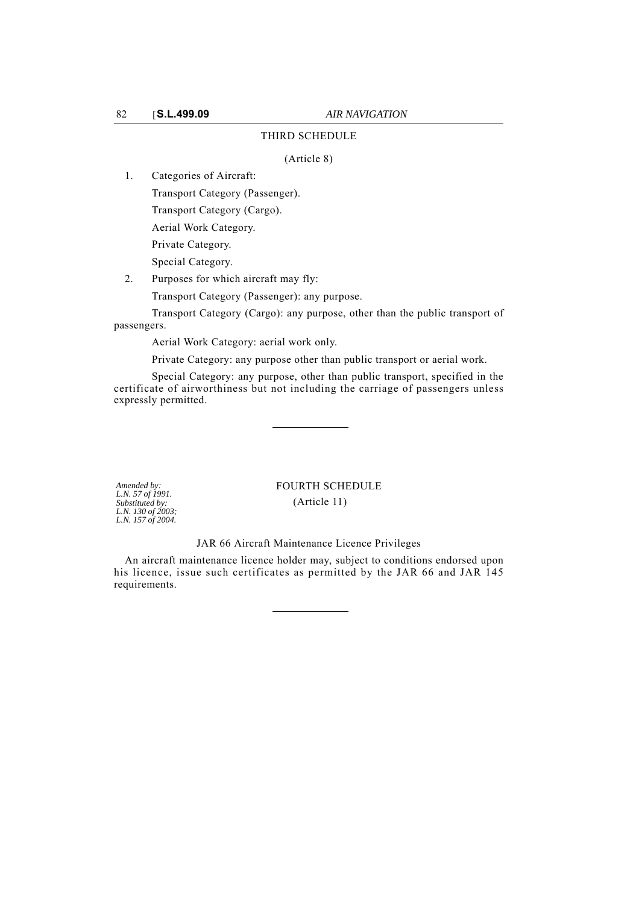## THIRD SCHEDULE

(Article 8)

1. Categories of Aircraft:

Transport Category (Passenger).

Transport Category (Cargo).

Aerial Work Category.

Private Category.

Special Category.

2. Purposes for which aircraft may fly: Transport Category (Passenger): any purpose.

Transport Category (Cargo): any purpose, other than the public transport of

passengers.

Aerial Work Category: aerial work only.

Private Category: any purpose other than public transport or aerial work.

Special Category: any purpose, other than public transport, specified in the certificate of airworthiness but not including the carriage of passengers unless expressly permitted.

*Amended by: L.N. 57 of 1991. Substituted by: L.N. 130 of 2003; L.N. 157 of 2004.* FOURTH SCHEDULE (Article 11)

## JAR 66 Aircraft Maintenance Licence Privileges

An aircraft maintenance licence holder may, subject to conditions endorsed upon his licence, issue such certificates as permitted by the JAR 66 and JAR 145 requirements.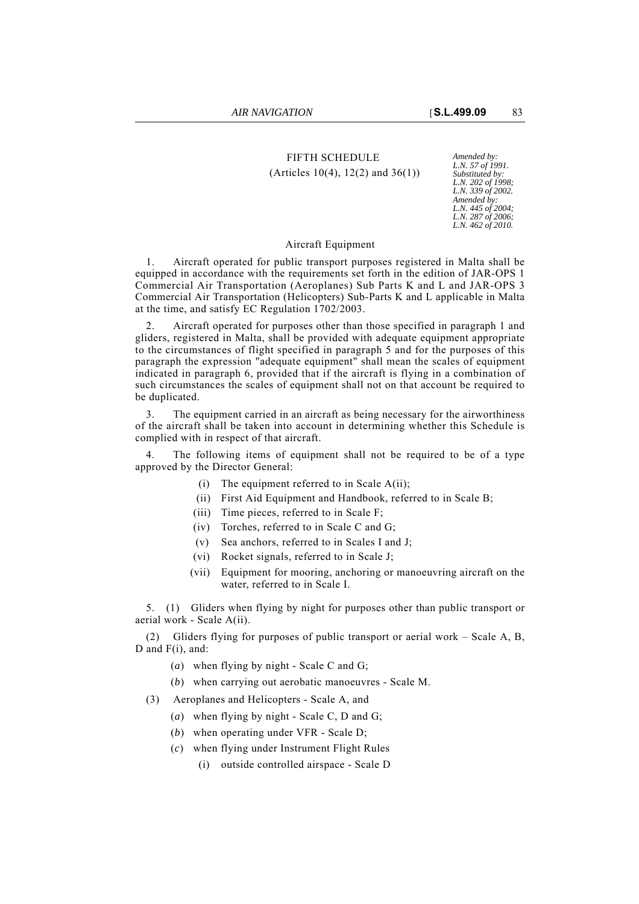# FIFTH SCHEDULE *Amended by:* (Articles 10(4), 12(2) and 36(1))

*L.N. 57 of 1991. Substituted by: L.N. 202 of 1998; L.N. 339 of 2002. Amended by: L.N. 445 of 2004; L.N. 287 of 2006; L.N. 462 of 2010.*

## Aircraft Equipment

1. Aircraft operated for public transport purposes registered in Malta shall be equipped in accordance with the requirements set forth in the edition of JAR-OPS 1 Commercial Air Transportation (Aeroplanes) Sub Parts K and L and JAR-OPS 3 Commercial Air Transportation (Helicopters) Sub-Parts K and L applicable in Malta at the time, and satisfy EC Regulation 1702/2003.

2. Aircraft operated for purposes other than those specified in paragraph 1 and gliders, registered in Malta, shall be provided with adequate equipment appropriate to the circumstances of flight specified in paragraph 5 and for the purposes of this paragraph the expression "adequate equipment" shall mean the scales of equipment indicated in paragraph 6, provided that if the aircraft is flying in a combination of such circumstances the scales of equipment shall not on that account be required to be duplicated.

3. The equipment carried in an aircraft as being necessary for the airworthiness of the aircraft shall be taken into account in determining whether this Schedule is complied with in respect of that aircraft.

The following items of equipment shall not be required to be of a type approved by the Director General:

- (i) The equipment referred to in Scale  $A(ii)$ ;
- (ii) First Aid Equipment and Handbook, referred to in Scale B;
- (iii) Time pieces, referred to in Scale F;
- (iv) Torches, referred to in Scale C and G;
- (v) Sea anchors, referred to in Scales I and J;
- (vi) Rocket signals, referred to in Scale J;
- (vii) Equipment for mooring, anchoring or manoeuvring aircraft on the water, referred to in Scale I.

5. (1) Gliders when flying by night for purposes other than public transport or aerial work - Scale A(ii).

(2) Gliders flying for purposes of public transport or aerial work – Scale A, B, D and  $F(i)$ , and:

- (*a*) when flying by night Scale C and G;
- (*b*) when carrying out aerobatic manoeuvres Scale M.
- (3) Aeroplanes and Helicopters Scale A, and
	- (*a*) when flying by night Scale C, D and G;
	- (*b*) when operating under VFR Scale D;
	- (*c*) when flying under Instrument Flight Rules
		- (i) outside controlled airspace Scale D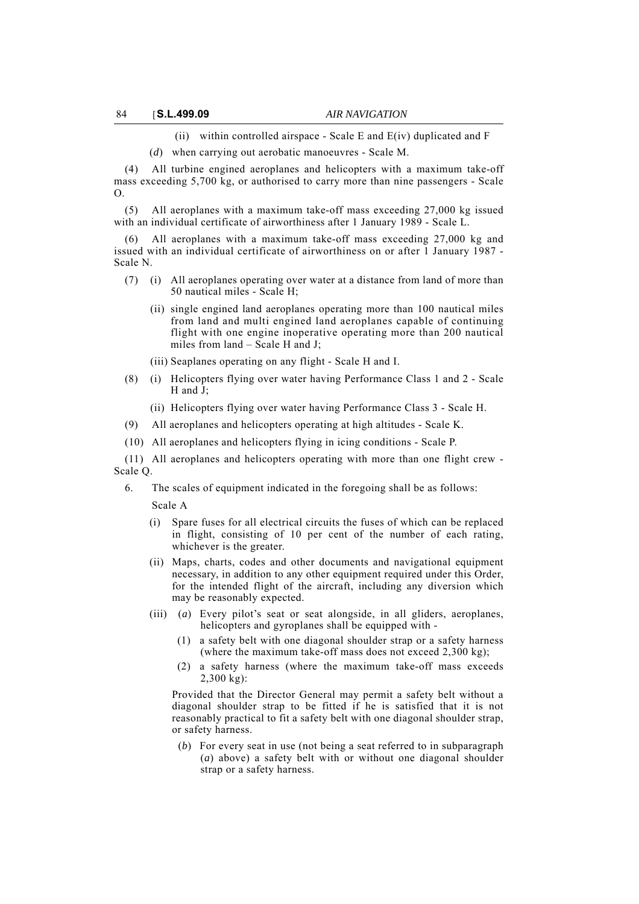(ii) within controlled airspace - Scale E and  $E(iv)$  duplicated and F

(*d*) when carrying out aerobatic manoeuvres - Scale M.

(4) All turbine engined aeroplanes and helicopters with a maximum take-off mass exceeding 5,700 kg, or authorised to carry more than nine passengers - Scale O.

(5) All aeroplanes with a maximum take-off mass exceeding 27,000 kg issued with an individual certificate of airworthiness after 1 January 1989 - Scale L.

All aeroplanes with a maximum take-off mass exceeding 27,000 kg and issued with an individual certificate of airworthiness on or after 1 January 1987 - Scale N.

- (7) (i) All aeroplanes operating over water at a distance from land of more than 50 nautical miles - Scale H;
	- (ii) single engined land aeroplanes operating more than 100 nautical miles from land and multi engined land aeroplanes capable of continuing flight with one engine inoperative operating more than 200 nautical miles from land – Scale H and J;

(iii) Seaplanes operating on any flight - Scale H and I.

- (8) (i) Helicopters flying over water having Performance Class 1 and 2 Scale H and J;
	- (ii) Helicopters flying over water having Performance Class 3 Scale H.
- (9) All aeroplanes and helicopters operating at high altitudes Scale K.
- (10) All aeroplanes and helicopters flying in icing conditions Scale P.

(11) All aeroplanes and helicopters operating with more than one flight crew - Scale Q.

6. The scales of equipment indicated in the foregoing shall be as follows:

Scale A

- (i) Spare fuses for all electrical circuits the fuses of which can be replaced in flight, consisting of 10 per cent of the number of each rating, whichever is the greater.
- (ii) Maps, charts, codes and other documents and navigational equipment necessary, in addition to any other equipment required under this Order, for the intended flight of the aircraft, including any diversion which may be reasonably expected.
- (iii) (*a*) Every pilot's seat or seat alongside, in all gliders, aeroplanes, helicopters and gyroplanes shall be equipped with -
	- (1) a safety belt with one diagonal shoulder strap or a safety harness (where the maximum take-off mass does not exceed 2,300 kg);
	- (2) a safety harness (where the maximum take-off mass exceeds  $2,300$  kg):

Provided that the Director General may permit a safety belt without a diagonal shoulder strap to be fitted if he is satisfied that it is not reasonably practical to fit a safety belt with one diagonal shoulder strap, or safety harness.

(*b*) For every seat in use (not being a seat referred to in subparagraph (*a*) above) a safety belt with or without one diagonal shoulder strap or a safety harness.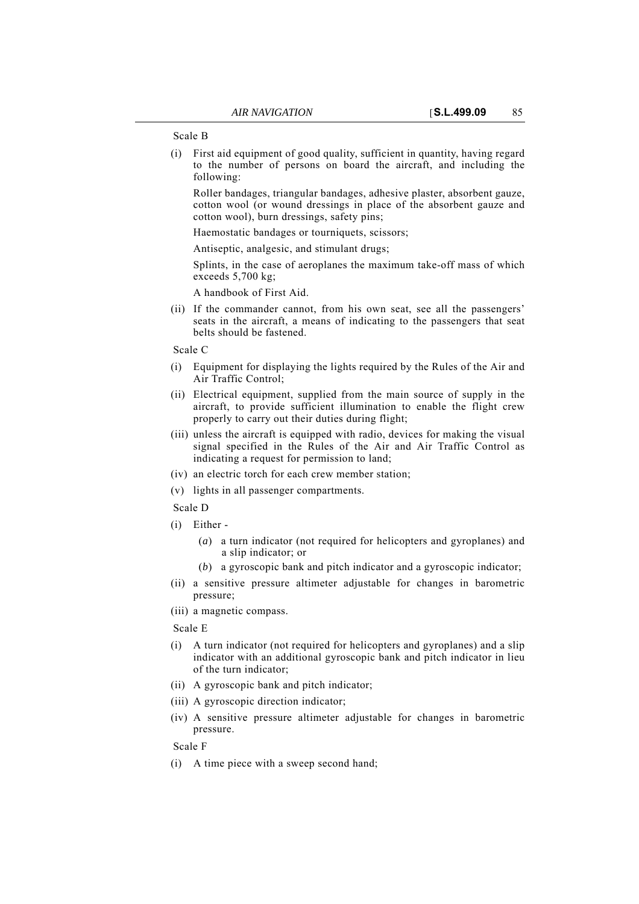Scale B

(i) First aid equipment of good quality, sufficient in quantity, having regard to the number of persons on board the aircraft, and including the following:

Roller bandages, triangular bandages, adhesive plaster, absorbent gauze, cotton wool (or wound dressings in place of the absorbent gauze and cotton wool), burn dressings, safety pins;

Haemostatic bandages or tourniquets, scissors;

Antiseptic, analgesic, and stimulant drugs;

Splints, in the case of aeroplanes the maximum take-off mass of which exceeds 5,700 kg;

A handbook of First Aid.

(ii) If the commander cannot, from his own seat, see all the passengers' seats in the aircraft, a means of indicating to the passengers that seat belts should be fastened.

Scale C

- (i) Equipment for displaying the lights required by the Rules of the Air and Air Traffic Control;
- (ii) Electrical equipment, supplied from the main source of supply in the aircraft, to provide sufficient illumination to enable the flight crew properly to carry out their duties during flight;
- (iii) unless the aircraft is equipped with radio, devices for making the visual signal specified in the Rules of the Air and Air Traffic Control as indicating a request for permission to land;
- (iv) an electric torch for each crew member station;
- (v) lights in all passenger compartments.

Scale D

- (i) Either
	- (*a*) a turn indicator (not required for helicopters and gyroplanes) and a slip indicator; or
	- (*b*) a gyroscopic bank and pitch indicator and a gyroscopic indicator;
- (ii) a sensitive pressure altimeter adjustable for changes in barometric pressure;
- (iii) a magnetic compass.

Scale E

- (i) A turn indicator (not required for helicopters and gyroplanes) and a slip indicator with an additional gyroscopic bank and pitch indicator in lieu of the turn indicator;
- (ii) A gyroscopic bank and pitch indicator;
- (iii) A gyroscopic direction indicator;
- (iv) A sensitive pressure altimeter adjustable for changes in barometric pressure.

Scale F

(i) A time piece with a sweep second hand;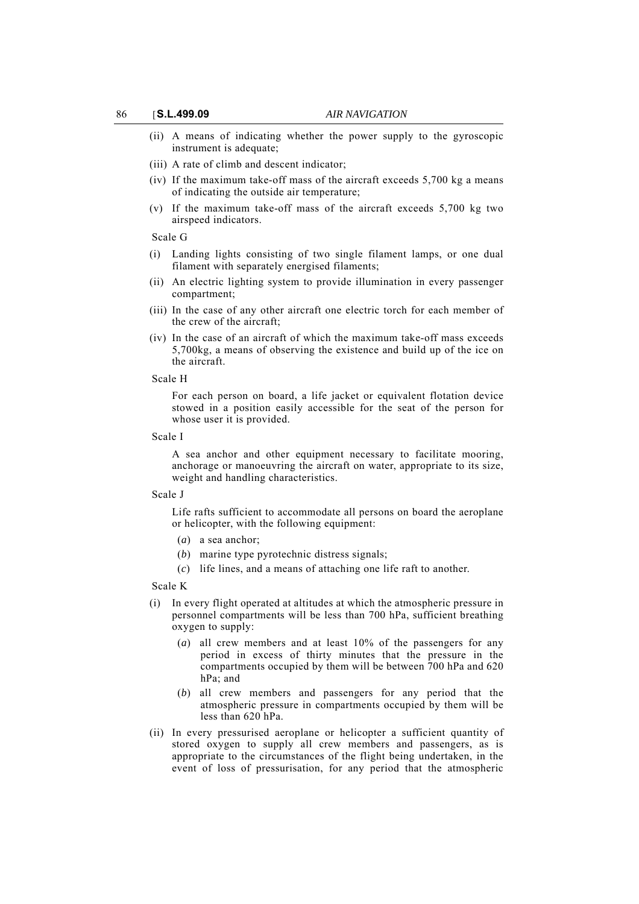- (ii) A means of indicating whether the power supply to the gyroscopic instrument is adequate;
- (iii) A rate of climb and descent indicator;
- (iv) If the maximum take-off mass of the aircraft exceeds 5,700 kg a means of indicating the outside air temperature;
- (v) If the maximum take-off mass of the aircraft exceeds 5,700 kg two airspeed indicators.

#### Scale G

- (i) Landing lights consisting of two single filament lamps, or one dual filament with separately energised filaments;
- (ii) An electric lighting system to provide illumination in every passenger compartment;
- (iii) In the case of any other aircraft one electric torch for each member of the crew of the aircraft;
- (iv) In the case of an aircraft of which the maximum take-off mass exceeds 5,700kg, a means of observing the existence and build up of the ice on the aircraft.

#### Scale H

For each person on board, a life jacket or equivalent flotation device stowed in a position easily accessible for the seat of the person for whose user it is provided.

#### Scale I

A sea anchor and other equipment necessary to facilitate mooring, anchorage or manoeuvring the aircraft on water, appropriate to its size, weight and handling characteristics.

#### Scale J

Life rafts sufficient to accommodate all persons on board the aeroplane or helicopter, with the following equipment:

- (*a*) a sea anchor;
- (*b*) marine type pyrotechnic distress signals;
- (*c*) life lines, and a means of attaching one life raft to another.

## Scale K

- (i) In every flight operated at altitudes at which the atmospheric pressure in personnel compartments will be less than 700 hPa, sufficient breathing oxygen to supply:
	- (*a*) all crew members and at least 10% of the passengers for any period in excess of thirty minutes that the pressure in the compartments occupied by them will be between 700 hPa and 620 hPa; and
	- (*b*) all crew members and passengers for any period that the atmospheric pressure in compartments occupied by them will be less than 620 hPa.
- (ii) In every pressurised aeroplane or helicopter a sufficient quantity of stored oxygen to supply all crew members and passengers, as is appropriate to the circumstances of the flight being undertaken, in the event of loss of pressurisation, for any period that the atmospheric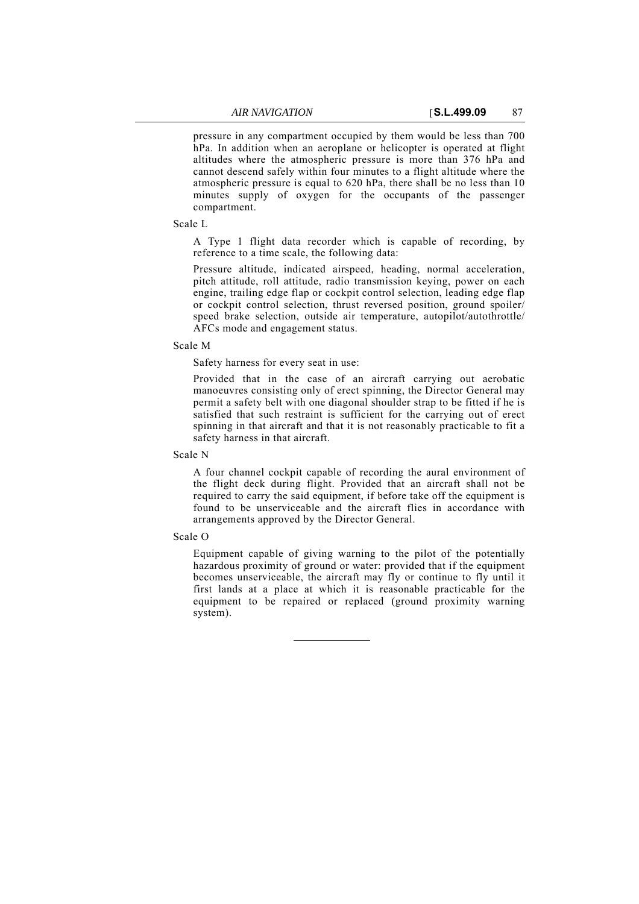pressure in any compartment occupied by them would be less than 700 hPa. In addition when an aeroplane or helicopter is operated at flight altitudes where the atmospheric pressure is more than 376 hPa and cannot descend safely within four minutes to a flight altitude where the atmospheric pressure is equal to 620 hPa, there shall be no less than 10 minutes supply of oxygen for the occupants of the passenger compartment.

Scale L

A Type 1 flight data recorder which is capable of recording, by reference to a time scale, the following data:

Pressure altitude, indicated airspeed, heading, normal acceleration, pitch attitude, roll attitude, radio transmission keying, power on each engine, trailing edge flap or cockpit control selection, leading edge flap or cockpit control selection, thrust reversed position, ground spoiler/ speed brake selection, outside air temperature, autopilot/autothrottle/ AFCs mode and engagement status.

## Scale M

Safety harness for every seat in use:

Provided that in the case of an aircraft carrying out aerobatic manoeuvres consisting only of erect spinning, the Director General may permit a safety belt with one diagonal shoulder strap to be fitted if he is satisfied that such restraint is sufficient for the carrying out of erect spinning in that aircraft and that it is not reasonably practicable to fit a safety harness in that aircraft.

Scale N

A four channel cockpit capable of recording the aural environment of the flight deck during flight. Provided that an aircraft shall not be required to carry the said equipment, if before take off the equipment is found to be unserviceable and the aircraft flies in accordance with arrangements approved by the Director General.

## Scale O

Equipment capable of giving warning to the pilot of the potentially hazardous proximity of ground or water: provided that if the equipment becomes unserviceable, the aircraft may fly or continue to fly until it first lands at a place at which it is reasonable practicable for the equipment to be repaired or replaced (ground proximity warning system).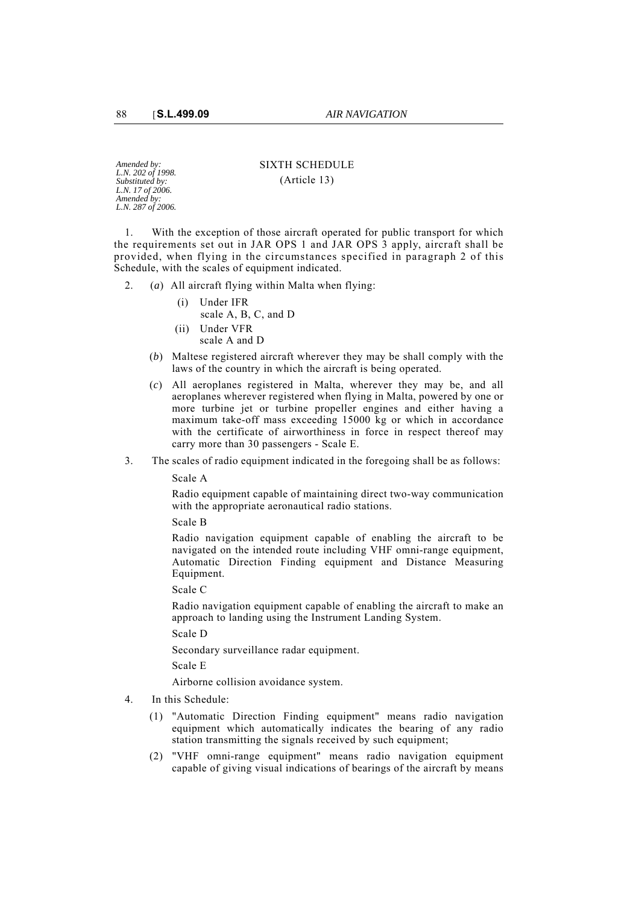*Amended by: L.N. 202 of 1998. Substituted by: L.N. 17 of 2006. Amended by: L.N. 287 of 2006.* SIXTH SCHEDULE (Article 13)

1. With the exception of those aircraft operated for public transport for which the requirements set out in JAR OPS 1 and JAR OPS 3 apply, aircraft shall be provided, when flying in the circumstances specified in paragraph 2 of this Schedule, with the scales of equipment indicated.

2. (*a*) All aircraft flying within Malta when flying:

- (i) Under IFR scale A, B, C, and D
- (ii) Under VFR
	- scale A and D
- (*b*) Maltese registered aircraft wherever they may be shall comply with the laws of the country in which the aircraft is being operated.
- (*c*) All aeroplanes registered in Malta, wherever they may be, and all aeroplanes wherever registered when flying in Malta, powered by one or more turbine jet or turbine propeller engines and either having a maximum take-off mass exceeding 15000 kg or which in accordance with the certificate of airworthiness in force in respect thereof may carry more than 30 passengers - Scale E.
- 3. The scales of radio equipment indicated in the foregoing shall be as follows:

Scale A

Radio equipment capable of maintaining direct two-way communication with the appropriate aeronautical radio stations.

Scale B

Radio navigation equipment capable of enabling the aircraft to be navigated on the intended route including VHF omni-range equipment, Automatic Direction Finding equipment and Distance Measuring Equipment.

Scale C

Radio navigation equipment capable of enabling the aircraft to make an approach to landing using the Instrument Landing System.

Scale D

Secondary surveillance radar equipment.

Scale E

Airborne collision avoidance system.

- 4. In this Schedule:
	- (1) "Automatic Direction Finding equipment" means radio navigation equipment which automatically indicates the bearing of any radio station transmitting the signals received by such equipment;
	- (2) "VHF omni-range equipment" means radio navigation equipment capable of giving visual indications of bearings of the aircraft by means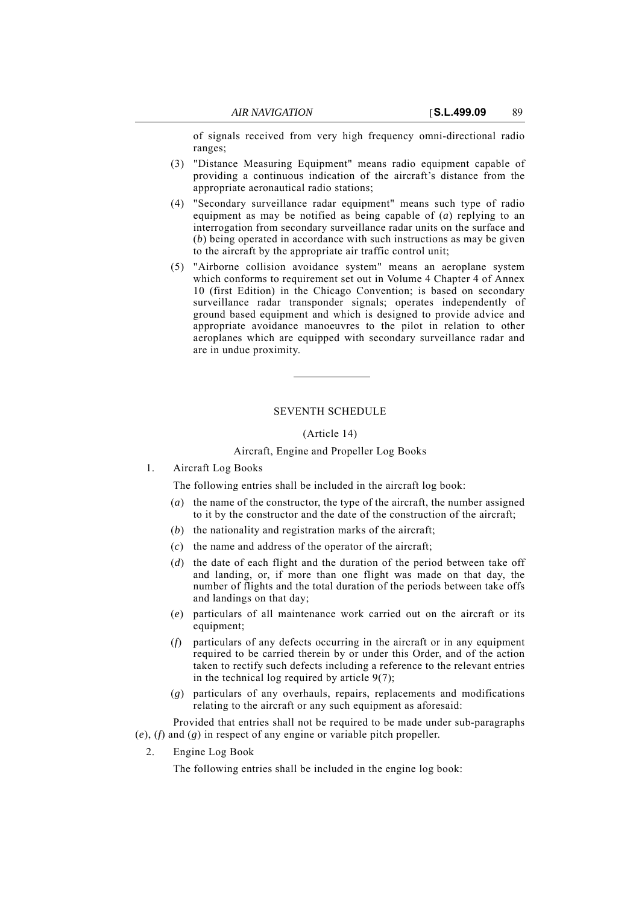of signals received from very high frequency omni-directional radio ranges;

- (3) "Distance Measuring Equipment" means radio equipment capable of providing a continuous indication of the aircraft's distance from the appropriate aeronautical radio stations;
- (4) "Secondary surveillance radar equipment" means such type of radio equipment as may be notified as being capable of (*a*) replying to an interrogation from secondary surveillance radar units on the surface and (*b*) being operated in accordance with such instructions as may be given to the aircraft by the appropriate air traffic control unit;
- (5) "Airborne collision avoidance system" means an aeroplane system which conforms to requirement set out in Volume 4 Chapter 4 of Annex 10 (first Edition) in the Chicago Convention; is based on secondary surveillance radar transponder signals; operates independently of ground based equipment and which is designed to provide advice and appropriate avoidance manoeuvres to the pilot in relation to other aeroplanes which are equipped with secondary surveillance radar and are in undue proximity.

## SEVENTH SCHEDULE

#### (Article 14)

## Aircraft, Engine and Propeller Log Books

1. Aircraft Log Books

The following entries shall be included in the aircraft log book:

- (*a*) the name of the constructor, the type of the aircraft, the number assigned to it by the constructor and the date of the construction of the aircraft;
- (*b*) the nationality and registration marks of the aircraft;
- (*c*) the name and address of the operator of the aircraft;
- (*d*) the date of each flight and the duration of the period between take off and landing, or, if more than one flight was made on that day, the number of flights and the total duration of the periods between take offs and landings on that day;
- (*e*) particulars of all maintenance work carried out on the aircraft or its equipment;
- (*f*) particulars of any defects occurring in the aircraft or in any equipment required to be carried therein by or under this Order, and of the action taken to rectify such defects including a reference to the relevant entries in the technical log required by article 9(7);
- (*g*) particulars of any overhauls, repairs, replacements and modifications relating to the aircraft or any such equipment as aforesaid:

Provided that entries shall not be required to be made under sub-paragraphs (*e*), (*f*) and (*g*) in respect of any engine or variable pitch propeller.

2. Engine Log Book

The following entries shall be included in the engine log book: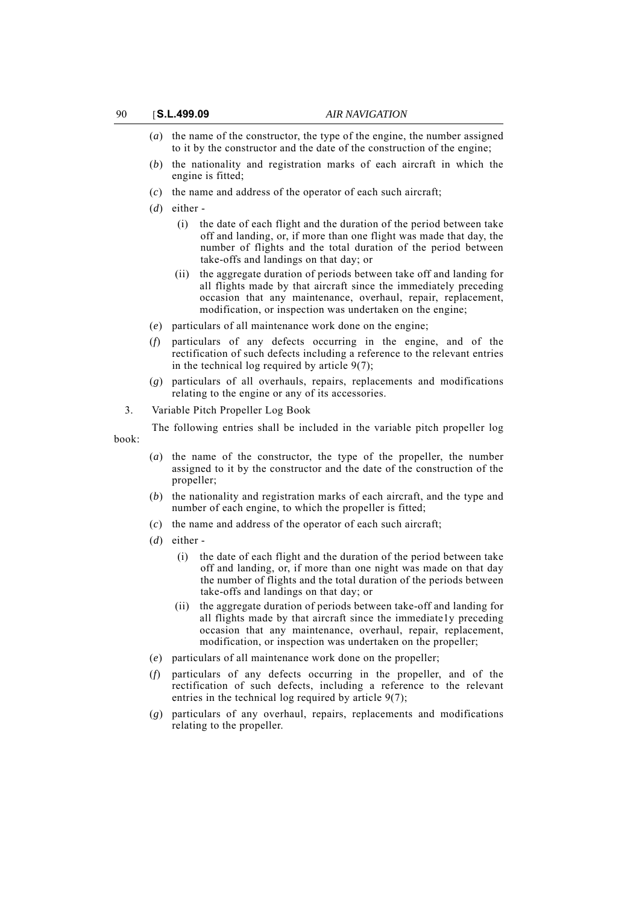- (*a*) the name of the constructor, the type of the engine, the number assigned to it by the constructor and the date of the construction of the engine;
- (*b*) the nationality and registration marks of each aircraft in which the engine is fitted;
- (*c*) the name and address of the operator of each such aircraft;
- (*d*) either
	- (i) the date of each flight and the duration of the period between take off and landing, or, if more than one flight was made that day, the number of flights and the total duration of the period between take-offs and landings on that day; or
	- (ii) the aggregate duration of periods between take off and landing for all flights made by that aircraft since the immediately preceding occasion that any maintenance, overhaul, repair, replacement, modification, or inspection was undertaken on the engine;
- (*e*) particulars of all maintenance work done on the engine;
- (*f*) particulars of any defects occurring in the engine, and of the rectification of such defects including a reference to the relevant entries in the technical log required by article 9(7);
- (*g*) particulars of all overhauls, repairs, replacements and modifications relating to the engine or any of its accessories.
- 3. Variable Pitch Propeller Log Book

The following entries shall be included in the variable pitch propeller log book:

- (*a*) the name of the constructor, the type of the propeller, the number assigned to it by the constructor and the date of the construction of the propeller;
- (*b*) the nationality and registration marks of each aircraft, and the type and number of each engine, to which the propeller is fitted;
- (*c*) the name and address of the operator of each such aircraft;
- (*d*) either
	- (i) the date of each flight and the duration of the period between take off and landing, or, if more than one night was made on that day the number of flights and the total duration of the periods between take-offs and landings on that day; or
	- (ii) the aggregate duration of periods between take-off and landing for all flights made by that aircraft since the immediate1y preceding occasion that any maintenance, overhaul, repair, replacement, modification, or inspection was undertaken on the propeller;
- (*e*) particulars of all maintenance work done on the propeller;
- (*f*) particulars of any defects occurring in the propeller, and of the rectification of such defects, including a reference to the relevant entries in the technical log required by article 9(7);
- (*g*) particulars of any overhaul, repairs, replacements and modifications relating to the propeller.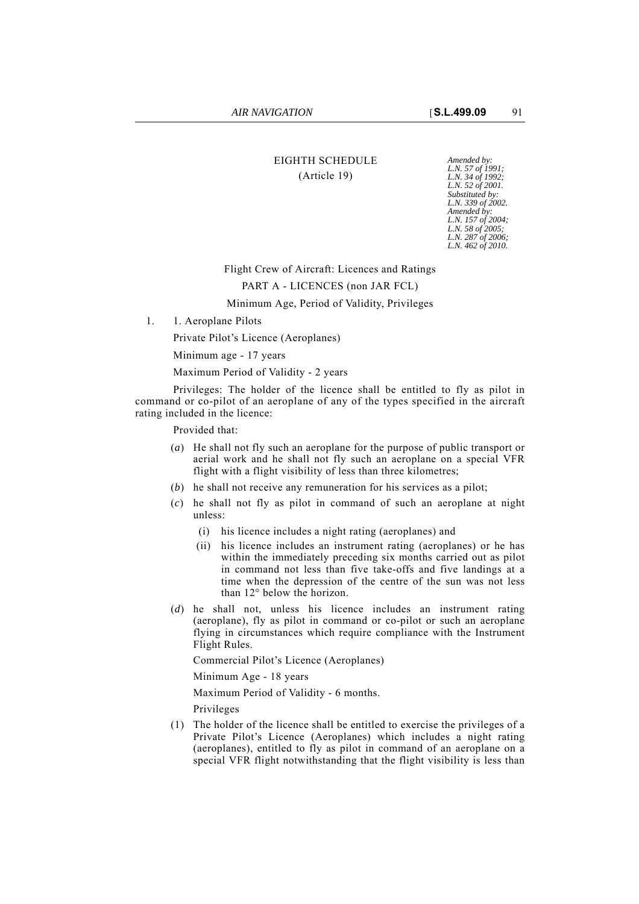# EIGHTH SCHEDULE *Amended by:* (Article 19)

*L.N. 57 of 1991; L.N. 34 of 1992; L.N. 52 of 2001. Substituted by: L.N. 339 of 2002. Amended by: L.N. 157 of 2004; L.N. 58 of 2005; L.N. 287 of 2006; L.N. 462 of 2010.*

## Flight Crew of Aircraft: Licences and Ratings

## PART A - LICENCES (non JAR FCL)

## Minimum Age, Period of Validity, Privileges

1. 1. Aeroplane Pilots

Private Pilot's Licence (Aeroplanes)

Minimum age - 17 years

Maximum Period of Validity - 2 years

Privileges: The holder of the licence shall be entitled to fly as pilot in command or co-pilot of an aeroplane of any of the types specified in the aircraft rating included in the licence:

Provided that:

- (*a*) He shall not fly such an aeroplane for the purpose of public transport or aerial work and he shall not fly such an aeroplane on a special VFR flight with a flight visibility of less than three kilometres;
- (*b*) he shall not receive any remuneration for his services as a pilot;
- (*c*) he shall not fly as pilot in command of such an aeroplane at night unless:
	- (i) his licence includes a night rating (aeroplanes) and
	- (ii) his licence includes an instrument rating (aeroplanes) or he has within the immediately preceding six months carried out as pilot in command not less than five take-offs and five landings at a time when the depression of the centre of the sun was not less than 12° below the horizon.
- (*d*) he shall not, unless his licence includes an instrument rating (aeroplane), fly as pilot in command or co-pilot or such an aeroplane flying in circumstances which require compliance with the Instrument Flight Rules.

Commercial Pilot's Licence (Aeroplanes)

Minimum Age - 18 years

Maximum Period of Validity - 6 months.

Privileges

(1) The holder of the licence shall be entitled to exercise the privileges of a Private Pilot's Licence (Aeroplanes) which includes a night rating (aeroplanes), entitled to fly as pilot in command of an aeroplane on a special VFR flight notwithstanding that the flight visibility is less than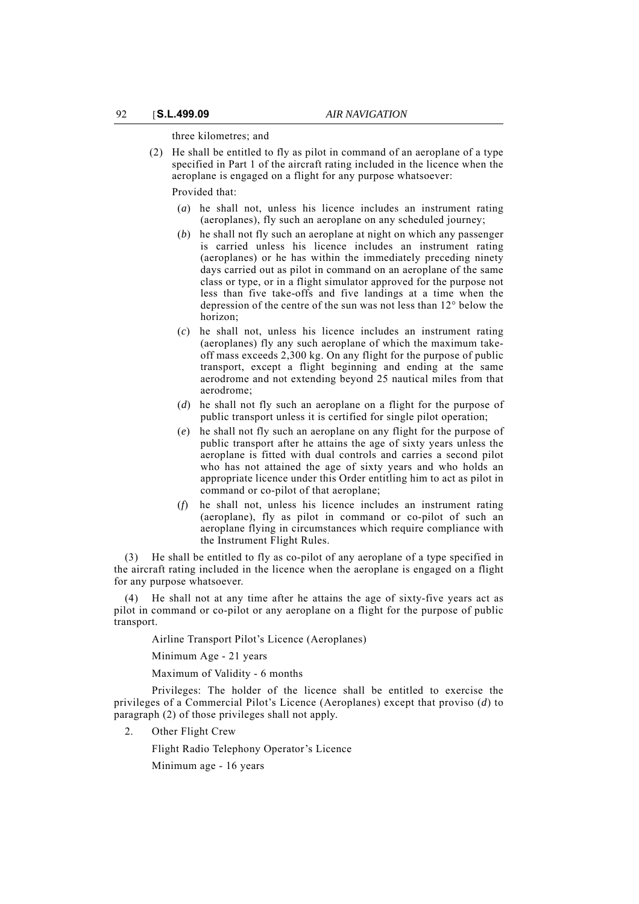three kilometres; and

(2) He shall be entitled to fly as pilot in command of an aeroplane of a type specified in Part 1 of the aircraft rating included in the licence when the aeroplane is engaged on a flight for any purpose whatsoever:

Provided that:

- (*a*) he shall not, unless his licence includes an instrument rating (aeroplanes), fly such an aeroplane on any scheduled journey;
- (*b*) he shall not fly such an aeroplane at night on which any passenger is carried unless his licence includes an instrument rating (aeroplanes) or he has within the immediately preceding ninety days carried out as pilot in command on an aeroplane of the same class or type, or in a flight simulator approved for the purpose not less than five take-offs and five landings at a time when the depression of the centre of the sun was not less than 12° below the horizon;
- (*c*) he shall not, unless his licence includes an instrument rating (aeroplanes) fly any such aeroplane of which the maximum takeoff mass exceeds 2,300 kg. On any flight for the purpose of public transport, except a flight beginning and ending at the same aerodrome and not extending beyond 25 nautical miles from that aerodrome;
- (*d*) he shall not fly such an aeroplane on a flight for the purpose of public transport unless it is certified for single pilot operation;
- (*e*) he shall not fly such an aeroplane on any flight for the purpose of public transport after he attains the age of sixty years unless the aeroplane is fitted with dual controls and carries a second pilot who has not attained the age of sixty years and who holds an appropriate licence under this Order entitling him to act as pilot in command or co-pilot of that aeroplane;
- (*f*) he shall not, unless his licence includes an instrument rating (aeroplane), fly as pilot in command or co-pilot of such an aeroplane flying in circumstances which require compliance with the Instrument Flight Rules.

(3) He shall be entitled to fly as co-pilot of any aeroplane of a type specified in the aircraft rating included in the licence when the aeroplane is engaged on a flight for any purpose whatsoever.

(4) He shall not at any time after he attains the age of sixty-five years act as pilot in command or co-pilot or any aeroplane on a flight for the purpose of public transport.

Airline Transport Pilot's Licence (Aeroplanes)

Minimum Age - 21 years

Maximum of Validity - 6 months

Privileges: The holder of the licence shall be entitled to exercise the privileges of a Commercial Pilot's Licence (Aeroplanes) except that proviso (*d*) to paragraph (2) of those privileges shall not apply.

2. Other Flight Crew

Flight Radio Telephony Operator's Licence

Minimum age - 16 years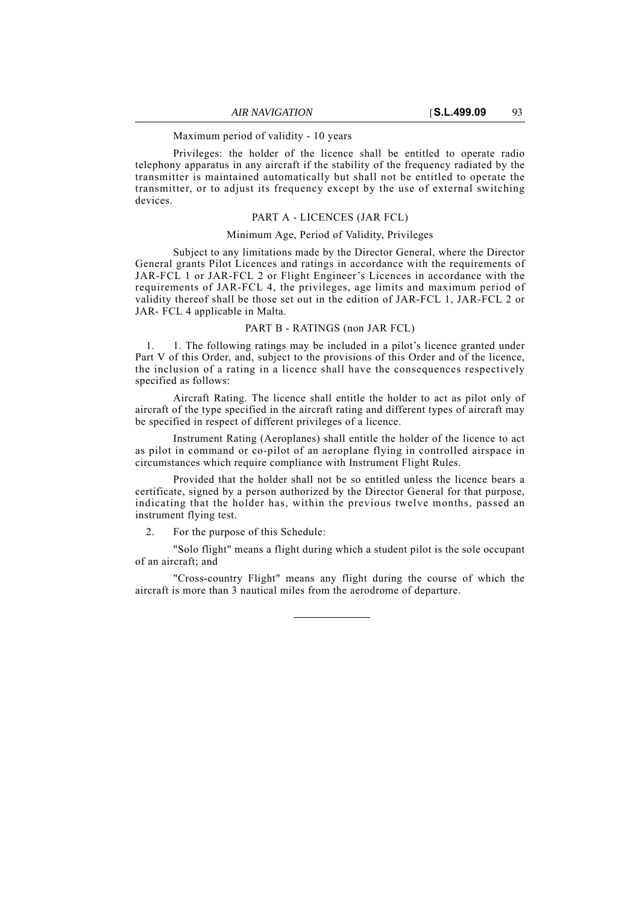Maximum period of validity - 10 years

Privileges: the holder of the licence shall be entitled to operate radio telephony apparatus in any aircraft if the stability of the frequency radiated by the transmitter is maintained automatically but shall not be entitled to operate the transmitter, or to adjust its frequency except by the use of external switching devices.

## PART A - LICENCES (JAR FCL)

#### Minimum Age, Period of Validity, Privileges

Subject to any limitations made by the Director General, where the Director General grants Pilot Licences and ratings in accordance with the requirements of JAR-FCL 1 or JAR-FCL 2 or Flight Engineer's Licences in accordance with the requirements of JAR-FCL 4, the privileges, age limits and maximum period of validity thereof shall be those set out in the edition of JAR-FCL 1, JAR-FCL 2 or JAR- FCL 4 applicable in Malta.

### PART B - RATINGS (non JAR FCL)

1. 1. The following ratings may be included in a pilot's licence granted under Part V of this Order, and, subject to the provisions of this Order and of the licence, the inclusion of a rating in a licence shall have the consequences respectively specified as follows:

Aircraft Rating. The licence shall entitle the holder to act as pilot only of aircraft of the type specified in the aircraft rating and different types of aircraft may be specified in respect of different privileges of a licence.

Instrument Rating (Aeroplanes) shall entitle the holder of the licence to act as pilot in command or co-pilot of an aeroplane flying in controlled airspace in circumstances which require compliance with Instrument Flight Rules.

Provided that the holder shall not be so entitled unless the licence bears a certificate, signed by a person authorized by the Director General for that purpose, indicating that the holder has, within the previous twelve months, passed an instrument flying test.

2. For the purpose of this Schedule:

"Solo flight" means a flight during which a student pilot is the sole occupant of an aircraft; and

"Cross-country Flight" means any flight during the course of which the aircraft is more than 3 nautical miles from the aerodrome of departure.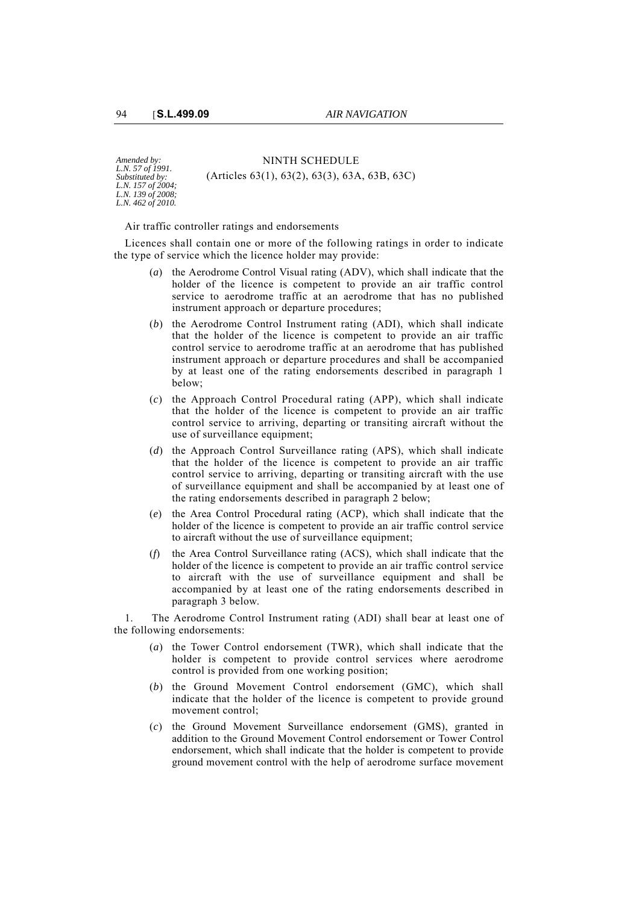*Amended by: L.N. 57 of 1991. Substituted by: L.N. 157 of 2004; L.N. 139 of 2008; L.N. 462 of 2010.*

NINTH SCHEDULE (Articles 63(1), 63(2), 63(3), 63A, 63B, 63C)

Air traffic controller ratings and endorsements

Licences shall contain one or more of the following ratings in order to indicate the type of service which the licence holder may provide:

- (*a*) the Aerodrome Control Visual rating (ADV), which shall indicate that the holder of the licence is competent to provide an air traffic control service to aerodrome traffic at an aerodrome that has no published instrument approach or departure procedures;
- (*b*) the Aerodrome Control Instrument rating (ADI), which shall indicate that the holder of the licence is competent to provide an air traffic control service to aerodrome traffic at an aerodrome that has published instrument approach or departure procedures and shall be accompanied by at least one of the rating endorsements described in paragraph 1 below;
- (*c*) the Approach Control Procedural rating (APP), which shall indicate that the holder of the licence is competent to provide an air traffic control service to arriving, departing or transiting aircraft without the use of surveillance equipment;
- (*d*) the Approach Control Surveillance rating (APS), which shall indicate that the holder of the licence is competent to provide an air traffic control service to arriving, departing or transiting aircraft with the use of surveillance equipment and shall be accompanied by at least one of the rating endorsements described in paragraph 2 below;
- (*e*) the Area Control Procedural rating (ACP), which shall indicate that the holder of the licence is competent to provide an air traffic control service to aircraft without the use of surveillance equipment;
- (*f*) the Area Control Surveillance rating (ACS), which shall indicate that the holder of the licence is competent to provide an air traffic control service to aircraft with the use of surveillance equipment and shall be accompanied by at least one of the rating endorsements described in paragraph 3 below.

1. The Aerodrome Control Instrument rating (ADI) shall bear at least one of the following endorsements:

- (*a*) the Tower Control endorsement (TWR), which shall indicate that the holder is competent to provide control services where aerodrome control is provided from one working position;
- (*b*) the Ground Movement Control endorsement (GMC), which shall indicate that the holder of the licence is competent to provide ground movement control;
- (*c*) the Ground Movement Surveillance endorsement (GMS), granted in addition to the Ground Movement Control endorsement or Tower Control endorsement, which shall indicate that the holder is competent to provide ground movement control with the help of aerodrome surface movement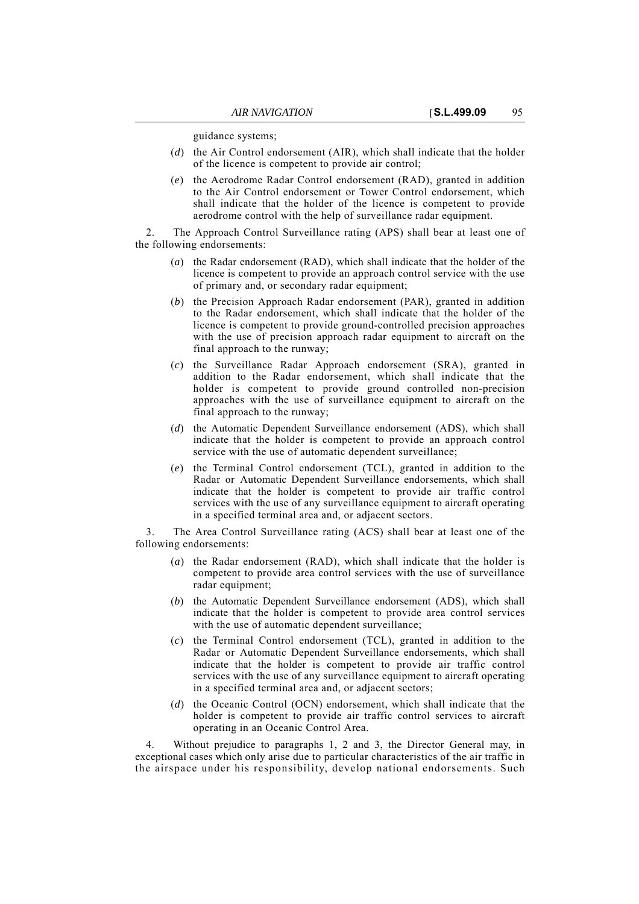guidance systems;

- (*d*) the Air Control endorsement (AIR), which shall indicate that the holder of the licence is competent to provide air control;
- (*e*) the Aerodrome Radar Control endorsement (RAD), granted in addition to the Air Control endorsement or Tower Control endorsement, which shall indicate that the holder of the licence is competent to provide aerodrome control with the help of surveillance radar equipment.

2. The Approach Control Surveillance rating (APS) shall bear at least one of the following endorsements:

- (*a*) the Radar endorsement (RAD), which shall indicate that the holder of the licence is competent to provide an approach control service with the use of primary and, or secondary radar equipment;
- (*b*) the Precision Approach Radar endorsement (PAR), granted in addition to the Radar endorsement, which shall indicate that the holder of the licence is competent to provide ground-controlled precision approaches with the use of precision approach radar equipment to aircraft on the final approach to the runway;
- (*c*) the Surveillance Radar Approach endorsement (SRA), granted in addition to the Radar endorsement, which shall indicate that the holder is competent to provide ground controlled non-precision approaches with the use of surveillance equipment to aircraft on the final approach to the runway;
- (*d*) the Automatic Dependent Surveillance endorsement (ADS), which shall indicate that the holder is competent to provide an approach control service with the use of automatic dependent surveillance;
- (*e*) the Terminal Control endorsement (TCL), granted in addition to the Radar or Automatic Dependent Surveillance endorsements, which shall indicate that the holder is competent to provide air traffic control services with the use of any surveillance equipment to aircraft operating in a specified terminal area and, or adjacent sectors.

3. The Area Control Surveillance rating (ACS) shall bear at least one of the following endorsements:

- (*a*) the Radar endorsement (RAD), which shall indicate that the holder is competent to provide area control services with the use of surveillance radar equipment;
- (*b*) the Automatic Dependent Surveillance endorsement (ADS), which shall indicate that the holder is competent to provide area control services with the use of automatic dependent surveillance;
- (*c*) the Terminal Control endorsement (TCL), granted in addition to the Radar or Automatic Dependent Surveillance endorsements, which shall indicate that the holder is competent to provide air traffic control services with the use of any surveillance equipment to aircraft operating in a specified terminal area and, or adjacent sectors;
- (*d*) the Oceanic Control (OCN) endorsement, which shall indicate that the holder is competent to provide air traffic control services to aircraft operating in an Oceanic Control Area.

4. Without prejudice to paragraphs 1, 2 and 3, the Director General may, in exceptional cases which only arise due to particular characteristics of the air traffic in the airspace under his responsibility, develop national endorsements. Such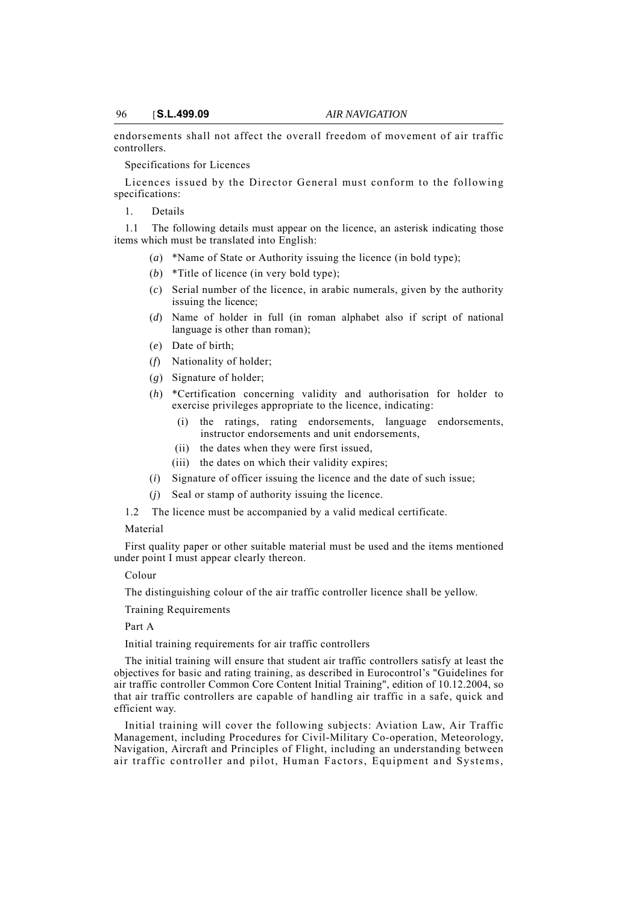endorsements shall not affect the overall freedom of movement of air traffic controllers.

Specifications for Licences

Licences issued by the Director General must conform to the following specifications:

1. Details

1.1 The following details must appear on the licence, an asterisk indicating those items which must be translated into English:

- (*a*) \*Name of State or Authority issuing the licence (in bold type);
- (*b*) \*Title of licence (in very bold type);
- (*c*) Serial number of the licence, in arabic numerals, given by the authority issuing the licence;
- (*d*) Name of holder in full (in roman alphabet also if script of national language is other than roman);
- (*e*) Date of birth;
- (*f*) Nationality of holder;
- (*g*) Signature of holder;
- (*h*) \*Certification concerning validity and authorisation for holder to exercise privileges appropriate to the licence, indicating:
	- (i) the ratings, rating endorsements, language endorsements, instructor endorsements and unit endorsements,
	- (ii) the dates when they were first issued,
	- (iii) the dates on which their validity expires;
- (*i*) Signature of officer issuing the licence and the date of such issue;
- (*j*) Seal or stamp of authority issuing the licence.
- 1.2 The licence must be accompanied by a valid medical certificate.

#### Material

First quality paper or other suitable material must be used and the items mentioned under point I must appear clearly thereon.

## Colour

The distinguishing colour of the air traffic controller licence shall be yellow.

Training Requirements

## Part A

Initial training requirements for air traffic controllers

The initial training will ensure that student air traffic controllers satisfy at least the objectives for basic and rating training, as described in Eurocontrol's "Guidelines for air traffic controller Common Core Content Initial Training", edition of 10.12.2004, so that air traffic controllers are capable of handling air traffic in a safe, quick and efficient way.

Initial training will cover the following subjects: Aviation Law, Air Traffic Management, including Procedures for Civil-Military Co-operation, Meteorology, Navigation, Aircraft and Principles of Flight, including an understanding between air traffic controller and pilot, Human Factors, Equipment and Systems,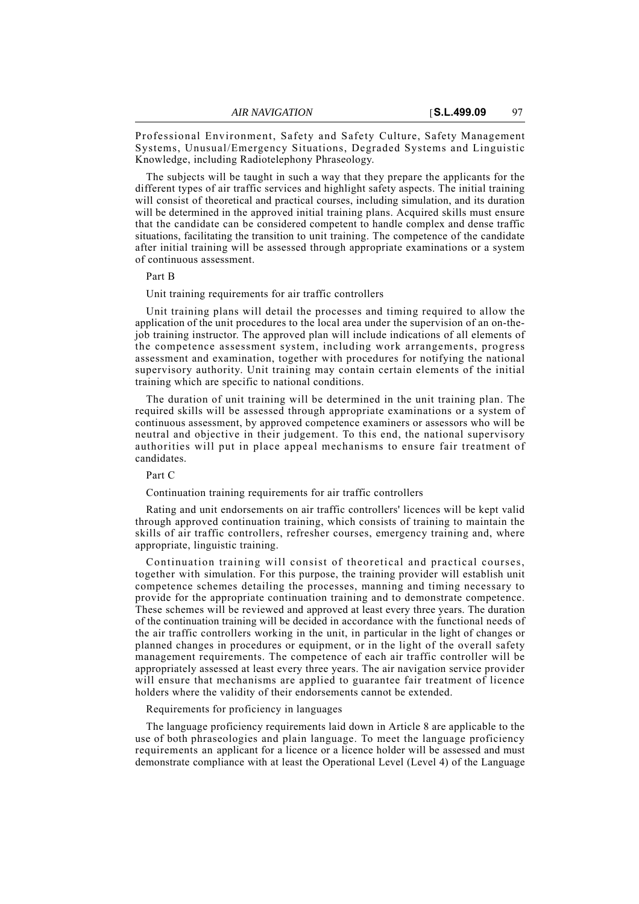Professional Environment, Safety and Safety Culture, Safety Management Systems, Unusual/Emergency Situations, Degraded Systems and Linguistic Knowledge, including Radiotelephony Phraseology.

The subjects will be taught in such a way that they prepare the applicants for the different types of air traffic services and highlight safety aspects. The initial training will consist of theoretical and practical courses, including simulation, and its duration will be determined in the approved initial training plans. Acquired skills must ensure that the candidate can be considered competent to handle complex and dense traffic situations, facilitating the transition to unit training. The competence of the candidate after initial training will be assessed through appropriate examinations or a system of continuous assessment.

#### Part B

Unit training requirements for air traffic controllers

Unit training plans will detail the processes and timing required to allow the application of the unit procedures to the local area under the supervision of an on-thejob training instructor. The approved plan will include indications of all elements of the competence assessment system, including work arrangements, progress assessment and examination, together with procedures for notifying the national supervisory authority. Unit training may contain certain elements of the initial training which are specific to national conditions.

The duration of unit training will be determined in the unit training plan. The required skills will be assessed through appropriate examinations or a system of continuous assessment, by approved competence examiners or assessors who will be neutral and objective in their judgement. To this end, the national supervisory authorities will put in place appeal mechanisms to ensure fair treatment of candidates.

Part C

Continuation training requirements for air traffic controllers

Rating and unit endorsements on air traffic controllers' licences will be kept valid through approved continuation training, which consists of training to maintain the skills of air traffic controllers, refresher courses, emergency training and, where appropriate, linguistic training.

Continuation training will consist of theoretical and practical courses, together with simulation. For this purpose, the training provider will establish unit competence schemes detailing the processes, manning and timing necessary to provide for the appropriate continuation training and to demonstrate competence. These schemes will be reviewed and approved at least every three years. The duration of the continuation training will be decided in accordance with the functional needs of the air traffic controllers working in the unit, in particular in the light of changes or planned changes in procedures or equipment, or in the light of the overall safety management requirements. The competence of each air traffic controller will be appropriately assessed at least every three years. The air navigation service provider will ensure that mechanisms are applied to guarantee fair treatment of licence holders where the validity of their endorsements cannot be extended.

## Requirements for proficiency in languages

The language proficiency requirements laid down in Article 8 are applicable to the use of both phraseologies and plain language. To meet the language proficiency requirements an applicant for a licence or a licence holder will be assessed and must demonstrate compliance with at least the Operational Level (Level 4) of the Language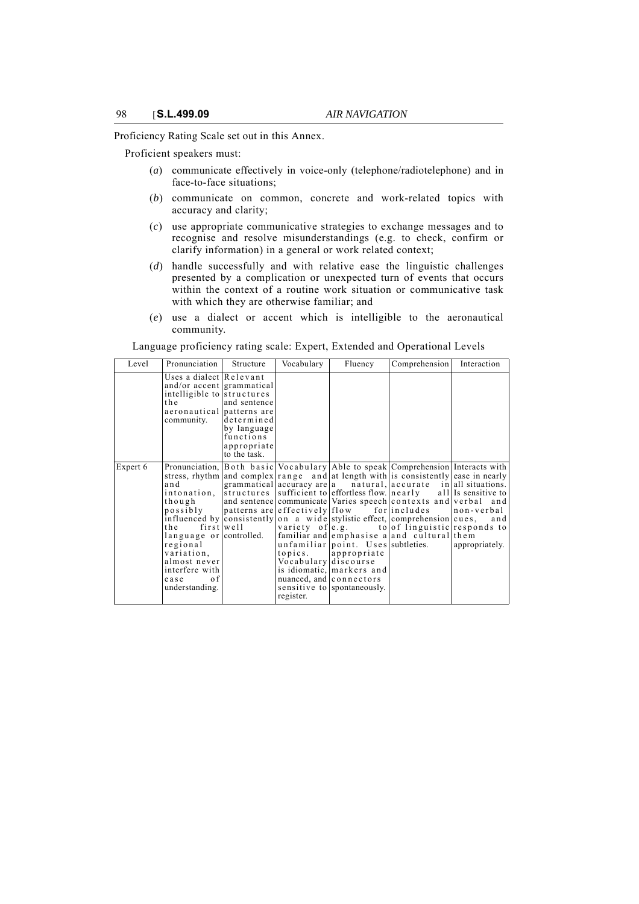Proficiency Rating Scale set out in this Annex.

Proficient speakers must:

- (*a*) communicate effectively in voice-only (telephone/radiotelephone) and in face-to-face situations;
- (*b*) communicate on common, concrete and work-related topics with accuracy and clarity;
- (*c*) use appropriate communicative strategies to exchange messages and to recognise and resolve misunderstandings (e.g. to check, confirm or clarify information) in a general or work related context;
- (*d*) handle successfully and with relative ease the linguistic challenges presented by a complication or unexpected turn of events that occurs within the context of a routine work situation or communicative task with which they are otherwise familiar; and
- (*e*) use a dialect or accent which is intelligible to the aeronautical community.

Level Pronunciation Structure Vocabulary Fluency Comprehension Interaction Uses a dialect Relevant and/or accent grammatical intelligible to structures the aeronautical community. and sentence patterns are determined by language functions appropriate to the task. Expert 6 Pronunciation, Both basic stress, rhythm and intonation, though possibly influenced by the first language or regional variation, almost never interfere with ease of understanding. and complex grammatical structures and sentence patterns are consistently well controlled. Vocabulary range and accuracy are sufficient to communicate effectively on a wide variety of familiar and unfamiliar topics. Vocabulary is idiomatic, nuanced, and sensitive to register. Able to speak Comprehension Interacts with at length with a natural, effortless flow. Varies speech flow for stylistic effect, e.g. to emphasise a point. Uses appropriate discourse markers and connectors spontaneously. is consistently accurate in nearly contexts and verbal and<br>includes non-verbal comprehension cues, and of linguistic and cultural subtleties. ease in nearly all situations. all Is sensitive to responds to them appropriately.

Language proficiency rating scale: Expert, Extended and Operational Levels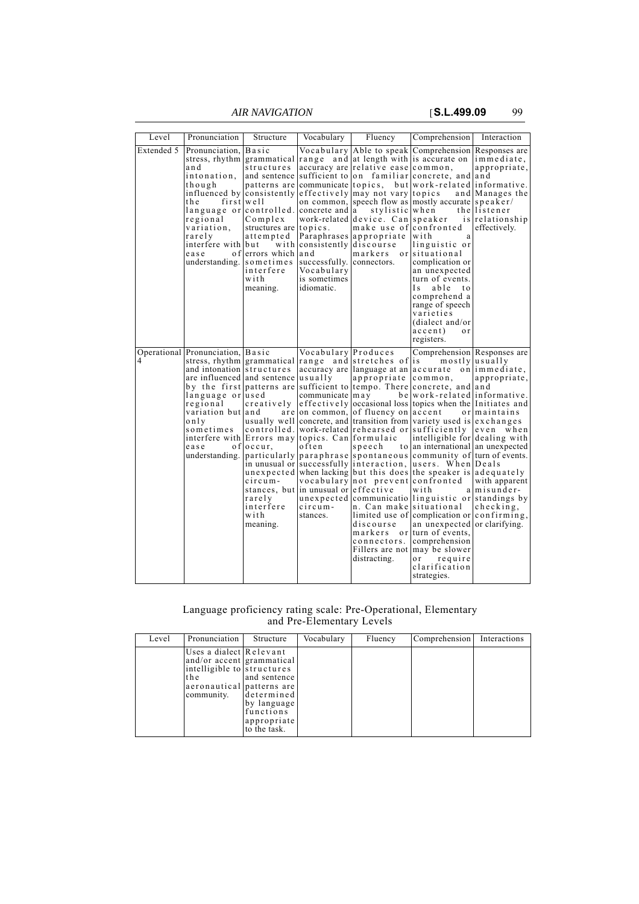*AIR NAVIGATION* [**S.L.499.09** 99

| Level      | Pronunciation                                                                                                                                                                                                                                                      | Structure                                                                                                                                                       | Vocabulary                                                                                                                                    | Fluency                                                                                                                                                                                                                                                                                        | Comprehension                                                                                                                                                                                                                                                                                                                                                                                                                                                                                                                                                                                                                                                                                                                                                                                                                                                                                              | Interaction                                                                                      |
|------------|--------------------------------------------------------------------------------------------------------------------------------------------------------------------------------------------------------------------------------------------------------------------|-----------------------------------------------------------------------------------------------------------------------------------------------------------------|-----------------------------------------------------------------------------------------------------------------------------------------------|------------------------------------------------------------------------------------------------------------------------------------------------------------------------------------------------------------------------------------------------------------------------------------------------|------------------------------------------------------------------------------------------------------------------------------------------------------------------------------------------------------------------------------------------------------------------------------------------------------------------------------------------------------------------------------------------------------------------------------------------------------------------------------------------------------------------------------------------------------------------------------------------------------------------------------------------------------------------------------------------------------------------------------------------------------------------------------------------------------------------------------------------------------------------------------------------------------------|--------------------------------------------------------------------------------------------------|
| Extended 5 | Pronunciation, Basic<br>and<br>intonation.<br>though<br>t h e-<br>language or controlled.<br>regional<br>variation.<br>rarely<br>interfere with but<br>ease<br>understanding.                                                                                      | structures<br>patterns are<br>first well<br>Complex<br>structures are topics.<br>attempted<br>of errors which and<br>sometimes<br>interfere<br>with<br>meaning. | communicate topics.<br>concrete and a<br>with consistently discourse<br>successfully. connectors.<br>Vocabulary<br>is sometimes<br>idiomatic. | accuracy are relative ease common,<br>influenced by consistently effectively may not vary topics<br>stylistic when<br>work-related device. Can speaker<br>make use of confronted<br>Paraphrases appropriate<br>markers or situational                                                          | Vocabulary Able to speak Comprehension Responses are<br>stress, rhythm grammatical range and at length with is accurate on<br>and sentence sufficient to on familiar concrete, and and<br>but work-related informative.<br>on common, speech flow as mostly accurate speaker/<br>with<br>a<br>linguistic or<br>complication or<br>an unexpected<br>turn of events.<br>I s<br>able<br>t o<br>comprehend a<br>range of speech<br>varieties<br>(dialect and/or<br>accent)<br>o r<br>registers.                                                                                                                                                                                                                                                                                                                                                                                                                | immediate,<br>appropriate,<br>and Manages the<br>thellistener<br>is relationship<br>effectively. |
| 4          | Operational Pronunciation, Basic<br>and intonation structures<br>are influenced and sentence usually<br>language or used<br>regional<br>variation but and<br>only<br>sometimes<br>interfere with Errors may topics. Can formulaic<br>o f<br>ease<br>understanding. | creatively<br>$occur$ ,<br>circum-<br>rarelv<br>interfere<br>with<br>meaning.                                                                                   | Vocabulary Produces<br>communicate $\ln a$ y<br>often<br>stances, but in unusual or effective<br>circum-<br>stances.                          | stress, rhythm grammatical range and stretches of is<br>appropriate<br>are on common, of fluency on accent<br>speech<br>in unusual or successfully interaction.<br>vocabulary not prevent confronted<br>n. Can make situational<br>discourse<br>connectors.<br>Fillers are not<br>distracting. | Comprehension Responses are<br>accuracy are language at an accurate on immediate.<br>common.<br>by the first patterns are sufficient to tempo. There concrete, and and<br>be work-related informative.<br>effectively occasional loss topics when the Initiates and<br>usually well concrete, and transition from variety used is exchanges<br>controlled. work-related rehearsed or sufficiently even when<br>intelligible for dealing with<br>to an international an unexpected<br>particularly paraphrase spontaneous community of turn of events.<br>users. When Deals<br>unexpected when lacking but this does the speaker is adequately<br>with<br>unexpected communicatio linguistic or standings by<br>limited use of complication or confirming,<br>an unexpected or clarifying.<br>markers or turn of events,<br>comprehension<br>may be slower<br>or<br>require<br>clarification<br>strategies. | mostly usually<br>appropriate,<br>ormaintains<br>with apparent<br>a misunder-<br>checking,       |

## Language proficiency rating scale: Pre-Operational, Elementary and Pre-Elementary Levels

| Level | Pronunciation                                                                                                                        | Structure                                                                             | Vocabulary | Fluency | Comprehension | Interactions |
|-------|--------------------------------------------------------------------------------------------------------------------------------------|---------------------------------------------------------------------------------------|------------|---------|---------------|--------------|
|       | Uses a dialect Relevant<br>and/or accent grammatical<br>intelligible to structures<br>the<br>aeronautical patterns are<br>community. | and sentence<br>determined<br>by language<br>functions<br>appropriate<br>to the task. |            |         |               |              |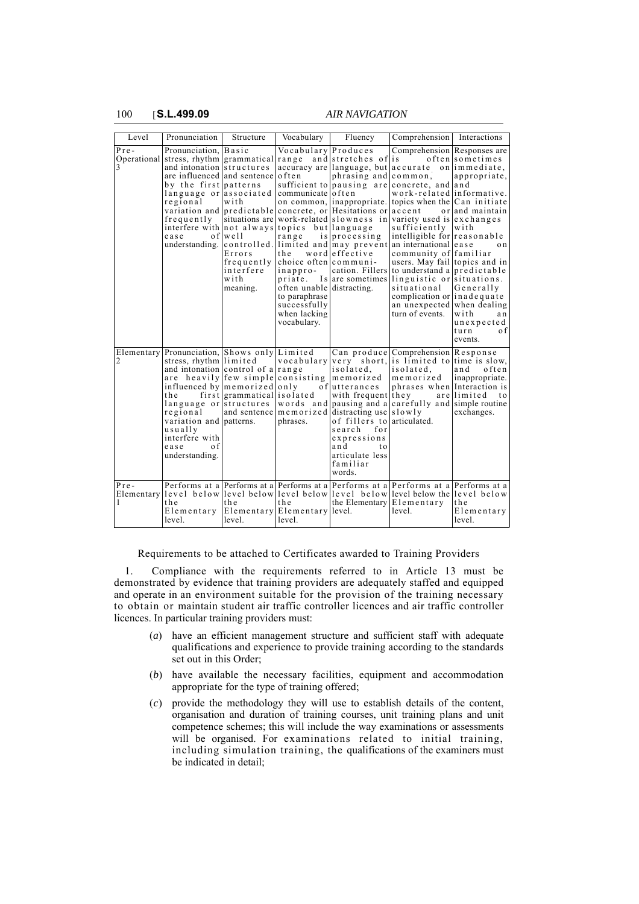100 [**S.L.499.09** *AIR NAVIGATION*

| Level       | Pronunciation                                                                                                                                                                                                                                                                                                          | Structure                                                                  | Vocabulary                                                                                                                                                                                                     | Fluency                                                                                                                                                                                                                                                                                                                                          | Comprehension Interactions                                                                                                                                                                                                                                                                                                                                                                                                                                                                                   |                                                                                                                                       |
|-------------|------------------------------------------------------------------------------------------------------------------------------------------------------------------------------------------------------------------------------------------------------------------------------------------------------------------------|----------------------------------------------------------------------------|----------------------------------------------------------------------------------------------------------------------------------------------------------------------------------------------------------------|--------------------------------------------------------------------------------------------------------------------------------------------------------------------------------------------------------------------------------------------------------------------------------------------------------------------------------------------------|--------------------------------------------------------------------------------------------------------------------------------------------------------------------------------------------------------------------------------------------------------------------------------------------------------------------------------------------------------------------------------------------------------------------------------------------------------------------------------------------------------------|---------------------------------------------------------------------------------------------------------------------------------------|
| $Pre-$<br>3 | Pronunciation, Basic<br>Operational stress, rhythm grammatical<br>and intonation structures<br>are influenced and sentence<br>by the first patterns<br>language or associated<br>regional<br>frequently<br>interfere with not always topics but language<br>ease                                                       | with<br>$of$ well<br>Errors<br>frequently<br>interfere<br>with<br>meaning. | Vocabulary Produces<br>range<br>often<br>communicate of ten<br>range<br>th e<br>choice often communi-<br>inappro-<br>often unable distracting.<br>to paraphrase<br>successfully<br>when lacking<br>vocabulary. | and stretches of is<br>phrasing and<br>sufficient to pausing are<br>on common, inappropriate.<br>variation and predictable concrete, or Hesitations or accent<br>situations are work-related slowness in<br>is processing<br>understanding. controlled. limited and may prevent<br>wordleffective<br>cation. Fillers<br>priate. Is are sometimes | Comprehension Responses are<br>accuracy are language, but accurate on immediate,<br>$common$ .<br>concrete, and and<br>work-related informative.<br>topics when the $Can$ initiate<br>variety used is exchanges<br>sufficiently<br>intelligible for reasonable<br>an international lease<br>community of familiar<br>users. May fail topics and in<br>to understand a predictable<br>linguistic or situations.<br>situational<br>complication or inadequate<br>an unexpected when dealing<br>turn of events. | often sometimes<br>appropriate,<br>or and maintain<br>with<br>o n<br>Generally<br>with<br>a n<br>unexpected<br>turn<br>0 f<br>events. |
| 2<br>Pre-   | Elementary Pronunciation, Shows only Limited<br>stress, rhythm limited<br>and intonation control of a range<br>are heavily few simple consisting<br>influenced by memorized only<br>the<br>language or structures<br>regional<br>variation and patterns.<br>usually<br>interfere with<br>0 f<br>ease<br>understanding. | first grammatical isolated<br>and sentence                                 | phrases.                                                                                                                                                                                                       | isolated.<br>memorized<br>of utterances<br>with frequent they<br>memorized distracting use slowly<br>of fillers to articulated.<br>search<br>for<br>expressions<br>and<br>t o<br>articulate less<br>familiar<br>words.                                                                                                                           | Can produce Comprehension Response<br>vocabulary very short, is limited to time is slow,<br>isolated.<br>memorized<br>phrases when Interaction is<br>words and pausing and a carefully and simple routine<br>Performs at a Performs at a Performs at a Performs at a Performs at a Performs at a                                                                                                                                                                                                             | and<br>often<br>inappropriate.<br>arellimited<br>t o<br>exchanges.                                                                    |
| 1           | t h e<br>Elementary<br>level.                                                                                                                                                                                                                                                                                          | the<br>level.                                                              | t h e<br>Elementary Elementary level.<br>level.                                                                                                                                                                | the Elementary Elementary                                                                                                                                                                                                                                                                                                                        | Elementary level below level below level below level below level below the level below<br>level.                                                                                                                                                                                                                                                                                                                                                                                                             | the<br>Elementary<br>level.                                                                                                           |

Requirements to be attached to Certificates awarded to Training Providers

1. Compliance with the requirements referred to in Article 13 must be demonstrated by evidence that training providers are adequately staffed and equipped and operate in an environment suitable for the provision of the training necessary to obtain or maintain student air traffic controller licences and air traffic controller licences. In particular training providers must:

- (*a*) have an efficient management structure and sufficient staff with adequate qualifications and experience to provide training according to the standards set out in this Order;
- (*b*) have available the necessary facilities, equipment and accommodation appropriate for the type of training offered;
- (*c*) provide the methodology they will use to establish details of the content, organisation and duration of training courses, unit training plans and unit competence schemes; this will include the way examinations or assessments will be organised. For examinations related to initial training, including simulation training, the qualifications of the examiners must be indicated in detail;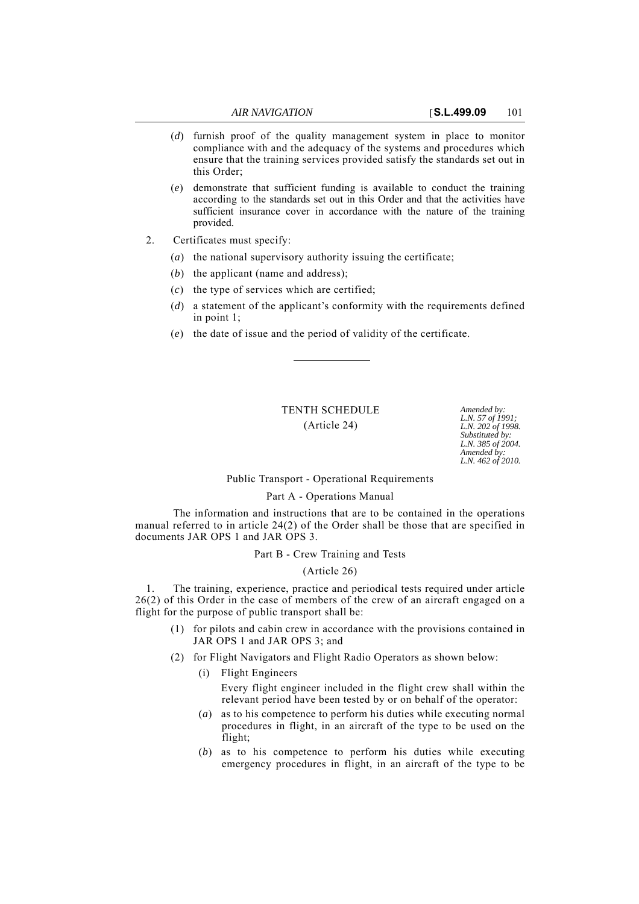- (*d*) furnish proof of the quality management system in place to monitor compliance with and the adequacy of the systems and procedures which ensure that the training services provided satisfy the standards set out in this Order;
- (*e*) demonstrate that sufficient funding is available to conduct the training according to the standards set out in this Order and that the activities have sufficient insurance cover in accordance with the nature of the training provided.
- 2. Certificates must specify:
	- (*a*) the national supervisory authority issuing the certificate;
	- (*b*) the applicant (name and address);
	- (*c*) the type of services which are certified;
	- (*d*) a statement of the applicant's conformity with the requirements defined in point 1;
	- (*e*) the date of issue and the period of validity of the certificate.

# TENTH SCHEDULE *Amended by:*

(Article 24)

*L.N. 57 of 1991; L.N. 202 of 1998. Substituted by: L.N. 385 of 2004. Amended by: L.N. 462 of 2010.*

## Public Transport - Operational Requirements

## Part A - Operations Manual

The information and instructions that are to be contained in the operations manual referred to in article 24(2) of the Order shall be those that are specified in documents JAR OPS 1 and JAR OPS 3.

## Part B - Crew Training and Tests

## (Article 26)

1. The training, experience, practice and periodical tests required under article 26(2) of this Order in the case of members of the crew of an aircraft engaged on a flight for the purpose of public transport shall be:

- (1) for pilots and cabin crew in accordance with the provisions contained in JAR OPS 1 and JAR OPS 3; and
- (2) for Flight Navigators and Flight Radio Operators as shown below:

(i) Flight Engineers

Every flight engineer included in the flight crew shall within the relevant period have been tested by or on behalf of the operator:

- (*a*) as to his competence to perform his duties while executing normal procedures in flight, in an aircraft of the type to be used on the flight;
- (*b*) as to his competence to perform his duties while executing emergency procedures in flight, in an aircraft of the type to be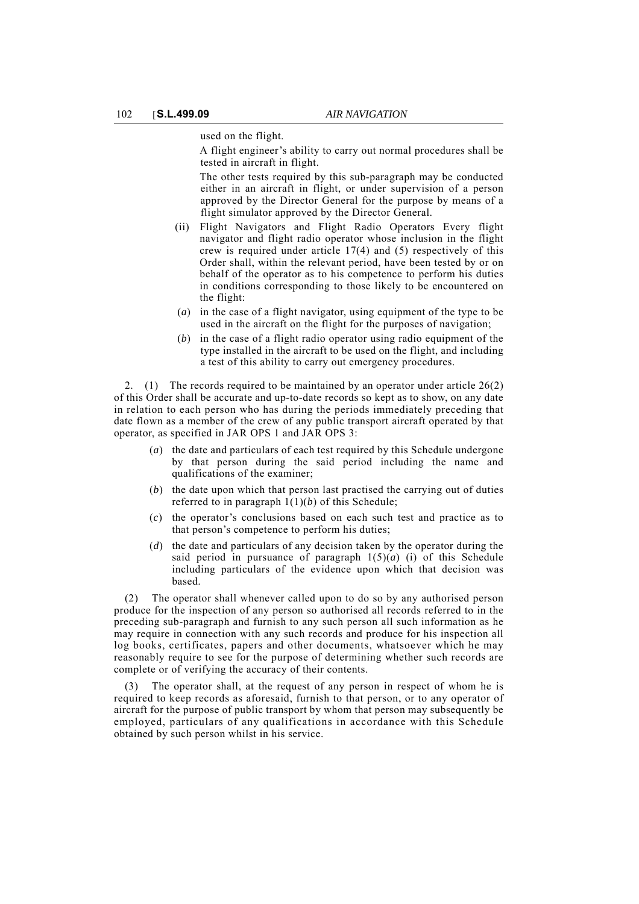used on the flight.

A flight engineer's ability to carry out normal procedures shall be tested in aircraft in flight.

The other tests required by this sub-paragraph may be conducted either in an aircraft in flight, or under supervision of a person approved by the Director General for the purpose by means of a flight simulator approved by the Director General.

- (ii) Flight Navigators and Flight Radio Operators Every flight navigator and flight radio operator whose inclusion in the flight crew is required under article 17(4) and (5) respectively of this Order shall, within the relevant period, have been tested by or on behalf of the operator as to his competence to perform his duties in conditions corresponding to those likely to be encountered on the flight:
- (*a*) in the case of a flight navigator, using equipment of the type to be used in the aircraft on the flight for the purposes of navigation;
- (*b*) in the case of a flight radio operator using radio equipment of the type installed in the aircraft to be used on the flight, and including a test of this ability to carry out emergency procedures.

2. (1) The records required to be maintained by an operator under article 26(2) of this Order shall be accurate and up-to-date records so kept as to show, on any date in relation to each person who has during the periods immediately preceding that date flown as a member of the crew of any public transport aircraft operated by that operator, as specified in JAR OPS 1 and JAR OPS 3:

- (*a*) the date and particulars of each test required by this Schedule undergone by that person during the said period including the name and qualifications of the examiner;
- (*b*) the date upon which that person last practised the carrying out of duties referred to in paragraph  $1(1)(b)$  of this Schedule;
- (*c*) the operator's conclusions based on each such test and practice as to that person's competence to perform his duties;
- (*d*) the date and particulars of any decision taken by the operator during the said period in pursuance of paragraph  $1(5)(a)$  (i) of this Schedule including particulars of the evidence upon which that decision was based.

(2) The operator shall whenever called upon to do so by any authorised person produce for the inspection of any person so authorised all records referred to in the preceding sub-paragraph and furnish to any such person all such information as he may require in connection with any such records and produce for his inspection all log books, certificates, papers and other documents, whatsoever which he may reasonably require to see for the purpose of determining whether such records are complete or of verifying the accuracy of their contents.

The operator shall, at the request of any person in respect of whom he is required to keep records as aforesaid, furnish to that person, or to any operator of aircraft for the purpose of public transport by whom that person may subsequently be employed, particulars of any qualifications in accordance with this Schedule obtained by such person whilst in his service.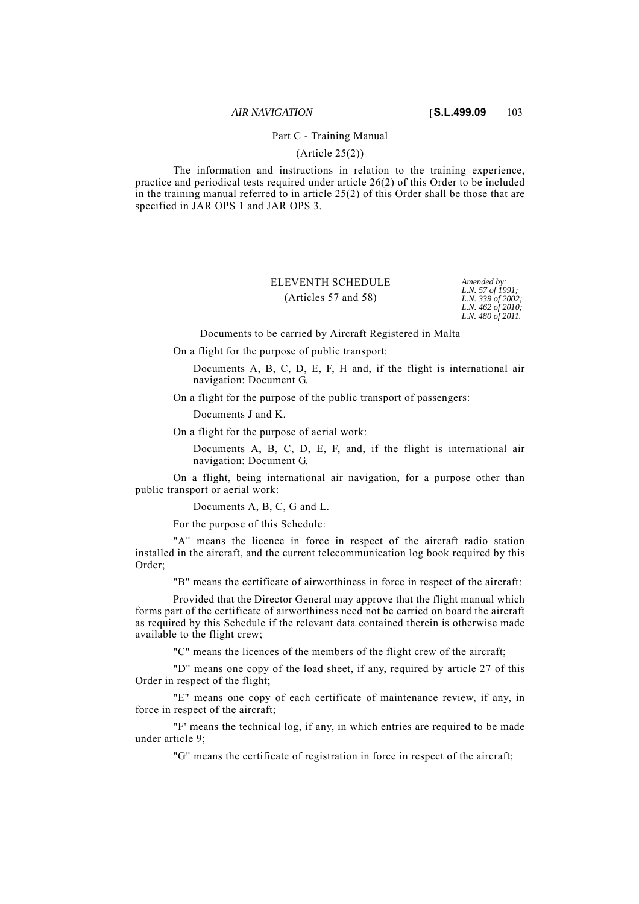## Part C - Training Manual

(Article 25(2))

The information and instructions in relation to the training experience, practice and periodical tests required under article 26(2) of this Order to be included in the training manual referred to in article 25(2) of this Order shall be those that are specified in JAR OPS 1 and JAR OPS 3.

# ELEVENTH SCHEDULE *Amended by:* (Articles 57 and 58)

*L.N. 57 of 1991; L.N. 339 of 2002; L.N. 462 of 2010; L.N. 480 of 2011.*

Documents to be carried by Aircraft Registered in Malta

On a flight for the purpose of public transport:

Documents A, B, C, D, E, F, H and, if the flight is international air navigation: Document G.

On a flight for the purpose of the public transport of passengers:

Documents J and K.

On a flight for the purpose of aerial work:

Documents A, B, C, D, E, F, and, if the flight is international air navigation: Document G.

On a flight, being international air navigation, for a purpose other than public transport or aerial work:

Documents A, B, C, G and L.

For the purpose of this Schedule:

"A" means the licence in force in respect of the aircraft radio station installed in the aircraft, and the current telecommunication log book required by this Order;

"B" means the certificate of airworthiness in force in respect of the aircraft:

Provided that the Director General may approve that the flight manual which forms part of the certificate of airworthiness need not be carried on board the aircraft as required by this Schedule if the relevant data contained therein is otherwise made available to the flight crew;

"C" means the licences of the members of the flight crew of the aircraft;

"D" means one copy of the load sheet, if any, required by article 27 of this Order in respect of the flight;

"E" means one copy of each certificate of maintenance review, if any, in force in respect of the aircraft;

"F' means the technical log, if any, in which entries are required to be made under article 9;

"G" means the certificate of registration in force in respect of the aircraft;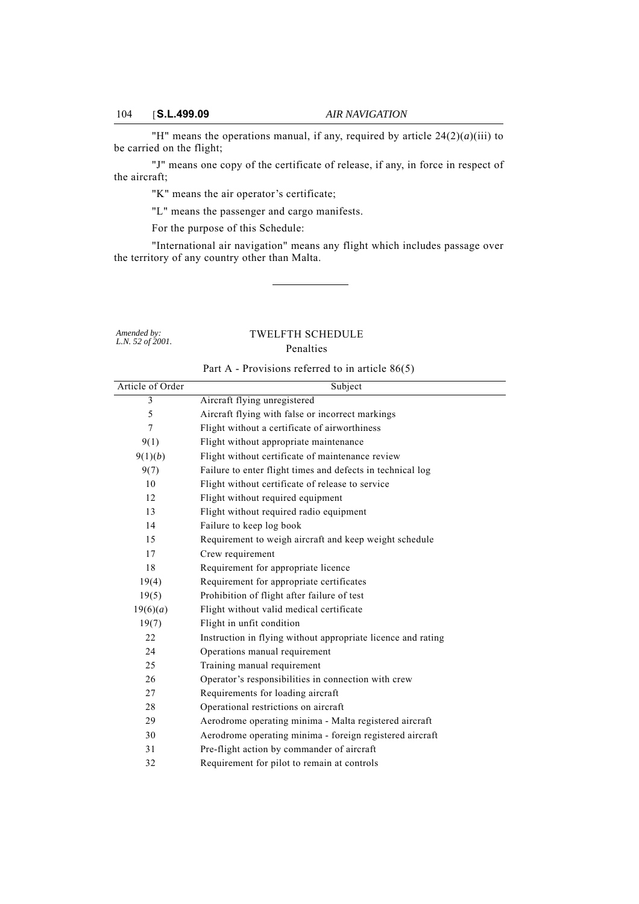$\overline{\phantom{a}}$ 

"H" means the operations manual, if any, required by article  $24(2)(a)(iii)$  to be carried on the flight;

"J" means one copy of the certificate of release, if any, in force in respect of the aircraft;

"K" means the air operator's certificate;

"L" means the passenger and cargo manifests.

For the purpose of this Schedule:

"International air navigation" means any flight which includes passage over the territory of any country other than Malta.

*Amended by: L.N. 52 of 2001.*

# TWELFTH SCHEDULE

## Penalties

| Part A - Provisions referred to in article $86(5)$ |  |  |
|----------------------------------------------------|--|--|
|                                                    |  |  |

| Article of Order | Subject                                                      |
|------------------|--------------------------------------------------------------|
| 3                | Aircraft flying unregistered                                 |
| 5                | Aircraft flying with false or incorrect markings             |
| 7                | Flight without a certificate of airworthiness                |
| 9(1)             | Flight without appropriate maintenance                       |
| 9(1)(b)          | Flight without certificate of maintenance review             |
| 9(7)             | Failure to enter flight times and defects in technical log   |
| 10               | Flight without certificate of release to service             |
| 12               | Flight without required equipment                            |
| 13               | Flight without required radio equipment                      |
| 14               | Failure to keep log book                                     |
| 15               | Requirement to weigh aircraft and keep weight schedule       |
| 17               | Crew requirement                                             |
| 18               | Requirement for appropriate licence                          |
| 19(4)            | Requirement for appropriate certificates                     |
| 19(5)            | Prohibition of flight after failure of test                  |
| 19(6)(a)         | Flight without valid medical certificate                     |
| 19(7)            | Flight in unfit condition                                    |
| 22               | Instruction in flying without appropriate licence and rating |
| 24               | Operations manual requirement                                |
| 25               | Training manual requirement                                  |
| 26               | Operator's responsibilities in connection with crew          |
| 27               | Requirements for loading aircraft                            |
| 28               | Operational restrictions on aircraft                         |
| 29               | Aerodrome operating minima - Malta registered aircraft       |
| 30               | Aerodrome operating minima - foreign registered aircraft     |
| 31               | Pre-flight action by commander of aircraft                   |
| 32               | Requirement for pilot to remain at controls                  |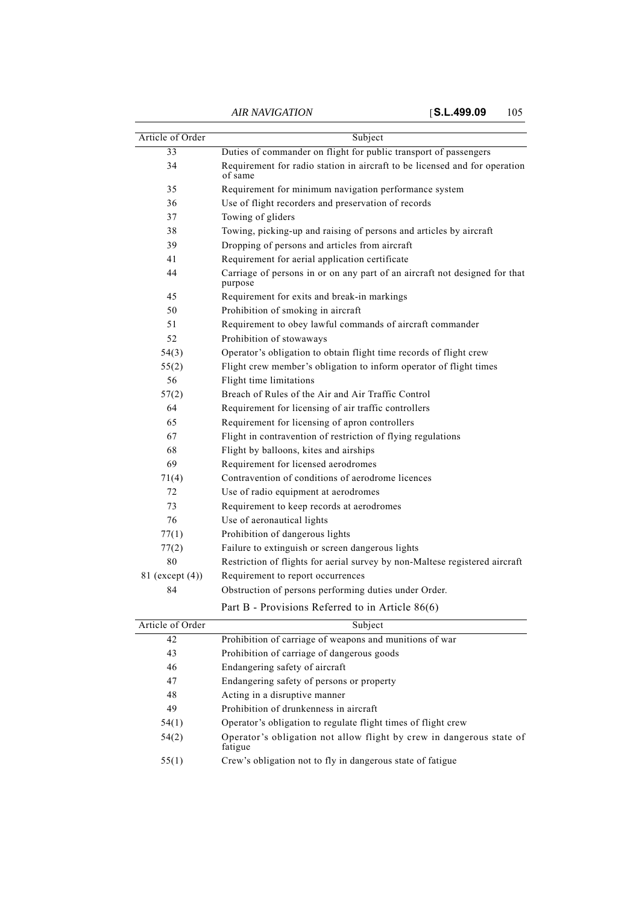| Article of Order | Subject                                                                               |
|------------------|---------------------------------------------------------------------------------------|
| 33               | Duties of commander on flight for public transport of passengers                      |
| 34               | Requirement for radio station in aircraft to be licensed and for operation<br>of same |
| 35               | Requirement for minimum navigation performance system                                 |
| 36               | Use of flight recorders and preservation of records                                   |
| 37               | Towing of gliders                                                                     |
| 38               | Towing, picking-up and raising of persons and articles by aircraft                    |
| 39               | Dropping of persons and articles from aircraft                                        |
| 41               | Requirement for aerial application certificate                                        |
| 44               | Carriage of persons in or on any part of an aircraft not designed for that<br>purpose |
| 45               | Requirement for exits and break-in markings                                           |
| 50               | Prohibition of smoking in aircraft                                                    |
| 51               | Requirement to obey lawful commands of aircraft commander                             |
| 52               | Prohibition of stowaways                                                              |
| 54(3)            | Operator's obligation to obtain flight time records of flight crew                    |
| 55(2)            | Flight crew member's obligation to inform operator of flight times                    |
| 56               | Flight time limitations                                                               |
| 57(2)            | Breach of Rules of the Air and Air Traffic Control                                    |
| 64               | Requirement for licensing of air traffic controllers                                  |
| 65               | Requirement for licensing of apron controllers                                        |
| 67               | Flight in contravention of restriction of flying regulations                          |
| 68               | Flight by balloons, kites and airships                                                |
| 69               | Requirement for licensed aerodromes                                                   |
| 71(4)            | Contravention of conditions of aerodrome licences                                     |
| 72               | Use of radio equipment at aerodromes                                                  |
| 73               | Requirement to keep records at aerodromes                                             |
| 76               | Use of aeronautical lights                                                            |
| 77(1)            | Prohibition of dangerous lights                                                       |
| 77(2)            | Failure to extinguish or screen dangerous lights                                      |
| 80               | Restriction of flights for aerial survey by non-Maltese registered aircraft           |
| 81 (except (4))  | Requirement to report occurrences                                                     |
| 84               | Obstruction of persons performing duties under Order.                                 |
|                  | Part R - Provisions Referred to in Article 86(6)                                      |

| rate b - Flovisions Referred to in Article 60(0) |  |  |
|--------------------------------------------------|--|--|
|                                                  |  |  |

| Article of Order | Subject                                                                         |
|------------------|---------------------------------------------------------------------------------|
| 42               | Prohibition of carriage of weapons and munitions of war                         |
| 43               | Prohibition of carriage of dangerous goods                                      |
| 46               | Endangering safety of aircraft                                                  |
| 47               | Endangering safety of persons or property                                       |
| 48               | Acting in a disruptive manner                                                   |
| 49               | Prohibition of drunkenness in aircraft                                          |
| 54(1)            | Operator's obligation to regulate flight times of flight crew                   |
| 54(2)            | Operator's obligation not allow flight by crew in dangerous state of<br>fatigue |
| 55(1)            | Crew's obligation not to fly in dangerous state of fatigue                      |
|                  |                                                                                 |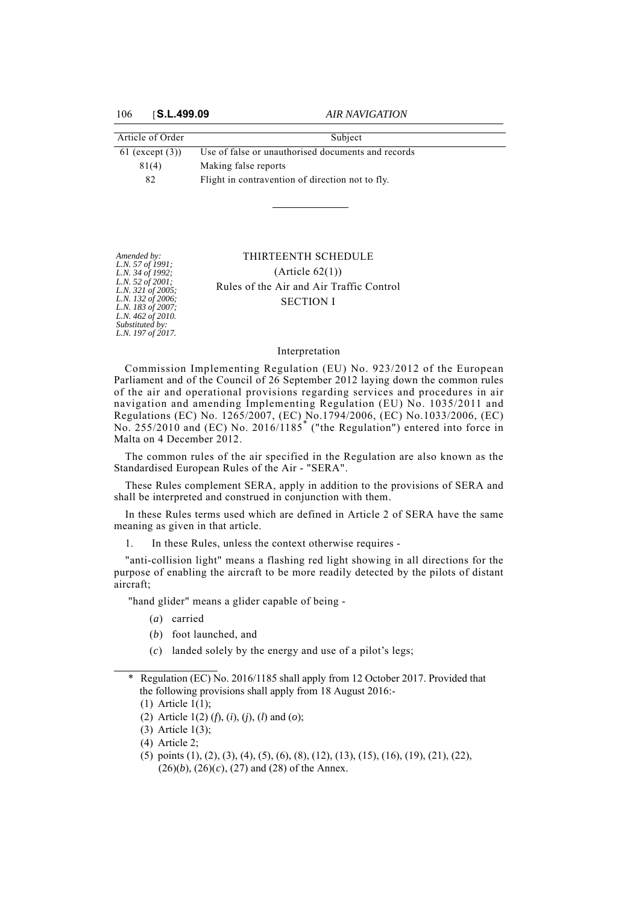*Amended by: L.N. 57 of 1991; L.N. 34 of 1992; L.N. 52 of 2001; L.N. 321 of 2005; L.N. 132 of 2006; L.N. 183 of 2007; L.N. 462 of 2010. Substituted by: L.N. 197 of 2017.*

| Article of Order     | Subject                                            |
|----------------------|----------------------------------------------------|
| $61$ (except $(3)$ ) | Use of false or unauthorised documents and records |
| 81(4)                | Making false reports                               |
| 82                   | Flight in contravention of direction not to fly.   |

# THIRTEENTH SCHEDULE  $(Ariticle 62(1))$ Rules of the Air and Air Traffic Control SECTION I

#### Interpretation

Commission Implementing Regulation (EU) No. 923/2012 of the European Parliament and of the Council of 26 September 2012 laying down the common rules of the air and operational provisions regarding services and procedures in air navigation and amending Implementing Regulation (EU) No. 1035/2011 and Regulations (EC) No. 1265/2007, (EC) No.1794/2006, (EC) No.1033/2006, (EC) No. 255/2010 and (EC) No. 2016/1185\* ("the Regulation") entered into force in Malta on 4 December 2012.

The common rules of the air specified in the Regulation are also known as the Standardised European Rules of the Air - "SERA".

These Rules complement SERA, apply in addition to the provisions of SERA and shall be interpreted and construed in conjunction with them.

In these Rules terms used which are defined in Article 2 of SERA have the same meaning as given in that article.

1. In these Rules, unless the context otherwise requires -

"anti-collision light" means a flashing red light showing in all directions for the purpose of enabling the aircraft to be more readily detected by the pilots of distant aircraft;

"hand glider" means a glider capable of being -

- (*a*) carried
- (*b*) foot launched, and
- (*c*) landed solely by the energy and use of a pilot's legs;
- \* Regulation (EC) No. 2016/1185 shall apply from 12 October 2017. Provided that the following provisions shall apply from 18 August 2016:-

- (2) Article 1(2) (*f*), (*i*), (*j*), (*l*) and (*o*);
- (3) Article 1(3);
- (4) Article 2;
- (5) points (1), (2), (3), (4), (5), (6), (8), (12), (13), (15), (16), (19), (21), (22),  $(26)(b)$ ,  $(26)(c)$ ,  $(27)$  and  $(28)$  of the Annex.

<sup>(1)</sup> Article 1(1);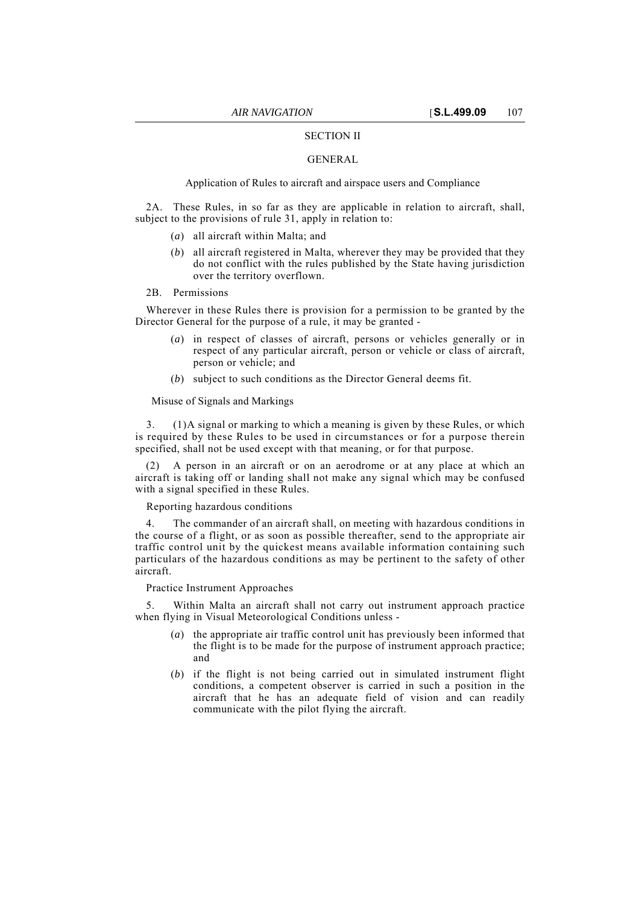## SECTION II

## GENERAL

## Application of Rules to aircraft and airspace users and Compliance

2A. These Rules, in so far as they are applicable in relation to aircraft, shall, subject to the provisions of rule 31, apply in relation to:

- (*a*) all aircraft within Malta; and
- (*b*) all aircraft registered in Malta, wherever they may be provided that they do not conflict with the rules published by the State having jurisdiction over the territory overflown.
- 2B. Permissions

Wherever in these Rules there is provision for a permission to be granted by the Director General for the purpose of a rule, it may be granted -

- (*a*) in respect of classes of aircraft, persons or vehicles generally or in respect of any particular aircraft, person or vehicle or class of aircraft, person or vehicle; and
- (*b*) subject to such conditions as the Director General deems fit.

Misuse of Signals and Markings

3. (1)A signal or marking to which a meaning is given by these Rules, or which is required by these Rules to be used in circumstances or for a purpose therein specified, shall not be used except with that meaning, or for that purpose.

A person in an aircraft or on an aerodrome or at any place at which an aircraft is taking off or landing shall not make any signal which may be confused with a signal specified in these Rules.

Reporting hazardous conditions

The commander of an aircraft shall, on meeting with hazardous conditions in the course of a flight, or as soon as possible thereafter, send to the appropriate air traffic control unit by the quickest means available information containing such particulars of the hazardous conditions as may be pertinent to the safety of other aircraft.

Practice Instrument Approaches

5. Within Malta an aircraft shall not carry out instrument approach practice when flying in Visual Meteorological Conditions unless -

- (*a*) the appropriate air traffic control unit has previously been informed that the flight is to be made for the purpose of instrument approach practice; and
- (*b*) if the flight is not being carried out in simulated instrument flight conditions, a competent observer is carried in such a position in the aircraft that he has an adequate field of vision and can readily communicate with the pilot flying the aircraft.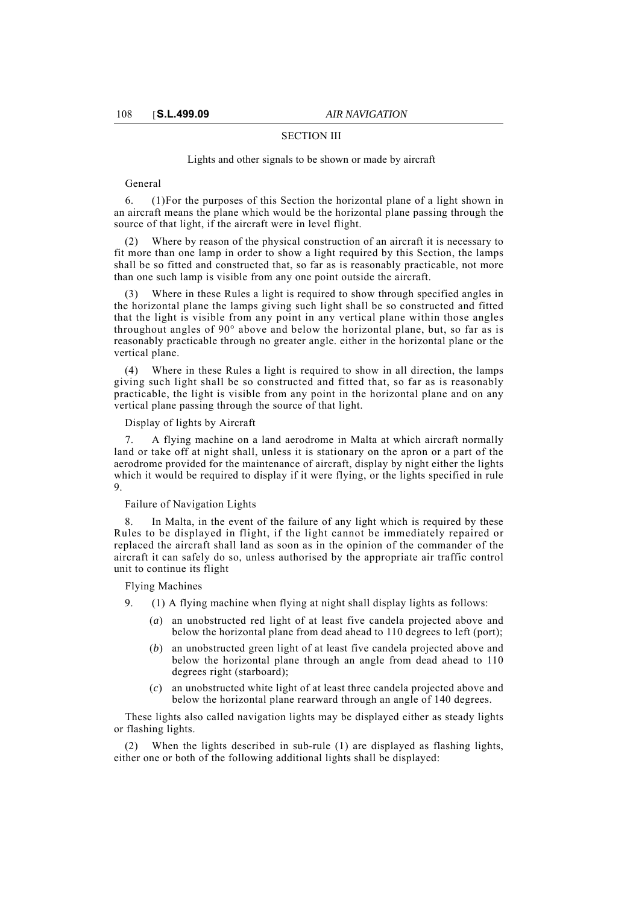## SECTION III

#### Lights and other signals to be shown or made by aircraft

General

6. (1)For the purposes of this Section the horizontal plane of a light shown in an aircraft means the plane which would be the horizontal plane passing through the source of that light, if the aircraft were in level flight.

(2) Where by reason of the physical construction of an aircraft it is necessary to fit more than one lamp in order to show a light required by this Section, the lamps shall be so fitted and constructed that, so far as is reasonably practicable, not more than one such lamp is visible from any one point outside the aircraft.

(3) Where in these Rules a light is required to show through specified angles in the horizontal plane the lamps giving such light shall be so constructed and fitted that the light is visible from any point in any vertical plane within those angles throughout angles of 90° above and below the horizontal plane, but, so far as is reasonably practicable through no greater angle. either in the horizontal plane or the vertical plane.

(4) Where in these Rules a light is required to show in all direction, the lamps giving such light shall be so constructed and fitted that, so far as is reasonably practicable, the light is visible from any point in the horizontal plane and on any vertical plane passing through the source of that light.

#### Display of lights by Aircraft

7. A flying machine on a land aerodrome in Malta at which aircraft normally land or take off at night shall, unless it is stationary on the apron or a part of the aerodrome provided for the maintenance of aircraft, display by night either the lights which it would be required to display if it were flying, or the lights specified in rule 9.

#### Failure of Navigation Lights

In Malta, in the event of the failure of any light which is required by these Rules to be displayed in flight, if the light cannot be immediately repaired or replaced the aircraft shall land as soon as in the opinion of the commander of the aircraft it can safely do so, unless authorised by the appropriate air traffic control unit to continue its flight

Flying Machines

9. (1) A flying machine when flying at night shall display lights as follows:

- (*a*) an unobstructed red light of at least five candela projected above and below the horizontal plane from dead ahead to 110 degrees to left (port);
- (*b*) an unobstructed green light of at least five candela projected above and below the horizontal plane through an angle from dead ahead to 110 degrees right (starboard);
- (*c*) an unobstructed white light of at least three candela projected above and below the horizontal plane rearward through an angle of 140 degrees.

These lights also called navigation lights may be displayed either as steady lights or flashing lights.

When the lights described in sub-rule (1) are displayed as flashing lights, either one or both of the following additional lights shall be displayed: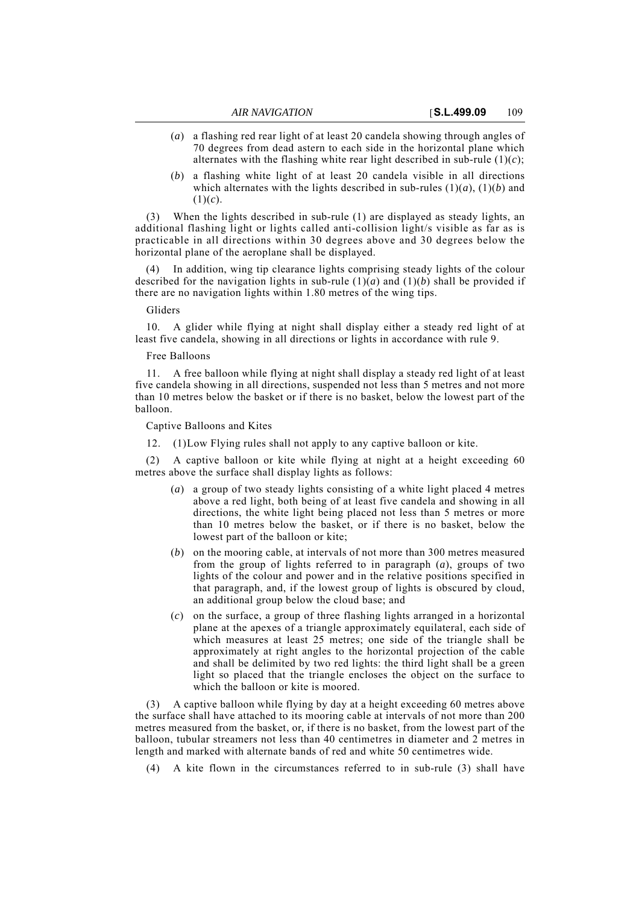- (*a*) a flashing red rear light of at least 20 candela showing through angles of 70 degrees from dead astern to each side in the horizontal plane which alternates with the flashing white rear light described in sub-rule  $(1)(c)$ ;
- (*b*) a flashing white light of at least 20 candela visible in all directions which alternates with the lights described in sub-rules  $(1)(a)$ ,  $(1)(b)$  and  $(1)(c)$ .

(3) When the lights described in sub-rule (1) are displayed as steady lights, an additional flashing light or lights called anti-collision light/s visible as far as is practicable in all directions within 30 degrees above and 30 degrees below the horizontal plane of the aeroplane shall be displayed.

(4) In addition, wing tip clearance lights comprising steady lights of the colour described for the navigation lights in sub-rule  $(1)(a)$  and  $(1)(b)$  shall be provided if there are no navigation lights within 1.80 metres of the wing tips.

### Gliders

10. A glider while flying at night shall display either a steady red light of at least five candela, showing in all directions or lights in accordance with rule 9.

#### Free Balloons

11. A free balloon while flying at night shall display a steady red light of at least five candela showing in all directions, suspended not less than 5 metres and not more than 10 metres below the basket or if there is no basket, below the lowest part of the balloon.

Captive Balloons and Kites

12. (1)Low Flying rules shall not apply to any captive balloon or kite.

A captive balloon or kite while flying at night at a height exceeding 60 metres above the surface shall display lights as follows:

- (*a*) a group of two steady lights consisting of a white light placed 4 metres above a red light, both being of at least five candela and showing in all directions, the white light being placed not less than 5 metres or more than 10 metres below the basket, or if there is no basket, below the lowest part of the balloon or kite;
- (*b*) on the mooring cable, at intervals of not more than 300 metres measured from the group of lights referred to in paragraph (*a*), groups of two lights of the colour and power and in the relative positions specified in that paragraph, and, if the lowest group of lights is obscured by cloud, an additional group below the cloud base; and
- (*c*) on the surface, a group of three flashing lights arranged in a horizontal plane at the apexes of a triangle approximately equilateral, each side of which measures at least 25 metres; one side of the triangle shall be approximately at right angles to the horizontal projection of the cable and shall be delimited by two red lights: the third light shall be a green light so placed that the triangle encloses the object on the surface to which the balloon or kite is moored.

(3) A captive balloon while flying by day at a height exceeding 60 metres above the surface shall have attached to its mooring cable at intervals of not more than 200 metres measured from the basket, or, if there is no basket, from the lowest part of the balloon, tubular streamers not less than 40 centimetres in diameter and 2 metres in length and marked with alternate bands of red and white 50 centimetres wide.

(4) A kite flown in the circumstances referred to in sub-rule (3) shall have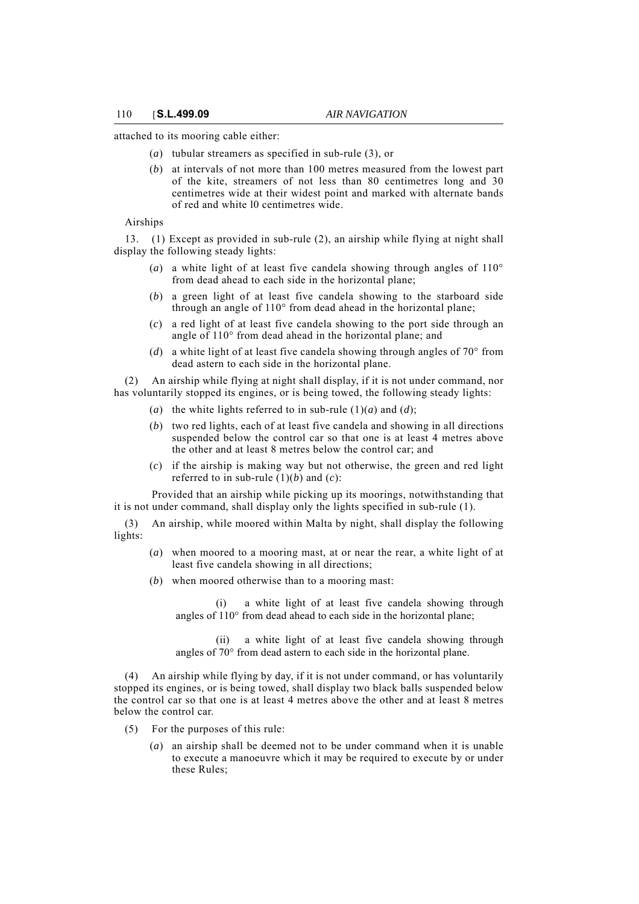attached to its mooring cable either:

- (*a*) tubular streamers as specified in sub-rule (3), or
- (*b*) at intervals of not more than 100 metres measured from the lowest part of the kite, streamers of not less than 80 centimetres long and 30 centimetres wide at their widest point and marked with alternate bands of red and white l0 centimetres wide.

Airships

13. (1) Except as provided in sub-rule (2), an airship while flying at night shall display the following steady lights:

- (*a*) a white light of at least five candela showing through angles of 110° from dead ahead to each side in the horizontal plane;
- (*b*) a green light of at least five candela showing to the starboard side through an angle of 110° from dead ahead in the horizontal plane;
- (*c*) a red light of at least five candela showing to the port side through an angle of 110° from dead ahead in the horizontal plane; and
- (*d*) a white light of at least five candela showing through angles of 70° from dead astern to each side in the horizontal plane.

(2) An airship while flying at night shall display, if it is not under command, nor has voluntarily stopped its engines, or is being towed, the following steady lights:

- (*a*) the white lights referred to in sub-rule (1)(*a*) and (*d*);
- (*b*) two red lights, each of at least five candela and showing in all directions suspended below the control car so that one is at least 4 metres above the other and at least 8 metres below the control car; and
- (*c*) if the airship is making way but not otherwise, the green and red light referred to in sub-rule  $(1)(b)$  and  $(c)$ :

Provided that an airship while picking up its moorings, notwithstanding that it is not under command, shall display only the lights specified in sub-rule (1).

(3) An airship, while moored within Malta by night, shall display the following lights:

- (*a*) when moored to a mooring mast, at or near the rear, a white light of at least five candela showing in all directions;
- (*b*) when moored otherwise than to a mooring mast:

(i) a white light of at least five candela showing through angles of 110° from dead ahead to each side in the horizontal plane;

(ii) a white light of at least five candela showing through angles of 70° from dead astern to each side in the horizontal plane.

(4) An airship while flying by day, if it is not under command, or has voluntarily stopped its engines, or is being towed, shall display two black balls suspended below the control car so that one is at least 4 metres above the other and at least 8 metres below the control car.

- (5) For the purposes of this rule:
	- (*a*) an airship shall be deemed not to be under command when it is unable to execute a manoeuvre which it may be required to execute by or under these Rules;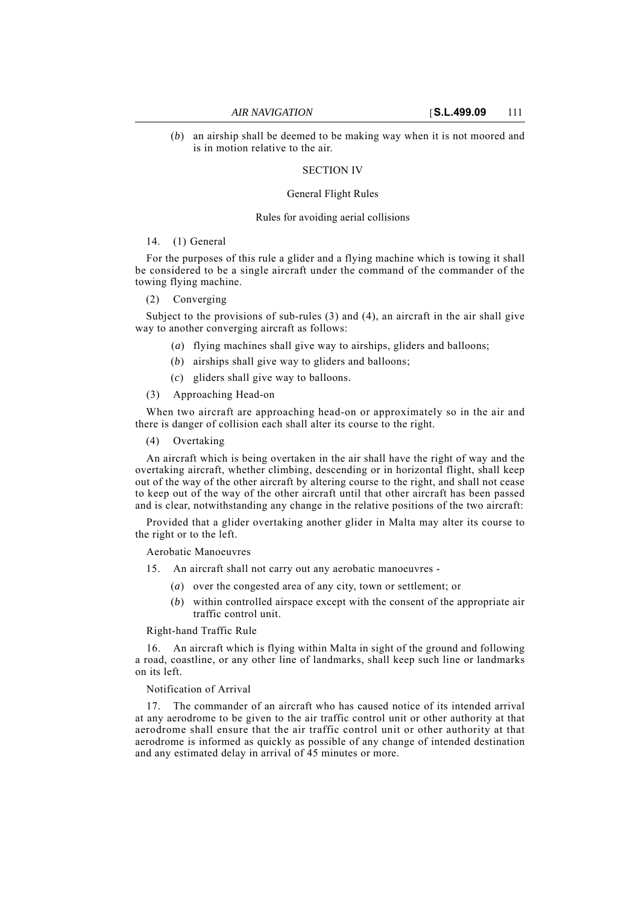(*b*) an airship shall be deemed to be making way when it is not moored and is in motion relative to the air.

# SECTION IV

### General Flight Rules

#### Rules for avoiding aerial collisions

## 14. (1) General

For the purposes of this rule a glider and a flying machine which is towing it shall be considered to be a single aircraft under the command of the commander of the towing flying machine.

# (2) Converging

Subject to the provisions of sub-rules  $(3)$  and  $(4)$ , an aircraft in the air shall give way to another converging aircraft as follows:

- (*a*) flying machines shall give way to airships, gliders and balloons;
- (*b*) airships shall give way to gliders and balloons;
- (*c*) gliders shall give way to balloons.
- (3) Approaching Head-on

When two aircraft are approaching head-on or approximately so in the air and there is danger of collision each shall alter its course to the right.

(4) Overtaking

An aircraft which is being overtaken in the air shall have the right of way and the overtaking aircraft, whether climbing, descending or in horizontal flight, shall keep out of the way of the other aircraft by altering course to the right, and shall not cease to keep out of the way of the other aircraft until that other aircraft has been passed and is clear, notwithstanding any change in the relative positions of the two aircraft:

Provided that a glider overtaking another glider in Malta may alter its course to the right or to the left.

Aerobatic Manoeuvres

- 15. An aircraft shall not carry out any aerobatic manoeuvres
	- (*a*) over the congested area of any city, town or settlement; or
	- (*b*) within controlled airspace except with the consent of the appropriate air traffic control unit.

Right-hand Traffic Rule

16. An aircraft which is flying within Malta in sight of the ground and following a road, coastline, or any other line of landmarks, shall keep such line or landmarks on its left.

Notification of Arrival

17. The commander of an aircraft who has caused notice of its intended arrival at any aerodrome to be given to the air traffic control unit or other authority at that aerodrome shall ensure that the air traffic control unit or other authority at that aerodrome is informed as quickly as possible of any change of intended destination and any estimated delay in arrival of 45 minutes or more.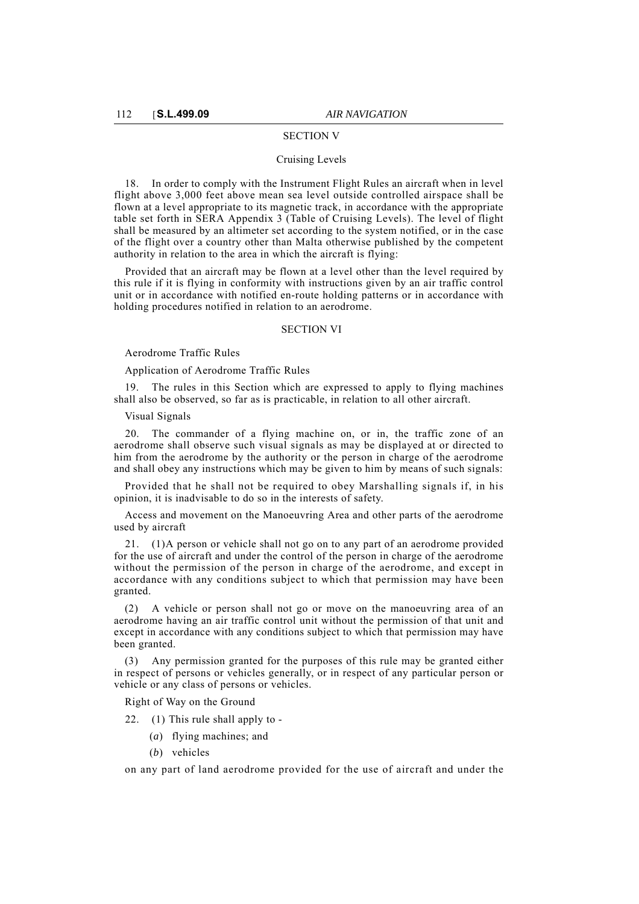#### SECTION V

### Cruising Levels

18. In order to comply with the Instrument Flight Rules an aircraft when in level flight above 3,000 feet above mean sea level outside controlled airspace shall be flown at a level appropriate to its magnetic track, in accordance with the appropriate table set forth in SERA Appendix 3 (Table of Cruising Levels). The level of flight shall be measured by an altimeter set according to the system notified, or in the case of the flight over a country other than Malta otherwise published by the competent authority in relation to the area in which the aircraft is flying:

Provided that an aircraft may be flown at a level other than the level required by this rule if it is flying in conformity with instructions given by an air traffic control unit or in accordance with notified en-route holding patterns or in accordance with holding procedures notified in relation to an aerodrome.

#### SECTION VI

Aerodrome Traffic Rules

Application of Aerodrome Traffic Rules

19. The rules in this Section which are expressed to apply to flying machines shall also be observed, so far as is practicable, in relation to all other aircraft.

#### Visual Signals

The commander of a flying machine on, or in, the traffic zone of an aerodrome shall observe such visual signals as may be displayed at or directed to him from the aerodrome by the authority or the person in charge of the aerodrome and shall obey any instructions which may be given to him by means of such signals:

Provided that he shall not be required to obey Marshalling signals if, in his opinion, it is inadvisable to do so in the interests of safety.

Access and movement on the Manoeuvring Area and other parts of the aerodrome used by aircraft

21. (1)A person or vehicle shall not go on to any part of an aerodrome provided for the use of aircraft and under the control of the person in charge of the aerodrome without the permission of the person in charge of the aerodrome, and except in accordance with any conditions subject to which that permission may have been granted.

(2) A vehicle or person shall not go or move on the manoeuvring area of an aerodrome having an air traffic control unit without the permission of that unit and except in accordance with any conditions subject to which that permission may have been granted.

(3) Any permission granted for the purposes of this rule may be granted either in respect of persons or vehicles generally, or in respect of any particular person or vehicle or any class of persons or vehicles.

Right of Way on the Ground

22. (1) This rule shall apply to -

- (*a*) flying machines; and
- (*b*) vehicles

on any part of land aerodrome provided for the use of aircraft and under the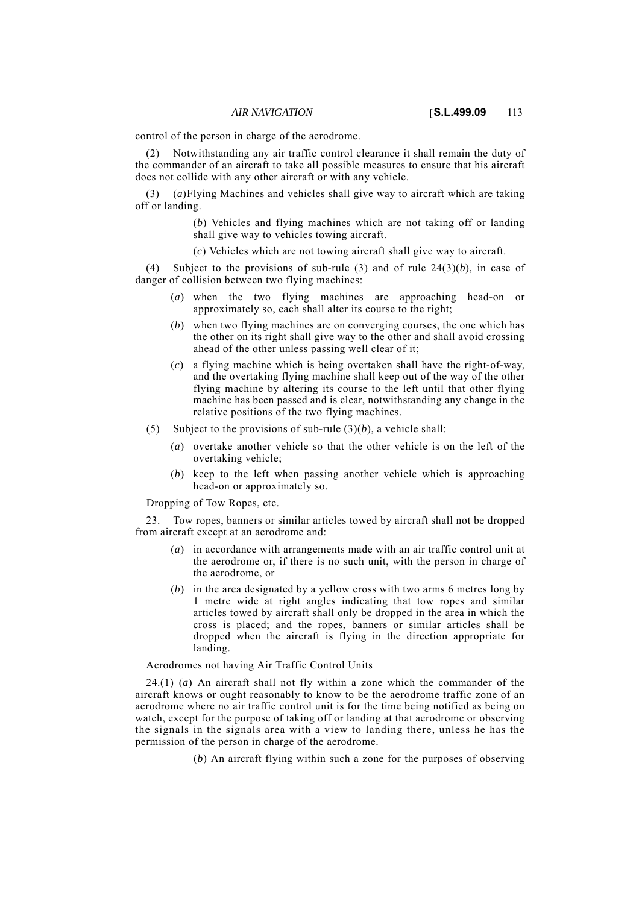control of the person in charge of the aerodrome.

(2) Notwithstanding any air traffic control clearance it shall remain the duty of the commander of an aircraft to take all possible measures to ensure that his aircraft does not collide with any other aircraft or with any vehicle.

(3) (*a*)Flying Machines and vehicles shall give way to aircraft which are taking off or landing.

> (*b*) Vehicles and flying machines which are not taking off or landing shall give way to vehicles towing aircraft.

(*c*) Vehicles which are not towing aircraft shall give way to aircraft.

(4) Subject to the provisions of sub-rule  $(3)$  and of rule  $24(3)(b)$ , in case of danger of collision between two flying machines:

- (*a*) when the two flying machines are approaching head-on or approximately so, each shall alter its course to the right;
- (*b*) when two flying machines are on converging courses, the one which has the other on its right shall give way to the other and shall avoid crossing ahead of the other unless passing well clear of it;
- (*c*) a flying machine which is being overtaken shall have the right-of-way, and the overtaking flying machine shall keep out of the way of the other flying machine by altering its course to the left until that other flying machine has been passed and is clear, notwithstanding any change in the relative positions of the two flying machines.
- (5) Subject to the provisions of sub-rule (3)(*b*), a vehicle shall:
	- (*a*) overtake another vehicle so that the other vehicle is on the left of the overtaking vehicle;
	- (*b*) keep to the left when passing another vehicle which is approaching head-on or approximately so.

Dropping of Tow Ropes, etc.

23. Tow ropes, banners or similar articles towed by aircraft shall not be dropped from aircraft except at an aerodrome and:

- (*a*) in accordance with arrangements made with an air traffic control unit at the aerodrome or, if there is no such unit, with the person in charge of the aerodrome, or
- (*b*) in the area designated by a yellow cross with two arms 6 metres long by 1 metre wide at right angles indicating that tow ropes and similar articles towed by aircraft shall only be dropped in the area in which the cross is placed; and the ropes, banners or similar articles shall be dropped when the aircraft is flying in the direction appropriate for landing.

#### Aerodromes not having Air Traffic Control Units

24.(1) (*a*) An aircraft shall not fly within a zone which the commander of the aircraft knows or ought reasonably to know to be the aerodrome traffic zone of an aerodrome where no air traffic control unit is for the time being notified as being on watch, except for the purpose of taking off or landing at that aerodrome or observing the signals in the signals area with a view to landing there, unless he has the permission of the person in charge of the aerodrome.

(*b*) An aircraft flying within such a zone for the purposes of observing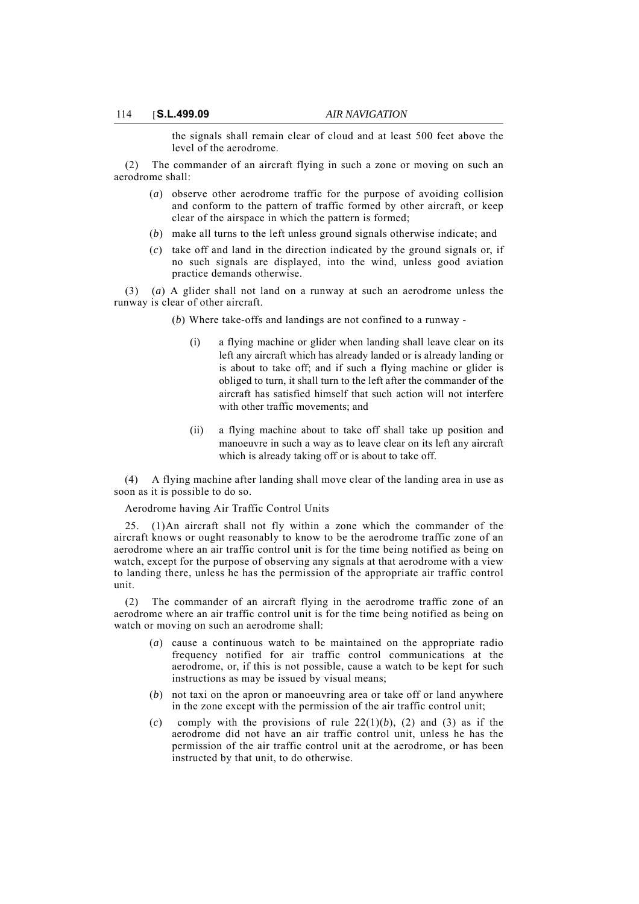the signals shall remain clear of cloud and at least 500 feet above the level of the aerodrome.

(2) The commander of an aircraft flying in such a zone or moving on such an aerodrome shall:

- (*a*) observe other aerodrome traffic for the purpose of avoiding collision and conform to the pattern of traffic formed by other aircraft, or keep clear of the airspace in which the pattern is formed;
- (*b*) make all turns to the left unless ground signals otherwise indicate; and
- (*c*) take off and land in the direction indicated by the ground signals or, if no such signals are displayed, into the wind, unless good aviation practice demands otherwise.

(3) (*a*) A glider shall not land on a runway at such an aerodrome unless the runway is clear of other aircraft.

(*b*) Where take-offs and landings are not confined to a runway -

- (i) a flying machine or glider when landing shall leave clear on its left any aircraft which has already landed or is already landing or is about to take off; and if such a flying machine or glider is obliged to turn, it shall turn to the left after the commander of the aircraft has satisfied himself that such action will not interfere with other traffic movements; and
- (ii) a flying machine about to take off shall take up position and manoeuvre in such a way as to leave clear on its left any aircraft which is already taking off or is about to take off.

(4) A flying machine after landing shall move clear of the landing area in use as soon as it is possible to do so.

#### Aerodrome having Air Traffic Control Units

25. (1)An aircraft shall not fly within a zone which the commander of the aircraft knows or ought reasonably to know to be the aerodrome traffic zone of an aerodrome where an air traffic control unit is for the time being notified as being on watch, except for the purpose of observing any signals at that aerodrome with a view to landing there, unless he has the permission of the appropriate air traffic control unit.

(2) The commander of an aircraft flying in the aerodrome traffic zone of an aerodrome where an air traffic control unit is for the time being notified as being on watch or moving on such an aerodrome shall:

- (*a*) cause a continuous watch to be maintained on the appropriate radio frequency notified for air traffic control communications at the aerodrome, or, if this is not possible, cause a watch to be kept for such instructions as may be issued by visual means;
- (*b*) not taxi on the apron or manoeuvring area or take off or land anywhere in the zone except with the permission of the air traffic control unit;
- (*c*) comply with the provisions of rule  $22(1)(b)$ , (2) and (3) as if the aerodrome did not have an air traffic control unit, unless he has the permission of the air traffic control unit at the aerodrome, or has been instructed by that unit, to do otherwise.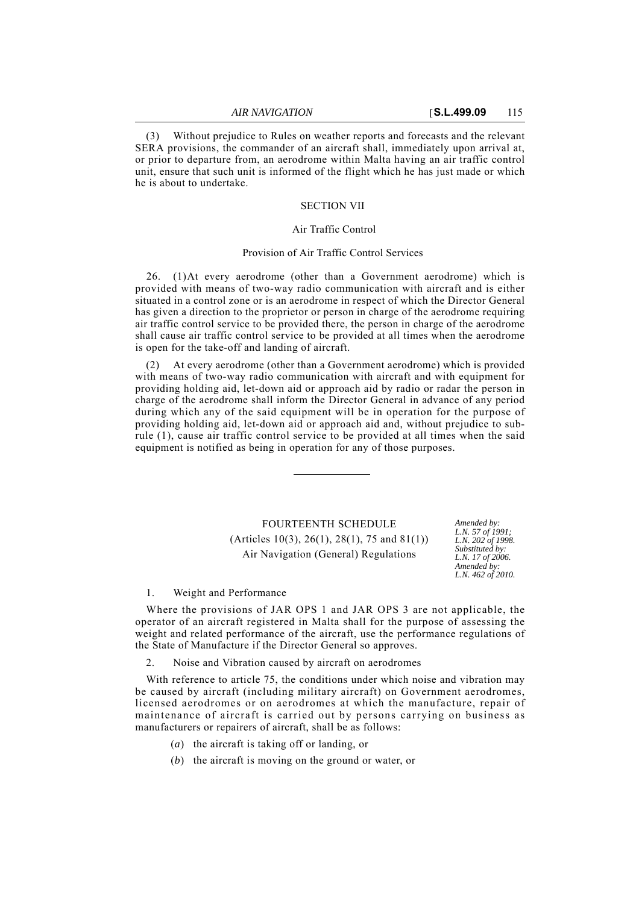(3) Without prejudice to Rules on weather reports and forecasts and the relevant SERA provisions, the commander of an aircraft shall, immediately upon arrival at, or prior to departure from, an aerodrome within Malta having an air traffic control unit, ensure that such unit is informed of the flight which he has just made or which he is about to undertake.

#### SECTION VII

# Air Traffic Control

## Provision of Air Traffic Control Services

26. (1)At every aerodrome (other than a Government aerodrome) which is provided with means of two-way radio communication with aircraft and is either situated in a control zone or is an aerodrome in respect of which the Director General has given a direction to the proprietor or person in charge of the aerodrome requiring air traffic control service to be provided there, the person in charge of the aerodrome shall cause air traffic control service to be provided at all times when the aerodrome is open for the take-off and landing of aircraft.

(2) At every aerodrome (other than a Government aerodrome) which is provided with means of two-way radio communication with aircraft and with equipment for providing holding aid, let-down aid or approach aid by radio or radar the person in charge of the aerodrome shall inform the Director General in advance of any period during which any of the said equipment will be in operation for the purpose of providing holding aid, let-down aid or approach aid and, without prejudice to subrule (1), cause air traffic control service to be provided at all times when the said equipment is notified as being in operation for any of those purposes.

# **FOURTEENTH SCHEDULE** (Articles 10(3), 26(1), 28(1), 75 and 81(1)) Air Navigation (General) Regulations

*L.N. 57 of 1991; L.N. 202 of 1998. Substituted by: L.N. 17 of 2006. Amended by: L.N. 462 of 2010.*

#### 1. Weight and Performance

Where the provisions of JAR OPS 1 and JAR OPS 3 are not applicable, the operator of an aircraft registered in Malta shall for the purpose of assessing the weight and related performance of the aircraft, use the performance regulations of the State of Manufacture if the Director General so approves.

Noise and Vibration caused by aircraft on aerodromes

With reference to article 75, the conditions under which noise and vibration may be caused by aircraft (including military aircraft) on Government aerodromes, licensed aerodromes or on aerodromes at which the manufacture, repair of maintenance of aircraft is carried out by persons carrying on business as manufacturers or repairers of aircraft, shall be as follows:

- (*a*) the aircraft is taking off or landing, or
- (*b*) the aircraft is moving on the ground or water, or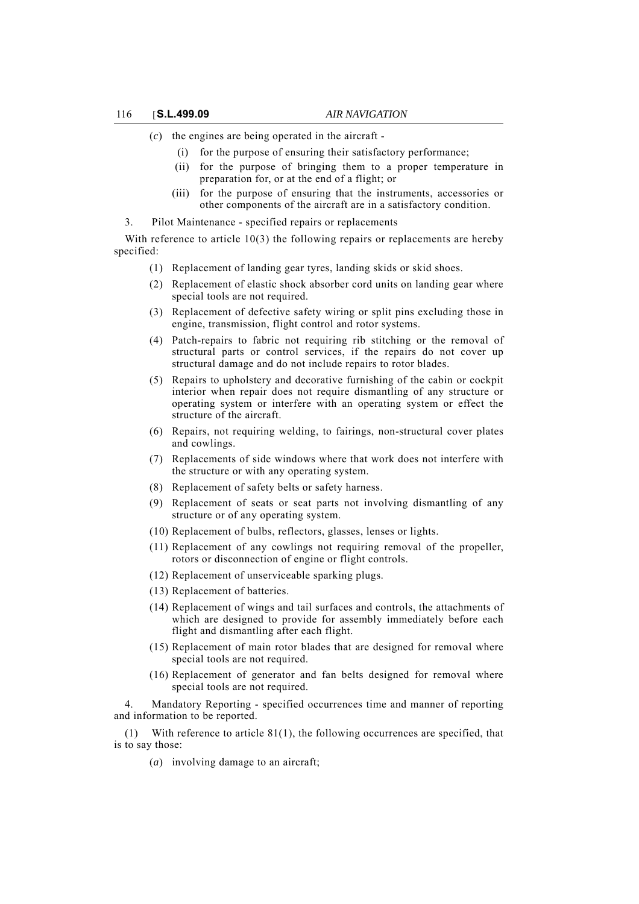- (*c*) the engines are being operated in the aircraft
	- (i) for the purpose of ensuring their satisfactory performance;
	- (ii) for the purpose of bringing them to a proper temperature in preparation for, or at the end of a flight; or
	- (iii) for the purpose of ensuring that the instruments, accessories or other components of the aircraft are in a satisfactory condition.

3. Pilot Maintenance - specified repairs or replacements

With reference to article  $10(3)$  the following repairs or replacements are hereby specified:

- (1) Replacement of landing gear tyres, landing skids or skid shoes.
- (2) Replacement of elastic shock absorber cord units on landing gear where special tools are not required.
- (3) Replacement of defective safety wiring or split pins excluding those in engine, transmission, flight control and rotor systems.
- (4) Patch-repairs to fabric not requiring rib stitching or the removal of structural parts or control services, if the repairs do not cover up structural damage and do not include repairs to rotor blades.
- (5) Repairs to upholstery and decorative furnishing of the cabin or cockpit interior when repair does not require dismantling of any structure or operating system or interfere with an operating system or effect the structure of the aircraft.
- (6) Repairs, not requiring welding, to fairings, non-structural cover plates and cowlings.
- (7) Replacements of side windows where that work does not interfere with the structure or with any operating system.
- (8) Replacement of safety belts or safety harness.
- (9) Replacement of seats or seat parts not involving dismantling of any structure or of any operating system.
- (10) Replacement of bulbs, reflectors, glasses, lenses or lights.
- (11) Replacement of any cowlings not requiring removal of the propeller, rotors or disconnection of engine or flight controls.
- (12) Replacement of unserviceable sparking plugs.
- (13) Replacement of batteries.
- (14) Replacement of wings and tail surfaces and controls, the attachments of which are designed to provide for assembly immediately before each flight and dismantling after each flight.
- (15) Replacement of main rotor blades that are designed for removal where special tools are not required.
- (16) Replacement of generator and fan belts designed for removal where special tools are not required.

4. Mandatory Reporting - specified occurrences time and manner of reporting and information to be reported.

(1) With reference to article 81(1), the following occurrences are specified, that is to say those:

(*a*) involving damage to an aircraft;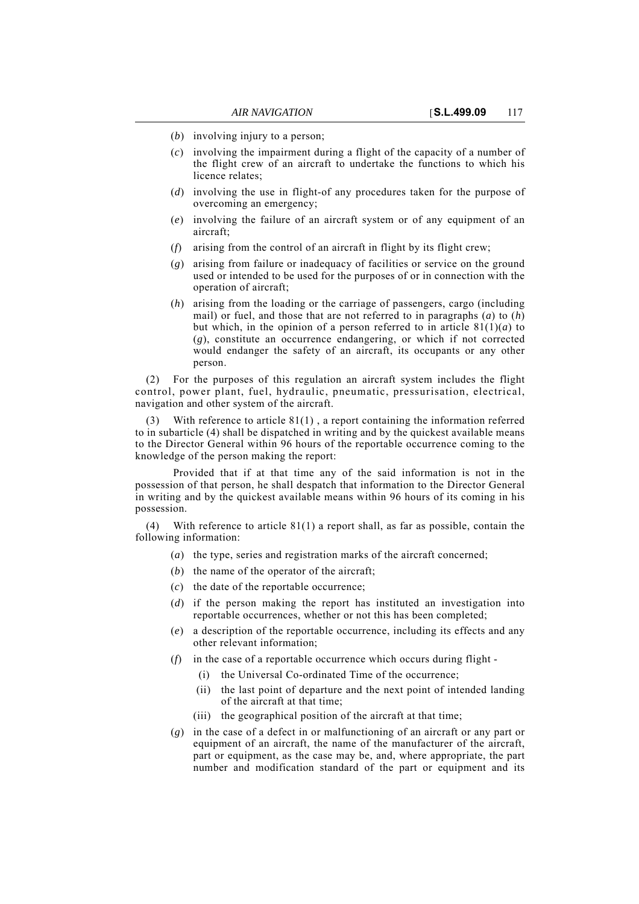- (*b*) involving injury to a person;
- (*c*) involving the impairment during a flight of the capacity of a number of the flight crew of an aircraft to undertake the functions to which his licence relates;
- (*d*) involving the use in flight-of any procedures taken for the purpose of overcoming an emergency;
- (*e*) involving the failure of an aircraft system or of any equipment of an aircraft;
- (*f*) arising from the control of an aircraft in flight by its flight crew;
- (*g*) arising from failure or inadequacy of facilities or service on the ground used or intended to be used for the purposes of or in connection with the operation of aircraft;
- (*h*) arising from the loading or the carriage of passengers, cargo (including mail) or fuel, and those that are not referred to in paragraphs (*a*) to (*h*) but which, in the opinion of a person referred to in article  $81(1)(a)$  to (*g*), constitute an occurrence endangering, or which if not corrected would endanger the safety of an aircraft, its occupants or any other person.

(2) For the purposes of this regulation an aircraft system includes the flight control, power plant, fuel, hydraulic, pneumatic, pressurisation, electrical, navigation and other system of the aircraft.

With reference to article  $81(1)$ , a report containing the information referred to in subarticle (4) shall be dispatched in writing and by the quickest available means to the Director General within 96 hours of the reportable occurrence coming to the knowledge of the person making the report:

Provided that if at that time any of the said information is not in the possession of that person, he shall despatch that information to the Director General in writing and by the quickest available means within 96 hours of its coming in his possession.

(4) With reference to article 81(1) a report shall, as far as possible, contain the following information:

- (*a*) the type, series and registration marks of the aircraft concerned;
- (*b*) the name of the operator of the aircraft;
- (*c*) the date of the reportable occurrence;
- (*d*) if the person making the report has instituted an investigation into reportable occurrences, whether or not this has been completed;
- (*e*) a description of the reportable occurrence, including its effects and any other relevant information;
- (*f*) in the case of a reportable occurrence which occurs during flight
	- (i) the Universal Co-ordinated Time of the occurrence;
	- (ii) the last point of departure and the next point of intended landing of the aircraft at that time;
	- (iii) the geographical position of the aircraft at that time;
- (*g*) in the case of a defect in or malfunctioning of an aircraft or any part or equipment of an aircraft, the name of the manufacturer of the aircraft, part or equipment, as the case may be, and, where appropriate, the part number and modification standard of the part or equipment and its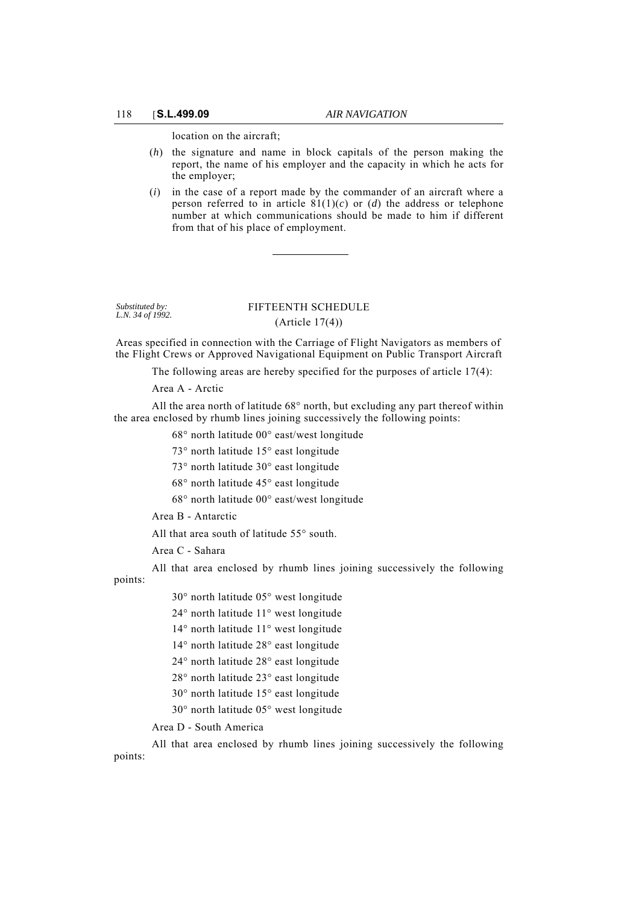location on the aircraft;

- (*h*) the signature and name in block capitals of the person making the report, the name of his employer and the capacity in which he acts for the employer;
- (*i*) in the case of a report made by the commander of an aircraft where a person referred to in article  $81(1)(c)$  or (*d*) the address or telephone number at which communications should be made to him if different from that of his place of employment.

*Substituted by: L.N. 34 of 1992.*

# FIFTEENTH SCHEDULE (Article 17(4))

Areas specified in connection with the Carriage of Flight Navigators as members of the Flight Crews or Approved Navigational Equipment on Public Transport Aircraft

The following areas are hereby specified for the purposes of article 17(4):

Area A - Arctic

All the area north of latitude 68° north, but excluding any part thereof within the area enclosed by rhumb lines joining successively the following points:

68° north latitude 00° east/west longitude

73° north latitude 15° east longitude

73° north latitude 30° east longitude

68° north latitude 45° east longitude

68° north latitude 00° east/west longitude

Area B - Antarctic

All that area south of latitude 55° south.

Area C - Sahara

All that area enclosed by rhumb lines joining successively the following points:

30° north latitude 05° west longitude 24° north latitude 11° west longitude 14° north latitude 11° west longitude 14° north latitude 28° east longitude 24° north latitude 28° east longitude 28° north latitude 23° east longitude 30° north latitude 15° east longitude 30° north latitude 05° west longitude

Area D - South America

All that area enclosed by rhumb lines joining successively the following points: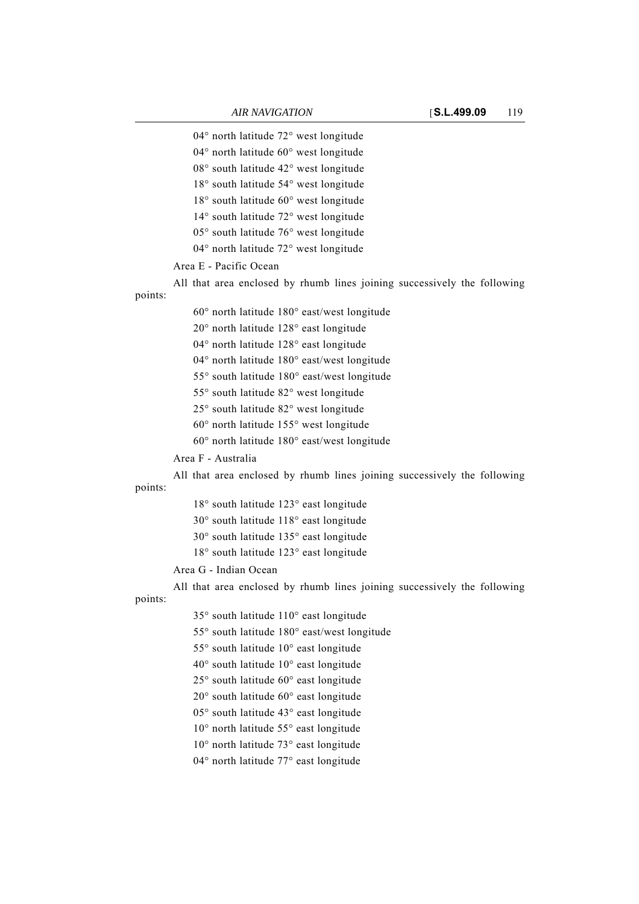04° north latitude 72° west longitude

04° north latitude 60° west longitude

08° south latitude 42° west longitude

18° south latitude 54° west longitude

18° south latitude 60° west longitude

14° south latitude 72° west longitude

05° south latitude 76° west longitude

04° north latitude 72° west longitude

# Area E - Pacific Ocean

All that area enclosed by rhumb lines joining successively the following points:

60° north latitude 180° east/west longitude

20° north latitude 128° east longitude

04° north latitude 128° east longitude 04° north latitude 180° east/west longitude

55° south latitude 180° east/west longitude

55° south latitude 82° west longitude

25° south latitude 82° west longitude

60° north latitude 155° west longitude

60° north latitude 180° east/west longitude

Area F - Australia

All that area enclosed by rhumb lines joining successively the following points:

> 18° south latitude 123° east longitude 30° south latitude 118° east longitude 30° south latitude 135° east longitude

> 18° south latitude 123° east longitude

Area G - Indian Ocean

All that area enclosed by rhumb lines joining successively the following points:

35° south latitude 110° east longitude

55° south latitude 180° east/west longitude

55° south latitude 10° east longitude

40° south latitude 10° east longitude

25° south latitude 60° east longitude

20° south latitude 60° east longitude

05° south latitude 43° east longitude

10° north latitude 55° east longitude

10° north latitude 73° east longitude

04° north latitude 77° east longitude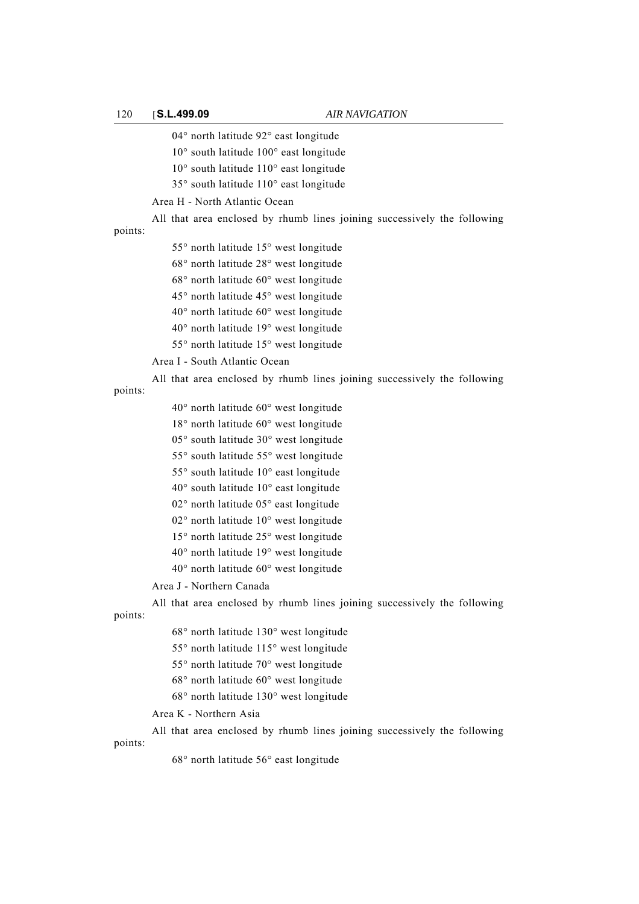04° north latitude 92° east longitude 10° south latitude 100° east longitude 10° south latitude 110° east longitude 35° south latitude 110° east longitude Area H - North Atlantic Ocean All that area enclosed by rhumb lines joining successively the following points: 55° north latitude 15° west longitude 68° north latitude 28° west longitude 68° north latitude 60° west longitude 45° north latitude 45° west longitude 40° north latitude 60° west longitude 40° north latitude 19° west longitude 55° north latitude 15° west longitude Area I - South Atlantic Ocean All that area enclosed by rhumb lines joining successively the following points: 40° north latitude 60° west longitude 18° north latitude 60° west longitude 05° south latitude 30° west longitude 55° south latitude 55° west longitude 55° south latitude 10° east longitude 40° south latitude 10° east longitude 02° north latitude 05° east longitude 02° north latitude 10° west longitude 15° north latitude 25° west longitude 40° north latitude 19° west longitude 40° north latitude 60° west longitude Area J - Northern Canada All that area enclosed by rhumb lines joining successively the following points: 68° north latitude 130° west longitude 55° north latitude 115° west longitude 55° north latitude 70° west longitude 68° north latitude 60° west longitude 68° north latitude 130° west longitude Area K - Northern Asia All that area enclosed by rhumb lines joining successively the following

points:

68° north latitude 56° east longitude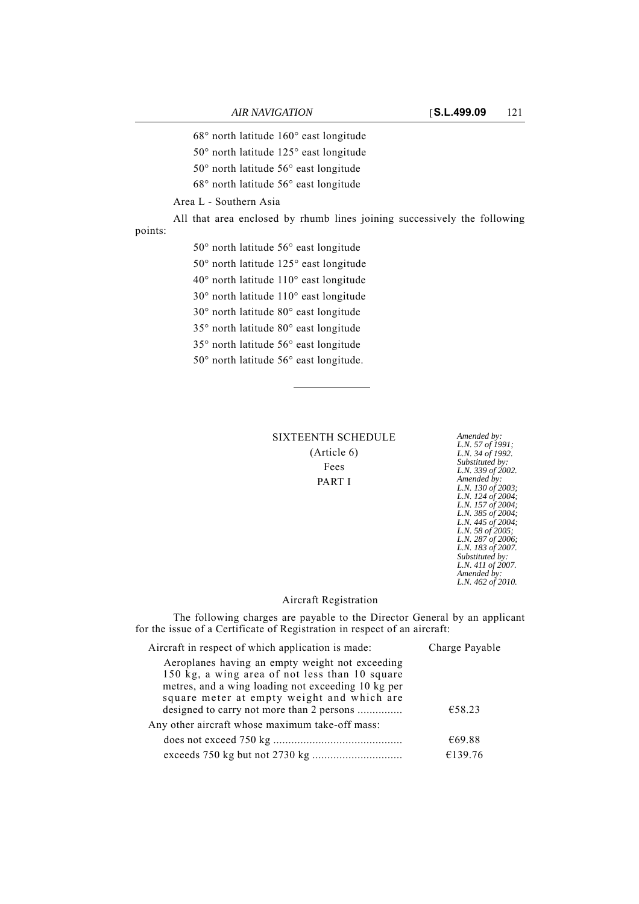68° north latitude 160° east longitude

- 50° north latitude 125° east longitude
- 50° north latitude 56° east longitude
- 68° north latitude 56° east longitude

Area L - Southern Asia

All that area enclosed by rhumb lines joining successively the following points:

50° north latitude 56° east longitude 50° north latitude 125° east longitude 40° north latitude 110° east longitude 30° north latitude 110° east longitude 30° north latitude 80° east longitude 35° north latitude 80° east longitude 35° north latitude 56° east longitude

50° north latitude 56° east longitude.

**SIXTEENTH SCHEDULE** (Article 6) Fees PART I

*L.N. 57 of 1991; L.N. 34 of 1992. Substituted by: L.N. 339 of 2002. Amended by: L.N. 130 of 2003; L.N. 124 of 2004; L.N. 157 of 2004; L.N. 385 of 2004; L.N. 445 of 2004; L.N. 58 of 2005; L.N. 287 of 2006; L.N. 183 of 2007. Substituted by: L.N. 411 of 2007. Amended by: L.N. 462 of 2010.*

### Aircraft Registration

The following charges are payable to the Director General by an applicant for the issue of a Certificate of Registration in respect of an aircraft:

| Aircraft in respect of which application is made:                                                                                                                                                                                                  | Charge Payable<br>€58.23 |  |
|----------------------------------------------------------------------------------------------------------------------------------------------------------------------------------------------------------------------------------------------------|--------------------------|--|
| Aeroplanes having an empty weight not exceeding<br>150 kg, a wing area of not less than 10 square<br>metres, and a wing loading not exceeding 10 kg per<br>square meter at empty weight and which are<br>designed to carry not more than 2 persons |                          |  |
| Any other aircraft whose maximum take-off mass:                                                                                                                                                                                                    |                          |  |
|                                                                                                                                                                                                                                                    | €69.88                   |  |
|                                                                                                                                                                                                                                                    | €139.76                  |  |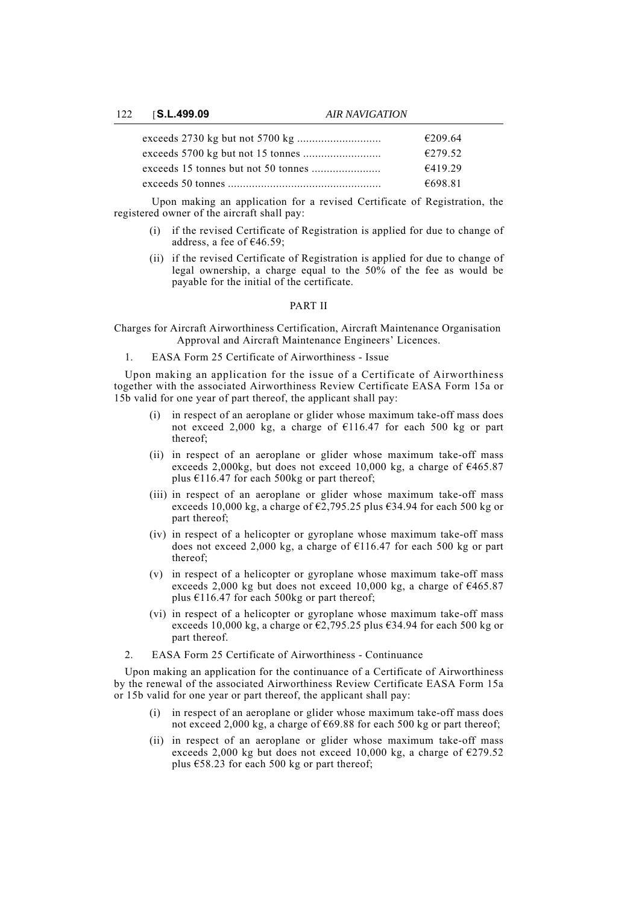122 [**S.L.499.09** *AIR NAVIGATION*

| €209.64 |
|---------|
| €279.52 |
| €41929  |
| €698.81 |

Upon making an application for a revised Certificate of Registration, the registered owner of the aircraft shall pay:

- (i) if the revised Certificate of Registration is applied for due to change of address, a fee of  $€46.59$ ;
- (ii) if the revised Certificate of Registration is applied for due to change of legal ownership, a charge equal to the 50% of the fee as would be payable for the initial of the certificate.

## PART II

Charges for Aircraft Airworthiness Certification, Aircraft Maintenance Organisation Approval and Aircraft Maintenance Engineers' Licences.

1. EASA Form 25 Certificate of Airworthiness - Issue

Upon making an application for the issue of a Certificate of Airworthiness together with the associated Airworthiness Review Certificate EASA Form 15a or 15b valid for one year of part thereof, the applicant shall pay:

- (i) in respect of an aeroplane or glider whose maximum take-off mass does not exceed 2,000 kg, a charge of €116.47 for each 500 kg or part thereof;
- (ii) in respect of an aeroplane or glider whose maximum take-off mass exceeds 2,000kg, but does not exceed 10,000 kg, a charge of  $\epsilon$ 465.87 plus  $\text{\textsterling}116.47$  for each 500kg or part thereof;
- (iii) in respect of an aeroplane or glider whose maximum take-off mass exceeds 10,000 kg, a charge of  $\epsilon$ 2,795.25 plus  $\epsilon$ 34.94 for each 500 kg or part thereof;
- (iv) in respect of a helicopter or gyroplane whose maximum take-off mass does not exceed 2,000 kg, a charge of  $\epsilon$ 116.47 for each 500 kg or part thereof;
- (v) in respect of a helicopter or gyroplane whose maximum take-off mass exceeds 2,000 kg but does not exceed 10,000 kg, a charge of  $\epsilon$ 465.87 plus  $£116.47$  for each 500kg or part thereof;
- (vi) in respect of a helicopter or gyroplane whose maximum take-off mass exceeds 10,000 kg, a charge or  $\epsilon$ 2,795.25 plus  $\epsilon$ 34.94 for each 500 kg or part thereof.
- 2. EASA Form 25 Certificate of Airworthiness Continuance

Upon making an application for the continuance of a Certificate of Airworthiness by the renewal of the associated Airworthiness Review Certificate EASA Form 15a or 15b valid for one year or part thereof, the applicant shall pay:

- (i) in respect of an aeroplane or glider whose maximum take-off mass does not exceed 2,000 kg, a charge of  $669.88$  for each 500 kg or part thereof;
- (ii) in respect of an aeroplane or glider whose maximum take-off mass exceeds 2,000 kg but does not exceed 10,000 kg, a charge of  $\epsilon$ 279.52 plus €58.23 for each 500 kg or part thereof;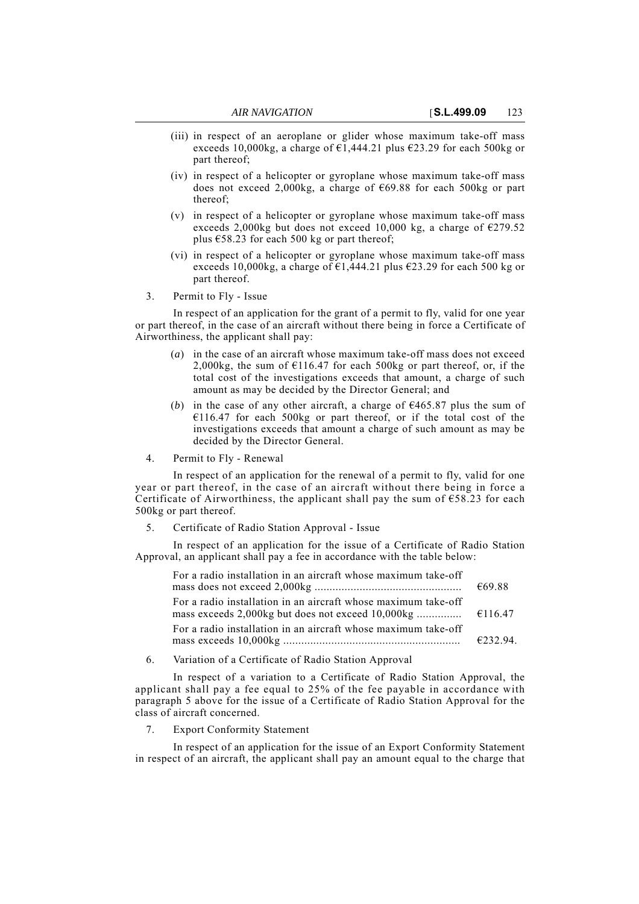- (iii) in respect of an aeroplane or glider whose maximum take-off mass exceeds 10,000kg, a charge of  $\epsilon$ 1,444.21 plus  $\epsilon$ 23.29 for each 500kg or part thereof;
- (iv) in respect of a helicopter or gyroplane whose maximum take-off mass does not exceed 2,000kg, a charge of  $\epsilon$ 69.88 for each 500kg or part thereof;
- (v) in respect of a helicopter or gyroplane whose maximum take-off mass exceeds 2,000kg but does not exceed 10,000 kg, a charge of  $\epsilon$ 279.52 plus  $\text{\textsterling}58.23$  for each 500 kg or part thereof;
- (vi) in respect of a helicopter or gyroplane whose maximum take-off mass exceeds 10,000kg, a charge of  $\epsilon$ 1,444.21 plus  $\epsilon$ 23.29 for each 500 kg or part thereof.
- 3. Permit to Fly Issue

In respect of an application for the grant of a permit to fly, valid for one year or part thereof, in the case of an aircraft without there being in force a Certificate of Airworthiness, the applicant shall pay:

- (*a*) in the case of an aircraft whose maximum take-off mass does not exceed 2,000kg, the sum of  $E116.47$  for each 500kg or part thereof, or, if the total cost of the investigations exceeds that amount, a charge of such amount as may be decided by the Director General; and
- (*b*) in the case of any other aircraft, a charge of  $\epsilon$ 465.87 plus the sum of  $€116.47$  for each 500kg or part thereof, or if the total cost of the investigations exceeds that amount a charge of such amount as may be decided by the Director General.
- 4. Permit to Fly Renewal

In respect of an application for the renewal of a permit to fly, valid for one year or part thereof, in the case of an aircraft without there being in force a Certificate of Airworthiness, the applicant shall pay the sum of  $658.23$  for each 500kg or part thereof.

5. Certificate of Radio Station Approval - Issue

In respect of an application for the issue of a Certificate of Radio Station Approval, an applicant shall pay a fee in accordance with the table below:

| For a radio installation in an aircraft whose maximum take-off | €69.88 |
|----------------------------------------------------------------|--------|
| For a radio installation in an aircraft whose maximum take-off |        |
| For a radio installation in an aircraft whose maximum take-off | £23294 |

6. Variation of a Certificate of Radio Station Approval

In respect of a variation to a Certificate of Radio Station Approval, the applicant shall pay a fee equal to 25% of the fee payable in accordance with paragraph 5 above for the issue of a Certificate of Radio Station Approval for the class of aircraft concerned.

7. Export Conformity Statement

In respect of an application for the issue of an Export Conformity Statement in respect of an aircraft, the applicant shall pay an amount equal to the charge that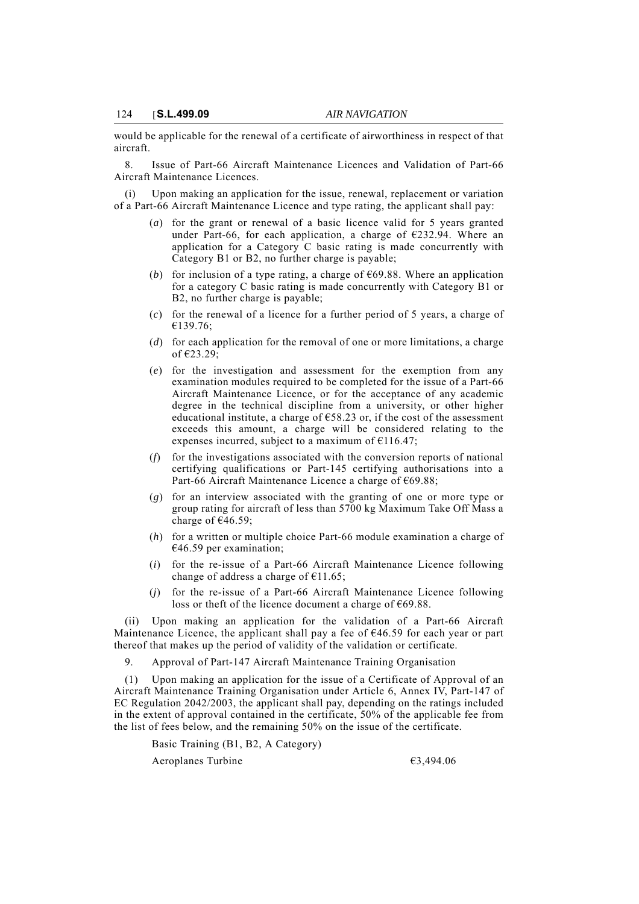would be applicable for the renewal of a certificate of airworthiness in respect of that aircraft.

8. Issue of Part-66 Aircraft Maintenance Licences and Validation of Part-66 Aircraft Maintenance Licences.

(i) Upon making an application for the issue, renewal, replacement or variation of a Part-66 Aircraft Maintenance Licence and type rating, the applicant shall pay:

- (*a*) for the grant or renewal of a basic licence valid for 5 years granted under Part-66, for each application, a charge of  $\epsilon$ 232.94. Where an application for a Category C basic rating is made concurrently with Category B1 or B2, no further charge is payable;
- (*b*) for inclusion of a type rating, a charge of  $\epsilon$ 69.88. Where an application for a category C basic rating is made concurrently with Category B1 or B2, no further charge is payable;
- (*c*) for the renewal of a licence for a further period of 5 years, a charge of €139.76;
- (*d*) for each application for the removal of one or more limitations, a charge of €23.29;
- (*e*) for the investigation and assessment for the exemption from any examination modules required to be completed for the issue of a Part-66 Aircraft Maintenance Licence, or for the acceptance of any academic degree in the technical discipline from a university, or other higher educational institute, a charge of  $\epsilon$ 58.23 or, if the cost of the assessment exceeds this amount, a charge will be considered relating to the expenses incurred, subject to a maximum of  $E$ 116.47;
- (*f*) for the investigations associated with the conversion reports of national certifying qualifications or Part-145 certifying authorisations into a Part-66 Aircraft Maintenance Licence a charge of €69.88;
- (*g*) for an interview associated with the granting of one or more type or group rating for aircraft of less than 5700 kg Maximum Take Off Mass a charge of  $€46.59$ ;
- (*h*) for a written or multiple choice Part-66 module examination a charge of  $€46.59$  per examination;
- (*i*) for the re-issue of a Part-66 Aircraft Maintenance Licence following change of address a charge of  $E$ 11.65;
- (*j*) for the re-issue of a Part-66 Aircraft Maintenance Licence following loss or theft of the licence document a charge of €69.88.

(ii) Upon making an application for the validation of a Part-66 Aircraft Maintenance Licence, the applicant shall pay a fee of  $646.59$  for each year or part thereof that makes up the period of validity of the validation or certificate.

9. Approval of Part-147 Aircraft Maintenance Training Organisation

(1) Upon making an application for the issue of a Certificate of Approval of an Aircraft Maintenance Training Organisation under Article 6, Annex IV, Part-147 of EC Regulation 2042/2003, the applicant shall pay, depending on the ratings included in the extent of approval contained in the certificate, 50% of the applicable fee from the list of fees below, and the remaining 50% on the issue of the certificate.

Basic Training (B1, B2, A Category)

Aeroplanes Turbine €3,494.06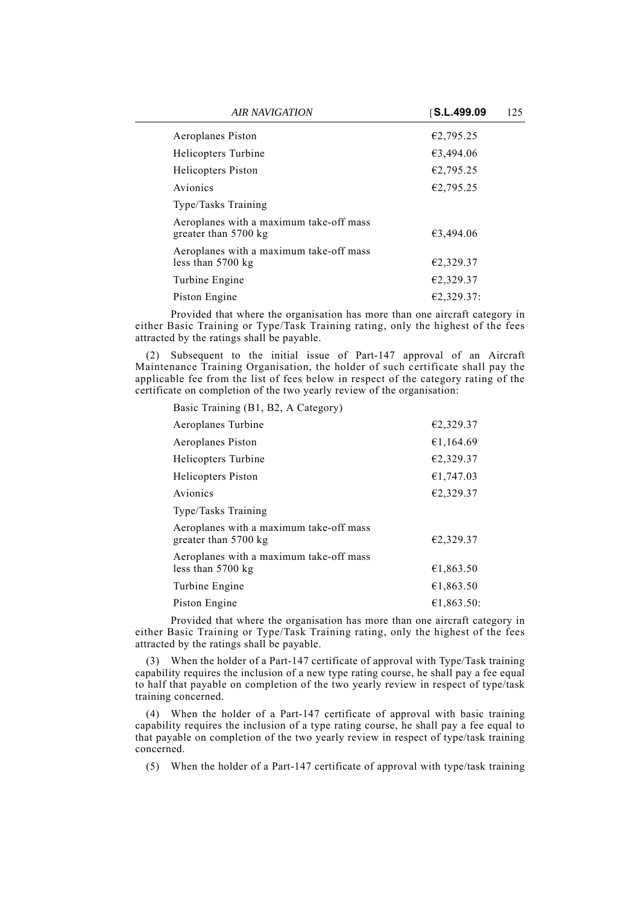| <b>AIR NAVIGATION</b>                                                     | S.L.499.09<br>125 |  |
|---------------------------------------------------------------------------|-------------------|--|
| Aeroplanes Piston                                                         | €2,795.25         |  |
| Helicopters Turbine                                                       | €3,494.06         |  |
| Helicopters Piston                                                        | €2,795.25         |  |
| Avionics                                                                  | €2,795.25         |  |
| Type/Tasks Training                                                       |                   |  |
| Aeroplanes with a maximum take-off mass<br>greater than $5700 \text{ kg}$ | €3,494.06         |  |
| Aeroplanes with a maximum take-off mass<br>less than $5700 \text{ kg}$    | €2,329.37         |  |
| Turbine Engine                                                            | €2,329.37         |  |
| Piston Engine                                                             | €2,329.37:        |  |

Provided that where the organisation has more than one aircraft category in either Basic Training or Type/Task Training rating, only the highest of the fees attracted by the ratings shall be payable.

(2) Subsequent to the initial issue of Part-147 approval of an Aircraft Maintenance Training Organisation, the holder of such certificate shall pay the applicable fee from the list of fees below in respect of the category rating of the certificate on completion of the two yearly review of the organisation:

Basic Training (B1, B2, A Category)

| Aeroplanes Turbine                                                     | €2,329.37  |
|------------------------------------------------------------------------|------------|
|                                                                        |            |
| Aeroplanes Piston                                                      | €1,164.69  |
| Helicopters Turbine                                                    | €2,329.37  |
| Helicopters Piston                                                     | €1,747.03  |
| Avionics                                                               | €2,329.37  |
| Type/Tasks Training                                                    |            |
| Aeroplanes with a maximum take-off mass<br>greater than 5700 kg        | €2,329.37  |
| Aeroplanes with a maximum take-off mass<br>less than $5700 \text{ kg}$ | €1,863.50  |
| Turbine Engine                                                         | €1,863.50  |
| Piston Engine                                                          | €1,863.50: |

Provided that where the organisation has more than one aircraft category in either Basic Training or Type/Task Training rating, only the highest of the fees attracted by the ratings shall be payable.

(3) When the holder of a Part-147 certificate of approval with Type/Task training capability requires the inclusion of a new type rating course, he shall pay a fee equal to half that payable on completion of the two yearly review in respect of type/task training concerned.

(4) When the holder of a Part-147 certificate of approval with basic training capability requires the inclusion of a type rating course, he shall pay a fee equal to that payable on completion of the two yearly review in respect of type/task training concerned.

(5) When the holder of a Part-147 certificate of approval with type/task training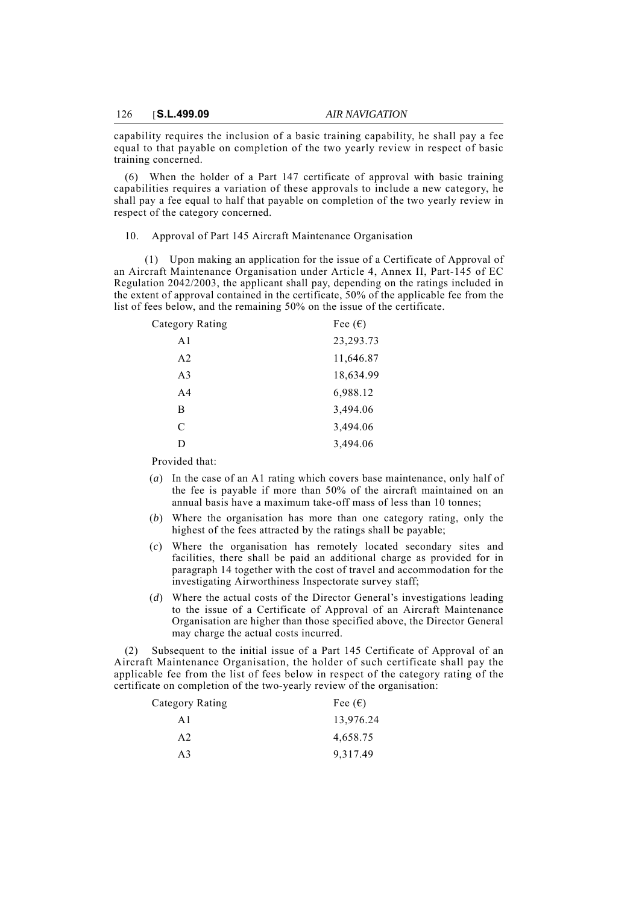capability requires the inclusion of a basic training capability, he shall pay a fee equal to that payable on completion of the two yearly review in respect of basic training concerned.

(6) When the holder of a Part 147 certificate of approval with basic training capabilities requires a variation of these approvals to include a new category, he shall pay a fee equal to half that payable on completion of the two yearly review in respect of the category concerned.

10. Approval of Part 145 Aircraft Maintenance Organisation

(1) Upon making an application for the issue of a Certificate of Approval of an Aircraft Maintenance Organisation under Article 4, Annex II, Part-145 of EC Regulation 2042/2003, the applicant shall pay, depending on the ratings included in the extent of approval contained in the certificate, 50% of the applicable fee from the list of fees below, and the remaining 50% on the issue of the certificate.

| Category Rating | Fee $(\epsilon)$ |
|-----------------|------------------|
| A1              | 23, 293. 73      |
| A <sub>2</sub>  | 11,646.87        |
| A <sub>3</sub>  | 18,634.99        |
| A <sub>4</sub>  | 6,988.12         |
| B               | 3,494.06         |
| C               | 3,494.06         |
| D               | 3,494.06         |

Provided that:

- (*a*) In the case of an A1 rating which covers base maintenance, only half of the fee is payable if more than 50% of the aircraft maintained on an annual basis have a maximum take-off mass of less than 10 tonnes;
- (*b*) Where the organisation has more than one category rating, only the highest of the fees attracted by the ratings shall be payable;
- (*c*) Where the organisation has remotely located secondary sites and facilities, there shall be paid an additional charge as provided for in paragraph 14 together with the cost of travel and accommodation for the investigating Airworthiness Inspectorate survey staff;
- (*d*) Where the actual costs of the Director General's investigations leading to the issue of a Certificate of Approval of an Aircraft Maintenance Organisation are higher than those specified above, the Director General may charge the actual costs incurred.

(2) Subsequent to the initial issue of a Part 145 Certificate of Approval of an Aircraft Maintenance Organisation, the holder of such certificate shall pay the applicable fee from the list of fees below in respect of the category rating of the certificate on completion of the two-yearly review of the organisation:

| Category Rating | Fee $(\epsilon)$ |
|-----------------|------------------|
| A 1             | 13,976.24        |
| A2              | 4,658.75         |
| A <sup>3</sup>  | 9,317.49         |
|                 |                  |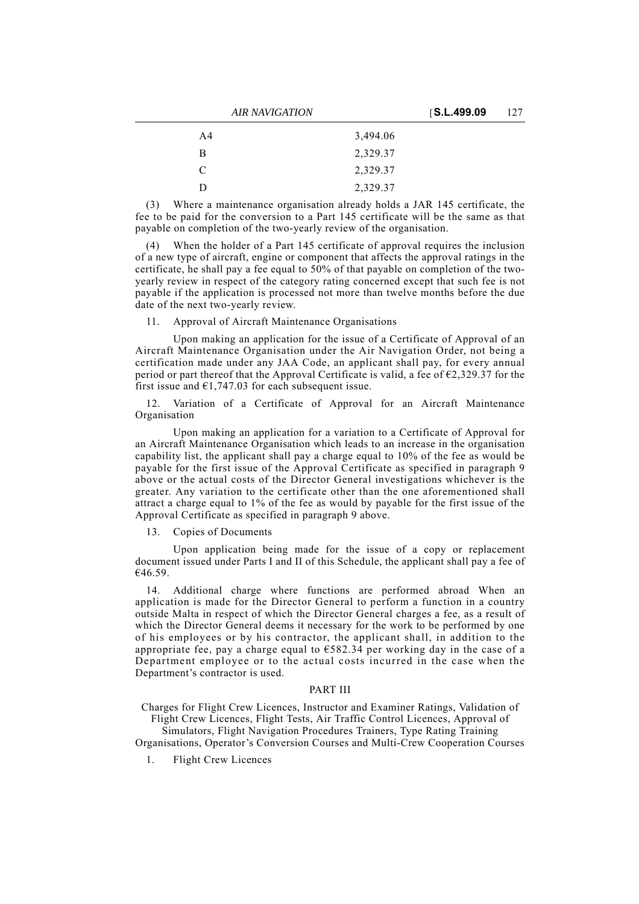| <b>AIR NAVIGATION</b> |                | S.L.499.09 | 127 |  |
|-----------------------|----------------|------------|-----|--|
|                       | A <sub>4</sub> | 3,494.06   |     |  |
|                       | B              | 2,329.37   |     |  |
|                       | C              | 2,329.37   |     |  |
|                       | Ð              | 2,329.37   |     |  |

(3) Where a maintenance organisation already holds a JAR 145 certificate, the fee to be paid for the conversion to a Part 145 certificate will be the same as that payable on completion of the two-yearly review of the organisation.

(4) When the holder of a Part 145 certificate of approval requires the inclusion of a new type of aircraft, engine or component that affects the approval ratings in the certificate, he shall pay a fee equal to 50% of that payable on completion of the twoyearly review in respect of the category rating concerned except that such fee is not payable if the application is processed not more than twelve months before the due date of the next two-yearly review.

11. Approval of Aircraft Maintenance Organisations

Upon making an application for the issue of a Certificate of Approval of an Aircraft Maintenance Organisation under the Air Navigation Order, not being a certification made under any JAA Code, an applicant shall pay, for every annual period or part thereof that the Approval Certificate is valid, a fee of  $\epsilon$ 2,329.37 for the first issue and  $\epsilon$ 1,747.03 for each subsequent issue.

12. Variation of a Certificate of Approval for an Aircraft Maintenance Organisation

Upon making an application for a variation to a Certificate of Approval for an Aircraft Maintenance Organisation which leads to an increase in the organisation capability list, the applicant shall pay a charge equal to 10% of the fee as would be payable for the first issue of the Approval Certificate as specified in paragraph 9 above or the actual costs of the Director General investigations whichever is the greater. Any variation to the certificate other than the one aforementioned shall attract a charge equal to 1% of the fee as would by payable for the first issue of the Approval Certificate as specified in paragraph 9 above.

13. Copies of Documents

Upon application being made for the issue of a copy or replacement document issued under Parts I and II of this Schedule, the applicant shall pay a fee of €46.59.

14. Additional charge where functions are performed abroad When an application is made for the Director General to perform a function in a country outside Malta in respect of which the Director General charges a fee, as a result of which the Director General deems it necessary for the work to be performed by one of his employees or by his contractor, the applicant shall, in addition to the appropriate fee, pay a charge equal to €582.34 per working day in the case of a Department employee or to the actual costs incurred in the case when the Department's contractor is used.

## PART III

Charges for Flight Crew Licences, Instructor and Examiner Ratings, Validation of Flight Crew Licences, Flight Tests, Air Traffic Control Licences, Approval of

Simulators, Flight Navigation Procedures Trainers, Type Rating Training Organisations, Operator's Conversion Courses and Multi-Crew Cooperation Courses

1. Flight Crew Licences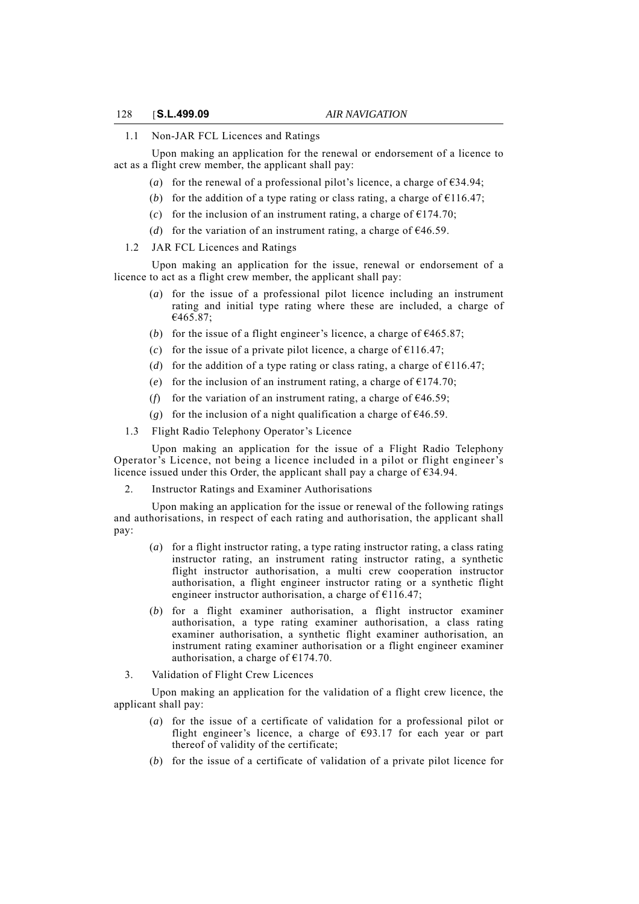#### 1.1 Non-JAR FCL Licences and Ratings

Upon making an application for the renewal or endorsement of a licence to act as a flight crew member, the applicant shall pay:

- (*a*) for the renewal of a professional pilot's licence, a charge of  $\epsilon$ 34.94;
- (*b*) for the addition of a type rating or class rating, a charge of  $\epsilon$ 116.47;
- (*c*) for the inclusion of an instrument rating, a charge of  $\epsilon$ 174.70;
- (*d*) for the variation of an instrument rating, a charge of  $\epsilon$ 46.59.
- 1.2 JAR FCL Licences and Ratings

Upon making an application for the issue, renewal or endorsement of a licence to act as a flight crew member, the applicant shall pay:

- (*a*) for the issue of a professional pilot licence including an instrument rating and initial type rating where these are included, a charge of €465.87;
- (*b*) for the issue of a flight engineer's licence, a charge of  $\epsilon$ 465.87;
- (*c*) for the issue of a private pilot licence, a charge of  $\epsilon$ 116.47;
- (*d*) for the addition of a type rating or class rating, a charge of  $E116.47$ ;
- (*e*) for the inclusion of an instrument rating, a charge of  $E$ 174.70;
- (*f*) for the variation of an instrument rating, a charge of  $\epsilon$ 46.59;
- (*g*) for the inclusion of a night qualification a charge of  $\epsilon$ 46.59.
- 1.3 Flight Radio Telephony Operator's Licence

Upon making an application for the issue of a Flight Radio Telephony Operator's Licence, not being a licence included in a pilot or flight engineer's licence issued under this Order, the applicant shall pay a charge of  $\epsilon$ 34.94.

2. Instructor Ratings and Examiner Authorisations

Upon making an application for the issue or renewal of the following ratings and authorisations, in respect of each rating and authorisation, the applicant shall pay:

- (*a*) for a flight instructor rating, a type rating instructor rating, a class rating instructor rating, an instrument rating instructor rating, a synthetic flight instructor authorisation, a multi crew cooperation instructor authorisation, a flight engineer instructor rating or a synthetic flight engineer instructor authorisation, a charge of  $£116.47;$
- (*b*) for a flight examiner authorisation, a flight instructor examiner authorisation, a type rating examiner authorisation, a class rating examiner authorisation, a synthetic flight examiner authorisation, an instrument rating examiner authorisation or a flight engineer examiner authorisation, a charge of  $£174.70$ .
- 3. Validation of Flight Crew Licences

Upon making an application for the validation of a flight crew licence, the applicant shall pay:

- (*a*) for the issue of a certificate of validation for a professional pilot or flight engineer's licence, a charge of  $\epsilon$ 93.17 for each year or part thereof of validity of the certificate;
- (*b*) for the issue of a certificate of validation of a private pilot licence for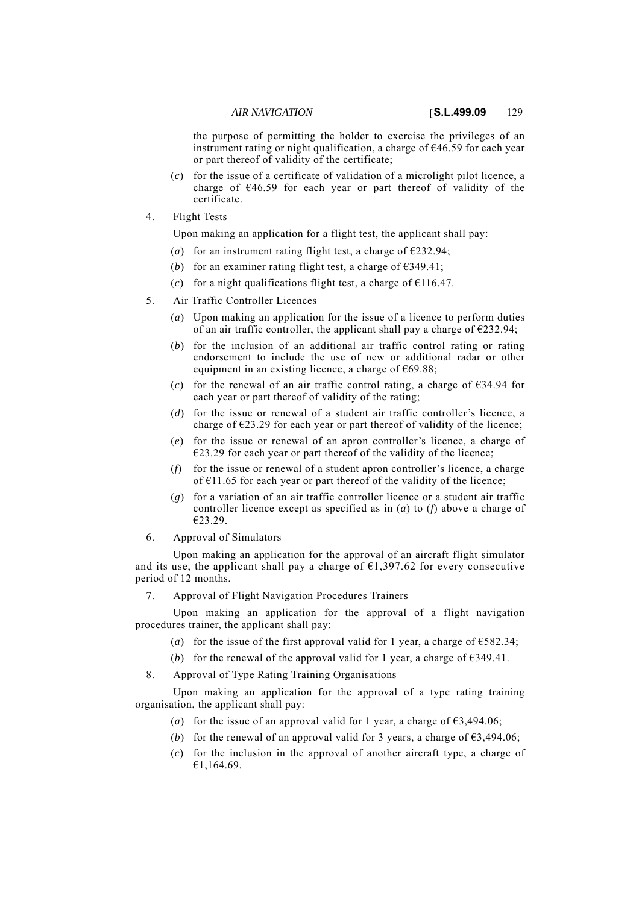the purpose of permitting the holder to exercise the privileges of an instrument rating or night qualification, a charge of  $\epsilon$ 46.59 for each year or part thereof of validity of the certificate;

- (*c*) for the issue of a certificate of validation of a microlight pilot licence, a charge of  $E46.59$  for each year or part thereof of validity of the certificate.
- 4. Flight Tests

Upon making an application for a flight test, the applicant shall pay:

- (*a*) for an instrument rating flight test, a charge of  $\epsilon$ 232.94;
- (*b*) for an examiner rating flight test, a charge of  $\epsilon$ 349.41;
- (*c*) for a night qualifications flight test, a charge of  $\epsilon$ 116.47.
- 5. Air Traffic Controller Licences
	- (*a*) Upon making an application for the issue of a licence to perform duties of an air traffic controller, the applicant shall pay a charge of  $\epsilon$ 232.94;
	- (*b*) for the inclusion of an additional air traffic control rating or rating endorsement to include the use of new or additional radar or other equipment in an existing licence, a charge of  $669.88$ ;
	- (*c*) for the renewal of an air traffic control rating, a charge of  $\epsilon$ 34.94 for each year or part thereof of validity of the rating;
	- (*d*) for the issue or renewal of a student air traffic controller's licence, a charge of  $E$ 23.29 for each year or part thereof of validity of the licence;
	- (*e*) for the issue or renewal of an apron controller's licence, a charge of  $\epsilon$ 23.29 for each year or part thereof of the validity of the licence;
	- (*f*) for the issue or renewal of a student apron controller's licence, a charge of  $E11.65$  for each year or part thereof of the validity of the licence;
	- (*g*) for a variation of an air traffic controller licence or a student air traffic controller licence except as specified as in (*a*) to (*f*) above a charge of €23.29.
- 6. Approval of Simulators

Upon making an application for the approval of an aircraft flight simulator and its use, the applicant shall pay a charge of  $\epsilon$ 1,397.62 for every consecutive period of 12 months.

7. Approval of Flight Navigation Procedures Trainers

Upon making an application for the approval of a flight navigation procedures trainer, the applicant shall pay:

- (*a*) for the issue of the first approval valid for 1 year, a charge of  $\epsilon$ 582.34;
- (*b*) for the renewal of the approval valid for 1 year, a charge of  $\epsilon$ 349.41.
- 8. Approval of Type Rating Training Organisations

Upon making an application for the approval of a type rating training organisation, the applicant shall pay:

- (*a*) for the issue of an approval valid for 1 year, a charge of  $\epsilon$ 3,494.06;
- (*b*) for the renewal of an approval valid for 3 years, a charge of  $\epsilon$ 3.494.06;
- (*c*) for the inclusion in the approval of another aircraft type, a charge of €1,164.69.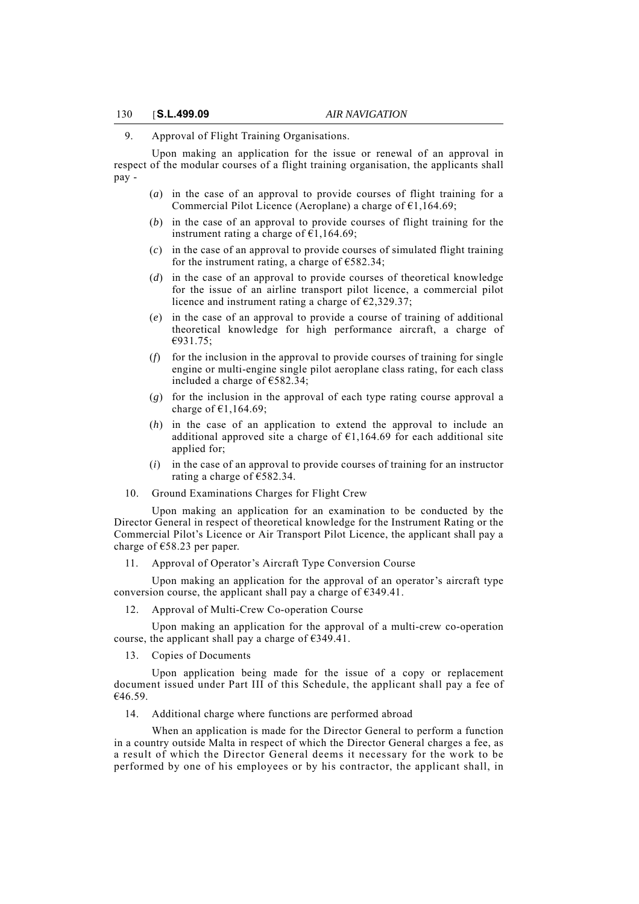9. Approval of Flight Training Organisations.

Upon making an application for the issue or renewal of an approval in respect of the modular courses of a flight training organisation, the applicants shall pay -

- (*a*) in the case of an approval to provide courses of flight training for a Commercial Pilot Licence (Aeroplane) a charge of  $\epsilon$ 1,164.69;
- (*b*) in the case of an approval to provide courses of flight training for the instrument rating a charge of  $\epsilon$ 1,164.69;
- (*c*) in the case of an approval to provide courses of simulated flight training for the instrument rating, a charge of  $€582.34$ ;
- (*d*) in the case of an approval to provide courses of theoretical knowledge for the issue of an airline transport pilot licence, a commercial pilot licence and instrument rating a charge of  $\epsilon$ 2,329.37;
- (*e*) in the case of an approval to provide a course of training of additional theoretical knowledge for high performance aircraft, a charge of €931.75;
- (*f*) for the inclusion in the approval to provide courses of training for single engine or multi-engine single pilot aeroplane class rating, for each class included a charge of  $€582.34$ ;
- (*g*) for the inclusion in the approval of each type rating course approval a charge of  $£1,164.69;$
- (*h*) in the case of an application to extend the approval to include an additional approved site a charge of  $E1,164.69$  for each additional site applied for;
- (*i*) in the case of an approval to provide courses of training for an instructor rating a charge of  $\widehat{E}$ 582.34.
- 10. Ground Examinations Charges for Flight Crew

Upon making an application for an examination to be conducted by the Director General in respect of theoretical knowledge for the Instrument Rating or the Commercial Pilot's Licence or Air Transport Pilot Licence, the applicant shall pay a charge of €58.23 per paper.

11. Approval of Operator's Aircraft Type Conversion Course

Upon making an application for the approval of an operator's aircraft type conversion course, the applicant shall pay a charge of  $\epsilon$ 349.41.

12. Approval of Multi-Crew Co-operation Course

Upon making an application for the approval of a multi-crew co-operation course, the applicant shall pay a charge of  $\epsilon$ 349.41.

13. Copies of Documents

Upon application being made for the issue of a copy or replacement document issued under Part III of this Schedule, the applicant shall pay a fee of  $€46.59.$ 

14. Additional charge where functions are performed abroad

When an application is made for the Director General to perform a function in a country outside Malta in respect of which the Director General charges a fee, as a result of which the Director General deems it necessary for the work to be performed by one of his employees or by his contractor, the applicant shall, in